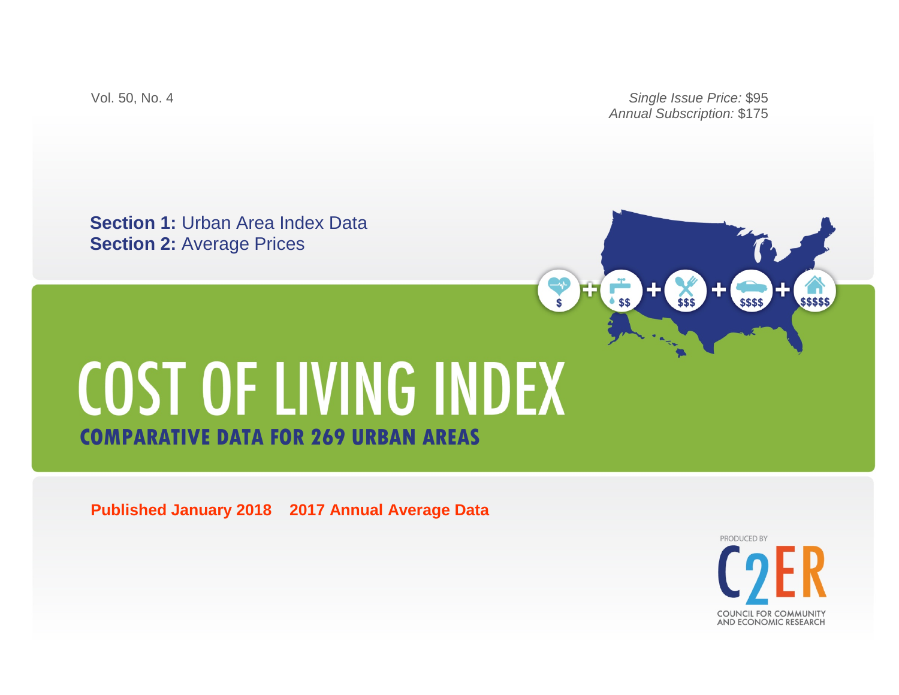Vol. 50, No. 4 *Single Issue Price:* \$95 *Annual Subscription:* \$175

 $85$ 

**Section 1:** Urban Area Index Data **Section 2:** Average Prices

# COST OF LIVING INDEX **COMPARATIVE DATA FOR 269 URBAN AREAS**

**Published January 2018 2017 Annual Average Data**

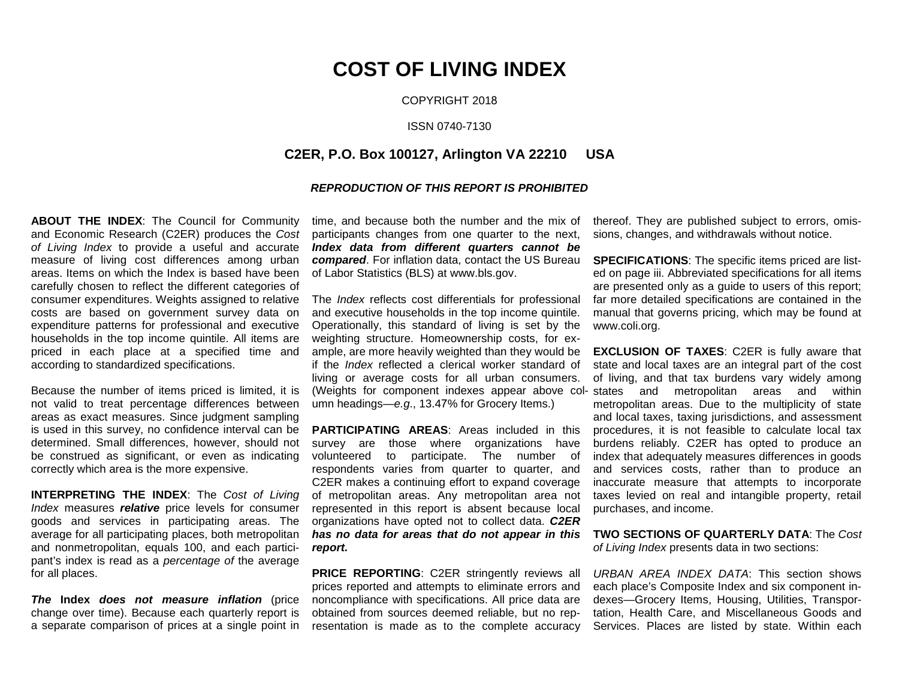COPYRIGHT 2018

#### ISSN 0740-7130

### **C2ER, P.O. Box 100127, Arlington VA 22210 USA**

#### *REPRODUCTION OF THIS REPORT IS PROHIBITED*

**ABOUT THE INDEX**: The Council for Community and Economic Research (C2ER) produces the *Cost of Living Index* to provide a useful and accurate measure of living cost differences among urban areas. Items on which the Index is based have been carefully chosen to reflect the different categories of consumer expenditures. Weights assigned to relative costs are based on government survey data on expenditure patterns for professional and executive households in the top income quintile. All items are priced in each place at a specified time and according to standardized specifications.

Because the number of items priced is limited, it is not valid to treat percentage differences between areas as exact measures. Since judgment sampling is used in this survey, no confidence interval can be determined. Small differences, however, should not be construed as significant, or even as indicating correctly which area is the more expensive.

**INTERPRETING THE INDEX**: The *Cost of Living Index* measures *relative* price levels for consumer goods and services in participating areas. The average for all participating places, both metropolitan and nonmetropolitan, equals 100, and each participant's index is read as a *percentage of* the average for all places.

*The* **Index** *does not measure inflation* (price change over time). Because each quarterly report is a separate comparison of prices at a single point in time, and because both the number and the mix of participants changes from one quarter to the next, *Index data from different quarters cannot be compared*. For inflation data, contact the US Bureau of Labor Statistics (BLS) at www.bls.gov.

The *Index* reflects cost differentials for professional and executive households in the top income quintile. Operationally, this standard of living is set by the weighting structure. Homeownership costs, for example, are more heavily weighted than they would be if the *Index* reflected a clerical worker standard of living or average costs for all urban consumers. umn headings—*e.g*., 13.47% for Grocery Items.)

**PARTICIPATING AREAS**: Areas included in this survey are those where organizations have volunteered to participate. The number of respondents varies from quarter to quarter, and C2ER makes a continuing effort to expand coverage of metropolitan areas. Any metropolitan area not represented in this report is absent because local organizations have opted not to collect data. *C2ER has no data for areas that do not appear in this report.*

**PRICE REPORTING:** C2ER stringently reviews all prices reported and attempts to eliminate errors and noncompliance with specifications. All price data are obtained from sources deemed reliable, but no representation is made as to the complete accuracy thereof. They are published subject to errors, omissions, changes, and withdrawals without notice.

**SPECIFICATIONS**: The specific items priced are listed on page iii. Abbreviated specifications for all items are presented only as a guide to users of this report; far more detailed specifications are contained in the manual that governs pricing, which may be found at www.coli.org.

(Weights for component indexes appear above col-states and metropolitan areas and within **EXCLUSION OF TAXES**: C2ER is fully aware that state and local taxes are an integral part of the cost of living, and that tax burdens vary widely among metropolitan areas. Due to the multiplicity of state and local taxes, taxing jurisdictions, and assessment procedures, it is not feasible to calculate local tax burdens reliably. C2ER has opted to produce an index that adequately measures differences in goods and services costs, rather than to produce an inaccurate measure that attempts to incorporate taxes levied on real and intangible property, retail purchases, and income.

> **TWO SECTIONS OF QUARTERLY DATA**: The *Cost of Living Index* presents data in two sections:

> *URBAN AREA INDEX DATA*: This section shows each place's Composite Index and six component indexes—Grocery Items, Housing, Utilities, Transportation, Health Care, and Miscellaneous Goods and Services. Places are listed by state. Within each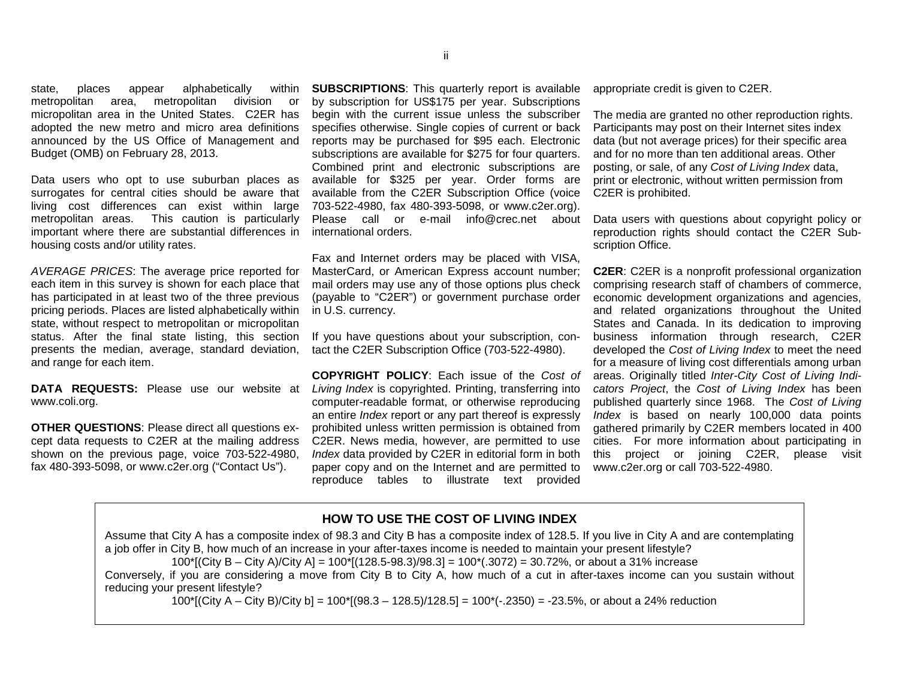state, places appear alphabetically within metropolitan area, metropolitan division or micropolitan area in the United States. C2ER has adopted the new metro and micro area definitions announced by the US Office of Management and Budget (OMB) on February 28, 2013.

Data users who opt to use suburban places as surrogates for central cities should be aware that living cost differences can exist within large metropolitan areas. This caution is particularly important where there are substantial differences in housing costs and/or utility rates.

*AVERAGE PRICES*: The average price reported for each item in this survey is shown for each place that has participated in at least two of the three previous pricing periods. Places are listed alphabetically within state, without respect to metropolitan or micropolitan status. After the final state listing, this section presents the median, average, standard deviation, and range for each item.

**DATA REQUESTS:** Please use our website at www.coli.org.

**OTHER QUESTIONS**: Please direct all questions except data requests to C2ER at the mailing address shown on the previous page, voice 703-522-4980, fax 480-393-5098, or www.c2er.org ("Contact Us").

**SUBSCRIPTIONS**: This quarterly report is available by subscription for US\$175 per year. Subscriptions begin with the current issue unless the subscriber specifies otherwise. Single copies of current or back reports may be purchased for \$95 each. Electronic subscriptions are available for \$275 for four quarters. Combined print and electronic subscriptions are available for \$325 per year. Order forms are available from the C2ER Subscription Office (voice 703-522-4980, fax 480-393-5098, or www.c2er.org). Please call or e-mail info@crec.net about international orders.

Fax and Internet orders may be placed with VISA, MasterCard, or American Express account number; mail orders may use any of those options plus check (payable to "C2ER") or government purchase order in U.S. currency.

If you have questions about your subscription, contact the C2ER Subscription Office (703-522-4980).

**COPYRIGHT POLICY**: Each issue of the *Cost of Living Index* is copyrighted. Printing, transferring into computer-readable format, or otherwise reproducing an entire *Index* report or any part thereof is expressly prohibited unless written permission is obtained from C2ER. News media, however, are permitted to use *Index* data provided by C2ER in editorial form in both paper copy and on the Internet and are permitted to reproduce tables to illustrate text provided

appropriate credit is given to C2ER.

The media are granted no other reproduction rights. Participants may post on their Internet sites index data (but not average prices) for their specific area and for no more than ten additional areas. Other posting, or sale, of any *Cost of Living Index* data, print or electronic, without written permission from C2ER is prohibited.

Data users with questions about copyright policy or reproduction rights should contact the C2ER Subscription Office.

**C2ER**: C2ER is a nonprofit professional organization comprising research staff of chambers of commerce, economic development organizations and agencies, and related organizations throughout the United States and Canada. In its dedication to improving business information through research, C2ER developed the *Cost of Living Index* to meet the need for a measure of living cost differentials among urban areas. Originally titled *Inter-City Cost of Living Indicators Project*, the *Cost of Living Index* has been published quarterly since 1968. The *Cost of Living Index* is based on nearly 100,000 data points gathered primarily by C2ER members located in 400 cities. For more information about participating in this project or joining C2ER, please visit www.c2er.org or call 703-522-4980.

#### **HOW TO USE THE COST OF LIVING INDEX**

Assume that City A has a composite index of 98.3 and City B has a composite index of 128.5. If you live in City A and are contemplating a job offer in City B, how much of an increase in your after-taxes income is needed to maintain your present lifestyle? 100\*[(City B – City A)/City A] = 100\*[(128.5-98.3)/98.3] = 100\*(.3072) = 30.72%, or about a 31% increase Conversely, if you are considering a move from City B to City A, how much of a cut in after-taxes income can you sustain without reducing your present lifestyle?

100\*[(City A – City B)/City b] = 100\*[(98.3 – 128.5)/128.5] = 100\*(-.2350) = -23.5%, or about a 24% reduction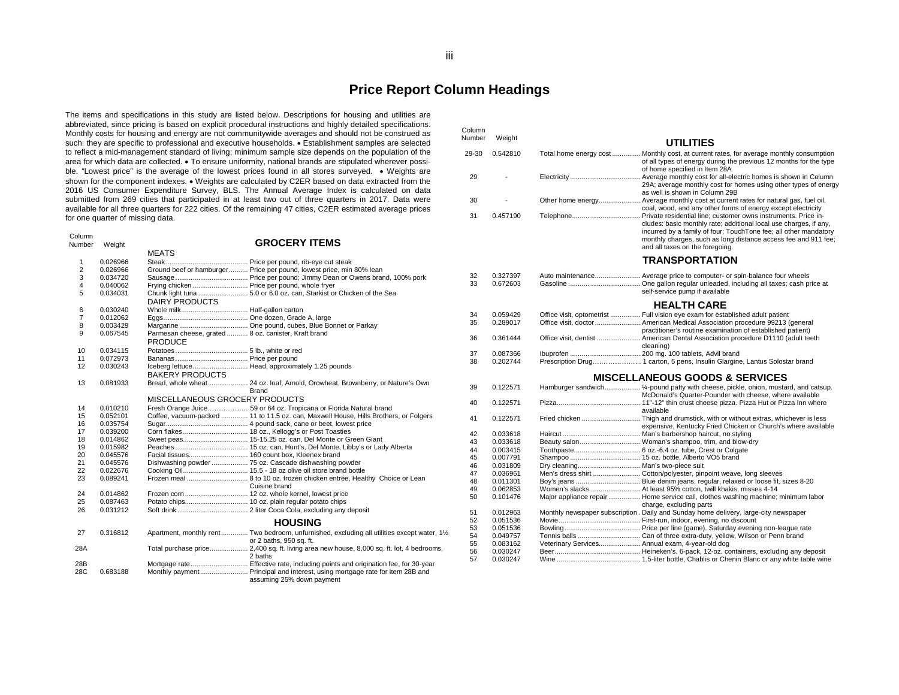## **Price Report Column Headings**

The items and specifications in this study are listed below. Descriptions for housing and utilities are abbreviated, since pricing is based on explicit procedural instructions and highly detailed specifications. Monthly costs for housing and energy are not communitywide averages and should not be construed as such: they are specific to professional and executive households. • Establishment samples are selected to reflect a mid-management standard of living; minimum sample size depends on the population of the area for which data are collected. • To ensure uniformity, national brands are stipulated wherever possible. "Lowest price" is the average of the lowest prices found in all stores surveyed. • Weights are shown for the component indexes. • Weights are calculated by C2ER based on data extracted from the 2016 US Consumer Expenditure Survey, BLS. The Annual Average Index is calculated on data submitted from 269 cities that participated in at least two out of three quarters in 2017. Data were available for all three quarters for 222 cities. Of the remaining 47 cities, C2ER estimated average prices for one quarter of missing data.

| Column<br>Number | Weight   |                                                                        | <b>GROCERY ITEMS</b>                                                                                                    |
|------------------|----------|------------------------------------------------------------------------|-------------------------------------------------------------------------------------------------------------------------|
|                  |          | MEATS                                                                  |                                                                                                                         |
| 1                | 0.026966 |                                                                        |                                                                                                                         |
| $\overline{2}$   | 0.026966 |                                                                        | Ground beef or hamburger Price per pound, lowest price, min 80% lean                                                    |
| 3                |          |                                                                        |                                                                                                                         |
| 4                | 0.034720 |                                                                        |                                                                                                                         |
|                  | 0.040062 | Frying chicken  Price per pound, whole fryer                           |                                                                                                                         |
| 5                | 0.034031 | DAIRY PRODUCTS                                                         | Chunk light tuna  5.0 or 6.0 oz. can, Starkist or Chicken of the Sea                                                    |
| 6                | 0.030240 |                                                                        |                                                                                                                         |
| $\overline{7}$   | 0.012062 |                                                                        |                                                                                                                         |
| 8                | 0.003429 |                                                                        |                                                                                                                         |
| 9                | 0.067545 | Parmesan cheese, grated  8 oz. canister, Kraft brand<br><b>PRODUCE</b> |                                                                                                                         |
| 10               | 0.034115 |                                                                        |                                                                                                                         |
| 11               | 0.072973 |                                                                        |                                                                                                                         |
| 12               | 0.030243 | <b>BAKERY PRODUCTS</b>                                                 | Iceberg lettuce Head, approximately 1.25 pounds                                                                         |
| 13               | 0.081933 |                                                                        | Bread, whole wheat 24 oz. loaf, Arnold, Orowheat, Brownberry, or Nature's Own<br><b>Brand</b>                           |
|                  |          | MISCELLANEOUS GROCERY PRODUCTS                                         |                                                                                                                         |
| 14               | 0.010210 |                                                                        | Fresh Orange Juice 59 or 64 oz. Tropicana or Florida Natural brand                                                      |
| 15               | 0.052101 |                                                                        | Coffee, vacuum-packed  11 to 11.5 oz. can, Maxwell House, Hills Brothers, or Folgers                                    |
| 16               | 0.035754 |                                                                        |                                                                                                                         |
| 17               | 0.039200 |                                                                        |                                                                                                                         |
| 18               | 0.014862 |                                                                        |                                                                                                                         |
| 19               | 0.015982 |                                                                        |                                                                                                                         |
| 20               | 0.045576 | Facial tissues 160 count box, Kleenex brand                            |                                                                                                                         |
| 21               | 0.045576 |                                                                        |                                                                                                                         |
| 22               | 0.022676 |                                                                        |                                                                                                                         |
| 23               | 0.089241 |                                                                        |                                                                                                                         |
|                  |          |                                                                        | Cuisine brand                                                                                                           |
| 24               | 0.014862 |                                                                        |                                                                                                                         |
| 25               | 0.087463 |                                                                        |                                                                                                                         |
| 26               | 0.031212 |                                                                        |                                                                                                                         |
|                  |          |                                                                        | <b>HOUSING</b>                                                                                                          |
| 27               | 0.316812 |                                                                        | Apartment, monthly rent Two bedroom, unfurnished, excluding all utilities except water, 11/2<br>or 2 baths, 950 sq. ft. |
| 28A              |          |                                                                        | Total purchase price 2,400 sq. ft. living area new house, 8,000 sq. ft. lot, 4 bedrooms,<br>2 baths                     |
| 28B<br>28C       | 0.683188 |                                                                        | assuming 25% down payment                                                                                               |

| Column<br>Number | Weight               |                                                 |                                                                                                                                                                                                                                            |
|------------------|----------------------|-------------------------------------------------|--------------------------------------------------------------------------------------------------------------------------------------------------------------------------------------------------------------------------------------------|
|                  |                      |                                                 | <b>UTILITIES</b>                                                                                                                                                                                                                           |
| 29-30            | 0.542810             |                                                 | Total home energy cost  Monthly cost, at current rates, for average monthly consumption<br>of all types of energy during the previous 12 months for the type<br>of home specified in Item 28A                                              |
| 29               |                      |                                                 | 29A; average monthly cost for homes using other types of energy<br>as well is shown in Column 29B                                                                                                                                          |
| 30               |                      |                                                 | Other home energy Average monthly cost at current rates for natural gas, fuel oil,<br>coal, wood, and any other forms of energy except electricity                                                                                         |
| 31               | 0.457190             |                                                 | cludes: basic monthly rate; additional local use charges, if any,<br>incurred by a family of four; TouchTone fee; all other mandatory<br>monthly charges, such as long distance access fee and 911 fee;<br>and all taxes on the foregoing. |
|                  |                      |                                                 | <b>TRANSPORTATION</b>                                                                                                                                                                                                                      |
| 32<br>33         | 0.327397<br>0.672603 |                                                 | Auto maintenance Average price to computer- or spin-balance four wheels<br>self-service pump if available                                                                                                                                  |
|                  |                      |                                                 | <b>HEALTH CARE</b>                                                                                                                                                                                                                         |
| 34               | 0.059429             |                                                 | Office visit, optometrist  Full vision eye exam for established adult patient                                                                                                                                                              |
| 35               | 0.289017             |                                                 | Office visit, doctor  American Medical Association procedure 99213 (general<br>practitioner's routine examination of established patient)                                                                                                  |
| 36               | 0.361444             |                                                 | Office visit, dentist  American Dental Association procedure D1110 (adult teeth<br>cleaning)                                                                                                                                               |
| 37               | 0.087366             |                                                 |                                                                                                                                                                                                                                            |
| 38               | 0.202744             |                                                 | Prescription Drug 1 carton, 5 pens, Insulin Glargine, Lantus Solostar brand                                                                                                                                                                |
|                  |                      |                                                 | <b>MISCELLANEOUS GOODS &amp; SERVICES</b>                                                                                                                                                                                                  |
| 39               | 0.122571             |                                                 | Hamburger sandwich 1/4-pound patty with cheese, pickle, onion, mustard, and catsup.<br>McDonald's Quarter-Pounder with cheese, where available                                                                                             |
| 40               | 0.122571             |                                                 | available                                                                                                                                                                                                                                  |
| 41               | 0.122571             |                                                 | expensive, Kentucky Fried Chicken or Church's where available                                                                                                                                                                              |
| 42               | 0.033618             |                                                 |                                                                                                                                                                                                                                            |
| 43               | 0.033618             |                                                 | Beauty salon Woman's shampoo, trim, and blow-dry                                                                                                                                                                                           |
| 44               | 0.003415             |                                                 |                                                                                                                                                                                                                                            |
| 45               | 0.007791             |                                                 |                                                                                                                                                                                                                                            |
| 46               | 0.031809             | Dry cleaning Man's two-piece suit               |                                                                                                                                                                                                                                            |
| 47               | 0.036961             |                                                 | Men's dress shirt  Cotton/polyester, pinpoint weave, long sleeves                                                                                                                                                                          |
| 48               | 0.011301             |                                                 |                                                                                                                                                                                                                                            |
| 49               | 0.062853             |                                                 | Women's slacks At least 95% cotton, twill khakis, misses 4-14                                                                                                                                                                              |
| 50               | 0.101476             |                                                 | Major appliance repair  Home service call, clothes washing machine; minimum labor<br>charge, excluding parts                                                                                                                               |
| 51               | 0.012963             |                                                 | Monthly newspaper subscription . Daily and Sunday home delivery, large-city newspaper                                                                                                                                                      |
| 52               | 0.051536             |                                                 |                                                                                                                                                                                                                                            |
| 53               | 0.051536             |                                                 |                                                                                                                                                                                                                                            |
| 54               | 0.049757             |                                                 |                                                                                                                                                                                                                                            |
| 55               | 0.083162             | Veterinary Services Annual exam, 4-year-old dog |                                                                                                                                                                                                                                            |
| 56               | 0.030247             |                                                 |                                                                                                                                                                                                                                            |
| 57               | 0.030247             |                                                 |                                                                                                                                                                                                                                            |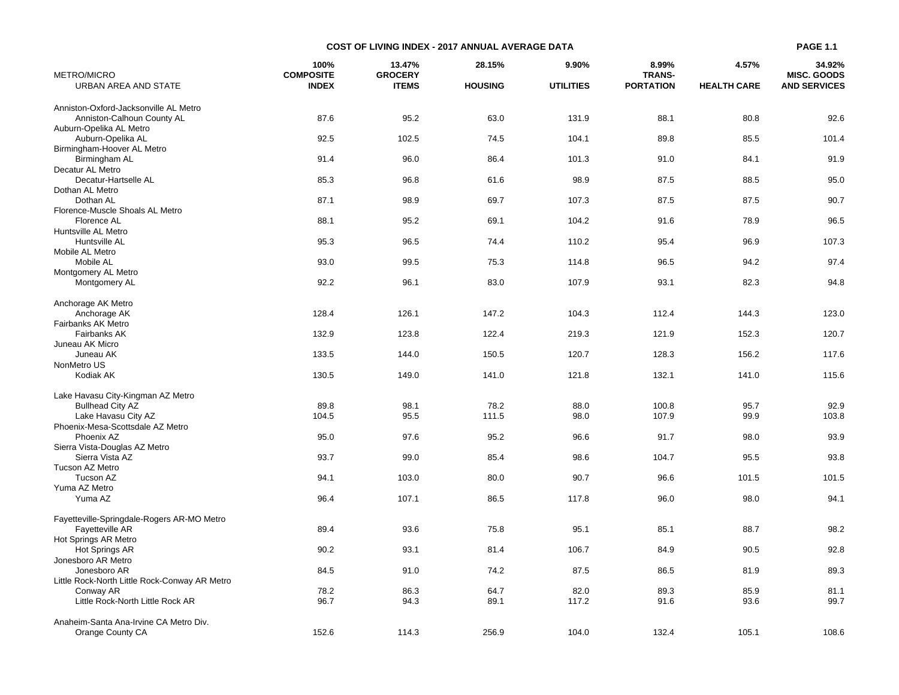| METRO/MICRO                                   | 100%<br><b>COMPOSITE</b> | 13.47%<br><b>GROCERY</b> | 28.15%         | 9.90%            | 8.99%<br><b>TRANS-</b> | 4.57%              | 34.92%<br><b>MISC, GOODS</b> |
|-----------------------------------------------|--------------------------|--------------------------|----------------|------------------|------------------------|--------------------|------------------------------|
| URBAN AREA AND STATE                          | <b>INDEX</b>             | <b>ITEMS</b>             | <b>HOUSING</b> | <b>UTILITIES</b> | <b>PORTATION</b>       | <b>HEALTH CARE</b> | <b>AND SERVICES</b>          |
| Anniston-Oxford-Jacksonville AL Metro         |                          |                          |                |                  |                        |                    |                              |
| Anniston-Calhoun County AL                    | 87.6                     | 95.2                     | 63.0           | 131.9            | 88.1                   | 80.8               | 92.6                         |
| Auburn-Opelika AL Metro                       |                          |                          |                |                  |                        |                    |                              |
| Auburn-Opelika AL                             | 92.5                     | 102.5                    | 74.5           | 104.1            | 89.8                   | 85.5               | 101.4                        |
| Birmingham-Hoover AL Metro                    |                          |                          |                |                  |                        |                    |                              |
| Birmingham AL                                 | 91.4                     | 96.0                     | 86.4           | 101.3            | 91.0                   | 84.1               | 91.9                         |
| Decatur AL Metro                              |                          |                          |                |                  |                        |                    |                              |
| Decatur-Hartselle AL                          | 85.3                     | 96.8                     | 61.6           | 98.9             | 87.5                   | 88.5               | 95.0                         |
| Dothan AL Metro                               |                          |                          |                |                  |                        |                    |                              |
| Dothan AL                                     | 87.1                     | 98.9                     | 69.7           | 107.3            | 87.5                   | 87.5               | 90.7                         |
| Florence-Muscle Shoals AL Metro               |                          |                          |                |                  |                        |                    |                              |
| Florence AL                                   | 88.1                     | 95.2                     | 69.1           | 104.2            | 91.6                   | 78.9               | 96.5                         |
| Huntsville AL Metro                           |                          |                          |                |                  |                        |                    |                              |
| Huntsville AL                                 | 95.3                     | 96.5                     | 74.4           | 110.2            | 95.4                   | 96.9               | 107.3                        |
| Mobile AL Metro                               |                          |                          |                |                  |                        |                    |                              |
| Mobile AL                                     | 93.0                     | 99.5                     | 75.3           | 114.8            | 96.5                   | 94.2               | 97.4                         |
| Montgomery AL Metro                           |                          |                          |                |                  |                        |                    |                              |
| Montgomery AL                                 | 92.2                     | 96.1                     | 83.0           | 107.9            | 93.1                   | 82.3               | 94.8                         |
| Anchorage AK Metro                            |                          |                          |                |                  |                        |                    |                              |
| Anchorage AK                                  | 128.4                    | 126.1                    | 147.2          | 104.3            | 112.4                  | 144.3              | 123.0                        |
| Fairbanks AK Metro                            |                          |                          |                |                  |                        |                    |                              |
| <b>Fairbanks AK</b>                           | 132.9                    | 123.8                    | 122.4          | 219.3            | 121.9                  | 152.3              | 120.7                        |
| Juneau AK Micro                               |                          |                          |                |                  |                        |                    |                              |
| Juneau AK                                     | 133.5                    | 144.0                    | 150.5          | 120.7            | 128.3                  | 156.2              | 117.6                        |
| NonMetro US                                   |                          |                          |                |                  |                        |                    |                              |
| Kodiak AK                                     | 130.5                    | 149.0                    | 141.0          | 121.8            | 132.1                  | 141.0              | 115.6                        |
| Lake Havasu City-Kingman AZ Metro             |                          |                          |                |                  |                        |                    |                              |
| <b>Bullhead City AZ</b>                       | 89.8                     | 98.1                     | 78.2           | 88.0             | 100.8                  | 95.7               | 92.9                         |
| Lake Havasu City AZ                           | 104.5                    | 95.5                     | 111.5          | 98.0             | 107.9                  | 99.9               | 103.8                        |
| Phoenix-Mesa-Scottsdale AZ Metro              |                          |                          |                |                  |                        |                    |                              |
| Phoenix AZ                                    | 95.0                     | 97.6                     | 95.2           | 96.6             | 91.7                   | 98.0               | 93.9                         |
| Sierra Vista-Douglas AZ Metro                 |                          |                          |                |                  |                        |                    |                              |
| Sierra Vista AZ                               | 93.7                     | 99.0                     | 85.4           | 98.6             | 104.7                  | 95.5               | 93.8                         |
| Tucson AZ Metro                               |                          |                          |                |                  |                        |                    |                              |
| Tucson AZ                                     | 94.1                     | 103.0                    | 80.0           | 90.7             | 96.6                   | 101.5              | 101.5                        |
| Yuma AZ Metro                                 |                          |                          |                |                  |                        |                    |                              |
| Yuma AZ                                       | 96.4                     | 107.1                    | 86.5           | 117.8            | 96.0                   | 98.0               | 94.1                         |
| Fayetteville-Springdale-Rogers AR-MO Metro    |                          |                          |                |                  |                        |                    |                              |
| Fayetteville AR                               | 89.4                     | 93.6                     | 75.8           | 95.1             | 85.1                   | 88.7               | 98.2                         |
| Hot Springs AR Metro                          |                          |                          |                |                  |                        |                    |                              |
| Hot Springs AR                                | 90.2                     | 93.1                     | 81.4           | 106.7            | 84.9                   | 90.5               | 92.8                         |
| Jonesboro AR Metro                            |                          |                          |                |                  |                        |                    |                              |
| Jonesboro AR                                  | 84.5                     | 91.0                     | 74.2           | 87.5             | 86.5                   | 81.9               | 89.3                         |
| Little Rock-North Little Rock-Conway AR Metro |                          |                          |                |                  |                        |                    |                              |
| Conway AR                                     | 78.2                     | 86.3                     | 64.7           | 82.0             | 89.3                   | 85.9               | 81.1                         |
| Little Rock-North Little Rock AR              | 96.7                     | 94.3                     | 89.1           | 117.2            | 91.6                   | 93.6               | 99.7                         |
| Anaheim-Santa Ana-Irvine CA Metro Div.        |                          |                          |                |                  |                        |                    |                              |
| Orange County CA                              | 152.6                    | 114.3                    | 256.9          | 104.0            | 132.4                  | 105.1              | 108.6                        |

**COST OF LIVING INDEX - 2017 ANNUAL AVERAGE DATA**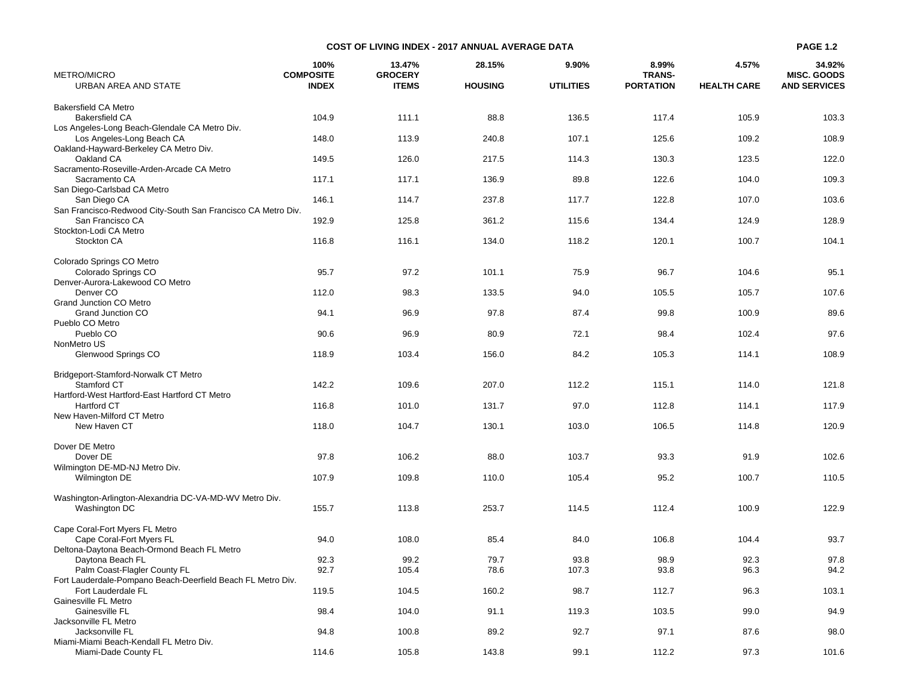| <b>METRO/MICRO</b>                                           | 100%<br><b>COMPOSITE</b> | 13.47%<br><b>GROCERY</b> | 28.15%         | 9.90%            | 8.99%<br><b>TRANS-</b> | 4.57%              | 34.92%<br><b>MISC. GOODS</b> |
|--------------------------------------------------------------|--------------------------|--------------------------|----------------|------------------|------------------------|--------------------|------------------------------|
| URBAN AREA AND STATE                                         | <b>INDEX</b>             | <b>ITEMS</b>             | <b>HOUSING</b> | <b>UTILITIES</b> | <b>PORTATION</b>       | <b>HEALTH CARE</b> | <b>AND SERVICES</b>          |
| <b>Bakersfield CA Metro</b>                                  |                          |                          |                |                  |                        |                    |                              |
| <b>Bakersfield CA</b>                                        | 104.9                    | 111.1                    | 88.8           | 136.5            | 117.4                  | 105.9              | 103.3                        |
| Los Angeles-Long Beach-Glendale CA Metro Div.                |                          |                          |                |                  |                        |                    |                              |
| Los Angeles-Long Beach CA                                    | 148.0                    | 113.9                    | 240.8          | 107.1            | 125.6                  | 109.2              | 108.9                        |
| Oakland-Hayward-Berkeley CA Metro Div.                       |                          |                          |                |                  |                        |                    |                              |
| Oakland CA                                                   | 149.5                    | 126.0                    | 217.5          | 114.3            | 130.3                  | 123.5              | 122.0                        |
| Sacramento-Roseville-Arden-Arcade CA Metro                   |                          |                          |                |                  |                        |                    |                              |
| Sacramento CA                                                | 117.1                    | 117.1                    | 136.9          | 89.8             | 122.6                  | 104.0              | 109.3                        |
| San Diego-Carlsbad CA Metro                                  |                          |                          |                |                  |                        |                    |                              |
| San Diego CA                                                 | 146.1                    | 114.7                    | 237.8          | 117.7            | 122.8                  | 107.0              | 103.6                        |
| San Francisco-Redwood City-South San Francisco CA Metro Div. |                          |                          |                |                  |                        |                    |                              |
| San Francisco CA                                             | 192.9                    | 125.8                    | 361.2          | 115.6            | 134.4                  | 124.9              | 128.9                        |
| Stockton-Lodi CA Metro                                       |                          |                          |                |                  |                        |                    |                              |
| Stockton CA                                                  | 116.8                    | 116.1                    | 134.0          | 118.2            | 120.1                  | 100.7              | 104.1                        |
| Colorado Springs CO Metro                                    |                          |                          |                |                  |                        |                    |                              |
| Colorado Springs CO                                          | 95.7                     | 97.2                     | 101.1          | 75.9             | 96.7                   | 104.6              | 95.1                         |
| Denver-Aurora-Lakewood CO Metro                              |                          |                          |                |                  |                        |                    |                              |
| Denver <sub>CO</sub>                                         | 112.0                    | 98.3                     | 133.5          | 94.0             | 105.5                  | 105.7              | 107.6                        |
| <b>Grand Junction CO Metro</b>                               |                          |                          |                |                  |                        |                    |                              |
| Grand Junction CO                                            | 94.1                     | 96.9                     | 97.8           | 87.4             | 99.8                   | 100.9              | 89.6                         |
| Pueblo CO Metro                                              |                          |                          |                |                  |                        |                    |                              |
| Pueblo CO                                                    | 90.6                     | 96.9                     | 80.9           | 72.1             | 98.4                   | 102.4              | 97.6                         |
| NonMetro US                                                  |                          |                          |                |                  |                        |                    |                              |
| Glenwood Springs CO                                          | 118.9                    | 103.4                    | 156.0          | 84.2             | 105.3                  | 114.1              | 108.9                        |
| Bridgeport-Stamford-Norwalk CT Metro                         |                          |                          |                |                  |                        |                    |                              |
| Stamford CT                                                  | 142.2                    | 109.6                    | 207.0          | 112.2            | 115.1                  | 114.0              | 121.8                        |
| Hartford-West Hartford-East Hartford CT Metro                |                          |                          |                |                  |                        |                    |                              |
| <b>Hartford CT</b>                                           | 116.8                    | 101.0                    | 131.7          | 97.0             | 112.8                  | 114.1              | 117.9                        |
| New Haven-Milford CT Metro                                   |                          |                          |                |                  |                        |                    |                              |
| New Haven CT                                                 | 118.0                    | 104.7                    | 130.1          | 103.0            | 106.5                  | 114.8              | 120.9                        |
| Dover DE Metro                                               |                          |                          |                |                  |                        |                    |                              |
| Dover DE                                                     | 97.8                     | 106.2                    | 88.0           | 103.7            | 93.3                   | 91.9               | 102.6                        |
| Wilmington DE-MD-NJ Metro Div.                               |                          |                          |                |                  |                        |                    |                              |
| Wilmington DE                                                | 107.9                    | 109.8                    | 110.0          | 105.4            | 95.2                   | 100.7              | 110.5                        |
| Washington-Arlington-Alexandria DC-VA-MD-WV Metro Div.       |                          |                          |                |                  |                        |                    |                              |
| Washington DC                                                | 155.7                    | 113.8                    | 253.7          | 114.5            | 112.4                  | 100.9              | 122.9                        |
| Cape Coral-Fort Myers FL Metro                               |                          |                          |                |                  |                        |                    |                              |
| Cape Coral-Fort Myers FL                                     | 94.0                     | 108.0                    | 85.4           | 84.0             | 106.8                  | 104.4              | 93.7                         |
| Deltona-Daytona Beach-Ormond Beach FL Metro                  |                          |                          |                |                  |                        |                    |                              |
| Daytona Beach FL                                             | 92.3                     | 99.2                     | 79.7           | 93.8             | 98.9                   | 92.3               | 97.8                         |
| Palm Coast-Flagler County FL                                 | 92.7                     | 105.4                    | 78.6           | 107.3            | 93.8                   | 96.3               | 94.2                         |
| Fort Lauderdale-Pompano Beach-Deerfield Beach FL Metro Div.  |                          |                          |                |                  |                        |                    |                              |
| Fort Lauderdale FL                                           | 119.5                    | 104.5                    | 160.2          | 98.7             | 112.7                  | 96.3               | 103.1                        |
| Gainesville FL Metro                                         |                          |                          |                |                  |                        |                    |                              |
| Gainesville FL                                               | 98.4                     | 104.0                    | 91.1           | 119.3            | 103.5                  | 99.0               | 94.9                         |
| Jacksonville FL Metro                                        |                          |                          |                |                  |                        |                    |                              |
| Jacksonville FL                                              | 94.8                     | 100.8                    | 89.2           | 92.7             | 97.1                   | 87.6               | 98.0                         |
| Miami-Miami Beach-Kendall FL Metro Div.                      |                          |                          |                |                  |                        |                    |                              |
| Miami-Dade County FL                                         | 114.6                    | 105.8                    | 143.8          | 99.1             | 112.2                  | 97.3               | 101.6                        |

**COST OF LIVING INDEX - 2017 ANNUAL AVERAGE DATA PAGE 1.2**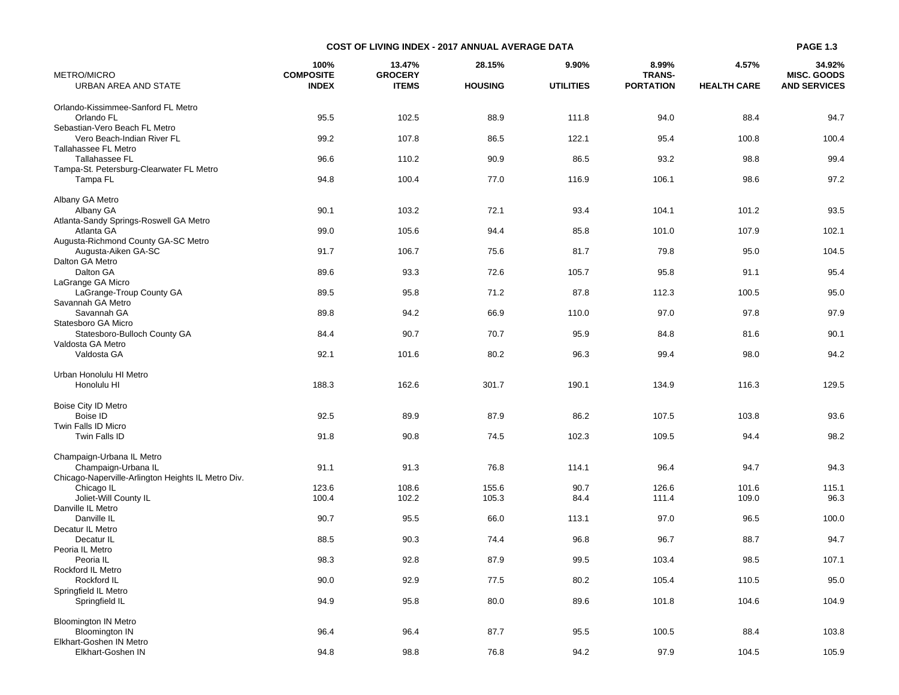| <b>METRO/MICRO</b>                                 | 100%<br><b>COMPOSITE</b> | 13.47%<br><b>GROCERY</b> | 28.15%         | 9.90%            | 8.99%<br><b>TRANS-</b> | 4.57%              | 34.92%<br><b>MISC. GOODS</b> |
|----------------------------------------------------|--------------------------|--------------------------|----------------|------------------|------------------------|--------------------|------------------------------|
| URBAN AREA AND STATE                               | <b>INDEX</b>             | <b>ITEMS</b>             | <b>HOUSING</b> | <b>UTILITIES</b> | <b>PORTATION</b>       | <b>HEALTH CARE</b> | <b>AND SERVICES</b>          |
| Orlando-Kissimmee-Sanford FL Metro                 |                          |                          |                |                  |                        |                    |                              |
| Orlando FL                                         | 95.5                     | 102.5                    | 88.9           | 111.8            | 94.0                   | 88.4               | 94.7                         |
| Sebastian-Vero Beach FL Metro                      |                          |                          |                |                  |                        |                    |                              |
| Vero Beach-Indian River FL                         | 99.2                     | 107.8                    | 86.5           | 122.1            | 95.4                   | 100.8              | 100.4                        |
| Tallahassee FL Metro<br>Tallahassee FL             | 96.6                     | 110.2                    | 90.9           | 86.5             | 93.2                   | 98.8               | 99.4                         |
| Tampa-St. Petersburg-Clearwater FL Metro           |                          |                          |                |                  |                        |                    |                              |
| Tampa FL                                           | 94.8                     | 100.4                    | 77.0           | 116.9            | 106.1                  | 98.6               | 97.2                         |
|                                                    |                          |                          |                |                  |                        |                    |                              |
| Albany GA Metro<br>Albany GA                       | 90.1                     | 103.2                    | 72.1           | 93.4             | 104.1                  | 101.2              | 93.5                         |
| Atlanta-Sandy Springs-Roswell GA Metro             |                          |                          |                |                  |                        |                    |                              |
| Atlanta GA                                         | 99.0                     | 105.6                    | 94.4           | 85.8             | 101.0                  | 107.9              | 102.1                        |
| Augusta-Richmond County GA-SC Metro                |                          |                          |                |                  |                        |                    |                              |
| Augusta-Aiken GA-SC                                | 91.7                     | 106.7                    | 75.6           | 81.7             | 79.8                   | 95.0               | 104.5                        |
| Dalton GA Metro<br>Dalton GA                       | 89.6                     | 93.3                     | 72.6           | 105.7            | 95.8                   | 91.1               | 95.4                         |
| LaGrange GA Micro                                  |                          |                          |                |                  |                        |                    |                              |
| LaGrange-Troup County GA                           | 89.5                     | 95.8                     | 71.2           | 87.8             | 112.3                  | 100.5              | 95.0                         |
| Savannah GA Metro                                  |                          |                          |                |                  |                        |                    |                              |
| Savannah GA<br>Statesboro GA Micro                 | 89.8                     | 94.2                     | 66.9           | 110.0            | 97.0                   | 97.8               | 97.9                         |
| Statesboro-Bulloch County GA                       | 84.4                     | 90.7                     | 70.7           | 95.9             | 84.8                   | 81.6               | 90.1                         |
| Valdosta GA Metro                                  |                          |                          |                |                  |                        |                    |                              |
| Valdosta GA                                        | 92.1                     | 101.6                    | 80.2           | 96.3             | 99.4                   | 98.0               | 94.2                         |
|                                                    |                          |                          |                |                  |                        |                    |                              |
| Urban Honolulu HI Metro<br>Honolulu HI             | 188.3                    | 162.6                    | 301.7          | 190.1            | 134.9                  | 116.3              | 129.5                        |
|                                                    |                          |                          |                |                  |                        |                    |                              |
| Boise City ID Metro                                |                          |                          |                |                  |                        |                    |                              |
| Boise ID                                           | 92.5                     | 89.9                     | 87.9           | 86.2             | 107.5                  | 103.8              | 93.6                         |
| Twin Falls ID Micro<br>Twin Falls ID               | 91.8                     | 90.8                     | 74.5           | 102.3            | 109.5                  | 94.4               | 98.2                         |
|                                                    |                          |                          |                |                  |                        |                    |                              |
| Champaign-Urbana IL Metro                          |                          |                          |                |                  |                        |                    |                              |
| Champaign-Urbana IL                                | 91.1                     | 91.3                     | 76.8           | 114.1            | 96.4                   | 94.7               | 94.3                         |
| Chicago-Naperville-Arlington Heights IL Metro Div. | 123.6                    | 108.6                    | 155.6          | 90.7             | 126.6                  | 101.6              | 115.1                        |
| Chicago IL<br>Joliet-Will County IL                | 100.4                    | 102.2                    | 105.3          | 84.4             | 111.4                  | 109.0              | 96.3                         |
| Danville IL Metro                                  |                          |                          |                |                  |                        |                    |                              |
| Danville IL                                        | 90.7                     | 95.5                     | 66.0           | 113.1            | 97.0                   | 96.5               | 100.0                        |
| Decatur IL Metro                                   |                          |                          |                |                  |                        |                    |                              |
| Decatur IL<br>Peoria IL Metro                      | 88.5                     | 90.3                     | 74.4           | 96.8             | 96.7                   | 88.7               | 94.7                         |
| Peoria IL                                          | 98.3                     | 92.8                     | 87.9           | 99.5             | 103.4                  | 98.5               | 107.1                        |
| Rockford IL Metro                                  |                          |                          |                |                  |                        |                    |                              |
| Rockford IL                                        | 90.0                     | 92.9                     | 77.5           | 80.2             | 105.4                  | 110.5              | 95.0                         |
| Springfield IL Metro                               | 94.9                     |                          |                |                  |                        |                    |                              |
| Springfield IL                                     |                          | 95.8                     | 80.0           | 89.6             | 101.8                  | 104.6              | 104.9                        |
| <b>Bloomington IN Metro</b>                        |                          |                          |                |                  |                        |                    |                              |
| <b>Bloomington IN</b>                              | 96.4                     | 96.4                     | 87.7           | 95.5             | 100.5                  | 88.4               | 103.8                        |
| Elkhart-Goshen IN Metro<br>Elkhart-Goshen IN       | 94.8                     | 98.8                     | 76.8           | 94.2             | 97.9                   | 104.5              | 105.9                        |

**COST OF LIVING INDEX - 2017 ANNUAL AVERAGE DATA**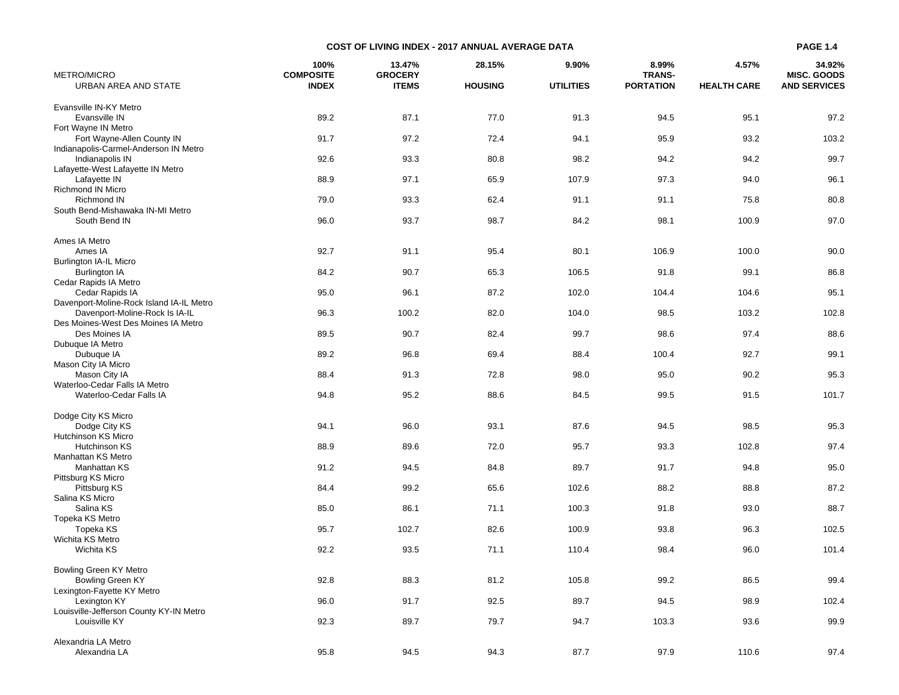| METRO/MICRO                                                                | 100%<br><b>COMPOSITE</b> | 13.47%<br><b>GROCERY</b> | 28.15%         | 9.90%            | 8.99%<br><b>TRANS-</b> | 4.57%              | 34.92%<br><b>MISC. GOODS</b> |
|----------------------------------------------------------------------------|--------------------------|--------------------------|----------------|------------------|------------------------|--------------------|------------------------------|
| URBAN AREA AND STATE                                                       | <b>INDEX</b>             | <b>ITEMS</b>             | <b>HOUSING</b> | <b>UTILITIES</b> | <b>PORTATION</b>       | <b>HEALTH CARE</b> | <b>AND SERVICES</b>          |
| Evansville IN-KY Metro                                                     |                          |                          |                |                  |                        |                    |                              |
| Evansville IN                                                              | 89.2                     | 87.1                     | 77.0           | 91.3             | 94.5                   | 95.1               | 97.2                         |
| Fort Wayne IN Metro                                                        |                          |                          |                |                  |                        |                    |                              |
| Fort Wayne-Allen County IN                                                 | 91.7                     | 97.2                     | 72.4           | 94.1             | 95.9                   | 93.2               | 103.2                        |
| Indianapolis-Carmel-Anderson IN Metro                                      |                          |                          |                |                  |                        |                    |                              |
| Indianapolis IN<br>Lafayette-West Lafayette IN Metro                       | 92.6                     | 93.3                     | 80.8           | 98.2             | 94.2                   | 94.2               | 99.7                         |
| Lafayette IN                                                               | 88.9                     | 97.1                     | 65.9           | 107.9            | 97.3                   | 94.0               | 96.1                         |
| Richmond IN Micro                                                          |                          |                          |                |                  |                        |                    |                              |
| Richmond IN                                                                | 79.0                     | 93.3                     | 62.4           | 91.1             | 91.1                   | 75.8               | 80.8                         |
| South Bend-Mishawaka IN-MI Metro                                           |                          |                          |                |                  |                        |                    |                              |
| South Bend IN                                                              | 96.0                     | 93.7                     | 98.7           | 84.2             | 98.1                   | 100.9              | 97.0                         |
| Ames IA Metro                                                              |                          |                          |                |                  |                        |                    |                              |
| Ames IA                                                                    | 92.7                     | 91.1                     | 95.4           | 80.1             | 106.9                  | 100.0              | 90.0                         |
| Burlington IA-IL Micro                                                     |                          |                          |                |                  |                        |                    |                              |
| <b>Burlington IA</b>                                                       | 84.2                     | 90.7                     | 65.3           | 106.5            | 91.8                   | 99.1               | 86.8                         |
| Cedar Rapids IA Metro                                                      |                          |                          |                |                  |                        |                    |                              |
| Cedar Rapids IA                                                            | 95.0                     | 96.1                     | 87.2           | 102.0            | 104.4                  | 104.6              | 95.1                         |
| Davenport-Moline-Rock Island IA-IL Metro<br>Davenport-Moline-Rock Is IA-IL | 96.3                     | 100.2                    | 82.0           | 104.0            | 98.5                   | 103.2              | 102.8                        |
| Des Moines-West Des Moines IA Metro                                        |                          |                          |                |                  |                        |                    |                              |
| Des Moines IA                                                              | 89.5                     | 90.7                     | 82.4           | 99.7             | 98.6                   | 97.4               | 88.6                         |
| Dubuque IA Metro                                                           |                          |                          |                |                  |                        |                    |                              |
| Dubuque IA                                                                 | 89.2                     | 96.8                     | 69.4           | 88.4             | 100.4                  | 92.7               | 99.1                         |
| Mason City IA Micro<br>Mason City IA                                       | 88.4                     | 91.3                     | 72.8           | 98.0             | 95.0                   | 90.2               | 95.3                         |
| Waterloo-Cedar Falls IA Metro                                              |                          |                          |                |                  |                        |                    |                              |
| Waterloo-Cedar Falls IA                                                    | 94.8                     | 95.2                     | 88.6           | 84.5             | 99.5                   | 91.5               | 101.7                        |
|                                                                            |                          |                          |                |                  |                        |                    |                              |
| Dodge City KS Micro                                                        |                          |                          |                |                  |                        |                    |                              |
| Dodge City KS                                                              | 94.1                     | 96.0                     | 93.1           | 87.6             | 94.5                   | 98.5               | 95.3                         |
| Hutchinson KS Micro<br>Hutchinson KS                                       | 88.9                     | 89.6                     | 72.0           | 95.7             | 93.3                   | 102.8              | 97.4                         |
| Manhattan KS Metro                                                         |                          |                          |                |                  |                        |                    |                              |
| Manhattan KS                                                               | 91.2                     | 94.5                     | 84.8           | 89.7             | 91.7                   | 94.8               | 95.0                         |
| Pittsburg KS Micro                                                         |                          |                          |                |                  |                        |                    |                              |
| Pittsburg KS                                                               | 84.4                     | 99.2                     | 65.6           | 102.6            | 88.2                   | 88.8               | 87.2                         |
| Salina KS Micro<br>Salina KS                                               | 85.0                     | 86.1                     | 71.1           | 100.3            | 91.8                   | 93.0               | 88.7                         |
| Topeka KS Metro                                                            |                          |                          |                |                  |                        |                    |                              |
| Topeka KS                                                                  | 95.7                     | 102.7                    | 82.6           | 100.9            | 93.8                   | 96.3               | 102.5                        |
| Wichita KS Metro                                                           |                          |                          |                |                  |                        |                    |                              |
| Wichita KS                                                                 | 92.2                     | 93.5                     | 71.1           | 110.4            | 98.4                   | 96.0               | 101.4                        |
|                                                                            |                          |                          |                |                  |                        |                    |                              |
| Bowling Green KY Metro<br><b>Bowling Green KY</b>                          | 92.8                     | 88.3                     | 81.2           | 105.8            | 99.2                   | 86.5               | 99.4                         |
| Lexington-Fayette KY Metro                                                 |                          |                          |                |                  |                        |                    |                              |
| Lexington KY                                                               | 96.0                     | 91.7                     | 92.5           | 89.7             | 94.5                   | 98.9               | 102.4                        |
| Louisville-Jefferson County KY-IN Metro                                    |                          |                          |                |                  |                        |                    |                              |
| Louisville KY                                                              | 92.3                     | 89.7                     | 79.7           | 94.7             | 103.3                  | 93.6               | 99.9                         |
| Alexandria LA Metro                                                        |                          |                          |                |                  |                        |                    |                              |
| Alexandria LA                                                              | 95.8                     | 94.5                     | 94.3           | 87.7             | 97.9                   | 110.6              | 97.4                         |

**COST OF LIVING INDEX - 2017 ANNUAL AVERAGE DATA**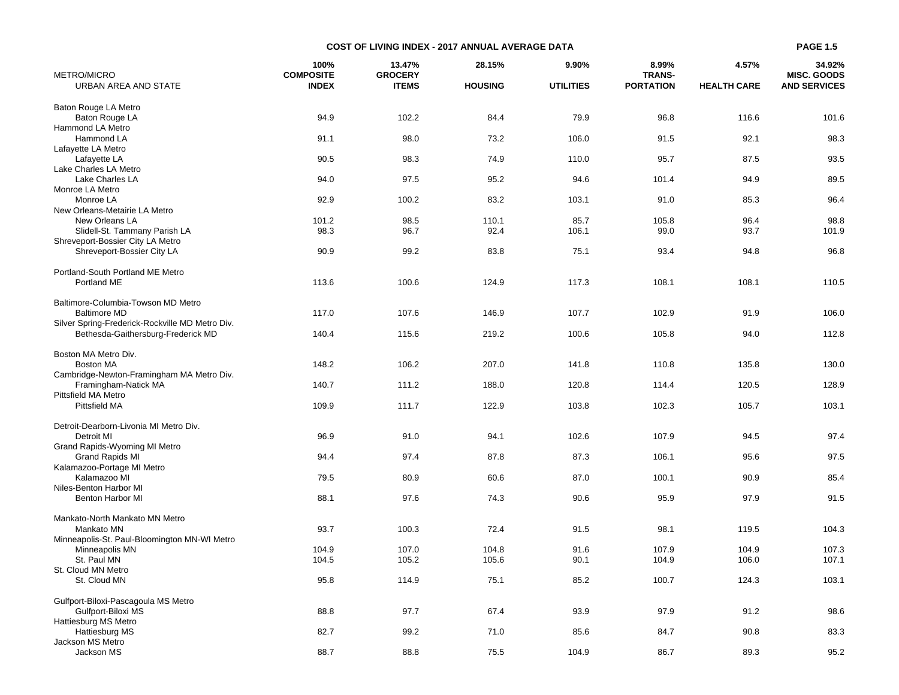| METRO/MICRO                                               | 100%<br><b>COMPOSITE</b> | 13.47%<br><b>GROCERY</b> | 28.15%         | 9.90%            | 8.99%<br><b>TRANS-</b> | 4.57%              | 34.92%<br><b>MISC, GOODS</b> |
|-----------------------------------------------------------|--------------------------|--------------------------|----------------|------------------|------------------------|--------------------|------------------------------|
| URBAN AREA AND STATE                                      | <b>INDEX</b>             | <b>ITEMS</b>             | <b>HOUSING</b> | <b>UTILITIES</b> | <b>PORTATION</b>       | <b>HEALTH CARE</b> | <b>AND SERVICES</b>          |
|                                                           |                          |                          |                |                  |                        |                    |                              |
| Baton Rouge LA Metro<br>Baton Rouge LA                    | 94.9                     | 102.2                    | 84.4           | 79.9             | 96.8                   | 116.6              | 101.6                        |
| Hammond LA Metro                                          |                          |                          |                |                  |                        |                    |                              |
| Hammond LA                                                | 91.1                     | 98.0                     | 73.2           | 106.0            | 91.5                   | 92.1               | 98.3                         |
| Lafayette LA Metro                                        |                          |                          |                |                  |                        |                    |                              |
| Lafayette LA                                              | 90.5                     | 98.3                     | 74.9           | 110.0            | 95.7                   | 87.5               | 93.5                         |
| Lake Charles LA Metro                                     |                          |                          |                |                  |                        |                    |                              |
| Lake Charles LA                                           | 94.0                     | 97.5                     | 95.2           | 94.6             | 101.4                  | 94.9               | 89.5                         |
| Monroe LA Metro                                           |                          |                          |                |                  |                        |                    |                              |
| Monroe LA                                                 | 92.9                     | 100.2                    | 83.2           | 103.1            | 91.0                   | 85.3               | 96.4                         |
| New Orleans-Metairie LA Metro                             |                          |                          |                |                  |                        |                    |                              |
| New Orleans LA                                            | 101.2                    | 98.5                     | 110.1          | 85.7             | 105.8                  | 96.4               | 98.8                         |
| Slidell-St. Tammany Parish LA                             | 98.3                     | 96.7                     | 92.4           | 106.1            | 99.0                   | 93.7               | 101.9                        |
| Shreveport-Bossier City LA Metro                          |                          |                          |                |                  |                        |                    |                              |
| Shreveport-Bossier City LA                                | 90.9                     | 99.2                     | 83.8           | 75.1             | 93.4                   | 94.8               | 96.8                         |
|                                                           |                          |                          |                |                  |                        |                    |                              |
| Portland-South Portland ME Metro                          |                          |                          |                |                  |                        |                    |                              |
| Portland ME                                               | 113.6                    | 100.6                    | 124.9          | 117.3            | 108.1                  | 108.1              | 110.5                        |
|                                                           |                          |                          |                |                  |                        |                    |                              |
| Baltimore-Columbia-Towson MD Metro<br><b>Baltimore MD</b> | 117.0                    | 107.6                    | 146.9          | 107.7            | 102.9                  | 91.9               | 106.0                        |
| Silver Spring-Frederick-Rockville MD Metro Div.           |                          |                          |                |                  |                        |                    |                              |
| Bethesda-Gaithersburg-Frederick MD                        | 140.4                    | 115.6                    | 219.2          | 100.6            | 105.8                  | 94.0               | 112.8                        |
|                                                           |                          |                          |                |                  |                        |                    |                              |
| Boston MA Metro Div.                                      |                          |                          |                |                  |                        |                    |                              |
| <b>Boston MA</b>                                          | 148.2                    | 106.2                    | 207.0          | 141.8            | 110.8                  | 135.8              | 130.0                        |
| Cambridge-Newton-Framingham MA Metro Div.                 |                          |                          |                |                  |                        |                    |                              |
| Framingham-Natick MA                                      | 140.7                    | 111.2                    | 188.0          | 120.8            | 114.4                  | 120.5              | 128.9                        |
| <b>Pittsfield MA Metro</b>                                |                          |                          |                |                  |                        |                    |                              |
| Pittsfield MA                                             | 109.9                    | 111.7                    | 122.9          | 103.8            | 102.3                  | 105.7              | 103.1                        |
|                                                           |                          |                          |                |                  |                        |                    |                              |
| Detroit-Dearborn-Livonia MI Metro Div.                    |                          |                          |                |                  |                        |                    |                              |
| Detroit MI                                                | 96.9                     | 91.0                     | 94.1           | 102.6            | 107.9                  | 94.5               | 97.4                         |
| Grand Rapids-Wyoming MI Metro                             |                          |                          |                |                  |                        |                    |                              |
| Grand Rapids MI                                           | 94.4                     | 97.4                     | 87.8           | 87.3             | 106.1                  | 95.6               | 97.5                         |
| Kalamazoo-Portage MI Metro                                |                          |                          |                |                  |                        |                    |                              |
| Kalamazoo MI                                              | 79.5                     | 80.9                     | 60.6           | 87.0             | 100.1                  | 90.9               | 85.4                         |
| Niles-Benton Harbor MI                                    |                          |                          |                |                  |                        |                    |                              |
| <b>Benton Harbor MI</b>                                   | 88.1                     | 97.6                     | 74.3           | 90.6             | 95.9                   | 97.9               | 91.5                         |
| Mankato-North Mankato MN Metro                            |                          |                          |                |                  |                        |                    |                              |
| Mankato MN                                                | 93.7                     | 100.3                    | 72.4           | 91.5             | 98.1                   | 119.5              |                              |
| Minneapolis-St. Paul-Bloomington MN-WI Metro              |                          |                          |                |                  |                        |                    | 104.3                        |
| Minneapolis MN                                            | 104.9                    | 107.0                    | 104.8          | 91.6             | 107.9                  | 104.9              | 107.3                        |
| St. Paul MN                                               | 104.5                    | 105.2                    | 105.6          | 90.1             | 104.9                  | 106.0              | 107.1                        |
| St. Cloud MN Metro                                        |                          |                          |                |                  |                        |                    |                              |
| St. Cloud MN                                              | 95.8                     | 114.9                    | 75.1           | 85.2             | 100.7                  | 124.3              | 103.1                        |
|                                                           |                          |                          |                |                  |                        |                    |                              |
| Gulfport-Biloxi-Pascagoula MS Metro                       |                          |                          |                |                  |                        |                    |                              |
| Gulfport-Biloxi MS                                        | 88.8                     | 97.7                     | 67.4           | 93.9             | 97.9                   | 91.2               | 98.6                         |
| Hattiesburg MS Metro                                      |                          |                          |                |                  |                        |                    |                              |
| Hattiesburg MS                                            | 82.7                     | 99.2                     | 71.0           | 85.6             | 84.7                   | 90.8               | 83.3                         |
| Jackson MS Metro                                          |                          |                          |                |                  |                        |                    |                              |
| Jackson MS                                                | 88.7                     | 88.8                     | 75.5           | 104.9            | 86.7                   | 89.3               | 95.2                         |

**COST OF LIVING INDEX - 2017 ANNUAL AVERAGE DATA**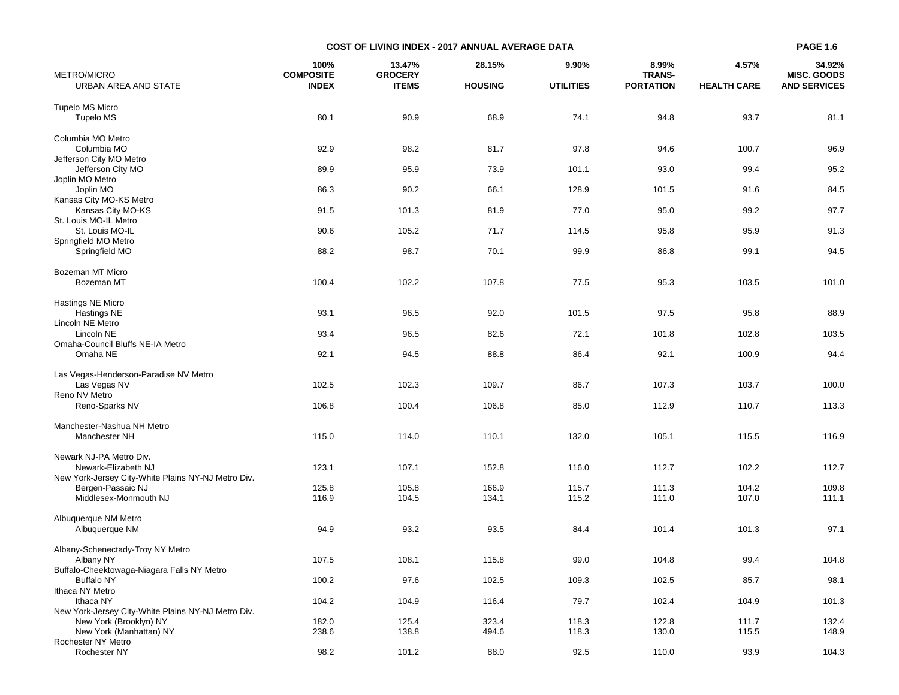| METRO/MICRO                                                     | 100%<br><b>COMPOSITE</b> | 13.47%<br><b>GROCERY</b> | 28.15%         | 9.90%            | 8.99%<br><b>TRANS-</b> | 4.57%              | 34.92%<br><b>MISC. GOODS</b> |
|-----------------------------------------------------------------|--------------------------|--------------------------|----------------|------------------|------------------------|--------------------|------------------------------|
| URBAN AREA AND STATE                                            | <b>INDEX</b>             | <b>ITEMS</b>             | <b>HOUSING</b> | <b>UTILITIES</b> | <b>PORTATION</b>       | <b>HEALTH CARE</b> | <b>AND SERVICES</b>          |
| Tupelo MS Micro                                                 |                          |                          |                |                  |                        |                    |                              |
| Tupelo MS                                                       | 80.1                     | 90.9                     | 68.9           | 74.1             | 94.8                   | 93.7               | 81.1                         |
|                                                                 |                          |                          |                |                  |                        |                    |                              |
| Columbia MO Metro                                               |                          |                          |                |                  |                        |                    |                              |
| Columbia MO                                                     | 92.9                     | 98.2                     | 81.7           | 97.8             | 94.6                   | 100.7              | 96.9                         |
| Jefferson City MO Metro                                         |                          |                          |                |                  |                        |                    |                              |
| Jefferson City MO<br>Joplin MO Metro                            | 89.9                     | 95.9                     | 73.9           | 101.1            | 93.0                   | 99.4               | 95.2                         |
| Joplin MO                                                       | 86.3                     | 90.2                     | 66.1           | 128.9            | 101.5                  | 91.6               | 84.5                         |
| Kansas City MO-KS Metro                                         |                          |                          |                |                  |                        |                    |                              |
| Kansas City MO-KS                                               | 91.5                     | 101.3                    | 81.9           | 77.0             | 95.0                   | 99.2               | 97.7                         |
| St. Louis MO-IL Metro                                           |                          |                          |                |                  |                        |                    |                              |
| St. Louis MO-IL                                                 | 90.6                     | 105.2                    | 71.7           | 114.5            | 95.8                   | 95.9               | 91.3                         |
| Springfield MO Metro                                            |                          |                          |                |                  |                        |                    |                              |
| Springfield MO                                                  | 88.2                     | 98.7                     | 70.1           | 99.9             | 86.8                   | 99.1               | 94.5                         |
| Bozeman MT Micro                                                |                          |                          |                |                  |                        |                    |                              |
| Bozeman MT                                                      | 100.4                    | 102.2                    | 107.8          | 77.5             | 95.3                   | 103.5              | 101.0                        |
|                                                                 |                          |                          |                |                  |                        |                    |                              |
| Hastings NE Micro                                               |                          |                          |                |                  |                        |                    |                              |
| Hastings NE                                                     | 93.1                     | 96.5                     | 92.0           | 101.5            | 97.5                   | 95.8               | 88.9                         |
| Lincoln NE Metro                                                |                          |                          |                |                  |                        |                    |                              |
| Lincoln NE<br>Omaha-Council Bluffs NE-IA Metro                  | 93.4                     | 96.5                     | 82.6           | 72.1             | 101.8                  | 102.8              | 103.5                        |
| Omaha NE                                                        | 92.1                     | 94.5                     | 88.8           | 86.4             | 92.1                   | 100.9              | 94.4                         |
|                                                                 |                          |                          |                |                  |                        |                    |                              |
| Las Vegas-Henderson-Paradise NV Metro                           |                          |                          |                |                  |                        |                    |                              |
| Las Vegas NV                                                    | 102.5                    | 102.3                    | 109.7          | 86.7             | 107.3                  | 103.7              | 100.0                        |
| Reno NV Metro                                                   |                          |                          |                |                  |                        |                    |                              |
| Reno-Sparks NV                                                  | 106.8                    | 100.4                    | 106.8          | 85.0             | 112.9                  | 110.7              | 113.3                        |
| Manchester-Nashua NH Metro                                      |                          |                          |                |                  |                        |                    |                              |
| Manchester NH                                                   | 115.0                    | 114.0                    | 110.1          | 132.0            | 105.1                  | 115.5              | 116.9                        |
|                                                                 |                          |                          |                |                  |                        |                    |                              |
| Newark NJ-PA Metro Div.                                         |                          |                          |                |                  |                        |                    |                              |
| Newark-Elizabeth NJ                                             | 123.1                    | 107.1                    | 152.8          | 116.0            | 112.7                  | 102.2              | 112.7                        |
| New York-Jersey City-White Plains NY-NJ Metro Div.              |                          |                          |                |                  |                        |                    |                              |
| Bergen-Passaic NJ<br>Middlesex-Monmouth NJ                      | 125.8<br>116.9           | 105.8<br>104.5           | 166.9<br>134.1 | 115.7<br>115.2   | 111.3<br>111.0         | 104.2<br>107.0     | 109.8<br>111.1               |
|                                                                 |                          |                          |                |                  |                        |                    |                              |
| Albuquerque NM Metro                                            |                          |                          |                |                  |                        |                    |                              |
| Albuquerque NM                                                  | 94.9                     | 93.2                     | 93.5           | 84.4             | 101.4                  | 101.3              | 97.1                         |
|                                                                 |                          |                          |                |                  |                        |                    |                              |
| Albany-Schenectady-Troy NY Metro                                |                          |                          |                |                  |                        |                    |                              |
| Albany NY                                                       | 107.5                    | 108.1                    | 115.8          | 99.0             | 104.8                  | 99.4               | 104.8                        |
| Buffalo-Cheektowaga-Niagara Falls NY Metro<br><b>Buffalo NY</b> | 100.2                    | 97.6                     | 102.5          | 109.3            | 102.5                  | 85.7               | 98.1                         |
| Ithaca NY Metro                                                 |                          |                          |                |                  |                        |                    |                              |
| Ithaca NY                                                       | 104.2                    | 104.9                    | 116.4          | 79.7             | 102.4                  | 104.9              | 101.3                        |
| New York-Jersey City-White Plains NY-NJ Metro Div.              |                          |                          |                |                  |                        |                    |                              |
| New York (Brooklyn) NY                                          | 182.0                    | 125.4                    | 323.4          | 118.3            | 122.8                  | 111.7              | 132.4                        |
| New York (Manhattan) NY                                         | 238.6                    | 138.8                    | 494.6          | 118.3            | 130.0                  | 115.5              | 148.9                        |
| Rochester NY Metro                                              | 98.2                     | 101.2                    | 88.0           | 92.5             | 110.0                  | 93.9               |                              |
| Rochester NY                                                    |                          |                          |                |                  |                        |                    | 104.3                        |

**COST OF LIVING INDEX - 2017 ANNUAL AVERAGE DATA**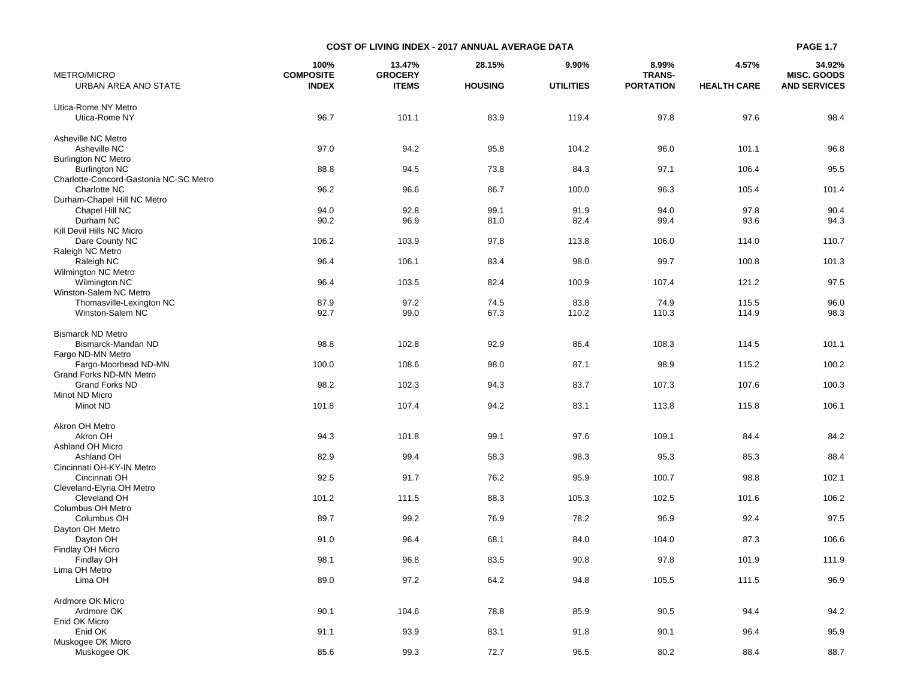| <b>METRO/MICRO</b>                         | 100%<br><b>COMPOSITE</b> | 13.47%<br><b>GROCERY</b> | 28.15%         | 9.90%            | 8.99%<br><b>TRANS-</b> | 4.57%              | 34.92%<br><b>MISC. GOODS</b> |
|--------------------------------------------|--------------------------|--------------------------|----------------|------------------|------------------------|--------------------|------------------------------|
| URBAN AREA AND STATE                       | <b>INDEX</b>             | <b>ITEMS</b>             | <b>HOUSING</b> | <b>UTILITIES</b> | <b>PORTATION</b>       | <b>HEALTH CARE</b> | <b>AND SERVICES</b>          |
| Utica-Rome NY Metro                        |                          |                          |                |                  |                        |                    |                              |
| Utica-Rome NY                              | 96.7                     | 101.1                    | 83.9           | 119.4            | 97.8                   | 97.6               | 98.4                         |
|                                            |                          |                          |                |                  |                        |                    |                              |
| Asheville NC Metro                         |                          |                          |                |                  |                        |                    |                              |
| Asheville NC<br><b>Burlington NC Metro</b> | 97.0                     | 94.2                     | 95.8           | 104.2            | 96.0                   | 101.1              | 96.8                         |
| <b>Burlington NC</b>                       | 88.8                     | 94.5                     | 73.8           | 84.3             | 97.1                   | 106.4              | 95.5                         |
| Charlotte-Concord-Gastonia NC-SC Metro     |                          |                          |                |                  |                        |                    |                              |
| Charlotte NC                               | 96.2                     | 96.6                     | 86.7           | 100.0            | 96.3                   | 105.4              | 101.4                        |
| Durham-Chapel Hill NC Metro                |                          |                          |                |                  |                        |                    |                              |
| Chapel Hill NC                             | 94.0                     | 92.8                     | 99.1           | 91.9             | 94.0                   | 97.8               | 90.4                         |
| Durham NC                                  | 90.2                     | 96.9                     | 81.0           | 82.4             | 99.4                   | 93.6               | 94.3                         |
| Kill Devil Hills NC Micro                  |                          |                          |                |                  |                        |                    |                              |
| Dare County NC                             | 106.2                    | 103.9                    | 97.8           | 113.8            | 106.0                  | 114.0              | 110.7                        |
| Raleigh NC Metro                           |                          |                          |                |                  |                        |                    |                              |
| Raleigh NC<br>Wilmington NC Metro          | 96.4                     | 106.1                    | 83.4           | 98.0             | 99.7                   | 100.8              | 101.3                        |
| Wilmington NC                              | 96.4                     | 103.5                    | 82.4           | 100.9            | 107.4                  | 121.2              | 97.5                         |
| Winston-Salem NC Metro                     |                          |                          |                |                  |                        |                    |                              |
| Thomasville-Lexington NC                   | 87.9                     | 97.2                     | 74.5           | 83.8             | 74.9                   | 115.5              | 96.0                         |
| Winston-Salem NC                           | 92.7                     | 99.0                     | 67.3           | 110.2            | 110.3                  | 114.9              | 98.3                         |
|                                            |                          |                          |                |                  |                        |                    |                              |
| <b>Bismarck ND Metro</b>                   |                          |                          |                |                  |                        |                    |                              |
| Bismarck-Mandan ND                         | 98.8                     | 102.8                    | 92.9           | 86.4             | 108.3                  | 114.5              | 101.1                        |
| Fargo ND-MN Metro                          |                          |                          |                |                  |                        |                    |                              |
| Fargo-Moorhead ND-MN                       | 100.0                    | 108.6                    | 98.0           | 87.1             | 98.9                   | 115.2              | 100.2                        |
| Grand Forks ND-MN Metro                    |                          |                          |                |                  |                        |                    |                              |
| <b>Grand Forks ND</b><br>Minot ND Micro    | 98.2                     | 102.3                    | 94.3           | 83.7             | 107.3                  | 107.6              | 100.3                        |
| Minot ND                                   | 101.8                    | 107.4                    | 94.2           | 83.1             | 113.8                  | 115.8              | 106.1                        |
|                                            |                          |                          |                |                  |                        |                    |                              |
| Akron OH Metro                             |                          |                          |                |                  |                        |                    |                              |
| Akron OH                                   | 94.3                     | 101.8                    | 99.1           | 97.6             | 109.1                  | 84.4               | 84.2                         |
| Ashland OH Micro                           |                          |                          |                |                  |                        |                    |                              |
| Ashland OH                                 | 82.9                     | 99.4                     | 58.3           | 98.3             | 95.3                   | 85.3               | 88.4                         |
| Cincinnati OH-KY-IN Metro                  |                          |                          |                |                  |                        |                    |                              |
| Cincinnati OH                              | 92.5                     | 91.7                     | 76.2           | 95.9             | 100.7                  | 98.8               | 102.1                        |
| Cleveland-Elyria OH Metro                  | 101.2                    | 111.5                    | 88.3           | 105.3            | 102.5                  | 101.6              | 106.2                        |
| Cleveland OH<br>Columbus OH Metro          |                          |                          |                |                  |                        |                    |                              |
| Columbus OH                                | 89.7                     | 99.2                     | 76.9           | 78.2             | 96.9                   | 92.4               | 97.5                         |
| Dayton OH Metro                            |                          |                          |                |                  |                        |                    |                              |
| Dayton OH                                  | 91.0                     | 96.4                     | 68.1           | 84.0             | 104.0                  | 87.3               | 106.6                        |
| Findlay OH Micro                           |                          |                          |                |                  |                        |                    |                              |
| Findlay OH                                 | 98.1                     | 96.8                     | 83.5           | 90.8             | 97.8                   | 101.9              | 111.9                        |
| Lima OH Metro                              |                          |                          |                |                  |                        |                    |                              |
| Lima OH                                    | 89.0                     | 97.2                     | 64.2           | 94.8             | 105.5                  | 111.5              | 96.9                         |
|                                            |                          |                          |                |                  |                        |                    |                              |
| Ardmore OK Micro<br>Ardmore OK             | 90.1                     | 104.6                    | 78.8           | 85.9             | 90.5                   | 94.4               | 94.2                         |
| Enid OK Micro                              |                          |                          |                |                  |                        |                    |                              |
| Enid OK                                    | 91.1                     | 93.9                     | 83.1           | 91.8             | 90.1                   | 96.4               | 95.9                         |
| Muskogee OK Micro                          |                          |                          |                |                  |                        |                    |                              |
| Muskogee OK                                | 85.6                     | 99.3                     | 72.7           | 96.5             | 80.2                   | 88.4               | 88.7                         |

**COST OF LIVING INDEX - 2017 ANNUAL AVERAGE DATA**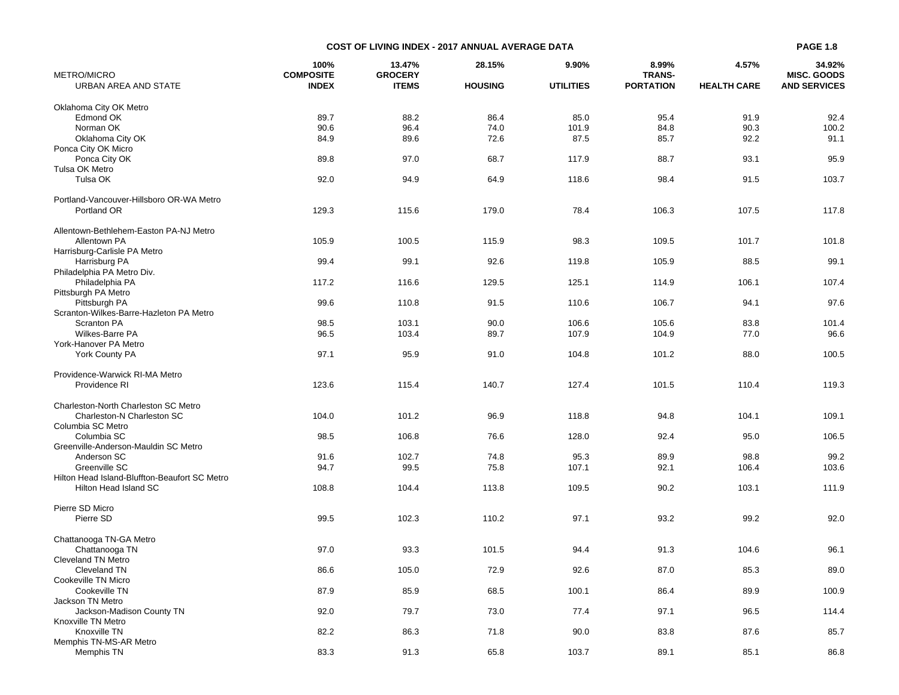|                      |                  | <b>COST OF LIVING INDEX - 2017 ANNUAL AVERAGE DATA</b> |                |                  |                  |                    | <b>PAGE 1.8</b>     |
|----------------------|------------------|--------------------------------------------------------|----------------|------------------|------------------|--------------------|---------------------|
|                      | 100%             | 13.47%                                                 | 28.15%         | 9.90%            | 8.99%            | 4.57%              | 34.92%              |
| RO/MICRO             | <b>COMPOSITE</b> | <b>GROCERY</b>                                         |                |                  | <b>TRANS-</b>    |                    | <b>MISC. GOODS</b>  |
| URBAN AREA AND STATE | <b>INDEX</b>     | <b>ITEMS</b>                                           | <b>HOUSING</b> | <b>UTILITIES</b> | <b>PORTATION</b> | <b>HEALTH CARE</b> | <b>AND SERVICES</b> |
| homa City OK Metro   |                  |                                                        |                |                  |                  |                    |                     |
| Edmond OK            | 89.7             | 88.2                                                   | 86.4           | 85.C             | 95.4             | 91.9               | 92.4                |
| Norman OK            | 00g              | $\Omega$ $\Omega$                                      | <b>74 0</b>    | 1010             | 0 <sub>A</sub>   | ററാ                | 100 $\Omega$        |

METRO/MICRO

| Oklahoma City OK Metro                        |       |       |       |       |       |       |       |
|-----------------------------------------------|-------|-------|-------|-------|-------|-------|-------|
| Edmond OK                                     | 89.7  | 88.2  | 86.4  | 85.0  | 95.4  | 91.9  | 92.4  |
| Norman OK                                     | 90.6  | 96.4  | 74.0  | 101.9 | 84.8  | 90.3  | 100.2 |
| Oklahoma City OK                              | 84.9  | 89.6  | 72.6  | 87.5  | 85.7  | 92.2  | 91.1  |
| Ponca City OK Micro                           |       |       |       |       |       |       |       |
| Ponca City OK                                 | 89.8  | 97.0  | 68.7  | 117.9 | 88.7  | 93.1  | 95.9  |
| Tulsa OK Metro                                |       |       |       |       |       |       |       |
| Tulsa OK                                      | 92.0  | 94.9  | 64.9  | 118.6 | 98.4  | 91.5  | 103.7 |
|                                               |       |       |       |       |       |       |       |
|                                               |       |       |       |       |       |       |       |
| Portland-Vancouver-Hillsboro OR-WA Metro      |       |       |       |       |       |       |       |
| Portland OR                                   | 129.3 | 115.6 | 179.0 | 78.4  | 106.3 | 107.5 | 117.8 |
|                                               |       |       |       |       |       |       |       |
| Allentown-Bethlehem-Easton PA-NJ Metro        |       |       |       |       |       |       |       |
| Allentown PA                                  | 105.9 | 100.5 | 115.9 | 98.3  | 109.5 | 101.7 | 101.8 |
| Harrisburg-Carlisle PA Metro                  |       |       |       |       |       |       |       |
| Harrisburg PA                                 | 99.4  | 99.1  | 92.6  | 119.8 | 105.9 | 88.5  | 99.1  |
| Philadelphia PA Metro Div.                    |       |       |       |       |       |       |       |
| Philadelphia PA                               | 117.2 | 116.6 | 129.5 | 125.1 | 114.9 | 106.1 | 107.4 |
| Pittsburgh PA Metro                           |       |       |       |       |       |       |       |
| Pittsburgh PA                                 | 99.6  | 110.8 | 91.5  | 110.6 | 106.7 | 94.1  | 97.6  |
| Scranton-Wilkes-Barre-Hazleton PA Metro       |       |       |       |       |       |       |       |
| <b>Scranton PA</b>                            | 98.5  | 103.1 | 90.0  | 106.6 | 105.6 | 83.8  | 101.4 |
| Wilkes-Barre PA                               | 96.5  | 103.4 | 89.7  | 107.9 | 104.9 | 77.0  | 96.6  |
| York-Hanover PA Metro                         |       |       |       |       |       |       |       |
|                                               |       |       |       |       |       |       |       |
| York County PA                                | 97.1  | 95.9  | 91.0  | 104.8 | 101.2 | 88.0  | 100.5 |
|                                               |       |       |       |       |       |       |       |
| Providence-Warwick RI-MA Metro                |       |       |       |       |       |       |       |
| Providence RI                                 | 123.6 | 115.4 | 140.7 | 127.4 | 101.5 | 110.4 | 119.3 |
|                                               |       |       |       |       |       |       |       |
| Charleston-North Charleston SC Metro          |       |       |       |       |       |       |       |
| Charleston-N Charleston SC                    | 104.0 | 101.2 | 96.9  | 118.8 | 94.8  | 104.1 | 109.1 |
| Columbia SC Metro                             |       |       |       |       |       |       |       |
| Columbia SC                                   | 98.5  | 106.8 | 76.6  | 128.0 | 92.4  | 95.0  | 106.5 |
| Greenville-Anderson-Mauldin SC Metro          |       |       |       |       |       |       |       |
| Anderson SC                                   | 91.6  | 102.7 | 74.8  | 95.3  | 89.9  | 98.8  | 99.2  |
| Greenville SC                                 | 94.7  | 99.5  | 75.8  | 107.1 | 92.1  | 106.4 | 103.6 |
| Hilton Head Island-Bluffton-Beaufort SC Metro |       |       |       |       |       |       |       |
| Hilton Head Island SC                         | 108.8 | 104.4 | 113.8 | 109.5 | 90.2  | 103.1 | 111.9 |
|                                               |       |       |       |       |       |       |       |
| Pierre SD Micro                               |       |       |       |       |       |       |       |
|                                               |       |       |       |       |       |       |       |
| Pierre SD                                     | 99.5  | 102.3 | 110.2 | 97.1  | 93.2  | 99.2  | 92.0  |
|                                               |       |       |       |       |       |       |       |
| Chattanooga TN-GA Metro                       |       |       |       |       |       |       |       |
| Chattanooga TN                                | 97.0  | 93.3  | 101.5 | 94.4  | 91.3  | 104.6 | 96.1  |
| <b>Cleveland TN Metro</b>                     |       |       |       |       |       |       |       |
| Cleveland TN                                  | 86.6  | 105.0 | 72.9  | 92.6  | 87.0  | 85.3  | 89.0  |
| Cookeville TN Micro                           |       |       |       |       |       |       |       |
| Cookeville TN                                 | 87.9  | 85.9  | 68.5  | 100.1 | 86.4  | 89.9  | 100.9 |
| Jackson TN Metro                              |       |       |       |       |       |       |       |
| Jackson-Madison County TN                     | 92.0  | 79.7  | 73.0  | 77.4  | 97.1  | 96.5  | 114.4 |
| Knoxville TN Metro                            |       |       |       |       |       |       |       |
| Knoxville TN                                  | 82.2  | 86.3  | 71.8  | 90.0  | 83.8  | 87.6  | 85.7  |
| Memphis TN-MS-AR Metro                        |       |       |       |       |       |       |       |
| Memphis TN                                    | 83.3  | 91.3  | 65.8  | 103.7 | 89.1  | 85.1  | 86.8  |
|                                               |       |       |       |       |       |       |       |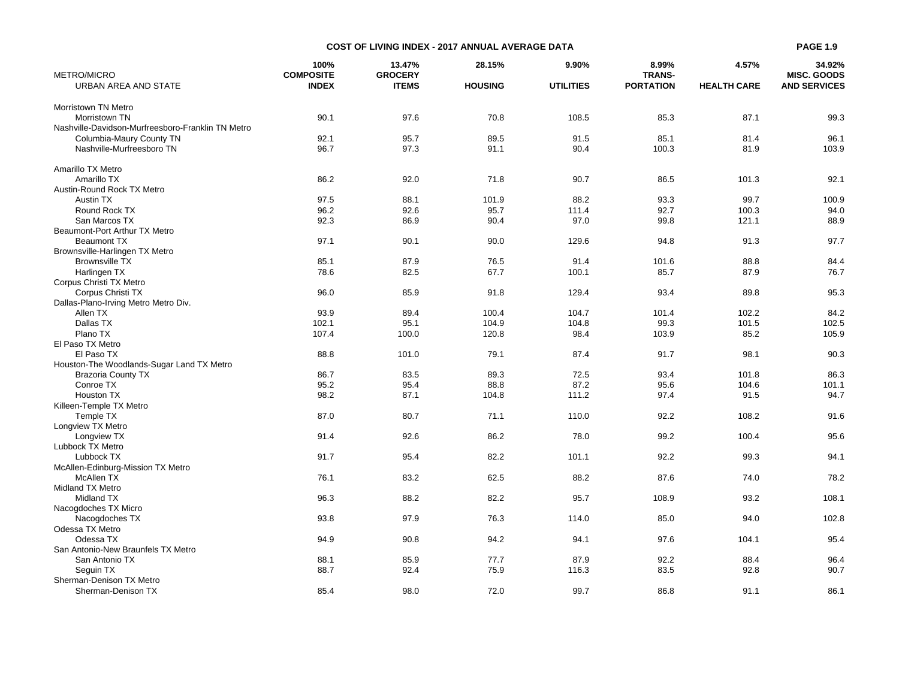| METRO/MICRO                                       | 100%<br><b>COMPOSITE</b> | 13.47%<br><b>GROCERY</b> | 28.15%         | 9.90%            | 8.99%<br><b>TRANS-</b> | 4.57%              | 34.92%<br><b>MISC. GOODS</b> |
|---------------------------------------------------|--------------------------|--------------------------|----------------|------------------|------------------------|--------------------|------------------------------|
| URBAN AREA AND STATE                              | <b>INDEX</b>             | <b>ITEMS</b>             | <b>HOUSING</b> | <b>UTILITIES</b> | <b>PORTATION</b>       | <b>HEALTH CARE</b> | <b>AND SERVICES</b>          |
| Morristown TN Metro                               |                          |                          |                |                  |                        |                    |                              |
| Morristown TN                                     | 90.1                     | 97.6                     | 70.8           | 108.5            | 85.3                   | 87.1               | 99.3                         |
| Nashville-Davidson-Murfreesboro-Franklin TN Metro |                          |                          |                |                  |                        |                    |                              |
| Columbia-Maury County TN                          | 92.1                     | 95.7                     | 89.5           | 91.5             | 85.1                   | 81.4               | 96.1                         |
| Nashville-Murfreesboro TN                         | 96.7                     | 97.3                     | 91.1           | 90.4             | 100.3                  | 81.9               | 103.9                        |
|                                                   |                          |                          |                |                  |                        |                    |                              |
| Amarillo TX Metro                                 |                          |                          |                |                  |                        |                    |                              |
| Amarillo TX                                       | 86.2                     | 92.0                     | 71.8           | 90.7             | 86.5                   | 101.3              | 92.1                         |
| Austin-Round Rock TX Metro                        |                          |                          |                |                  |                        |                    |                              |
| Austin TX                                         | 97.5                     | 88.1                     | 101.9          | 88.2             | 93.3                   | 99.7               | 100.9                        |
| Round Rock TX                                     | 96.2                     | 92.6                     | 95.7           | 111.4            | 92.7                   | 100.3              | 94.0                         |
| San Marcos TX                                     | 92.3                     | 86.9                     | 90.4           | 97.0             | 99.8                   | 121.1              | 88.9                         |
| Beaumont-Port Arthur TX Metro                     |                          |                          |                |                  |                        |                    |                              |
| <b>Beaumont TX</b>                                | 97.1                     | 90.1                     | 90.0           | 129.6            | 94.8                   | 91.3               | 97.7                         |
| Brownsville-Harlingen TX Metro                    |                          |                          |                |                  |                        |                    |                              |
| <b>Brownsville TX</b>                             | 85.1                     | 87.9                     | 76.5           | 91.4             | 101.6                  | 88.8               | 84.4                         |
| Harlingen TX                                      | 78.6                     | 82.5                     | 67.7           | 100.1            | 85.7                   | 87.9               | 76.7                         |
| Corpus Christi TX Metro                           |                          |                          |                |                  |                        |                    |                              |
| Corpus Christi TX                                 | 96.0                     | 85.9                     | 91.8           | 129.4            | 93.4                   | 89.8               | 95.3                         |
| Dallas-Plano-Irving Metro Metro Div.              |                          |                          |                |                  |                        |                    |                              |
| Allen TX                                          | 93.9                     | 89.4                     | 100.4          | 104.7            | 101.4                  | 102.2              | 84.2                         |
| Dallas TX                                         | 102.1                    | 95.1                     | 104.9          | 104.8            | 99.3                   | 101.5              | 102.5                        |
| Plano TX                                          | 107.4                    | 100.0                    | 120.8          | 98.4             | 103.9                  | 85.2               | 105.9                        |
| El Paso TX Metro                                  |                          |                          |                |                  |                        |                    |                              |
| El Paso TX                                        | 88.8                     | 101.0                    | 79.1           | 87.4             | 91.7                   | 98.1               | 90.3                         |
| Houston-The Woodlands-Sugar Land TX Metro         |                          |                          |                |                  |                        |                    |                              |
| <b>Brazoria County TX</b>                         | 86.7                     | 83.5                     | 89.3           | 72.5             | 93.4                   | 101.8              | 86.3                         |
| Conroe TX                                         | 95.2                     | 95.4                     | 88.8           | 87.2             | 95.6                   | 104.6              | 101.1                        |
|                                                   | 98.2                     | 87.1                     | 104.8          | 111.2            | 97.4                   | 91.5               | 94.7                         |
| <b>Houston TX</b>                                 |                          |                          |                |                  |                        |                    |                              |
| Killeen-Temple TX Metro                           |                          |                          |                |                  |                        |                    |                              |
| Temple TX                                         | 87.0                     | 80.7                     | 71.1           | 110.0            | 92.2                   | 108.2              | 91.6                         |
| Longview TX Metro                                 |                          |                          |                |                  |                        |                    |                              |
| Longview TX                                       | 91.4                     | 92.6                     | 86.2           | 78.0             | 99.2                   | 100.4              | 95.6                         |
| Lubbock TX Metro                                  |                          |                          |                |                  |                        |                    |                              |
| Lubbock TX                                        | 91.7                     | 95.4                     | 82.2           | 101.1            | 92.2                   | 99.3               | 94.1                         |
| McAllen-Edinburg-Mission TX Metro                 |                          |                          |                |                  |                        |                    |                              |
| McAllen TX                                        | 76.1                     | 83.2                     | 62.5           | 88.2             | 87.6                   | 74.0               | 78.2                         |
| Midland TX Metro                                  |                          |                          |                |                  |                        |                    |                              |
| Midland TX                                        | 96.3                     | 88.2                     | 82.2           | 95.7             | 108.9                  | 93.2               | 108.1                        |
| Nacogdoches TX Micro                              |                          |                          |                |                  |                        |                    |                              |
| Nacogdoches TX                                    | 93.8                     | 97.9                     | 76.3           | 114.0            | 85.0                   | 94.0               | 102.8                        |
| Odessa TX Metro                                   |                          |                          |                |                  |                        |                    |                              |
| Odessa TX                                         | 94.9                     | 90.8                     | 94.2           | 94.1             | 97.6                   | 104.1              | 95.4                         |
| San Antonio-New Braunfels TX Metro                |                          |                          |                |                  |                        |                    |                              |
| San Antonio TX                                    | 88.1                     | 85.9                     | 77.7           | 87.9             | 92.2                   | 88.4               | 96.4                         |
| Seguin TX                                         | 88.7                     | 92.4                     | 75.9           | 116.3            | 83.5                   | 92.8               | 90.7                         |
| Sherman-Denison TX Metro                          |                          |                          |                |                  |                        |                    |                              |
| Sherman-Denison TX                                | 85.4                     | 98.0                     | 72.0           | 99.7             | 86.8                   | 91.1               | 86.1                         |

**COST OF LIVING INDEX - 2017 ANNUAL AVERAGE DATA**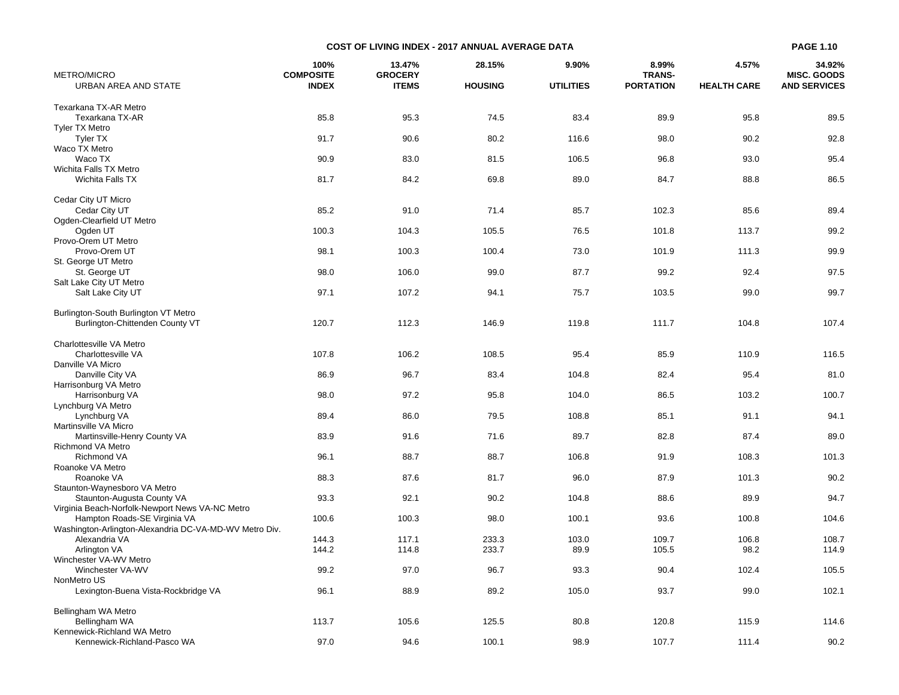| METRO/MICRO                                            | 100%<br><b>COMPOSITE</b> | 13.47%<br><b>GROCERY</b> | 28.15%         | 9.90%            | 8.99%<br><b>TRANS-</b> | 4.57%              | 34.92%<br><b>MISC. GOODS</b> |
|--------------------------------------------------------|--------------------------|--------------------------|----------------|------------------|------------------------|--------------------|------------------------------|
| URBAN AREA AND STATE                                   | <b>INDEX</b>             | <b>ITEMS</b>             | <b>HOUSING</b> | <b>UTILITIES</b> | <b>PORTATION</b>       | <b>HEALTH CARE</b> | <b>AND SERVICES</b>          |
| Texarkana TX-AR Metro                                  |                          |                          |                |                  |                        |                    |                              |
| Texarkana TX-AR                                        | 85.8                     | 95.3                     | 74.5           | 83.4             | 89.9                   | 95.8               | 89.5                         |
| <b>Tyler TX Metro</b>                                  |                          |                          |                |                  |                        |                    |                              |
| <b>Tyler TX</b>                                        | 91.7                     | 90.6                     | 80.2           | 116.6            | 98.0                   | 90.2               | 92.8                         |
| Waco TX Metro                                          |                          |                          |                |                  |                        |                    |                              |
| Waco TX                                                | 90.9                     | 83.0                     | 81.5           | 106.5            | 96.8                   | 93.0               | 95.4                         |
| Wichita Falls TX Metro                                 |                          |                          |                |                  |                        |                    |                              |
| Wichita Falls TX                                       | 81.7                     | 84.2                     | 69.8           | 89.0             | 84.7                   | 88.8               | 86.5                         |
|                                                        |                          |                          |                |                  |                        |                    |                              |
| Cedar City UT Micro                                    |                          |                          |                |                  |                        |                    |                              |
| Cedar City UT                                          | 85.2                     | 91.0                     | 71.4           | 85.7             | 102.3                  | 85.6               | 89.4                         |
| Ogden-Clearfield UT Metro                              |                          |                          |                |                  |                        |                    |                              |
| Ogden UT                                               | 100.3                    | 104.3                    | 105.5          | 76.5             | 101.8                  | 113.7              | 99.2                         |
| Provo-Orem UT Metro                                    |                          |                          |                |                  |                        |                    |                              |
| Provo-Orem UT                                          | 98.1                     | 100.3                    | 100.4          | 73.0             | 101.9                  | 111.3              | 99.9                         |
| St. George UT Metro                                    |                          |                          |                |                  |                        |                    |                              |
| St. George UT                                          | 98.0                     | 106.0                    | 99.0           | 87.7             | 99.2                   | 92.4               | 97.5                         |
| Salt Lake City UT Metro                                |                          |                          |                |                  |                        |                    |                              |
| Salt Lake City UT                                      | 97.1                     | 107.2                    | 94.1           | 75.7             | 103.5                  | 99.0               | 99.7                         |
|                                                        |                          |                          |                |                  |                        |                    |                              |
| Burlington-South Burlington VT Metro                   |                          |                          |                |                  |                        |                    |                              |
| Burlington-Chittenden County VT                        | 120.7                    | 112.3                    | 146.9          | 119.8            | 111.7                  | 104.8              | 107.4                        |
|                                                        |                          |                          |                |                  |                        |                    |                              |
| Charlottesville VA Metro                               |                          |                          |                |                  |                        |                    |                              |
| Charlottesville VA                                     | 107.8                    | 106.2                    | 108.5          | 95.4             | 85.9                   | 110.9              | 116.5                        |
| Danville VA Micro                                      |                          |                          |                |                  |                        |                    |                              |
| Danville City VA                                       | 86.9                     | 96.7                     | 83.4           | 104.8            | 82.4                   | 95.4               | 81.0                         |
| Harrisonburg VA Metro                                  |                          |                          |                |                  |                        |                    |                              |
| Harrisonburg VA                                        | 98.0                     | 97.2                     | 95.8           | 104.0            | 86.5                   | 103.2              | 100.7                        |
| Lynchburg VA Metro                                     |                          |                          |                |                  |                        |                    |                              |
| Lynchburg VA                                           | 89.4                     | 86.0                     | 79.5           | 108.8            | 85.1                   | 91.1               | 94.1                         |
| Martinsville VA Micro                                  |                          |                          |                |                  |                        |                    |                              |
| Martinsville-Henry County VA                           | 83.9                     | 91.6                     | 71.6           | 89.7             | 82.8                   | 87.4               | 89.0                         |
| Richmond VA Metro                                      |                          |                          |                |                  |                        |                    |                              |
| <b>Richmond VA</b>                                     | 96.1                     | 88.7                     | 88.7           | 106.8            | 91.9                   | 108.3              | 101.3                        |
| Roanoke VA Metro                                       |                          |                          |                |                  |                        |                    |                              |
| Roanoke VA                                             | 88.3                     | 87.6                     | 81.7           | 96.0             | 87.9                   | 101.3              | 90.2                         |
| Staunton-Waynesboro VA Metro                           |                          |                          |                |                  |                        |                    |                              |
| Staunton-Augusta County VA                             | 93.3                     | 92.1                     | 90.2           | 104.8            | 88.6                   | 89.9               | 94.7                         |
| Virginia Beach-Norfolk-Newport News VA-NC Metro        |                          |                          |                |                  |                        |                    |                              |
| Hampton Roads-SE Virginia VA                           | 100.6                    | 100.3                    | 98.0           | 100.1            | 93.6                   | 100.8              | 104.6                        |
| Washington-Arlington-Alexandria DC-VA-MD-WV Metro Div. |                          |                          |                |                  |                        |                    |                              |
| Alexandria VA                                          | 144.3                    | 117.1                    | 233.3          | 103.0            | 109.7                  | 106.8              | 108.7                        |
| Arlington VA                                           | 144.2                    | 114.8                    | 233.7          | 89.9             | 105.5                  | 98.2               | 114.9                        |
| Winchester VA-WV Metro                                 |                          |                          |                |                  |                        |                    |                              |
| Winchester VA-WV                                       | 99.2                     | 97.0                     | 96.7           | 93.3             | 90.4                   | 102.4              | 105.5                        |
| NonMetro US                                            |                          |                          |                |                  |                        |                    |                              |
| Lexington-Buena Vista-Rockbridge VA                    | 96.1                     | 88.9                     | 89.2           | 105.0            | 93.7                   | 99.0               | 102.1                        |
|                                                        |                          |                          |                |                  |                        |                    |                              |
| Bellingham WA Metro                                    |                          |                          |                |                  |                        |                    |                              |
| Bellingham WA                                          | 113.7                    | 105.6                    | 125.5          | 80.8             | 120.8                  | 115.9              | 114.6                        |
| Kennewick-Richland WA Metro                            |                          |                          |                |                  |                        |                    |                              |
| Kennewick-Richland-Pasco WA                            | 97.0                     | 94.6                     | 100.1          | 98.9             | 107.7                  | 111.4              | 90.2                         |

**COST OF LIVING INDEX - 2017 ANNUAL AVERAGE DATA**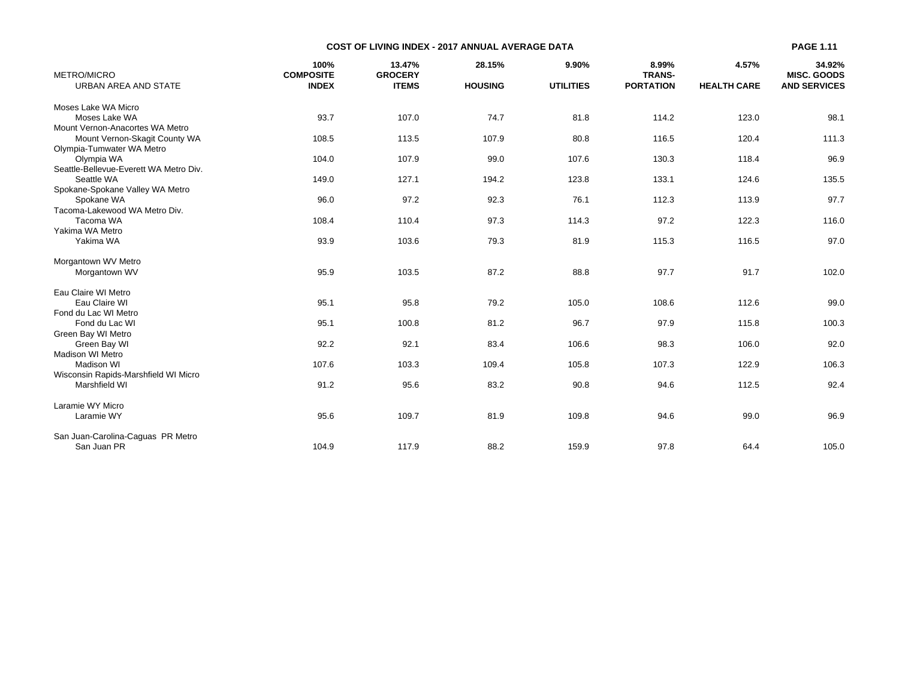|                                        |                          | <b>COST OF LIVING INDEX - 2017 ANNUAL AVERAGE DATA</b> |                |                  |                        |                    | <b>PAGE 1.11</b>             |
|----------------------------------------|--------------------------|--------------------------------------------------------|----------------|------------------|------------------------|--------------------|------------------------------|
| <b>METRO/MICRO</b>                     | 100%<br><b>COMPOSITE</b> | 13.47%<br><b>GROCERY</b>                               | 28.15%         | 9.90%            | 8.99%<br><b>TRANS-</b> | 4.57%              | 34.92%<br><b>MISC, GOODS</b> |
| URBAN AREA AND STATE                   | <b>INDEX</b>             | <b>ITEMS</b>                                           | <b>HOUSING</b> | <b>UTILITIES</b> | <b>PORTATION</b>       | <b>HEALTH CARE</b> | <b>AND SERVICES</b>          |
| Moses Lake WA Micro                    |                          |                                                        |                |                  |                        |                    |                              |
| Moses Lake WA                          | 93.7                     | 107.0                                                  | 74.7           | 81.8             | 114.2                  | 123.0              | 98.1                         |
| Mount Vernon-Anacortes WA Metro        |                          |                                                        |                |                  |                        |                    |                              |
| Mount Vernon-Skagit County WA          | 108.5                    | 113.5                                                  | 107.9          | 80.8             | 116.5                  | 120.4              | 111.3                        |
| Olympia-Tumwater WA Metro              |                          |                                                        |                |                  |                        |                    |                              |
| Olympia WA                             | 104.0                    | 107.9                                                  | 99.0           | 107.6            | 130.3                  | 118.4              | 96.9                         |
| Seattle-Bellevue-Everett WA Metro Div. |                          |                                                        |                |                  |                        |                    |                              |
| Seattle WA                             | 149.0                    | 127.1                                                  | 194.2          | 123.8            | 133.1                  | 124.6              | 135.5                        |
| Spokane-Spokane Valley WA Metro        |                          |                                                        |                |                  |                        |                    |                              |
| Spokane WA                             | 96.0                     | 97.2                                                   | 92.3           | 76.1             | 112.3                  | 113.9              | 97.7                         |
| Tacoma-Lakewood WA Metro Div.          |                          |                                                        |                |                  |                        |                    |                              |
| Tacoma WA                              | 108.4                    | 110.4                                                  | 97.3           | 114.3            | 97.2                   | 122.3              | 116.0                        |
| Yakima WA Metro                        |                          |                                                        |                |                  |                        |                    |                              |
| Yakima WA                              | 93.9                     | 103.6                                                  | 79.3           | 81.9             | 115.3                  | 116.5              | 97.0                         |
| Morgantown WV Metro                    |                          |                                                        |                |                  |                        |                    |                              |
| Morgantown WV                          | 95.9                     | 103.5                                                  | 87.2           | 88.8             | 97.7                   | 91.7               | 102.0                        |
| Eau Claire WI Metro                    |                          |                                                        |                |                  |                        |                    |                              |
| Eau Claire WI                          | 95.1                     | 95.8                                                   | 79.2           | 105.0            | 108.6                  | 112.6              | 99.0                         |
| Fond du Lac WI Metro                   |                          |                                                        |                |                  |                        |                    |                              |
| Fond du Lac WI                         | 95.1                     | 100.8                                                  | 81.2           | 96.7             | 97.9                   | 115.8              | 100.3                        |
| Green Bay WI Metro                     |                          |                                                        |                |                  |                        |                    |                              |
| Green Bay WI                           | 92.2                     | 92.1                                                   | 83.4           | 106.6            | 98.3                   | 106.0              | 92.0                         |
| <b>Madison WI Metro</b>                |                          |                                                        |                |                  |                        |                    |                              |
| <b>Madison WI</b>                      | 107.6                    | 103.3                                                  | 109.4          | 105.8            | 107.3                  | 122.9              | 106.3                        |
| Wisconsin Rapids-Marshfield WI Micro   |                          |                                                        |                |                  |                        |                    |                              |
| Marshfield WI                          | 91.2                     | 95.6                                                   | 83.2           | 90.8             | 94.6                   | 112.5              | 92.4                         |
| Laramie WY Micro                       |                          |                                                        |                |                  |                        |                    |                              |
| Laramie WY                             | 95.6                     | 109.7                                                  | 81.9           | 109.8            | 94.6                   | 99.0               | 96.9                         |
| San Juan-Carolina-Caguas PR Metro      |                          |                                                        |                |                  |                        |                    |                              |
| San Juan PR                            | 104.9                    | 117.9                                                  | 88.2           | 159.9            | 97.8                   | 64.4               | 105.0                        |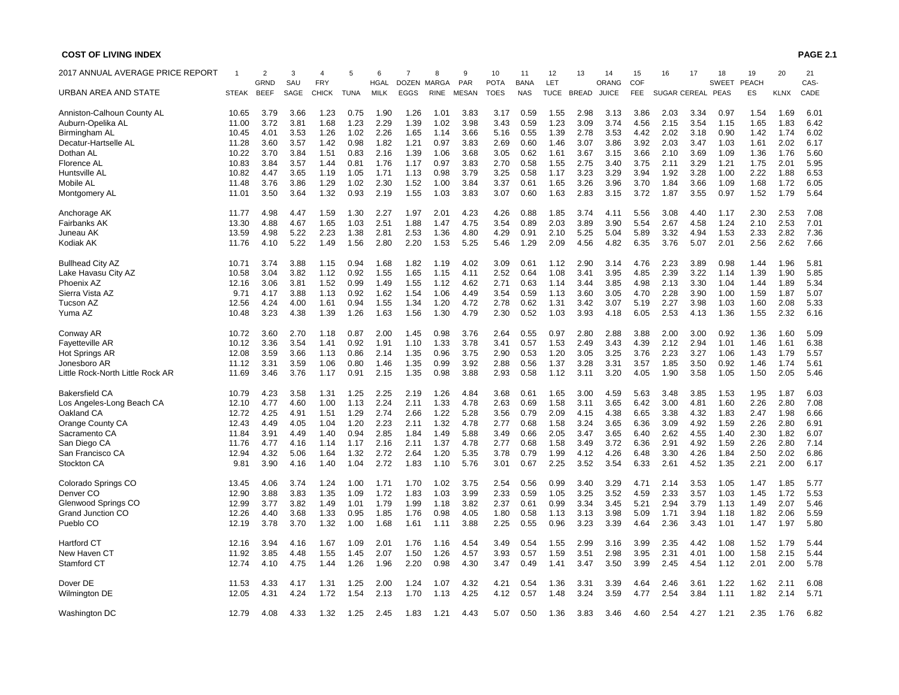| 2017 ANNUAL AVERAGE PRICE REPORT |              | $\overline{c}$<br><b>GRND</b> | 3<br>SAU | <b>FRY</b>   | 5           | 6<br><b>HGAL</b> | $\overline{7}$<br><b>DOZEN</b> | 8<br>MARGA  | 9<br>PAR     | 10<br><b>POTA</b> | 11<br><b>BANA</b> | 12<br>LET   | 13           | 14<br>ORANG  | 15<br>COF  | 16           | 17   | 18<br>SWEET | 19<br><b>PEACH</b> | 20          | 21<br>CAS- |
|----------------------------------|--------------|-------------------------------|----------|--------------|-------------|------------------|--------------------------------|-------------|--------------|-------------------|-------------------|-------------|--------------|--------------|------------|--------------|------|-------------|--------------------|-------------|------------|
| URBAN AREA AND STATE             | <b>STEAK</b> | <b>BEEF</b>                   | SAGE     | <b>CHICK</b> | <b>TUNA</b> | <b>MILK</b>      | <b>EGGS</b>                    | <b>RINE</b> | <b>MESAN</b> | <b>TOES</b>       | <b>NAS</b>        | <b>TUCE</b> | <b>BREAD</b> | <b>JUICE</b> | <b>FEE</b> | SUGAR CEREAL |      | PEAS        | ES                 | <b>KLNX</b> | CADE       |
| Anniston-Calhoun County AL       | 10.65        | 3.79                          | 3.66     | 1.23         | 0.75        | 1.90             | 1.26                           | 1.01        | 3.83         | 3.17              | 0.59              | 1.55        | 2.98         | 3.13         | 3.86       | 2.03         | 3.34 | 0.97        | 1.54               | 1.69        | 6.01       |
| Auburn-Opelika AL                | 11.00        | 3.72                          | 3.81     | 1.68         | 1.23        | 2.29             | 1.39                           | 1.02        | 3.98         | 3.43              | 0.59              | 1.23        | 3.09         | 3.74         | 4.56       | 2.15         | 3.54 | 1.15        | 1.65               | 1.83        | 6.42       |
| Birmingham AL                    | 10.45        | 4.01                          | 3.53     | 1.26         | 1.02        | 2.26             | 1.65                           | 1.14        | 3.66         | 5.16              | 0.55              | 1.39        | 2.78         | 3.53         | 4.42       | 2.02         | 3.18 | 0.90        | 1.42               | 1.74        | 6.02       |
| Decatur-Hartselle AL             | 11.28        | 3.60                          | 3.57     | 1.42         | 0.98        | 1.82             | 1.21                           | 0.97        | 3.83         | 2.69              | 0.60              | 1.46        | 3.07         | 3.86         | 3.92       | 2.03         | 3.47 | 1.03        | 1.61               | 2.02        | 6.17       |
| Dothan AL                        | 10.22        | 3.70                          | 3.84     | 1.51         | 0.83        | 2.16             | 1.39                           | 1.06        | 3.68         | 3.05              | 0.62              | 1.61        | 3.67         | 3.15         | 3.66       | 2.10         | 3.69 | 1.09        | 1.36               | 1.76        | 5.60       |
| Florence AL                      | 10.83        | 3.84                          | 3.57     | 1.44         | 0.81        | 1.76             | 1.17                           | 0.97        | 3.83         | 2.70              | 0.58              | 1.55        | 2.75         | 3.40         | 3.75       | 2.11         | 3.29 | 1.21        | 1.75               | 2.01        | 5.95       |
|                                  |              |                               |          |              |             |                  |                                |             |              |                   |                   |             |              |              |            |              |      |             |                    |             |            |
| Huntsville AL                    | 10.82        | 4.47                          | 3.65     | 1.19         | 1.05        | 1.71             | 1.13                           | 0.98        | 3.79         | 3.25              | 0.58              | 1.17        | 3.23         | 3.29         | 3.94       | 1.92         | 3.28 | 1.00        | 2.22               | 1.88        | 6.53       |
| Mobile AL                        | 11.48        | 3.76                          | 3.86     | 1.29         | 1.02        | 2.30             | 1.52                           | 1.00        | 3.84         | 3.37              | 0.61              | 1.65        | 3.26         | 3.96         | 3.70       | 1.84         | 3.66 | 1.09        | 1.68               | 1.72        | 6.05       |
| Montgomery AL                    | 11.01        | 3.50                          | 3.64     | 1.32         | 0.93        | 2.19             | 1.55                           | 1.03        | 3.83         | 3.07              | 0.60              | 1.63        | 2.83         | 3.15         | 3.72       | 1.87         | 3.55 | 0.97        | 1.52               | 1.79        | 5.64       |
| Anchorage AK                     | 11.77        | 4.98                          | 4.47     | 1.59         | 1.30        | 2.27             | 1.97                           | 2.01        | 4.23         | 4.26              | 0.88              | 1.85        | 3.74         | 4.11         | 5.56       | 3.08         | 4.40 | 1.17        | 2.30               | 2.53        | 7.08       |
| Fairbanks AK                     | 13.30        | 4.88                          | 4.67     | 1.65         | 1.03        | 2.51             | 1.88                           | 1.47        | 4.75         | 3.54              | 0.89              | 2.03        | 3.89         | 3.90         | 5.54       | 2.67         | 4.58 | 1.24        | 2.10               | 2.53        | 7.01       |
| Juneau AK                        | 13.59        | 4.98                          | 5.22     | 2.23         | 1.38        | 2.81             | 2.53                           | 1.36        | 4.80         | 4.29              | 0.91              | 2.10        | 5.25         | 5.04         | 5.89       | 3.32         | 4.94 | 1.53        | 2.33               | 2.82        | 7.36       |
| Kodiak AK                        | 11.76        | 4.10                          | 5.22     | 1.49         | 1.56        | 2.80             | 2.20                           | 1.53        | 5.25         | 5.46              | 1.29              | 2.09        | 4.56         | 4.82         | 6.35       | 3.76         | 5.07 | 2.01        | 2.56               | 2.62        | 7.66       |
| <b>Bullhead City AZ</b>          | 10.71        | 3.74                          | 3.88     | 1.15         | 0.94        | 1.68             | 1.82                           | 1.19        | 4.02         | 3.09              | 0.61              | 1.12        | 2.90         | 3.14         | 4.76       | 2.23         | 3.89 | 0.98        | 1.44               | 1.96        | 5.81       |
| Lake Havasu City AZ              | 10.58        | 3.04                          | 3.82     | 1.12         | 0.92        | 1.55             | 1.65                           | 1.15        | 4.11         | 2.52              | 0.64              | 1.08        | 3.41         | 3.95         | 4.85       | 2.39         | 3.22 | 1.14        | 1.39               | 1.90        | 5.85       |
| Phoenix AZ                       | 12.16        | 3.06                          | 3.81     | 1.52         | 0.99        | 1.49             | 1.55                           | 1.12        | 4.62         | 2.71              | 0.63              | 1.14        | 3.44         | 3.85         | 4.98       | 2.13         | 3.30 | 1.04        | 1.44               | 1.89        | 5.34       |
| Sierra Vista AZ                  | 9.71         | 4.17                          | 3.88     | 1.13         | 0.92        | 1.62             | 1.54                           | 1.06        | 4.49         | 3.54              | 0.59              | 1.13        | 3.60         | 3.05         | 4.70       | 2.28         | 3.90 | 1.00        | 1.59               | 1.87        | 5.07       |
| Tucson AZ                        | 12.56        | 4.24                          | 4.00     | 1.61         | 0.94        | 1.55             | 1.34                           | 1.20        | 4.72         | 2.78              | 0.62              | 1.31        | 3.42         | 3.07         | 5.19       | 2.27         | 3.98 | 1.03        | 1.60               | 2.08        | 5.33       |
| Yuma AZ                          | 10.48        | 3.23                          | 4.38     | 1.39         | 1.26        | 1.63             | 1.56                           | 1.30        | 4.79         | 2.30              | 0.52              | 1.03        | 3.93         | 4.18         | 6.05       | 2.53         | 4.13 | 1.36        | 1.55               | 2.32        | 6.16       |
| Conway AR                        | 10.72        | 3.60                          | 2.70     | 1.18         | 0.87        | 2.00             | 1.45                           | 0.98        | 3.76         | 2.64              | 0.55              | 0.97        | 2.80         | 2.88         | 3.88       | 2.00         | 3.00 | 0.92        | 1.36               | 1.60        | 5.09       |
| Fayetteville AR                  | 10.12        | 3.36                          | 3.54     | 1.41         | 0.92        | 1.91             | 1.10                           | 1.33        | 3.78         | 3.41              | 0.57              | 1.53        | 2.49         | 3.43         | 4.39       | 2.12         | 2.94 | 1.01        | 1.46               | 1.61        | 6.38       |
| <b>Hot Springs AR</b>            | 12.08        | 3.59                          | 3.66     | 1.13         | 0.86        | 2.14             | 1.35                           | 0.96        | 3.75         | 2.90              | 0.53              | 1.20        | 3.05         | 3.25         | 3.76       | 2.23         | 3.27 | 1.06        | 1.43               | 1.79        | 5.57       |
| Jonesboro AR                     | 11.12        | 3.31                          | 3.59     | 1.06         | 0.80        | 1.46             | 1.35                           | 0.99        | 3.92         | 2.88              | 0.56              | 1.37        | 3.28         | 3.31         | 3.57       | 1.85         | 3.50 | 0.92        | 1.46               | 1.74        | 5.61       |
| Little Rock-North Little Rock AR | 11.69        | 3.46                          | 3.76     | 1.17         | 0.91        | 2.15             | 1.35                           | 0.98        | 3.88         | 2.93              | 0.58              | 1.12        | 3.11         | 3.20         | 4.05       | 1.90         | 3.58 | 1.05        | 1.50               | 2.05        | 5.46       |
| <b>Bakersfield CA</b>            | 10.79        | 4.23                          | 3.58     | 1.31         | 1.25        | 2.25             | 2.19                           | 1.26        | 4.84         | 3.68              | 0.61              | 1.65        | 3.00         | 4.59         | 5.63       | 3.48         | 3.85 | 1.53        | 1.95               | 1.87        | 6.03       |
| Los Angeles-Long Beach CA        | 12.10        | 4.77                          | 4.60     | 1.00         | 1.13        | 2.24             | 2.11                           | 1.33        | 4.78         | 2.63              | 0.69              | 1.58        | 3.11         | 3.65         | 6.42       | 3.00         | 4.81 | 1.60        | 2.26               | 2.80        | 7.08       |
| Oakland CA                       | 12.72        | 4.25                          | 4.91     | 1.51         | 1.29        | 2.74             | 2.66                           | 1.22        | 5.28         | 3.56              | 0.79              | 2.09        | 4.15         | 4.38         | 6.65       | 3.38         | 4.32 | 1.83        | 2.47               | 1.98        | 6.66       |
|                                  | 12.43        | 4.49                          | 4.05     | 1.04         | 1.20        | 2.23             | 2.11                           | 1.32        | 4.78         |                   | 0.68              | 1.58        | 3.24         |              | 6.36       | 3.09         | 4.92 | 1.59        | 2.26               | 2.80        | 6.91       |
| Orange County CA                 |              |                               |          |              |             |                  |                                |             |              | 2.77              |                   |             |              | 3.65         |            |              |      |             |                    |             |            |
| Sacramento CA                    | 11.84        | 3.91                          | 4.49     | 1.40         | 0.94        | 2.85             | 1.84                           | 1.49        | 5.88         | 3.49              | 0.66              | 2.05        | 3.47         | 3.65         | 6.40       | 2.62         | 4.55 | 1.40        | 2.30               | 1.82        | 6.07       |
| San Diego CA                     | 11.76        | 4.77                          | 4.16     | 1.14         | 1.17        | 2.16             | 2.11                           | 1.37        | 4.78         | 2.77              | 0.68              | 1.58        | 3.49         | 3.72         | 6.36       | 2.91         | 4.92 | 1.59        | 2.26               | 2.80        | 7.14       |
| San Francisco CA                 | 12.94        | 4.32                          | 5.06     | 1.64         | 1.32        | 2.72             | 2.64                           | 1.20        | 5.35         | 3.78              | 0.79              | 1.99        | 4.12         | 4.26         | 6.48       | 3.30         | 4.26 | 1.84        | 2.50               | 2.02        | 6.86       |
| Stockton CA                      | 9.81         | 3.90                          | 4.16     | 1.40         | 1.04        | 2.72             | 1.83                           | 1.10        | 5.76         | 3.01              | 0.67              | 2.25        | 3.52         | 3.54         | 6.33       | 2.61         | 4.52 | 1.35        | 2.21               | 2.00        | 6.17       |
| Colorado Springs CO              | 13.45        | 4.06                          | 3.74     | 1.24         | 1.00        | 1.71             | 1.70                           | 1.02        | 3.75         | 2.54              | 0.56              | 0.99        | 3.40         | 3.29         | 4.71       | 2.14         | 3.53 | 1.05        | 1.47               | 1.85        | 5.77       |
| Denver <sub>CO</sub>             | 12.90        | 3.88                          | 3.83     | 1.35         | 1.09        | 1.72             | 1.83                           | 1.03        | 3.99         | 2.33              | 0.59              | 1.05        | 3.25         | 3.52         | 4.59       | 2.33         | 3.57 | 1.03        | 1.45               | 1.72        | 5.53       |
| Glenwood Springs CO              | 12.99        | 3.77                          | 3.82     | 1.49         | 1.01        | 1.79             | 1.99                           | 1.18        | 3.82         | 2.37              | 0.61              | 0.99        | 3.34         | 3.45         | 5.21       | 2.94         | 3.79 | 1.13        | 1.49               | 2.07        | 5.46       |
| <b>Grand Junction CO</b>         | 12.26        | 4.40                          | 3.68     | 1.33         | 0.95        | 1.85             | 1.76                           | 0.98        | 4.05         | 1.80              | 0.58              | 1.13        | 3.13         | 3.98         | 5.09       | 1.71         | 3.94 | 1.18        | 1.82               | 2.06        | 5.59       |
| Pueblo CO                        | 12.19        | 3.78                          | 3.70     | 1.32         | 1.00        | 1.68             | 1.61                           | 1.11        | 3.88         | 2.25              | 0.55              | 0.96        | 3.23         | 3.39         | 4.64       | 2.36         | 3.43 | 1.01        | 1.47               | 1.97        | 5.80       |
| <b>Hartford CT</b>               | 12.16        | 3.94                          | 4.16     | 1.67         | 1.09        | 2.01             | 1.76                           | 1.16        | 4.54         | 3.49              | 0.54              | 1.55        | 2.99         | 3.16         | 3.99       | 2.35         | 4.42 | 1.08        | 1.52               | 1.79        | 5.44       |
| New Haven CT                     | 11.92        | 3.85                          | 4.48     | 1.55         | 1.45        | 2.07             | 1.50                           | 1.26        | 4.57         | 3.93              | 0.57              | 1.59        | 3.51         | 2.98         | 3.95       | 2.31         | 4.01 | 1.00        | 1.58               | 2.15        | 5.44       |
| Stamford CT                      | 12.74        | 4.10                          | 4.75     | 1.44         | 1.26        | 1.96             | 2.20                           | 0.98        | 4.30         | 3.47              | 0.49              | 1.41        | 3.47         | 3.50         | 3.99       | 2.45         | 4.54 | 1.12        | 2.01               | 2.00        | 5.78       |
| Dover DE                         | 11.53        | 4.33                          | 4.17     | 1.31         | 1.25        | 2.00             | 1.24                           | 1.07        | 4.32         | 4.21              | 0.54              | 1.36        | 3.31         | 3.39         | 4.64       | 2.46         | 3.61 | 1.22        | 1.62               | 2.11        | 6.08       |
| <b>Wilmington DE</b>             | 12.05        | 4.31                          | 4.24     | 1.72         | 1.54        | 2.13             | 1.70                           | 1.13        | 4.25         | 4.12              | 0.57              | 1.48        | 3.24         | 3.59         | 4.77       | 2.54         | 3.84 | 1.11        | 1.82               | 2.14        | 5.71       |
|                                  |              |                               |          |              |             |                  |                                |             |              |                   |                   |             |              |              |            |              |      |             |                    |             |            |
| Washington DC                    | 12.79        | 4.08                          | 4.33     | 1.32         | 1.25        | 2.45             | 1.83                           | 1.21        | 4.43         | 5.07              | 0.50              | 1.36        | 3.83         | 3.46         | 4.60       | 2.54         | 4.27 | 1.21        | 2.35               | 1.76        | 6.82       |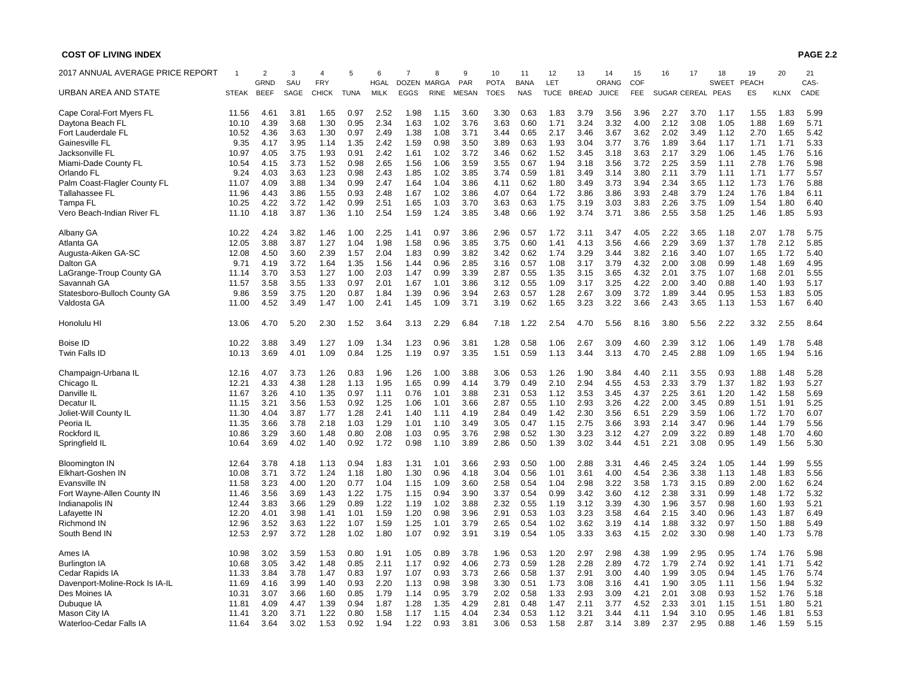| 2017 ANNUAL AVERAGE PRICE REPORT |              | $\overline{2}$      | 3           | $\overline{4}$             | 5           | 6                          | $\overline{7}$              | 8                           | 9                   | 10                         | 11                        | 12                 | 13           | 14                    | 15                | 16           | 17   | 18                          | 19                 | 20          | 21           |
|----------------------------------|--------------|---------------------|-------------|----------------------------|-------------|----------------------------|-----------------------------|-----------------------------|---------------------|----------------------------|---------------------------|--------------------|--------------|-----------------------|-------------------|--------------|------|-----------------------------|--------------------|-------------|--------------|
| URBAN AREA AND STATE             | <b>STEAK</b> | GRND<br><b>BEEF</b> | SAU<br>SAGE | <b>FRY</b><br><b>CHICK</b> | <b>TUNA</b> | <b>HGAL</b><br><b>MILK</b> | <b>DOZEN</b><br><b>EGGS</b> | <b>MARGA</b><br><b>RINE</b> | PAR<br><b>MESAN</b> | <b>POTA</b><br><b>TOES</b> | <b>BANA</b><br><b>NAS</b> | LET<br><b>TUCE</b> | <b>BREAD</b> | ORANG<br><b>JUICE</b> | COF<br><b>FEE</b> | SUGAR CEREAL |      | <b>SWEET</b><br><b>PEAS</b> | <b>PEACH</b><br>ES | <b>KLNX</b> | CAS-<br>CADE |
|                                  |              |                     |             |                            |             |                            |                             |                             |                     |                            |                           |                    |              |                       |                   |              |      |                             |                    |             |              |
| Cape Coral-Fort Myers FL         | 11.56        | 4.61                | 3.81        | 1.65                       | 0.97        | 2.52                       | 1.98                        | 1.15                        | 3.60                | 3.30                       | 0.63                      | 1.83               | 3.79         | 3.56                  | 3.96              | 2.27         | 3.70 | 1.17                        | 1.55               | 1.83        | 5.99         |
| Daytona Beach FL                 | 10.10        | 4.39                | 3.68        | 1.30                       | 0.95        | 2.34                       | 1.63                        | 1.02                        | 3.76                | 3.63                       | 0.60                      | 1.71               | 3.24         | 3.32                  | 4.00              | 2.12         | 3.08 | 1.05                        | 1.88               | 1.69        | 5.71         |
| Fort Lauderdale FL               | 10.52        | 4.36                | 3.63        | 1.30                       | 0.97        | 2.49                       | 1.38                        | 1.08                        | 3.71                | 3.44                       | 0.65                      | 2.17               | 3.46         | 3.67                  | 3.62              | 2.02         | 3.49 | 1.12                        | 2.70               | 1.65        | 5.42         |
| Gainesville FL                   | 9.35         | 4.17                | 3.95        | 1.14                       | 1.35        | 2.42                       | 1.59                        | 0.98                        | 3.50                | 3.89                       | 0.63                      | 1.93               | 3.04         | 3.77                  | 3.76              | 1.89         | 3.64 | 1.17                        | 1.71               | 1.71        | 5.33         |
| Jacksonville FL                  | 10.97        | 4.05                | 3.75        | 1.93                       | 0.91        | 2.42                       | 1.61                        | 1.02                        | 3.72                | 3.46                       | 0.62                      | 1.52               | 3.45         | 3.18                  | 3.63              | 2.17         | 3.29 | 1.06                        | 1.45               | 1.76        | 5.16         |
| Miami-Dade County FL             | 10.54        | 4.15                | 3.73        | 1.52                       | 0.98        | 2.65                       | 1.56                        | 1.06                        | 3.59                | 3.55                       | 0.67                      | 1.94               | 3.18         | 3.56                  | 3.72              | 2.25         | 3.59 | 1.11                        | 2.78               | 1.76        | 5.98         |
| Orlando FL                       | 9.24         | 4.03                | 3.63        | 1.23                       | 0.98        | 2.43                       | 1.85                        | 1.02                        | 3.85                | 3.74                       | 0.59                      | 1.81               | 3.49         | 3.14                  | 3.80              | 2.11         | 3.79 | 1.11                        | 1.71               | 1.77        | 5.57         |
|                                  | 11.07        | 4.09                | 3.88        | 1.34                       | 0.99        | 2.47                       | 1.64                        | 1.04                        | 3.86                | 4.11                       | 0.62                      | 1.80               | 3.49         | 3.73                  | 3.94              | 2.34         | 3.65 | 1.12                        | 1.73               | 1.76        | 5.88         |
| Palm Coast-Flagler County FL     |              |                     |             |                            |             |                            |                             |                             |                     |                            |                           |                    |              |                       |                   |              |      |                             |                    |             |              |
| Tallahassee FL                   | 11.96        | 4.43                | 3.86        | 1.55                       | 0.93        | 2.48                       | 1.67                        | 1.02                        | 3.86                | 4.07                       | 0.64                      | 1.72               | 3.86         | 3.86                  | 3.93              | 2.48         | 3.79 | 1.24                        | 1.76               | 1.84        | 6.11         |
| Tampa FL                         | 10.25        | 4.22                | 3.72        | 1.42                       | 0.99        | 2.51                       | 1.65                        | 1.03                        | 3.70                | 3.63                       | 0.63                      | 1.75               | 3.19         | 3.03                  | 3.83              | 2.26         | 3.75 | 1.09                        | 1.54               | 1.80        | 6.40         |
| Vero Beach-Indian River FL       | 11.10        | 4.18                | 3.87        | 1.36                       | 1.10        | 2.54                       | 1.59                        | 1.24                        | 3.85                | 3.48                       | 0.66                      | 1.92               | 3.74         | 3.71                  | 3.86              | 2.55         | 3.58 | 1.25                        | 1.46               | 1.85        | 5.93         |
| Albany GA                        | 10.22        | 4.24                | 3.82        | 1.46                       | 1.00        | 2.25                       | 1.41                        | 0.97                        | 3.86                | 2.96                       | 0.57                      | 1.72               | 3.11         | 3.47                  | 4.05              | 2.22         | 3.65 | 1.18                        | 2.07               | 1.78        | 5.75         |
| Atlanta GA                       | 12.05        | 3.88                | 3.87        | 1.27                       | 1.04        | 1.98                       | 1.58                        | 0.96                        | 3.85                | 3.75                       | 0.60                      | 1.41               | 4.13         | 3.56                  | 4.66              | 2.29         | 3.69 | 1.37                        | 1.78               | 2.12        | 5.85         |
| Augusta-Aiken GA-SC              | 12.08        | 4.50                | 3.60        | 2.39                       | 1.57        | 2.04                       | 1.83                        | 0.99                        | 3.82                | 3.42                       | 0.62                      | 1.74               | 3.29         | 3.44                  | 3.82              | 2.16         | 3.40 | 1.07                        | 1.65               | 1.72        | 5.40         |
| Dalton GA                        | 9.71         | 4.19                | 3.72        | 1.64                       | 1.35        | 1.56                       | 1.44                        | 0.96                        | 2.85                | 3.16                       | 0.57                      | 1.08               | 3.17         | 3.79                  | 4.32              | 2.00         | 3.08 | 0.99                        | 1.48               | 1.69        | 4.95         |
| LaGrange-Troup County GA         | 11.14        | 3.70                | 3.53        | 1.27                       | 1.00        | 2.03                       | 1.47                        | 0.99                        | 3.39                | 2.87                       | 0.55                      | 1.35               | 3.15         | 3.65                  | 4.32              | 2.01         | 3.75 | 1.07                        | 1.68               | 2.01        | 5.55         |
| Savannah GA                      | 11.57        | 3.58                | 3.55        | 1.33                       | 0.97        | 2.01                       | 1.67                        | 1.01                        | 3.86                | 3.12                       | 0.55                      | 1.09               | 3.17         | 3.25                  | 4.22              | 2.00         | 3.40 | 0.88                        | 1.40               | 1.93        | 5.17         |
|                                  |              |                     |             |                            |             |                            |                             |                             |                     |                            |                           |                    |              |                       | 3.72              |              |      |                             |                    |             |              |
| Statesboro-Bulloch County GA     | 9.86         | 3.59                | 3.75        | 1.20                       | 0.87        | 1.84                       | 1.39                        | 0.96                        | 3.94                | 2.63                       | 0.57                      | 1.28               | 2.67         | 3.09                  |                   | 1.89         | 3.44 | 0.95                        | 1.53               | 1.83        | 5.05         |
| Valdosta GA                      | 11.00        | 4.52                | 3.49        | 1.47                       | 1.00        | 2.41                       | 1.45                        | 1.09                        | 3.71                | 3.19                       | 0.62                      | 1.65               | 3.23         | 3.22                  | 3.66              | 2.43         | 3.65 | 1.13                        | 1.53               | 1.67        | 6.40         |
| Honolulu HI                      | 13.06        | 4.70                | 5.20        | 2.30                       | 1.52        | 3.64                       | 3.13                        | 2.29                        | 6.84                | 7.18                       | 1.22                      | 2.54               | 4.70         | 5.56                  | 8.16              | 3.80         | 5.56 | 2.22                        | 3.32               | 2.55        | 8.64         |
| <b>Boise ID</b>                  | 10.22        | 3.88                | 3.49        | 1.27                       | 1.09        | 1.34                       | 1.23                        | 0.96                        | 3.81                | 1.28                       | 0.58                      | 1.06               | 2.67         | 3.09                  | 4.60              | 2.39         | 3.12 | 1.06                        | 1.49               | 1.78        | 5.48         |
| Twin Falls ID                    | 10.13        | 3.69                | 4.01        | 1.09                       | 0.84        | 1.25                       | 1.19                        | 0.97                        | 3.35                | 1.51                       | 0.59                      | 1.13               | 3.44         | 3.13                  | 4.70              | 2.45         | 2.88 | 1.09                        | 1.65               | 1.94        | 5.16         |
| Champaign-Urbana IL              | 12.16        | 4.07                | 3.73        | 1.26                       | 0.83        | 1.96                       | 1.26                        | 1.00                        | 3.88                | 3.06                       | 0.53                      | 1.26               | 1.90         | 3.84                  | 4.40              | 2.11         | 3.55 | 0.93                        | 1.88               | 1.48        | 5.28         |
| Chicago IL                       | 12.21        | 4.33                | 4.38        | 1.28                       | 1.13        | 1.95                       | 1.65                        | 0.99                        | 4.14                | 3.79                       | 0.49                      | 2.10               | 2.94         | 4.55                  | 4.53              | 2.33         | 3.79 | 1.37                        | 1.82               | 1.93        | 5.27         |
| Danville IL                      | 11.67        | 3.26                | 4.10        | 1.35                       | 0.97        | 1.11                       | 0.76                        | 1.01                        | 3.88                | 2.31                       | 0.53                      | 1.12               | 3.53         | 3.45                  | 4.37              | 2.25         | 3.61 | 1.20                        | 1.42               | 1.58        | 5.69         |
| Decatur IL                       | 11.15        | 3.21                | 3.56        | 1.53                       | 0.92        | 1.25                       | 1.06                        | 1.01                        | 3.66                | 2.87                       | 0.55                      | 1.10               | 2.93         | 3.26                  | 4.22              | 2.00         | 3.45 | 0.89                        | 1.51               | 1.91        | 5.25         |
| Joliet-Will County IL            | 11.30        | 4.04                | 3.87        | 1.77                       | 1.28        | 2.41                       | 1.40                        | 1.11                        | 4.19                | 2.84                       | 0.49                      | 1.42               | 2.30         | 3.56                  | 6.51              | 2.29         | 3.59 | 1.06                        | 1.72               | 1.70        | 6.07         |
|                                  |              |                     |             |                            |             |                            |                             |                             |                     |                            |                           |                    |              |                       |                   |              |      |                             |                    |             |              |
| Peoria IL                        | 11.35        | 3.66                | 3.78        | 2.18                       | 1.03        | 1.29                       | 1.01                        | 1.10                        | 3.49                | 3.05                       | 0.47                      | 1.15               | 2.75         | 3.66                  | 3.93              | 2.14         | 3.47 | 0.96                        | 1.44               | 1.79        | 5.56         |
| Rockford IL                      | 10.86        | 3.29                | 3.60        | 1.48                       | 0.80        | 2.08                       | 1.03                        | 0.95                        | 3.76                | 2.98                       | 0.52                      | 1.30               | 3.23         | 3.12                  | 4.27              | 2.09         | 3.22 | 0.89                        | 1.48               | 1.70        | 4.60         |
| Springfield IL                   | 10.64        | 3.69                | 4.02        | 1.40                       | 0.92        | 1.72                       | 0.98                        | 1.10                        | 3.89                | 2.86                       | 0.50                      | 1.39               | 3.02         | 3.44                  | 4.51              | 2.21         | 3.08 | 0.95                        | 1.49               | 1.56        | 5.30         |
| <b>Bloomington IN</b>            | 12.64        | 3.78                | 4.18        | 1.13                       | 0.94        | 1.83                       | 1.31                        | 1.01                        | 3.66                | 2.93                       | 0.50                      | 1.00               | 2.88         | 3.31                  | 4.46              | 2.45         | 3.24 | 1.05                        | 1.44               | 1.99        | 5.55         |
| <b>Elkhart-Goshen IN</b>         | 10.08        | 3.71                | 3.72        | 1.24                       | 1.18        | 1.80                       | 1.30                        | 0.96                        | 4.18                | 3.04                       | 0.56                      | 1.01               | 3.61         | 4.00                  | 4.54              | 2.36         | 3.38 | 1.13                        | 1.48               | 1.83        | 5.56         |
| Evansville IN                    | 11.58        | 3.23                | 4.00        | 1.20                       | 0.77        | 1.04                       | 1.15                        | 1.09                        | 3.60                | 2.58                       | 0.54                      | 1.04               | 2.98         | 3.22                  | 3.58              | 1.73         | 3.15 | 0.89                        | 2.00               | 1.62        | 6.24         |
| Fort Wayne-Allen County IN       | 11.46        | 3.56                | 3.69        | 1.43                       | 1.22        | 1.75                       | 1.15                        | 0.94                        | 3.90                | 3.37                       | 0.54                      | 0.99               | 3.42         | 3.60                  | 4.12              | 2.38         | 3.31 | 0.99                        | 1.48               | 1.72        | 5.32         |
| Indianapolis IN                  | 12.44        | 3.83                | 3.66        | 1.29                       | 0.89        | 1.22                       | 1.19                        | 1.02                        | 3.88                | 2.32                       | 0.55                      | 1.19               | 3.12         | 3.39                  | 4.30              | 1.96         | 3.57 | 0.98                        | 1.60               | 1.93        | 5.21         |
| Lafayette IN                     | 12.20        | 4.01                | 3.98        | 1.41                       | 1.01        | 1.59                       | 1.20                        | 0.98                        | 3.96                | 2.91                       | 0.53                      | 1.03               | 3.23         | 3.58                  | 4.64              | 2.15         | 3.40 | 0.96                        | 1.43               | 1.87        | 6.49         |
|                                  |              |                     |             |                            |             |                            |                             |                             |                     |                            |                           |                    |              |                       |                   |              |      |                             |                    |             |              |
| <b>Richmond IN</b>               | 12.96        | 3.52                | 3.63        | 1.22                       | 1.07        | 1.59                       | 1.25                        | 1.01                        | 3.79                | 2.65                       | 0.54                      | 1.02               | 3.62         | 3.19                  | 4.14              | 1.88         | 3.32 | 0.97                        | 1.50               | 1.88        | 5.49         |
| South Bend IN                    | 12.53        | 2.97                | 3.72        | 1.28                       | 1.02        | 1.80                       | 1.07                        | 0.92                        | 3.91                | 3.19                       | 0.54                      | 1.05               | 3.33         | 3.63                  | 4.15              | 2.02         | 3.30 | 0.98                        | 1.40               | 1.73        | 5.78         |
| Ames IA                          | 10.98        | 3.02                | 3.59        | 1.53                       | 0.80        | 1.91                       | 1.05                        | 0.89                        | 3.78                | 1.96                       | 0.53                      | 1.20               | 2.97         | 2.98                  | 4.38              | 1.99         | 2.95 | 0.95                        | 1.74               | 1.76        | 5.98         |
| <b>Burlington IA</b>             | 10.68        | 3.05                | 3.42        | 1.48                       | 0.85        | 2.11                       | 1.17                        | 0.92                        | 4.06                | 2.73                       | 0.59                      | 1.28               | 2.28         | 2.89                  | 4.72              | 1.79         | 2.74 | 0.92                        | 1.41               | 1.71        | 5.42         |
| Cedar Rapids IA                  | 11.33        | 3.84                | 3.78        | 1.47                       | 0.83        | 1.97                       | 1.07                        | 0.93                        | 3.73                | 2.66                       | 0.58                      | 1.37               | 2.91         | 3.00                  | 4.40              | 1.99         | 3.05 | 0.94                        | 1.45               | 1.76        | 5.74         |
| Davenport-Moline-Rock Is IA-IL   | 11.69        | 4.16                | 3.99        | 1.40                       | 0.93        | 2.20                       | 1.13                        | 0.98                        | 3.98                | 3.30                       | 0.51                      | 1.73               | 3.08         | 3.16                  | 4.41              | 1.90         | 3.05 | 1.11                        | 1.56               | 1.94        | 5.32         |
| Des Moines IA                    | 10.31        | 3.07                | 3.66        | 1.60                       | 0.85        | 1.79                       | 1.14                        | 0.95                        | 3.79                | 2.02                       | 0.58                      | 1.33               | 2.93         | 3.09                  | 4.21              | 2.01         | 3.08 | 0.93                        | 1.52               | 1.76        | 5.18         |
| Dubuque IA                       | 11.81        | 4.09                | 4.47        | 1.39                       | 0.94        | 1.87                       | 1.28                        | 1.35                        | 4.29                | 2.81                       | 0.48                      | 1.47               | 2.11         | 3.77                  | 4.52              | 2.33         | 3.01 | 1.15                        | 1.51               | 1.80        | 5.21         |
| Mason City IA                    | 11.41        | 3.20                | 3.71        | 1.22                       | 0.80        | 1.58                       | 1.17                        | 1.15                        | 4.04                | 2.34                       | 0.53                      | 1.12               | 3.21         | 3.44                  | 4.11              | 1.94         | 3.10 | 0.95                        | 1.46               | 1.81        | 5.53         |
| Waterloo-Cedar Falls IA          | 11.64        | 3.64                | 3.02        | 1.53                       | 0.92        | 1.94                       | 1.22                        | 0.93                        | 3.81                | 3.06                       | 0.53                      | 1.58               | 2.87         | 3.14                  | 3.89              | 2.37         | 2.95 | 0.88                        | 1.46               | 1.59        | 5.15         |
|                                  |              |                     |             |                            |             |                            |                             |                             |                     |                            |                           |                    |              |                       |                   |              |      |                             |                    |             |              |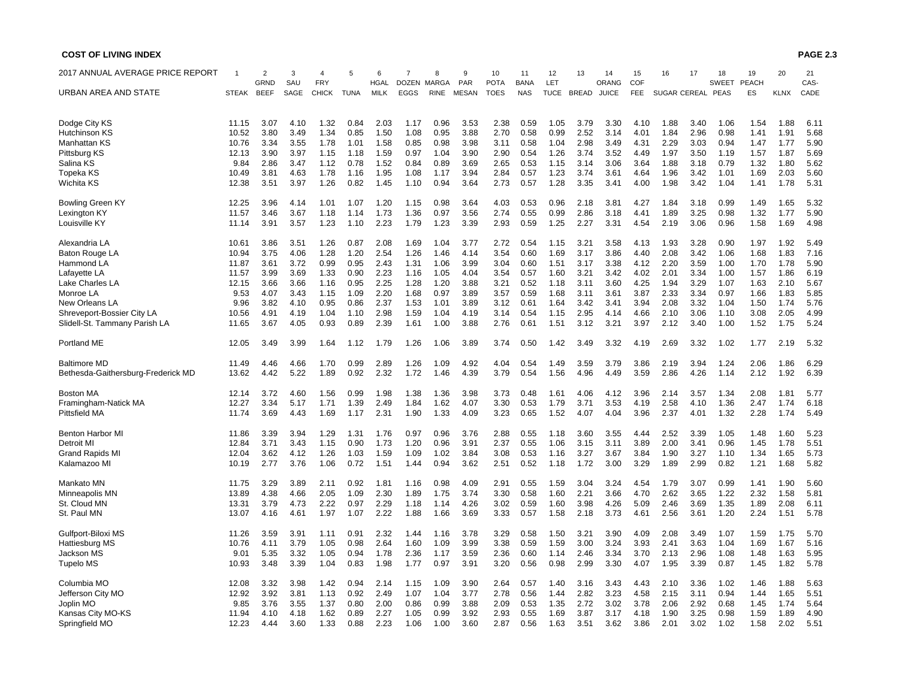| 2017 ANNUAL AVERAGE PRICE REPORT   |              |                            | 3           | 4                          | 5           | 6                          | 7                    |                      | 9                          | 10                         | 11                        | 12                 | 13           | 14                    | 15          | 16           | 17   | 18                          | 19                        | 20          | 21           |
|------------------------------------|--------------|----------------------------|-------------|----------------------------|-------------|----------------------------|----------------------|----------------------|----------------------------|----------------------------|---------------------------|--------------------|--------------|-----------------------|-------------|--------------|------|-----------------------------|---------------------------|-------------|--------------|
| URBAN AREA AND STATE               | <b>STEAK</b> | <b>GRND</b><br><b>BEEF</b> | SAU<br>SAGE | <b>FRY</b><br><b>CHICK</b> | <b>TUNA</b> | <b>HGAL</b><br><b>MILK</b> | <b>DOZEN</b><br>EGGS | MARGA<br><b>RINE</b> | <b>PAR</b><br><b>MESAN</b> | <b>POTA</b><br><b>TOES</b> | <b>BANA</b><br><b>NAS</b> | LET<br><b>TUCE</b> | <b>BREAD</b> | ORANG<br><b>JUICE</b> | COF<br>FEE. | SUGAR CEREAL |      | <b>SWEET</b><br><b>PEAS</b> | <b>PEACH</b><br><b>ES</b> | <b>KLNX</b> | CAS-<br>CADE |
|                                    |              |                            |             |                            |             |                            |                      |                      |                            |                            |                           |                    |              |                       |             |              |      |                             |                           |             |              |
| Dodge City KS                      | 11.15        | 3.07                       | 4.10        | 1.32                       | 0.84        | 2.03                       | 1.17                 | 0.96                 | 3.53                       | 2.38                       | 0.59                      | 1.05               | 3.79         | 3.30                  | 4.10        | 1.88         | 3.40 | 1.06                        | 1.54                      | 1.88        | 6.11         |
| Hutchinson KS                      | 10.52        | 3.80                       | 3.49        | 1.34                       | 0.85        | 1.50                       | 1.08                 | 0.95                 | 3.88                       | 2.70                       | 0.58                      | 0.99               | 2.52         | 3.14                  | 4.01        | 1.84         | 2.96 | 0.98                        | 1.41                      | 1.91        | 5.68         |
| Manhattan KS                       | 10.76        | 3.34                       | 3.55        | 1.78                       | 1.01        | 1.58                       | 0.85                 | 0.98                 | 3.98                       | 3.11                       | 0.58                      | 1.04               | 2.98         | 3.49                  | 4.31        | 2.29         | 3.03 | 0.94                        | 1.47                      | 1.77        | 5.90         |
|                                    | 12.13        |                            |             |                            |             |                            |                      |                      |                            | 2.90                       |                           |                    |              |                       | 4.49        |              |      | 1.19                        |                           |             | 5.69         |
| Pittsburg KS                       |              | 3.90                       | 3.97        | 1.15                       | 1.18        | 1.59                       | 0.97                 | 1.04                 | 3.90                       |                            | 0.54                      | 1.26               | 3.74         | 3.52                  |             | 1.97         | 3.50 |                             | 1.57                      | 1.87        |              |
| Salina KS                          | 9.84         | 2.86                       | 3.47        | 1.12                       | 0.78        | 1.52                       | 0.84                 | 0.89                 | 3.69                       | 2.65                       | 0.53                      | 1.15               | 3.14         | 3.06                  | 3.64        | 1.88         | 3.18 | 0.79                        | 1.32                      | 1.80        | 5.62         |
| Topeka KS                          | 10.49        | 3.81                       | 4.63        | 1.78                       | 1.16        | 1.95                       | 1.08                 | 1.17                 | 3.94                       | 2.84                       | 0.57                      | 1.23               | 3.74         | 3.61                  | 4.64        | 1.96         | 3.42 | 1.01                        | 1.69                      | 2.03        | 5.60         |
| Wichita KS                         | 12.38        | 3.51                       | 3.97        | 1.26                       | 0.82        | 1.45                       | 1.10                 | 0.94                 | 3.64                       | 2.73                       | 0.57                      | 1.28               | 3.35         | 3.41                  | 4.00        | 1.98         | 3.42 | 1.04                        | 1.41                      | 1.78        | 5.31         |
| <b>Bowling Green KY</b>            | 12.25        | 3.96                       | 4.14        | 1.01                       | 1.07        | 1.20                       | 1.15                 | 0.98                 | 3.64                       | 4.03                       | 0.53                      | 0.96               | 2.18         | 3.81                  | 4.27        | 1.84         | 3.18 | 0.99                        | 1.49                      | 1.65        | 5.32         |
| Lexington KY                       | 11.57        | 3.46                       | 3.67        | 1.18                       | 1.14        | 1.73                       | 1.36                 | 0.97                 | 3.56                       | 2.74                       | 0.55                      | 0.99               | 2.86         | 3.18                  | 4.41        | 1.89         | 3.25 | 0.98                        | 1.32                      | 1.77        | 5.90         |
| Louisville KY                      | 11.14        | 3.91                       | 3.57        | 1.23                       | 1.10        | 2.23                       | 1.79                 | 1.23                 | 3.39                       | 2.93                       | 0.59                      | 1.25               | 2.27         | 3.31                  | 4.54        | 2.19         | 3.06 | 0.96                        | 1.58                      | 1.69        | 4.98         |
|                                    |              |                            |             |                            |             |                            |                      |                      |                            |                            |                           |                    |              |                       |             |              |      |                             |                           |             |              |
| Alexandria LA                      | 10.61        | 3.86                       | 3.51        | 1.26                       | 0.87        | 2.08                       | 1.69                 | 1.04                 | 3.77                       | 2.72                       | 0.54                      | 1.15               | 3.21         | 3.58                  | 4.13        | 1.93         | 3.28 | 0.90                        | 1.97                      | 1.92        | 5.49         |
| <b>Baton Rouge LA</b>              | 10.94        | 3.75                       | 4.06        | 1.28                       | 1.20        | 2.54                       | 1.26                 | 1.46                 | 4.14                       | 3.54                       | 0.60                      | 1.69               | 3.17         | 3.86                  | 4.40        | 2.08         | 3.42 | 1.06                        | 1.68                      | 1.83        | 7.16         |
| Hammond LA                         | 11.87        | 3.61                       | 3.72        | 0.99                       | 0.95        | 2.43                       | 1.31                 | 1.06                 | 3.99                       | 3.04                       | 0.60                      | 1.51               | 3.17         | 3.38                  | 4.12        | 2.20         | 3.59 | 1.00                        | 1.70                      | 1.78        | 5.90         |
| Lafayette LA                       | 11.57        | 3.99                       | 3.69        | 1.33                       | 0.90        | 2.23                       | 1.16                 | 1.05                 | 4.04                       | 3.54                       | 0.57                      | 1.60               | 3.21         | 3.42                  | 4.02        | 2.01         | 3.34 | 1.00                        | 1.57                      | 1.86        | 6.19         |
| Lake Charles LA                    | 12.15        | 3.66                       | 3.66        | 1.16                       | 0.95        | 2.25                       | 1.28                 | 1.20                 | 3.88                       | 3.21                       | 0.52                      | 1.18               | 3.11         | 3.60                  | 4.25        | 1.94         | 3.29 | 1.07                        | 1.63                      | 2.10        | 5.67         |
| Monroe LA                          | 9.53         | 4.07                       | 3.43        | 1.15                       | 1.09        | 2.20                       | 1.68                 | 0.97                 | 3.89                       | 3.57                       | 0.59                      | 1.68               | 3.11         | 3.61                  | 3.87        | 2.33         | 3.34 | 0.97                        | 1.66                      | 1.83        | 5.85         |
| New Orleans LA                     | 9.96         | 3.82                       | 4.10        | 0.95                       | 0.86        | 2.37                       | 1.53                 | 1.01                 | 3.89                       | 3.12                       | 0.61                      | 1.64               | 3.42         | 3.41                  | 3.94        | 2.08         | 3.32 | 1.04                        | 1.50                      | 1.74        | 5.76         |
|                                    |              |                            |             |                            |             |                            |                      |                      |                            |                            |                           |                    |              |                       |             |              |      |                             |                           |             |              |
| Shreveport-Bossier City LA         | 10.56        | 4.91                       | 4.19        | 1.04                       | 1.10        | 2.98                       | 1.59                 | 1.04                 | 4.19                       | 3.14                       | 0.54                      | 1.15               | 2.95         | 4.14                  | 4.66        | 2.10         | 3.06 | 1.10                        | 3.08                      | 2.05        | 4.99         |
| Slidell-St. Tammany Parish LA      | 11.65        | 3.67                       | 4.05        | 0.93                       | 0.89        | 2.39                       | 1.61                 | 1.00                 | 3.88                       | 2.76                       | 0.61                      | 1.51               | 3.12         | 3.21                  | 3.97        | 2.12         | 3.40 | 1.00                        | 1.52                      | 1.75        | 5.24         |
| Portland ME                        | 12.05        | 3.49                       | 3.99        | 1.64                       | 1.12        | 1.79                       | 1.26                 | 1.06                 | 3.89                       | 3.74                       | 0.50                      | 1.42               | 3.49         | 3.32                  | 4.19        | 2.69         | 3.32 | 1.02                        | 1.77                      | 2.19        | 5.32         |
| <b>Baltimore MD</b>                | 11.49        | 4.46                       | 4.66        | 1.70                       | 0.99        | 2.89                       | 1.26                 | 1.09                 | 4.92                       | 4.04                       | 0.54                      | 1.49               | 3.59         | 3.79                  | 3.86        | 2.19         | 3.94 | 1.24                        | 2.06                      | 1.86        | 6.29         |
| Bethesda-Gaithersburg-Frederick MD | 13.62        | 4.42                       | 5.22        | 1.89                       | 0.92        | 2.32                       | 1.72                 | 1.46                 | 4.39                       | 3.79                       | 0.54                      | 1.56               | 4.96         | 4.49                  | 3.59        | 2.86         | 4.26 | 1.14                        | 2.12                      | 1.92        | 6.39         |
| <b>Boston MA</b>                   | 12.14        | 3.72                       | 4.60        | 1.56                       | 0.99        | 1.98                       | 1.38                 | 1.36                 | 3.98                       | 3.73                       | 0.48                      | 1.61               | 4.06         | 4.12                  | 3.96        | 2.14         | 3.57 | 1.34                        | 2.08                      | 1.81        | 5.77         |
| Framingham-Natick MA               | 12.27        | 3.34                       | 5.17        | 1.71                       | 1.39        | 2.49                       | 1.84                 | 1.62                 | 4.07                       | 3.30                       | 0.53                      | 1.79               | 3.71         | 3.53                  | 4.19        | 2.58         | 4.10 | 1.36                        | 2.47                      | 1.74        | 6.18         |
| <b>Pittsfield MA</b>               | 11.74        | 3.69                       | 4.43        | 1.69                       | 1.17        | 2.31                       | 1.90                 | 1.33                 | 4.09                       | 3.23                       | 0.65                      | 1.52               | 4.07         | 4.04                  | 3.96        | 2.37         | 4.01 | 1.32                        | 2.28                      | 1.74        | 5.49         |
|                                    |              |                            |             |                            |             |                            |                      |                      |                            |                            |                           |                    |              |                       |             |              |      |                             |                           |             |              |
| <b>Benton Harbor MI</b>            | 11.86        | 3.39                       | 3.94        | 1.29                       | 1.31        | 1.76                       | 0.97                 | 0.96                 | 3.76                       | 2.88                       | 0.55                      | 1.18               | 3.60         | 3.55                  | 4.44        | 2.52         | 3.39 | 1.05                        | 1.48                      | 1.60        | 5.23         |
| Detroit MI                         | 12.84        | 3.71                       | 3.43        | 1.15                       | 0.90        | 1.73                       | 1.20                 | 0.96                 | 3.91                       | 2.37                       | 0.55                      | 1.06               | 3.15         | 3.11                  | 3.89        | 2.00         | 3.41 | 0.96                        | 1.45                      | 1.78        | 5.51         |
| <b>Grand Rapids MI</b>             | 12.04        | 3.62                       | 4.12        | 1.26                       | 1.03        | 1.59                       | 1.09                 | 1.02                 | 3.84                       | 3.08                       | 0.53                      | 1.16               | 3.27         | 3.67                  | 3.84        | 1.90         | 3.27 | 1.10                        | 1.34                      | 1.65        | 5.73         |
| Kalamazoo MI                       | 10.19        | 2.77                       | 3.76        | 1.06                       | 0.72        | 1.51                       | 1.44                 | 0.94                 | 3.62                       | 2.51                       | 0.52                      | 1.18               | 1.72         | 3.00                  | 3.29        | 1.89         | 2.99 | 0.82                        | 1.21                      | 1.68        | 5.82         |
| Mankato MN                         | 11.75        | 3.29                       | 3.89        | 2.11                       | 0.92        | 1.81                       | 1.16                 | 0.98                 | 4.09                       | 2.91                       | 0.55                      | 1.59               | 3.04         | 3.24                  | 4.54        | 1.79         | 3.07 | 0.99                        | 1.41                      | 1.90        | 5.60         |
| Minneapolis MN                     | 13.89        | 4.38                       | 4.66        | 2.05                       | 1.09        | 2.30                       | 1.89                 | 1.75                 | 3.74                       | 3.30                       | 0.58                      | 1.60               | 2.21         | 3.66                  | 4.70        | 2.62         | 3.65 | 1.22                        | 2.32                      | 1.58        | 5.81         |
|                                    |              |                            |             |                            |             |                            |                      |                      |                            |                            |                           |                    |              |                       |             |              |      |                             |                           |             |              |
| St. Cloud MN                       | 13.31        | 3.79                       | 4.73        | 2.22                       | 0.97        | 2.29                       | 1.18                 | 1.14                 | 4.26                       | 3.02                       | 0.59                      | 1.60               | 3.98         | 4.26                  | 5.09        | 2.46         | 3.69 | 1.35                        | 1.89                      | 2.08        | 6.11         |
| St. Paul MN                        | 13.07        | 4.16                       | 4.61        | 1.97                       | 1.07        | 2.22                       | 1.88                 | 1.66                 | 3.69                       | 3.33                       | 0.57                      | 1.58               | 2.18         | 3.73                  | 4.61        | 2.56         | 3.61 | 1.20                        | 2.24                      | 1.51        | 5.78         |
| Gulfport-Biloxi MS                 | 11.26        | 3.59                       | 3.91        | 1.11                       | 0.91        | 2.32                       | 1.44                 | 1.16                 | 3.78                       | 3.29                       | 0.58                      | 1.50               | 3.21         | 3.90                  | 4.09        | 2.08         | 3.49 | 1.07                        | 1.59                      | 1.75        | 5.70         |
| Hattiesburg MS                     | 10.76        | 4.11                       | 3.79        | 1.05                       | 0.98        | 2.64                       | 1.60                 | 1.09                 | 3.99                       | 3.38                       | 0.59                      | 1.59               | 3.00         | 3.24                  | 3.93        | 2.41         | 3.63 | 1.04                        | 1.69                      | 1.67        | 5.16         |
| Jackson MS                         | 9.01         | 5.35                       | 3.32        | 1.05                       | 0.94        | 1.78                       | 2.36                 | 1.17                 | 3.59                       | 2.36                       | 0.60                      | 1.14               | 2.46         | 3.34                  | 3.70        | 2.13         | 2.96 | 1.08                        | 1.48                      | 1.63        | 5.95         |
| <b>Tupelo MS</b>                   | 10.93        | 3.48                       | 3.39        | 1.04                       | 0.83        | 1.98                       | 1.77                 | 0.97                 | 3.91                       | 3.20                       | 0.56                      | 0.98               | 2.99         | 3.30                  | 4.07        | 1.95         | 3.39 | 0.87                        | 1.45                      | 1.82        | 5.78         |
|                                    |              |                            |             |                            |             |                            |                      |                      |                            |                            |                           |                    |              |                       |             |              |      |                             |                           |             |              |
| Columbia MO                        | 12.08        | 3.32                       | 3.98        | 1.42                       | 0.94        | 2.14                       | 1.15                 | 1.09                 | 3.90                       | 2.64                       | 0.57                      | 1.40               | 3.16         | 3.43                  | 4.43        | 2.10         | 3.36 | 1.02                        | 1.46                      | 1.88        | 5.63         |
| Jefferson City MO                  | 12.92        | 3.92                       | 3.81        | 1.13                       | 0.92        | 2.49                       | 1.07                 | 1.04                 | 3.77                       | 2.78                       | 0.56                      | 1.44               | 2.82         | 3.23                  | 4.58        | 2.15         | 3.11 | 0.94                        | 1.44                      | 1.65        | 5.51         |
| Joplin MO                          | 9.85         | 3.76                       | 3.55        | 1.37                       | 0.80        | 2.00                       | 0.86                 | 0.99                 | 3.88                       | 2.09                       | 0.53                      | 1.35               | 2.72         | 3.02                  | 3.78        | 2.06         | 2.92 | 0.68                        | 1.45                      | 1.74        | 5.64         |
| Kansas City MO-KS                  | 11.94        | 4.10                       | 4.18        | 1.62                       | 0.89        | 2.27                       | 1.05                 | 0.99                 | 3.92                       | 2.93                       | 0.55                      | 1.69               | 3.87         | 3.17                  | 4.18        | 1.90         | 3.25 | 0.98                        | 1.59                      | 1.89        | 4.90         |
| Springfield MO                     | 12.23        | 4.44                       | 3.60        | 1.33                       | 0.88        | 2.23                       | 1.06                 | 1.00                 | 3.60                       | 2.87                       | 0.56                      | 1.63               | 3.51         | 3.62                  | 3.86        | 2.01         | 3.02 | 1.02                        | 1.58                      | 2.02        | 5.51         |

**PAGE 2.3**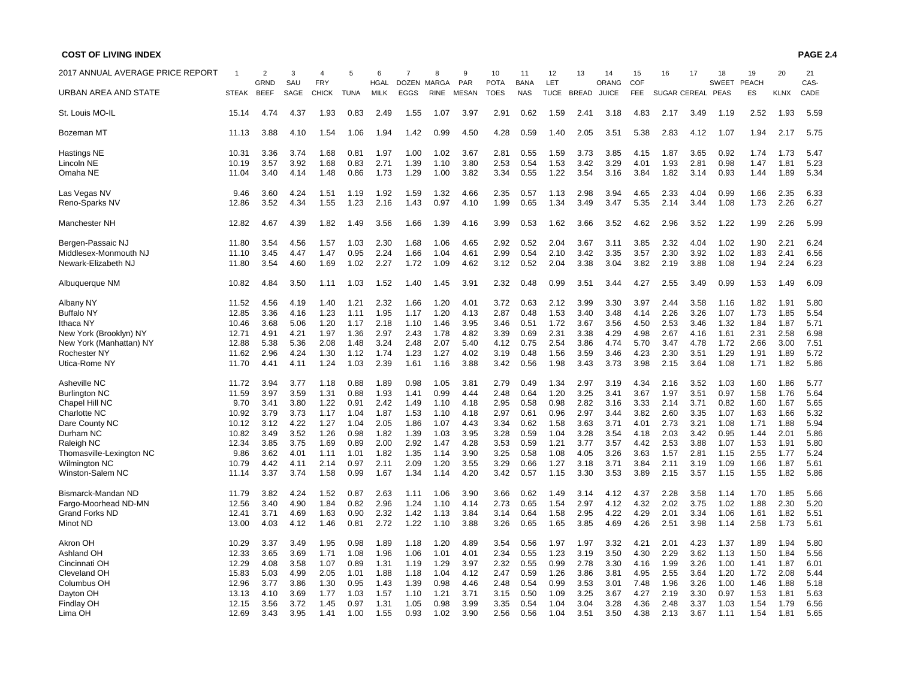#### **PAGE 2.4**

| 2017 ANNUAL AVERAGE PRICE REPORT |                | $\overline{2}$<br>GRND | 3<br>SAU     | <b>FRY</b>   | 5            | 6<br><b>HGAL</b> | 7<br>DOZEN MARGA | 8            | 9<br>PAR     | 10<br><b>POTA</b> | 11<br><b>BANA</b> | 12<br>LET    | 13           | 14<br>ORANG  | 15<br>COF    | 16                  | 17           | 18<br><b>SWEET</b> | 19<br><b>PEACH</b> | 20           | 21<br>CAS-   |
|----------------------------------|----------------|------------------------|--------------|--------------|--------------|------------------|------------------|--------------|--------------|-------------------|-------------------|--------------|--------------|--------------|--------------|---------------------|--------------|--------------------|--------------------|--------------|--------------|
| URBAN AREA AND STATE             | <b>STEAK</b>   | <b>BEEF</b>            | SAGE         | <b>CHICK</b> | <b>TUNA</b>  | <b>MILK</b>      | <b>EGGS</b>      | <b>RINE</b>  | <b>MESAN</b> | <b>TOES</b>       | <b>NAS</b>        | <b>TUCE</b>  | <b>BREAD</b> | <b>JUICE</b> | <b>FEE</b>   | <b>SUGAR CEREAL</b> |              | <b>PEAS</b>        | ES                 | <b>KLNX</b>  | CADE         |
| St. Louis MO-IL                  | 15.14          | 4.74                   | 4.37         | 1.93         | 0.83         | 2.49             | 1.55             | 1.07         | 3.97         | 2.91              | 0.62              | 1.59         | 2.41         | 3.18         | 4.83         | 2.17                | 3.49         | 1.19               | 2.52               | 1.93         | 5.59         |
| Bozeman MT                       | 11.13          | 3.88                   | 4.10         | 1.54         | 1.06         | 1.94             | 1.42             | 0.99         | 4.50         | 4.28              | 0.59              | 1.40         | 2.05         | 3.51         | 5.38         | 2.83                | 4.12         | 1.07               | 1.94               | 2.17         | 5.75         |
| Hastings NE                      | 10.31          | 3.36                   | 3.74         | 1.68         | 0.81         | 1.97             | 1.00             | 1.02         | 3.67         | 2.81              | 0.55              | 1.59         | 3.73         | 3.85         | 4.15         | 1.87                | 3.65         | 0.92               | 1.74               | 1.73         | 5.47         |
| Lincoln NE<br>Omaha NE           | 10.19<br>11.04 | 3.57<br>3.40           | 3.92<br>4.14 | 1.68<br>1.48 | 0.83<br>0.86 | 2.71<br>1.73     | 1.39<br>1.29     | 1.10<br>1.00 | 3.80<br>3.82 | 2.53<br>3.34      | 0.54<br>0.55      | 1.53<br>1.22 | 3.42<br>3.54 | 3.29<br>3.16 | 4.01<br>3.84 | 1.93<br>1.82        | 2.81<br>3.14 | 0.98<br>0.93       | 1.47<br>1.44       | 1.81<br>1.89 | 5.23<br>5.34 |
|                                  |                |                        |              |              |              |                  |                  |              |              |                   |                   |              |              |              |              |                     |              |                    |                    |              |              |
| Las Vegas NV                     | 9.46           | 3.60                   | 4.24         | 1.51         | 1.19         | 1.92             | 1.59             | 1.32         | 4.66         | 2.35              | 0.57              | 1.13         | 2.98         | 3.94         | 4.65         | 2.33                | 4.04         | 0.99               | 1.66               | 2.35         | 6.33         |
| Reno-Sparks NV                   | 12.86          | 3.52                   | 4.34         | 1.55         | 1.23         | 2.16             | 1.43             | 0.97         | 4.10         | 1.99              | 0.65              | 1.34         | 3.49         | 3.47         | 5.35         | 2.14                | 3.44         | 1.08               | 1.73               | 2.26         | 6.27         |
| Manchester NH                    | 12.82          | 4.67                   | 4.39         | 1.82         | 1.49         | 3.56             | 1.66             | 1.39         | 4.16         | 3.99              | 0.53              | 1.62         | 3.66         | 3.52         | 4.62         | 2.96                | 3.52         | 1.22               | 1.99               | 2.26         | 5.99         |
| Bergen-Passaic NJ                | 11.80          | 3.54                   | 4.56         | 1.57         | 1.03         | 2.30             | 1.68             | 1.06         | 4.65         | 2.92              | 0.52              | 2.04         | 3.67         | 3.11         | 3.85         | 2.32                | 4.04         | 1.02               | 1.90               | 2.21         | 6.24         |
| Middlesex-Monmouth NJ            | 11.10          | 3.45                   | 4.47         | 1.47         | 0.95         | 2.24             | 1.66             | 1.04         | 4.61         | 2.99              | 0.54              | 2.10         | 3.42         | 3.35         | 3.57         | 2.30                | 3.92         | 1.02               | 1.83               | 2.41         | 6.56         |
| Newark-Elizabeth NJ              | 11.80          | 3.54                   | 4.60         | 1.69         | 1.02         | 2.27             | 1.72             | 1.09         | 4.62         | 3.12              | 0.52              | 2.04         | 3.38         | 3.04         | 3.82         | 2.19                | 3.88         | 1.08               | 1.94               | 2.24         | 6.23         |
| Albuquerque NM                   | 10.82          | 4.84                   | 3.50         | 1.11         | 1.03         | 1.52             | 1.40             | 1.45         | 3.91         | 2.32              | 0.48              | 0.99         | 3.51         | 3.44         | 4.27         | 2.55                | 3.49         | 0.99               | 1.53               | 1.49         | 6.09         |
| Albany NY                        | 11.52          | 4.56                   | 4.19         | 1.40         | 1.21         | 2.32             | 1.66             | 1.20         | 4.01         | 3.72              | 0.63              | 2.12         | 3.99         | 3.30         | 3.97         | 2.44                | 3.58         | 1.16               | 1.82               | 1.91         | 5.80         |
| <b>Buffalo NY</b>                | 12.85          | 3.36                   | 4.16         | 1.23         | 1.11         | 1.95             | 1.17             | 1.20         | 4.13         | 2.87              | 0.48              | 1.53         | 3.40         | 3.48         | 4.14         | 2.26                | 3.26         | 1.07               | 1.73               | 1.85         | 5.54         |
| Ithaca NY                        | 10.46          | 3.68                   | 5.06         | 1.20         | 1.17         | 2.18             | 1.10             | 1.46         | 3.95         | 3.46              | 0.51              | 1.72         | 3.67         | 3.56         | 4.50         | 2.53                | 3.46         | 1.32               | 1.84               | 1.87         | 5.71         |
| New York (Brooklyn) NY           | 12.71          | 4.91                   | 4.21         | 1.97         | 1.36         | 2.97             | 2.43             | 1.78         | 4.82         | 3.39              | 0.69              | 2.31         | 3.38         | 4.29         | 4.98         | 2.67                | 4.16         | 1.61               | 2.31               | 2.58         | 6.98         |
| New York (Manhattan) NY          | 12.88          | 5.38                   | 5.36         | 2.08         | 1.48         | 3.24             | 2.48             | 2.07         | 5.40         | 4.12              | 0.75              | 2.54         | 3.86         | 4.74         | 5.70         | 3.47                | 4.78         | 1.72               | 2.66               | 3.00         | 7.51         |
| Rochester NY                     | 11.62          | 2.96                   | 4.24         | 1.30         | 1.12         | 1.74             | 1.23             | 1.27         | 4.02         | 3.19              | 0.48              | 1.56         | 3.59         | 3.46         | 4.23         | 2.30                | 3.51         | 1.29               | 1.91               | 1.89         | 5.72         |
| Utica-Rome NY                    | 11.70          | 4.41                   | 4.11         | 1.24         | 1.03         | 2.39             | 1.61             | 1.16         | 3.88         | 3.42              | 0.56              | 1.98         | 3.43         | 3.73         | 3.98         | 2.15                | 3.64         | 1.08               | 1.71               | 1.82         | 5.86         |
| Asheville NC                     | 11.72          | 3.94                   | 3.77         | 1.18         | 0.88         | 1.89             | 0.98             | 1.05         | 3.81         | 2.79              | 0.49              | 1.34         | 2.97         | 3.19         | 4.34         | 2.16                | 3.52         | 1.03               | 1.60               | 1.86         | 5.77         |
| <b>Burlington NC</b>             | 11.59          | 3.97                   | 3.59         | 1.31         | 0.88         | 1.93             | 1.41             | 0.99         | 4.44         | 2.48              | 0.64              | 1.20         | 3.25         | 3.41         | 3.67         | 1.97                | 3.51         | 0.97               | 1.58               | 1.76         | 5.64         |
| Chapel Hill NC                   | 9.70           | 3.41                   | 3.80         | 1.22         | 0.91         | 2.42             | 1.49             | 1.10         | 4.18         | 2.95              | 0.58              | 0.98         | 2.82         | 3.16         | 3.33         | 2.14                | 3.71         | 0.82               | 1.60               | 1.67         | 5.65         |
| Charlotte NC                     | 10.92          | 3.79                   | 3.73         | 1.17         | 1.04         | 1.87             | 1.53             | 1.10         | 4.18         | 2.97              | 0.61              | 0.96         | 2.97         | 3.44         | 3.82         | 2.60                | 3.35         | 1.07               | 1.63               | 1.66         | 5.32         |
| Dare County NC                   | 10.12          | 3.12                   | 4.22         | 1.27         | 1.04         | 2.05             | 1.86             | 1.07         | 4.43         | 3.34              | 0.62              | 1.58         | 3.63         | 3.71         | 4.01         | 2.73                | 3.21         | 1.08               | 1.71               | 1.88         | 5.94         |
| Durham NC                        | 10.82          | 3.49                   | 3.52         | 1.26         | 0.98         | 1.82             | 1.39             | 1.03         | 3.95         | 3.28              | 0.59              | 1.04         | 3.28         | 3.54         | 4.18         | 2.03                | 3.42         | 0.95               | 1.44               | 2.01         | 5.86         |
| Raleigh NC                       | 12.34          | 3.85                   | 3.75         | 1.69         | 0.89         | 2.00             | 2.92             | 1.47         | 4.28         | 3.53              | 0.59              | 1.21         | 3.77         | 3.57         | 4.42         | 2.53                | 3.88         | 1.07               | 1.53               | 1.91         | 5.80         |
| Thomasville-Lexington NC         | 9.86           | 3.62                   | 4.01         | 1.11         | 1.01         | 1.82             | 1.35             | 1.14         | 3.90         | 3.25              | 0.58              | 1.08         | 4.05         | 3.26         | 3.63         | 1.57                | 2.81         | 1.15               | 2.55               | 1.77         | 5.24         |
| <b>Wilmington NC</b>             | 10.79          | 4.42                   | 4.11         | 2.14         | 0.97         | 2.11             | 2.09             | 1.20         | 3.55         | 3.29              | 0.66              | 1.27         | 3.18         | 3.71         | 3.84         | 2.11                | 3.19         | 1.09               | 1.66               | 1.87         | 5.61         |
| Winston-Salem NC                 | 11.14          | 3.37                   | 3.74         | 1.58         | 0.99         | 1.67             | 1.34             | 1.14         | 4.20         | 3.42              | 0.57              | 1.15         | 3.30         | 3.53         | 3.89         | 2.15                | 3.57         | 1.15               | 1.55               | 1.82         | 5.86         |
| Bismarck-Mandan ND               | 11.79          | 3.82                   | 4.24         | 1.52         | 0.87         | 2.63             | 1.11             | 1.06         | 3.90         | 3.66              | 0.62              | 1.49         | 3.14         | 4.12         | 4.37         | 2.28                | 3.58         | 1.14               | 1.70               | 1.85         | 5.66         |
| Fargo-Moorhead ND-MN             | 12.56          | 3.40                   | 4.90         | 1.84         | 0.82         | 2.96             | 1.24             | 1.10         | 4.14         | 2.73              | 0.65              | 1.54         | 2.97         | 4.12         | 4.32         | 2.02                | 3.75         | 1.02               | 1.88               | 2.30         | 5.20         |
| <b>Grand Forks ND</b>            | 12.41          | 3.71                   | 4.69         | 1.63         | 0.90         | 2.32             | 1.42             | 1.13         | 3.84         | 3.14              | 0.64              | 1.58         | 2.95         | 4.22         | 4.29         | 2.01                | 3.34         | 1.06               | 1.61               | 1.82         | 5.51         |
| Minot ND                         | 13.00          | 4.03                   | 4.12         | 1.46         | 0.81         | 2.72             | 1.22             | 1.10         | 3.88         | 3.26              | 0.65              | 1.65         | 3.85         | 4.69         | 4.26         | 2.51                | 3.98         | 1.14               | 2.58               | 1.73         | 5.61         |
|                                  |                |                        |              |              |              |                  |                  |              |              |                   |                   |              |              |              |              |                     |              |                    |                    |              |              |
| Akron OH                         | 10.29          | 3.37                   | 3.49         | 1.95         | 0.98         | 1.89             | 1.18             | 1.20         | 4.89         | 3.54              | 0.56              | 1.97         | 1.97         | 3.32         | 4.21         | 2.01                | 4.23         | 1.37               | 1.89               | 1.94         | 5.80         |
| <b>Ashland OH</b>                | 12.33          | 3.65                   | 3.69         | 1.71         | 1.08         | 1.96             | 1.06             | 1.01         | 4.01         | 2.34              | 0.55              | 1.23         | 3.19         | 3.50         | 4.30         | 2.29                | 3.62         | 1.13               | 1.50               | 1.84         | 5.56         |
| Cincinnati OH                    | 12.29          | 4.08                   | 3.58         | 1.07         | 0.89         | 1.31             | 1.19             | 1.29         | 3.97         | 2.32              | 0.55              | 0.99         | 2.78         | 3.30         | 4.16         | 1.99                | 3.26         | 1.00               | 1.41               | 1.87         | 6.01         |
| <b>Cleveland OH</b>              | 15.83          | 5.03                   | 4.99         | 2.05         | 1.01         | 1.88             | 1.18             | 1.04         | 4.12         | 2.47              | 0.59              | 1.26         | 3.86         | 3.81         | 4.95         | 2.55                | 3.64         | 1.20               | 1.72               | 2.08         | 5.44         |
| Columbus OH                      | 12.96          | 3.77                   | 3.86         | 1.30         | 0.95         | 1.43             | 1.39             | 0.98         | 4.46         | 2.48              | 0.54              | 0.99         | 3.53         | 3.01         | 7.48         | 1.96                | 3.26         | 1.00               | 1.46               | 1.88         | 5.18         |
| Dayton OH                        | 13.13          | 4.10                   | 3.69         | 1.77         | 1.03         | 1.57             | 1.10             | 1.21         | 3.71         | 3.15              | 0.50              | 1.09         | 3.25         | 3.67         | 4.27         | 2.19                | 3.30         | 0.97               | 1.53               | 1.81         | 5.63         |
| Findlay OH<br>Lima OH            | 12.15<br>12.69 | 3.56<br>3.43           | 3.72<br>3.95 | 1.45<br>1.41 | 0.97<br>1.00 | 1.31<br>1.55     | 1.05<br>0.93     | 0.98<br>1.02 | 3.99<br>3.90 | 3.35<br>2.56      | 0.54<br>0.56      | 1.04<br>1.04 | 3.04<br>3.51 | 3.28<br>3.50 | 4.36<br>4.38 | 2.48<br>2.13        | 3.37<br>3.67 | 1.03<br>1.11       | 1.54<br>1.54       | 1.79<br>1.81 | 6.56<br>5.65 |
|                                  |                |                        |              |              |              |                  |                  |              |              |                   |                   |              |              |              |              |                     |              |                    |                    |              |              |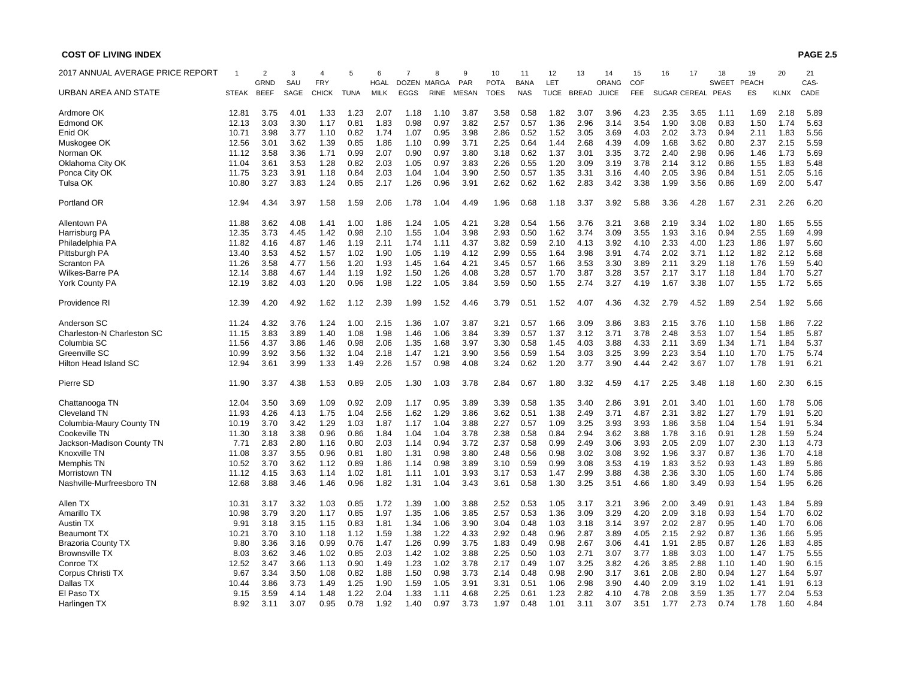| 2017 ANNUAL AVERAGE PRICE REPORT |              | 2<br>GRND   | 3<br>SAU | 4<br><b>FRY</b> | 5           | 6<br><b>HGAL</b> | DOZEN MARGA | 8           | 9<br>PAR     | 10<br><b>POTA</b> | 11<br><b>BANA</b> | 12<br>LET   | 13           | 14<br>ORANG  | 15<br>COF  | 16   | 17                  | 18<br><b>SWEET</b> | 19<br><b>PEACH</b> | 20          | 21<br>CAS- |
|----------------------------------|--------------|-------------|----------|-----------------|-------------|------------------|-------------|-------------|--------------|-------------------|-------------------|-------------|--------------|--------------|------------|------|---------------------|--------------------|--------------------|-------------|------------|
| URBAN AREA AND STATE             | <b>STEAK</b> | <b>BEEF</b> | SAGE     | <b>CHICK</b>    | <b>TUNA</b> | <b>MILK</b>      | <b>EGGS</b> | <b>RINE</b> | <b>MESAN</b> | <b>TOES</b>       | <b>NAS</b>        | <b>TUCE</b> | <b>BREAD</b> | <b>JUICE</b> | <b>FEE</b> |      | <b>SUGAR CEREAL</b> | PEAS               | ES                 | <b>KLNX</b> | CADE       |
| Ardmore OK                       | 12.81        | 3.75        | 4.01     | 1.33            | 1.23        | 2.07             | 1.18        | 1.10        | 3.87         | 3.58              | 0.58              | 1.82        | 3.07         | 3.96         | 4.23       | 2.35 | 3.65                | 1.11               | 1.69               | 2.18        | 5.89       |
| Edmond OK                        | 12.13        | 3.03        | 3.30     | 1.17            | 0.81        | 1.83             | 0.98        | 0.97        | 3.82         | 2.57              | 0.57              | 1.36        | 2.96         | 3.14         | 3.54       | 1.90 | 3.08                | 0.83               | 1.50               | 1.74        | 5.63       |
| Enid OK                          | 10.71        | 3.98        | 3.77     | 1.10            | 0.82        | 1.74             | 1.07        | 0.95        | 3.98         | 2.86              | 0.52              | 1.52        | 3.05         | 3.69         | 4.03       | 2.02 | 3.73                | 0.94               | 2.11               | 1.83        | 5.56       |
| Muskogee OK                      | 12.56        | 3.01        | 3.62     | 1.39            | 0.85        | 1.86             | 1.10        | 0.99        | 3.71         | 2.25              | 0.64              | 1.44        | 2.68         | 4.39         | 4.09       | 1.68 | 3.62                | 0.80               | 2.37               | 2.15        | 5.59       |
| Norman OK                        | 11.12        | 3.58        | 3.36     | 1.71            | 0.99        | 2.07             | 0.90        | 0.97        | 3.80         | 3.18              | 0.62              | 1.37        | 3.01         | 3.35         | 3.72       | 2.40 | 2.98                | 0.96               | 1.46               | 1.73        | 5.69       |
| Oklahoma City OK                 | 11.04        | 3.61        | 3.53     | 1.28            | 0.82        | 2.03             | 1.05        | 0.97        | 3.83         | 2.26              | 0.55              | 1.20        | 3.09         | 3.19         | 3.78       | 2.14 | 3.12                | 0.86               | 1.55               | 1.83        | 5.48       |
| Ponca City OK                    | 11.75        | 3.23        | 3.91     | 1.18            | 0.84        | 2.03             | 1.04        | 1.04        | 3.90         | 2.50              | 0.57              | 1.35        | 3.31         | 3.16         | 4.40       | 2.05 | 3.96                | 0.84               | 1.51               | 2.05        | 5.16       |
| Tulsa OK                         | 10.80        | 3.27        | 3.83     | 1.24            | 0.85        | 2.17             | 1.26        | 0.96        | 3.91         | 2.62              | 0.62              | 1.62        | 2.83         | 3.42         | 3.38       | 1.99 | 3.56                | 0.86               | 1.69               | 2.00        | 5.47       |
|                                  |              | 4.34        |          |                 |             |                  |             |             | 4.49         | 1.96              |                   |             |              |              |            |      |                     |                    |                    |             |            |
| Portland OR                      | 12.94        |             | 3.97     | 1.58            | 1.59        | 2.06             | 1.78        | 1.04        |              |                   | 0.68              | 1.18        | 3.37         | 3.92         | 5.88       | 3.36 | 4.28                | 1.67               | 2.31               | 2.26        | 6.20       |
| Allentown PA                     | 11.88        | 3.62        | 4.08     | 1.41            | 1.00        | 1.86             | 1.24        | 1.05        | 4.21         | 3.28              | 0.54              | 1.56        | 3.76         | 3.21         | 3.68       | 2.19 | 3.34                | 1.02               | 1.80               | 1.65        | 5.55       |
| Harrisburg PA                    | 12.35        | 3.73        | 4.45     | 1.42            | 0.98        | 2.10             | 1.55        | 1.04        | 3.98         | 2.93              | 0.50              | 1.62        | 3.74         | 3.09         | 3.55       | 1.93 | 3.16                | 0.94               | 2.55               | 1.69        | 4.99       |
| Philadelphia PA                  | 11.82        | 4.16        | 4.87     | 1.46            | 1.19        | 2.11             | 1.74        | 1.11        | 4.37         | 3.82              | 0.59              | 2.10        | 4.13         | 3.92         | 4.10       | 2.33 | 4.00                | 1.23               | 1.86               | 1.97        | 5.60       |
| Pittsburgh PA                    | 13.40        | 3.53        | 4.52     | 1.57            | 1.02        | 1.90             | 1.05        | 1.19        | 4.12         | 2.99              | 0.55              | 1.64        | 3.98         | 3.91         | 4.74       | 2.02 | 3.71                | 1.12               | 1.82               | 2.12        | 5.68       |
| <b>Scranton PA</b>               | 11.26        | 3.58        | 4.77     | 1.56            | 1.20        | 1.93             | 1.45        | 1.64        | 4.21         | 3.45              | 0.57              | 1.66        | 3.53         | 3.30         | 3.89       | 2.11 | 3.29                | 1.18               | 1.76               | 1.59        | 5.40       |
| <b>Wilkes-Barre PA</b>           | 12.14        | 3.88        | 4.67     | 1.44            | 1.19        | 1.92             | 1.50        | 1.26        | 4.08         | 3.28              | 0.57              | 1.70        | 3.87         | 3.28         | 3.57       | 2.17 | 3.17                | 1.18               | 1.84               | 1.70        | 5.27       |
| York County PA                   | 12.19        | 3.82        | 4.03     | 1.20            | 0.96        | 1.98             | 1.22        | 1.05        | 3.84         | 3.59              | 0.50              | 1.55        | 2.74         | 3.27         | 4.19       | 1.67 | 3.38                | 1.07               | 1.55               | 1.72        | 5.65       |
|                                  |              |             |          |                 |             |                  |             |             |              |                   |                   |             |              |              |            |      |                     |                    |                    |             |            |
| Providence RI                    | 12.39        | 4.20        | 4.92     | 1.62            | 1.12        | 2.39             | 1.99        | 1.52        | 4.46         | 3.79              | 0.51              | 1.52        | 4.07         | 4.36         | 4.32       | 2.79 | 4.52                | 1.89               | 2.54               | 1.92        | 5.66       |
| Anderson SC                      | 11.24        | 4.32        | 3.76     | 1.24            | 1.00        | 2.15             | 1.36        | 1.07        | 3.87         | 3.21              | 0.57              | 1.66        | 3.09         | 3.86         | 3.83       | 2.15 | 3.76                | 1.10               | 1.58               | 1.86        | 7.22       |
| Charleston-N Charleston SC       | 11.15        | 3.83        | 3.89     | 1.40            | 1.08        | 1.98             | 1.46        | 1.06        | 3.84         | 3.39              | 0.57              | 1.37        | 3.12         | 3.71         | 3.78       | 2.48 | 3.53                | 1.07               | 1.54               | 1.85        | 5.87       |
| Columbia SC                      | 11.56        | 4.37        | 3.86     | 1.46            | 0.98        | 2.06             | 1.35        | 1.68        | 3.97         | 3.30              | 0.58              | 1.45        | 4.03         | 3.88         | 4.33       | 2.11 | 3.69                | 1.34               | 1.71               | 1.84        | 5.37       |
| Greenville SC                    | 10.99        | 3.92        | 3.56     | 1.32            | 1.04        | 2.18             | 1.47        | 1.21        | 3.90         | 3.56              | 0.59              | 1.54        | 3.03         | 3.25         | 3.99       | 2.23 | 3.54                | 1.10               | 1.70               | 1.75        | 5.74       |
| Hilton Head Island SC            | 12.94        | 3.61        | 3.99     | 1.33            | 1.49        | 2.26             | 1.57        | 0.98        | 4.08         | 3.24              | 0.62              | 1.20        | 3.77         | 3.90         | 4.44       | 2.42 | 3.67                | 1.07               | 1.78               | 1.91        | 6.21       |
| Pierre SD                        | 11.90        | 3.37        | 4.38     | 1.53            | 0.89        | 2.05             | 1.30        | 1.03        | 3.78         | 2.84              | 0.67              | 1.80        | 3.32         | 4.59         | 4.17       | 2.25 | 3.48                | 1.18               | 1.60               | 2.30        | 6.15       |
| Chattanooga TN                   | 12.04        | 3.50        | 3.69     | 1.09            | 0.92        | 2.09             | 1.17        | 0.95        | 3.89         | 3.39              | 0.58              | 1.35        | 3.40         | 2.86         | 3.91       | 2.01 | 3.40                | 1.01               | 1.60               | 1.78        | 5.06       |
| Cleveland TN                     | 11.93        | 4.26        | 4.13     | 1.75            | 1.04        | 2.56             | 1.62        | 1.29        | 3.86         | 3.62              | 0.51              | 1.38        | 2.49         | 3.71         | 4.87       | 2.31 | 3.82                | 1.27               | 1.79               | 1.91        | 5.20       |
| Columbia-Maury County TN         | 10.19        | 3.70        | 3.42     | 1.29            | 1.03        | 1.87             | 1.17        | 1.04        | 3.88         | 2.27              | 0.57              | 1.09        | 3.25         | 3.93         | 3.93       | 1.86 | 3.58                | 1.04               | 1.54               | 1.91        | 5.34       |
| Cookeville TN                    | 11.30        | 3.18        | 3.38     | 0.96            | 0.86        | 1.84             | 1.04        | 1.04        | 3.78         | 2.38              | 0.58              | 0.84        | 2.94         | 3.62         | 3.88       | 1.78 | 3.16                | 0.91               | 1.28               | 1.59        | 5.24       |
| Jackson-Madison County TN        | 7.71         | 2.83        | 2.80     | 1.16            | 0.80        | 2.03             | 1.14        | 0.94        | 3.72         | 2.37              | 0.58              | 0.99        | 2.49         | 3.06         | 3.93       | 2.05 | 2.09                | 1.07               | 2.30               | 1.13        | 4.73       |
| Knoxville TN                     | 11.08        | 3.37        | 3.55     | 0.96            | 0.81        | 1.80             | 1.31        | 0.98        | 3.80         | 2.48              | 0.56              | 0.98        | 3.02         | 3.08         | 3.92       | 1.96 | 3.37                | 0.87               | 1.36               | 1.70        | 4.18       |
|                                  | 10.52        | 3.70        | 3.62     | 1.12            | 0.89        | 1.86             |             | 0.98        | 3.89         |                   | 0.59              | 0.99        | 3.08         | 3.53         | 4.19       | 1.83 | 3.52                | 0.93               | 1.43               | 1.89        | 5.86       |
| Memphis TN                       |              |             |          |                 |             |                  | 1.14        |             |              | 3.10              |                   |             |              |              |            |      |                     |                    |                    |             |            |
| Morristown TN                    | 11.12        | 4.15        | 3.63     | 1.14            | 1.02        | 1.81             | 1.11        | 1.01        | 3.93         | 3.17              | 0.53              | 1.47        | 2.99         | 3.88         | 4.38       | 2.36 | 3.30                | 1.05               | 1.60               | 1.74        | 5.86       |
| Nashville-Murfreesboro TN        | 12.68        | 3.88        | 3.46     | 1.46            | 0.96        | 1.82             | 1.31        | 1.04        | 3.43         | 3.61              | 0.58              | 1.30        | 3.25         | 3.51         | 4.66       | 1.80 | 3.49                | 0.93               | 1.54               | 1.95        | 6.26       |
| Allen TX                         | 10.31        | 3.17        | 3.32     | 1.03            | 0.85        | 1.72             | 1.39        | 1.00        | 3.88         | 2.52              | 0.53              | 1.05        | 3.17         | 3.21         | 3.96       | 2.00 | 3.49                | 0.91               | 1.43               | 1.84        | 5.89       |
| Amarillo TX                      | 10.98        | 3.79        | 3.20     | 1.17            | 0.85        | 1.97             | 1.35        | 1.06        | 3.85         | 2.57              | 0.53              | 1.36        | 3.09         | 3.29         | 4.20       | 2.09 | 3.18                | 0.93               | 1.54               | 1.70        | 6.02       |
| <b>Austin TX</b>                 | 9.91         | 3.18        | 3.15     | 1.15            | 0.83        | 1.81             | 1.34        | 1.06        | 3.90         | 3.04              | 0.48              | 1.03        | 3.18         | 3.14         | 3.97       | 2.02 | 2.87                | 0.95               | 1.40               | 1.70        | 6.06       |
| <b>Beaumont TX</b>               | 10.21        | 3.70        | 3.10     | 1.18            | 1.12        | 1.59             | 1.38        | 1.22        | 4.33         | 2.92              | 0.48              | 0.96        | 2.87         | 3.89         | 4.05       | 2.15 | 2.92                | 0.87               | 1.36               | 1.66        | 5.95       |
| <b>Brazoria County TX</b>        | 9.80         | 3.36        | 3.16     | 0.99            | 0.76        | 1.47             | 1.26        | 0.99        | 3.75         | 1.83              | 0.49              | 0.98        | 2.67         | 3.06         | 4.41       | 1.91 | 2.85                | 0.87               | 1.26               | 1.83        | 4.85       |
| <b>Brownsville TX</b>            | 8.03         | 3.62        | 3.46     | 1.02            | 0.85        | 2.03             | 1.42        | 1.02        | 3.88         | 2.25              | 0.50              | 1.03        | 2.71         | 3.07         | 3.77       | 1.88 | 3.03                | 1.00               | 1.47               | 1.75        | 5.55       |
| Conroe TX                        | 12.52        | 3.47        | 3.66     | 1.13            | 0.90        | 1.49             | 1.23        | 1.02        | 3.78         | 2.17              | 0.49              | 1.07        | 3.25         | 3.82         | 4.26       | 3.85 | 2.88                | 1.10               | 1.40               | 1.90        | 6.15       |
| Corpus Christi TX                | 9.67         | 3.34        | 3.50     | 1.08            | 0.82        | 1.88             | 1.50        | 0.98        | 3.73         | 2.14              | 0.48              | 0.98        | 2.90         | 3.17         | 3.61       | 2.08 | 2.80                | 0.94               | 1.27               | 1.64        | 5.97       |
|                                  |              |             | 3.73     |                 | 1.25        | 1.90             |             | 1.05        | 3.91         |                   | 0.51              | 1.06        | 2.98         | 3.90         |            | 2.09 | 3.19                | 1.02               |                    | 1.91        |            |
| Dallas TX                        | 10.44        | 3.86        |          | 1.49            |             |                  | 1.59        |             |              | 3.31              |                   |             |              |              | 4.40       |      |                     |                    | 1.41               |             | 6.13       |
| El Paso TX                       | 9.15         | 3.59        | 4.14     | 1.48            | 1.22        | 2.04             | 1.33        | 1.11        | 4.68         | 2.25              | 0.61              | 1.23        | 2.82         | 4.10         | 4.78       | 2.08 | 3.59                | 1.35               | 1.77               | 2.04        | 5.53       |
| Harlingen TX                     | 8.92         | 3.11        | 3.07     | 0.95            | 0.78        | 1.92             | 1.40        | 0.97        | 3.73         | 1.97              | 0.48              | 1.01        | 3.11         | 3.07         | 3.51       | 1.77 | 2.73                | 0.74               | 1.78               | 1.60        | 4.84       |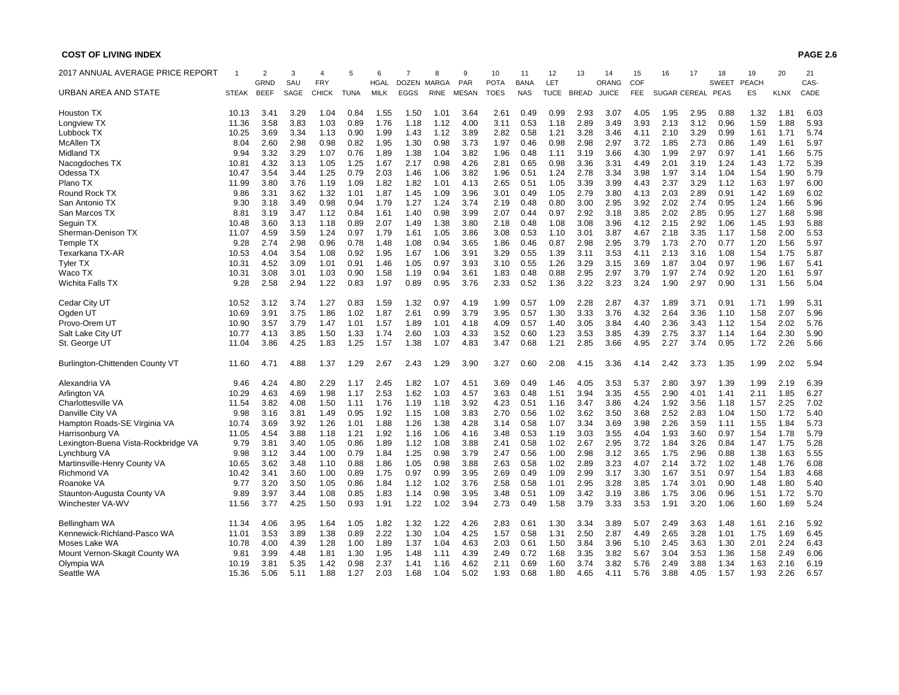| 2017 ANNUAL AVERAGE PRICE REPORT    |               | $\overline{2}$      | 3            |                            | 5            | 6                          | 7            | 8                          | 9                   | 10                         | 11                        | 12                 | 13           | 14                    | 15                | 16           | 17                  | 18                   | 19           | 20           | 21           |
|-------------------------------------|---------------|---------------------|--------------|----------------------------|--------------|----------------------------|--------------|----------------------------|---------------------|----------------------------|---------------------------|--------------------|--------------|-----------------------|-------------------|--------------|---------------------|----------------------|--------------|--------------|--------------|
| URBAN AREA AND STATE                | STEAK         | GRND<br><b>BEEF</b> | SAU<br>SAGE  | <b>FRY</b><br><b>CHICK</b> | TUNA         | <b>HGAL</b><br><b>MILK</b> | <b>EGGS</b>  | DOZEN MARGA<br><b>RINE</b> | PAR<br><b>MESAN</b> | <b>POTA</b><br><b>TOES</b> | <b>BANA</b><br><b>NAS</b> | LET<br><b>TUCE</b> | <b>BREAD</b> | ORANG<br><b>JUICE</b> | COF<br><b>FEE</b> |              | <b>SUGAR CEREAL</b> | <b>SWEET</b><br>PEAS | PEACH<br>ES  | <b>KLNX</b>  | CAS-<br>CADE |
|                                     |               |                     |              |                            |              |                            |              |                            |                     |                            |                           |                    |              |                       |                   |              |                     |                      |              |              |              |
| <b>Houston TX</b>                   | 10.13         | 3.41                | 3.29         | 1.04                       | 0.84         | 1.55                       | 1.50         | 1.01                       | 3.64                | 2.61                       | 0.49                      | 0.99               | 2.93         | 3.07                  | 4.05              | 1.95         | 2.95                | 0.88                 | 1.32         | 1.81         | 6.03         |
| Longview TX                         | 11.36         | 3.58                | 3.83         | 1.03                       | 0.89         | 1.76                       | 1.18         | 1.12                       | 4.00                | 3.11                       | 0.53                      | 1.18               | 2.89         | 3.49                  | 3.93              | 2.13         | 3.12                | 0.96                 | 1.59         | 1.88         | 5.93         |
| Lubbock TX                          | 10.25         | 3.69                | 3.34         | 1.13                       | 0.90         | 1.99                       | 1.43         | 1.12                       | 3.89                | 2.82                       | 0.58                      | 1.21               | 3.28         | 3.46                  | 4.11              | 2.10         | 3.29                | 0.99                 | 1.61         | 1.71         | 5.74         |
| McAllen TX                          | 8.04          | 2.60                | 2.98         | 0.98                       | 0.82         | 1.95                       | 1.30         | 0.98                       | 3.73                | 1.97                       | 0.46                      | 0.98               | 2.98         | 2.97                  | 3.72              | 1.85         | 2.73                | 0.86                 | 1.49         | 1.61         | 5.97         |
| Midland TX                          | 9.94          | 3.32                | 3.29         | 1.07                       | 0.76         | 1.89                       | 1.38         | 1.04                       | 3.82                | 1.96                       | 0.48                      | 1.11               | 3.19         | 3.66                  | 4.30              | 1.99         | 2.97                | 0.97                 | 1.41         | 1.66         | 5.75         |
| Nacogdoches TX                      | 10.81         | 4.32                | 3.13         | 1.05                       | 1.25         | 1.67                       | 2.17         | 0.98                       | 4.26                | 2.81                       | 0.65                      | 0.98               | 3.36         | 3.31                  | 4.49              | 2.01         | 3.19                | 1.24                 | 1.43         | 1.72         | 5.39         |
| Odessa TX                           | 10.47         | 3.54                | 3.44         | 1.25                       | 0.79         | 2.03                       | 1.46         | 1.06                       | 3.82                | 1.96                       | 0.51                      | 1.24               | 2.78         | 3.34                  | 3.98              | 1.97         | 3.14                | 1.04                 | 1.54         | 1.90         | 5.79         |
| Plano TX                            | 11.99         | 3.80                | 3.76         | 1.19                       | 1.09         | 1.82                       | 1.82         | 1.01                       | 4.13                | 2.65                       | 0.51                      | 1.05               | 3.39         | 3.99                  | 4.43              | 2.37         | 3.29                | 1.12                 | 1.63         | 1.97         | 6.00         |
| Round Rock TX                       | 9.86          | 3.31                | 3.62         | 1.32                       | 1.01         | 1.87                       | 1.45         | 1.09                       | 3.96                | 3.01                       | 0.49                      | 1.05               | 2.79         | 3.80                  | 4.13              | 2.03         | 2.89                | 0.91                 | 1.42         | 1.69         | 6.02         |
| San Antonio TX                      | 9.30          | 3.18                | 3.49         | 0.98                       | 0.94         | 1.79                       | 1.27         | 1.24                       | 3.74                | 2.19                       | 0.48                      | 0.80               | 3.00         | 2.95                  | 3.92              | 2.02         | 2.74                | 0.95                 | 1.24         | 1.66         | 5.96         |
| San Marcos TX                       | $8.8^{\circ}$ | 3.19                | 3.47         | 1.12                       | 0.84         | 1.61                       | 1.40         | 0.98                       | 3.99                | 2.07                       | 0.44                      | 0.97               | 2.92         | 3.18                  | 3.85              | 2.02         | 2.85                | 0.95                 | 1.27         | 1.68         | 5.98         |
| Seguin TX                           | 10.48         | 3.60                | 3.13         | 1.18                       | 0.89         | 2.07                       | 1.49         | 1.38                       | 3.80                | 2.18                       | 0.48                      | 1.08               | 3.08         | 3.96                  | 4.12              | 2.15         | 2.92                | 1.06                 | 1.45         | 1.93         | 5.88         |
| Sherman-Denison TX                  | 11.07         | 4.59                | 3.59         | 1.24                       | 0.97         | 1.79                       | 1.61         | 1.05                       | 3.86                | 3.08                       | 0.53                      | 1.10               | 3.01         | 3.87                  | 4.67              | 2.18         | 3.35                | 1.17                 | 1.58         | 2.00         | 5.53         |
| Temple TX                           | 9.28          | 2.74                | 2.98         | 0.96                       | 0.78         | 1.48                       | 1.08         | 0.94                       | 3.65                | 1.86                       | 0.46                      | 0.87               | 2.98         | 2.95                  | 3.79              | 1.73         | 2.70                | 0.77                 | 1.20         | 1.56         | 5.97         |
| Texarkana TX-AR                     | 10.53         | 4.04                | 3.54         | 1.08                       | 0.92         | 1.95                       | 1.67         | 1.06                       | 3.91                | 3.29                       | 0.55                      | 1.39               | 3.11         | 3.53                  | 4.11              | 2.13         | 3.16                | 1.08                 | 1.54         | 1.75         | 5.87         |
| <b>Tyler TX</b>                     | 10.31         | 4.52                | 3.09         | 1.01                       | 0.91         | 1.46                       | 1.05         | 0.97                       | 3.93                | 3.10                       | 0.55                      | 1.26               | 3.29         | 3.15                  | 3.69              | 1.87         | 3.04                | 0.97                 | 1.96         | 1.67         | 5.41         |
| Waco TX                             | 10.31         | 3.08                | 3.01         | 1.03                       | 0.90         | 1.58                       | 1.19         | 0.94                       | 3.61                | 1.83                       | 0.48                      | 0.88               | 2.95         | 2.97                  | 3.79              | 1.97         | 2.74                | 0.92                 | 1.20         | 1.61         | 5.97         |
| Wichita Falls TX                    | 9.28          | 2.58                | 2.94         | 1.22                       | 0.83         | 1.97                       | 0.89         | 0.95                       | 3.76                | 2.33                       | 0.52                      | 1.36               | 3.22         | 3.23                  | 3.24              | 1.90         | 2.97                | 0.90                 | 1.31         | 1.56         | 5.04         |
|                                     |               |                     |              |                            |              |                            |              |                            |                     |                            |                           |                    |              |                       |                   |              |                     |                      |              |              |              |
| Cedar City UT                       | 10.52         | 3.12                | 3.74         | 1.27                       | 0.83         | 1.59                       | 1.32         | 0.97                       | 4.19                | 1.99                       | 0.57                      | 1.09               | 2.28         | 2.87                  | 4.37              | 1.89         | 3.71                | 0.91                 | 1.71         | 1.99         | 5.31         |
| Ogden UT                            | 10.69         | 3.91                | 3.75         | 1.86                       | 1.02         | 1.87                       | 2.61         | 0.99                       | 3.79                | 3.95                       | 0.57                      | 1.30               | 3.33         | 3.76                  | 4.32<br>4.40      | 2.64         | 3.36                | 1.10                 | 1.58         | 2.07         | 5.96         |
| Provo-Orem UT                       | 10.90         | 3.57                | 3.79         | 1.47                       | 1.01         | 1.57                       | 1.89         | 1.01                       | 4.18                | 4.09                       | 0.57                      | 1.40               | 3.05         | 3.84                  |                   | 2.36         | 3.43                | 1.12                 | 1.54         | 2.02         | 5.76         |
| Salt Lake City UT                   | 10.77         | 4.13<br>3.86        | 3.85<br>4.25 | 1.50                       | 1.33<br>1.25 | 1.74<br>1.57               | 2.60<br>1.38 | 1.03<br>1.07               | 4.33<br>4.83        | 3.52<br>3.47               | 0.60<br>0.68              | 1.23<br>1.21       | 3.53<br>2.85 | 3.85                  | 4.39              | 2.75<br>2.27 | 3.37<br>3.74        | 1.14<br>0.95         | 1.64<br>1.72 | 2.30<br>2.26 | 5.90<br>5.66 |
| St. George UT                       | 11.04         |                     |              | 1.83                       |              |                            |              |                            |                     |                            |                           |                    |              | 3.66                  | 4.95              |              |                     |                      |              |              |              |
| Burlington-Chittenden County VT     | 11.60         | 4.71                | 4.88         | 1.37                       | 1.29         | 2.67                       | 2.43         | 1.29                       | 3.90                | 3.27                       | 0.60                      | 2.08               | 4.15         | 3.36                  | 4.14              | 2.42         | 3.73                | 1.35                 | 1.99         | 2.02         | 5.94         |
| Alexandria VA                       | 9.46          | 4.24                | 4.80         | 2.29                       | 1.17         | 2.45                       | 1.82         | 1.07                       | 4.51                | 3.69                       | 0.49                      | 1.46               | 4.05         | 3.53                  | 5.37              | 2.80         | 3.97                | 1.39                 | 1.99         | 2.19         | 6.39         |
| <b>Arlington VA</b>                 | 10.29         | 4.63                | 4.69         | 1.98                       | 1.17         | 2.53                       | 1.62         | 1.03                       | 4.57                | 3.63                       | 0.48                      | 1.51               | 3.94         | 3.35                  | 4.55              | 2.90         | 4.01                | 1.41                 | 2.11         | 1.85         | 6.27         |
| Charlottesville VA                  | 11.54         | 3.82                | 4.08         | 1.50                       | 1.11         | 1.76                       | 1.19         | 1.18                       | 3.92                | 4.23                       | 0.51                      | 1.16               | 3.47         | 3.86                  | 4.24              | 1.92         | 3.56                | 1.18                 | 1.57         | 2.25         | 7.02         |
| Danville City VA                    | 9.98          | 3.16                | 3.81         | 1.49                       | 0.95         | 1.92                       | 1.15         | 1.08                       | 3.83                | 2.70                       | 0.56                      | 1.02               | 3.62         | 3.50                  | 3.68              | 2.52         | 2.83                | 1.04                 | 1.50         | 1.72         | 5.40         |
| Hampton Roads-SE Virginia VA        | 10.74         | 3.69                | 3.92         | 1.26                       | 1.01         | 1.88                       | 1.26         | 1.38                       | 4.28                | 3.14                       | 0.58                      | 1.07               | 3.34         | 3.69                  | 3.98              | 2.26         | 3.59                | 1.11                 | 1.55         | 1.84         | 5.73         |
| Harrisonburg VA                     | 11.05         | 4.54                | 3.88         | 1.18                       | 1.21         | 1.92                       | 1.16         | 1.06                       | 4.16                | 3.48                       | 0.53                      | 1.19               | 3.03         | 3.55                  | 4.04              | 1.93         | 3.60                | 0.97                 | 1.54         | 1.78         | 5.79         |
| Lexington-Buena Vista-Rockbridge VA | 9.79          | 3.81                | 3.40         | 1.05                       | 0.86         | 1.89                       | 1.12         | 1.08                       | 3.88                | 2.41                       | 0.58                      | 1.02               | 2.67         | 2.95                  | 3.72              | 1.84         | 3.26                | 0.84                 | 1.47         | 1.75         | 5.28         |
| Lynchburg VA                        | 9.98          | 3.12                | 3.44         | 1.00                       | 0.79         | 1.84                       | 1.25         | 0.98                       | 3.79                | 2.47                       | 0.56                      | 1.00               | 2.98         | 3.12                  | 3.65              | 1.75         | 2.96                | 0.88                 | 1.38         | 1.63         | 5.55         |
| Martinsville-Henry County VA        | 10.65         | 3.62                | 3.48         | 1.10                       | 0.88         | 1.86                       | 1.05         | 0.98                       | 3.88                | 2.63                       | 0.58                      | 1.02               | 2.89         | 3.23                  | 4.07              | 2.14         | 3.72                | 1.02                 | 1.48         | 1.76         | 6.08         |
| <b>Richmond VA</b>                  | 10.42         | 3.41                | 3.60         | 1.00                       | 0.89         | 1.75                       | 0.97         | 0.99                       | 3.95                | 2.69                       | 0.49                      | 1.09               | 2.99         | 3.17                  | 3.30              | 1.67         | 3.51                | 0.97                 | 1.54         | 1.83         | 4.68         |
| Roanoke VA                          | 9.77          | 3.20                | 3.50         | 1.05                       | 0.86         | 1.84                       | 1.12         | 1.02                       | 3.76                | 2.58                       | 0.58                      | 1.01               | 2.95         | 3.28                  | 3.85              | 1.74         | 3.01                | 0.90                 | 1.48         | 1.80         | 5.40         |
| Staunton-Augusta County VA          | 9.89          | 3.97                | 3.44         | 1.08                       | 0.85         | 1.83                       | 1.14         | 0.98                       | 3.95                | 3.48                       | 0.51                      | 1.09               | 3.42         | 3.19                  | 3.86              | 1.75         | 3.06                | 0.96                 | 1.51         | 1.72         | 5.70         |
| Winchester VA-WV                    | 11.56         | 3.77                | 4.25         | 1.50                       | 0.93         | 1.91                       | 1.22         | 1.02                       | 3.94                | 2.73                       | 0.49                      | 1.58               | 3.79         | 3.33                  | 3.53              | 1.91         | 3.20                | 1.06                 | 1.60         | 1.69         | 5.24         |
| Bellingham WA                       | 11.34         | 4.06                | 3.95         | 1.64                       | 1.05         | 1.82                       | 1.32         | 1.22                       | 4.26                | 2.83                       | 0.61                      | 1.30               | 3.34         | 3.89                  | 5.07              | 2.49         | 3.63                | 1.48                 | 1.61         | 2.16         | 5.92         |
| Kennewick-Richland-Pasco WA         | 11.01         | 3.53                | 3.89         | 1.38                       | 0.89         | 2.22                       | 1.30         | 1.04                       | 4.25                | 1.57                       | 0.58                      | 1.31               | 2.50         | 2.87                  | 4.49              | 2.65         | 3.28                | 1.01                 | 1.75         | 1.69         | 6.45         |
| Moses Lake WA                       | 10.78         | 4.00                | 4.39         | 1.28                       | 1.00         | 1.89                       | 1.37         | 1.04                       | 4.63                | 2.03                       | 0.61                      | 1.50               | 3.84         | 3.96                  | 5.10              | 2.45         | 3.63                | 1.30                 | 2.01         | 2.24         | 6.43         |
| Mount Vernon-Skagit County WA       | 9.81          | 3.99                | 4.48         | 1.81                       | 1.30         | 1.95                       | 1.48         | 1.11                       | 4.39                | 2.49                       | 0.72                      | 1.68               | 3.35         | 3.82                  | 5.67              | 3.04         | 3.53                | 1.36                 | 1.58         | 2.49         | 6.06         |
| Olympia WA                          | 10.19         | 3.81                | 5.35         | 1.42                       | 0.98         | 2.37                       | 1.41         | 1.16                       | 4.62                | 2.11                       | 0.69                      | 1.60               | 3.74         | 3.82                  | 5.76              | 2.49         | 3.88                | 1.34                 | 1.63         | 2.16         | 6.19         |
| Seattle WA                          | 15.36         | 5.06                | 5.11         | 1.88                       | 1.27         | 2.03                       | 1.68         | 1.04                       | 5.02                | 1.93                       | 0.68                      | 1.80               | 4.65         | 4.11                  | 5.76              | 3.88         | 4.05                | 1.57                 | 1.93         | 2.26         | 6.57         |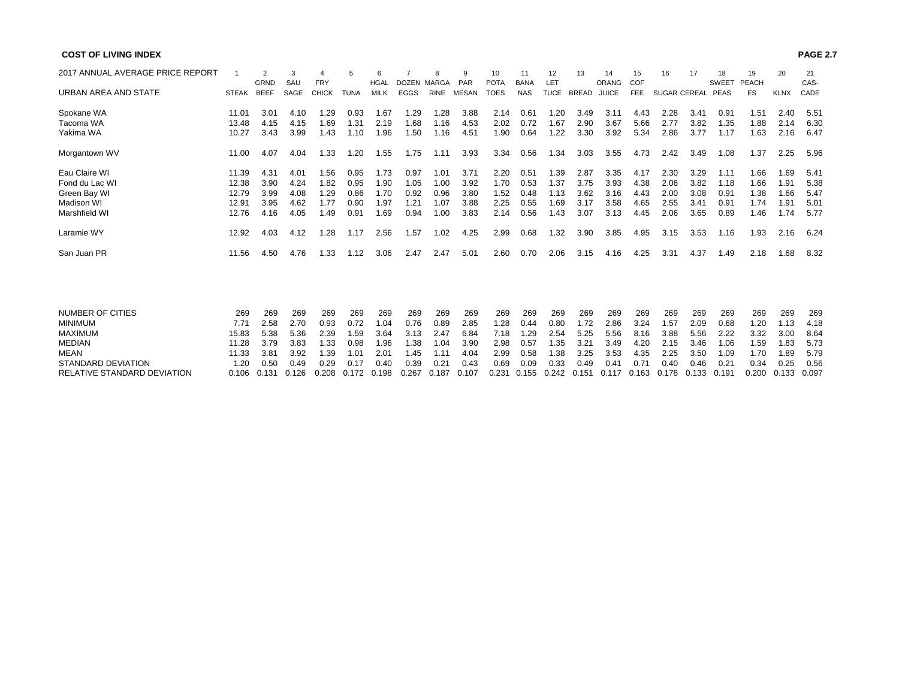| <b>COST OF LIVING INDEX</b>      |              |                |      |              |             |             |             |             |              |             |             |             |              |              |            |                     |      |              |              |             | <b>PAGE 2.7</b> |
|----------------------------------|--------------|----------------|------|--------------|-------------|-------------|-------------|-------------|--------------|-------------|-------------|-------------|--------------|--------------|------------|---------------------|------|--------------|--------------|-------------|-----------------|
| 2017 ANNUAL AVERAGE PRICE REPORT |              | $\overline{2}$ | 3    | 4            | 5           | 6           |             | 8           | 9            | 10          | 11          | 12          | 13           | 14           | 15         | 16                  | 17   | 18           | 19           | 20          | 21              |
|                                  |              | GRND           | SAU  | <b>FRY</b>   |             | <b>HGAL</b> | DOZEN MARGA |             | PAR          | <b>POTA</b> | <b>BANA</b> | LET         |              | <b>ORANG</b> | COF        |                     |      | <b>SWEET</b> | <b>PEACH</b> |             | CAS-            |
| URBAN AREA AND STATE             | <b>STEAK</b> | <b>BEEF</b>    | SAGE | <b>CHICK</b> | <b>TUNA</b> | <b>MILK</b> | <b>EGGS</b> | <b>RINE</b> | <b>MESAN</b> | <b>TOES</b> | <b>NAS</b>  | <b>TUCE</b> | <b>BREAD</b> | <b>JUICE</b> | <b>FEE</b> | <b>SUGAR CEREAL</b> |      | <b>PEAS</b>  | ES           | <b>KLNX</b> | CADE            |
| Spokane WA                       | 11.01        | 3.01           | 4.10 | 1.29         | 0.93        | 1.67        | 1.29        | 1.28        | 3.88         | 2.14        | 0.61        | 1.20        | 3.49         | 3.11         | 4.43       | 2.28                | 3.41 | 0.91         | 1.51         | 2.40        | 5.51            |
| Tacoma WA                        | 13.48        | 4.15           | 4.15 | 1.69         | 1.31        | 2.19        | 1.68        | 1.16        | 4.53         | 2.02        | 0.72        | 1.67        | 2.90         | 3.67         | 5.66       | 2.77                | 3.82 | 1.35         | 1.88         | 2.14        | 6.30            |
| Yakima WA                        | 10.27        | 3.43           | 3.99 | 1.43         | 1.10        | 1.96        | 1.50        | 1.16        | 4.51         | 1.90        | 0.64        | 1.22        | 3.30         | 3.92         | 5.34       | 2.86                | 3.77 | 1.17         | 1.63         | 2.16        | 6.47            |
| Morgantown WV                    | 11.00        | 4.07           | 4.04 | 1.33         | 1.20        | 1.55        | 1.75        | 1.11        | 3.93         | 3.34        | 0.56        | 1.34        | 3.03         | 3.55         | 4.73       | 2.42                | 3.49 | 1.08         | 1.37         | 2.25        | 5.96            |
| Eau Claire WI                    | 11.39        | 4.31           | 4.01 | 1.56         | 0.95        | 1.73        | 0.97        | 1.01        | 3.71         | 2.20        | 0.51        | 1.39        | 2.87         | 3.35         | 4.17       | 2.30                | 3.29 | 1.11         | 1.66         | 1.69        | 5.41            |
| Fond du Lac WI                   | 12.38        | 3.90           | 4.24 | 1.82         | 0.95        | 1.90        | 1.05        | 1.00        | 3.92         | 1.70        | 0.53        | 1.37        | 3.75         | 3.93         | 4.38       | 2.06                | 3.82 | 1.18         | 1.66         | 1.91        | 5.38            |
| Green Bay WI                     | 12.79        | 3.99           | 4.08 | 1.29         | 0.86        | 1.70        | 0.92        | 0.96        | 3.80         | 1.52        | 0.48        | 1.13        | 3.62         | 3.16         | 4.43       | 2.00                | 3.08 | 0.91         | 1.38         | 1.66        | 5.47            |
| Madison WI                       | 12.91        | 3.95           | 4.62 | 1.77         | 0.90        | 1.97        | 1.21        | 1.07        | 3.88         | 2.25        | 0.55        | 1.69        | 3.17         | 3.58         | 4.65       | 2.55                | 3.41 | 0.91         | 1.74         | 1.91        | 5.01            |
| Marshfield WI                    | 12.76        | 4.16           | 4.05 | 1.49         | 0.91        | 1.69        | 0.94        | 1.00        | 3.83         | 2.14        | 0.56        | 1.43        | 3.07         | 3.13         | 4.45       | 2.06                | 3.65 | 0.89         | 1.46         | 1.74        | 5.77            |
| Laramie WY                       | 12.92        | 4.03           | 4.12 | 1.28         | 1.17        | 2.56        | 1.57        | 1.02        | 4.25         | 2.99        | 0.68        | 1.32        | 3.90         | 3.85         | 4.95       | 3.15                | 3.53 | 1.16         | 1.93         | 2.16        | 6.24            |
| San Juan PR                      | 11.56        | 4.50           | 4.76 | 1.33         | 1.12        | 3.06        | 2.47        | 2.47        | 5.01         | 2.60        | 0.70        | 2.06        | 3.15         | 4.16         | 4.25       | 3.31                | 4.37 | 1.49         | 2.18         | 1.68        | 8.32            |
|                                  |              |                |      |              |             |             |             |             |              |             |             |             |              |              |            |                     |      |              |              |             |                 |
| <b>NUMBER OF CITIES</b>          | 269          | 269            | 269  | 269          | 269         | 269         | 269         | 269         | 269          | 269         | 269         | 269         | 269          | 269          | 269        | 269                 | 269  | 269          | 269          | 269         | 269             |
| <b>MINIMUM</b>                   | 7.71         | 2.58           | 2.70 | 0.93         | 0.72        | 1.04        | 0.76        | 0.89        | 2.85         | 1.28        | 0.44        | 0.80        | 1.72         | 2.86         | 3.24       | 1.57                | 2.09 | 0.68         | 1.20         | 1.13        | 4.18            |
| <b>MAXIMUM</b>                   | 15.83        | 5.38           | 5.36 | 2.39         | 1.59        | 3.64        | 3.13        | 2.47        | 6.84         | 7.18        | 1.29        | 2.54        | 5.25         | 5.56         | 8.16       | 3.88                | 5.56 | 2.22         | 3.32         | 3.00        | 8.64            |
| <b>MEDIAN</b>                    | 11.28        | 3.79           | 3.83 | 1.33         | 0.98        | 1.96        | 1.38        | 1.04        | 3.90         | 2.98        | 0.57        | 1.35        | 3.21         | 3.49         | 4.20       | 2.15                | 3.46 | 1.06         | 1.59         | 1.83        | 5.73            |
| <b>MEAN</b>                      | 11.33        | 3.81           | 3.92 | 1.39         | 1.01        | 2.01        | 1.45        | 1.11        | 4.04         | 2.99        | 0.58        | 1.38        | 3.25         | 3.53         | 4.35       | 2.25                | 3.50 | 1.09         | 1.70         | 1.89        | 5.79            |
| <b>STANDARD DEVIATION</b>        | 1.20         | 0.50           | 0.49 | 0.29         | 0.17        | 0.40        | 0.39        | 0.21        | 0.43         | 0.69        | 0.09        | 0.33        | 0.49         | 0.41         | 0.71       | 0.40                | 0.46 | 0.21         | 0.34         | 0.25        | 0.56            |

RELATIVE STANDARD DEVIATION 0.106 0.131 0.126 0.208 0.172 0.198 0.267 0.187 0.107 0.231 0.155 0.242 0.151 0.117 0.163 0.178 0.133 0.191 0.200 0.133 0.097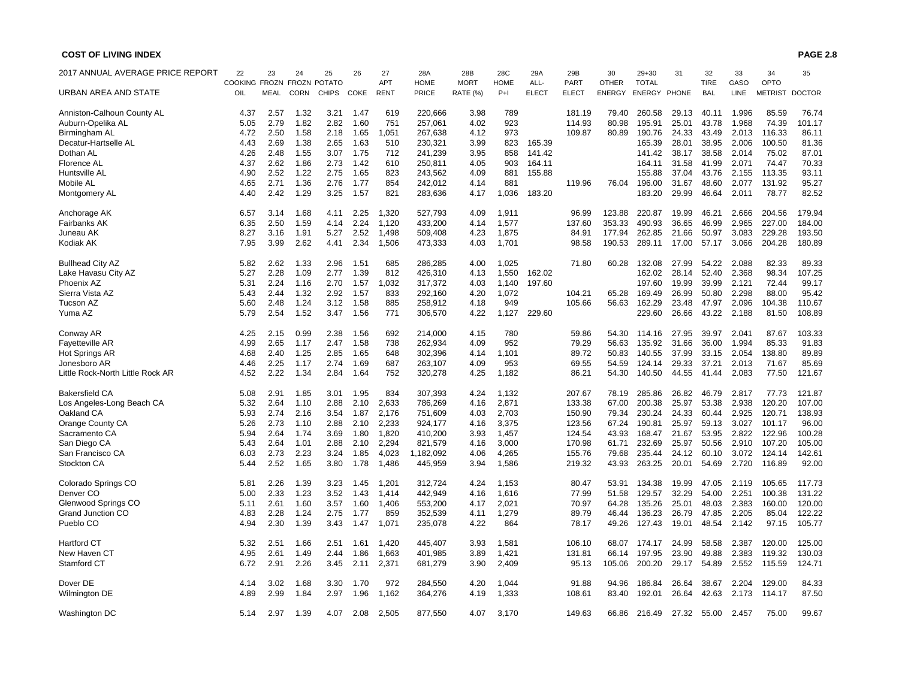| 2017 ANNUAL AVERAGE PRICE REPORT | 22                         | 23          | 24          | 25           | 26   | 27          | 28A          | 28B         | 28C         | 29A          | 29B          | 30            | $29 + 30$    | 31    | 32          | 33    | 34             | 35            |
|----------------------------------|----------------------------|-------------|-------------|--------------|------|-------------|--------------|-------------|-------------|--------------|--------------|---------------|--------------|-------|-------------|-------|----------------|---------------|
|                                  | COOKING FROZN FROZN POTATO |             |             |              |      | <b>APT</b>  | <b>HOME</b>  | <b>MORT</b> | <b>HOME</b> | ALL-         | <b>PART</b>  | <b>OTHER</b>  | <b>TOTAL</b> |       | <b>TIRE</b> | GASO  | OPTO           |               |
| URBAN AREA AND STATE             | OIL                        | <b>MEAL</b> | <b>CORN</b> | <b>CHIPS</b> | COKE | <b>RENT</b> | <b>PRICE</b> | RATE (%)    | $P+1$       | <b>ELECT</b> | <b>ELECT</b> | <b>ENERGY</b> | ENERGY PHONE |       | <b>BAL</b>  | LINE  | <b>METRIST</b> | <b>DOCTOR</b> |
| Anniston-Calhoun County AL       | 4.37                       | 2.57        | 1.32        | 3.21         | 1.47 | 619         | 220,666      | 3.98        | 789         |              | 181.19       | 79.40         | 260.58       | 29.13 | 40.11       | 1.996 | 85.59          | 76.74         |
| Auburn-Opelika AL                | 5.05                       | 2.79        | 1.82        | 2.82         | 1.60 | 751         | 257,061      | 4.02        | 923         |              | 114.93       | 80.98         | 195.91       | 25.01 | 43.78       | 1.968 | 74.39          | 101.17        |
| Birmingham AL                    | 4.72                       | 2.50        | 1.58        | 2.18         | 1.65 | 1,051       | 267,638      | 4.12        | 973         |              | 109.87       | 80.89         | 190.76       | 24.33 | 43.49       | 2.013 | 116.33         | 86.11         |
| Decatur-Hartselle AL             | 4.43                       | 2.69        | 1.38        | 2.65         | 1.63 | 510         | 230,321      | 3.99        | 823         | 165.39       |              |               | 165.39       | 28.01 | 38.95       | 2.006 | 100.50         | 81.36         |
| Dothan AL                        | 4.26                       | 2.48        | 1.55        | 3.07         | 1.75 | 712         | 241,239      | 3.95        | 858         | 141.42       |              |               | 141.42       | 38.17 | 38.58       | 2.014 | 75.02          | 87.01         |
| <b>Florence AL</b>               | 4.37                       | 2.62        | 1.86        | 2.73         | 1.42 | 610         | 250,811      | 4.05        | 903         | 164.11       |              |               | 164.11       | 31.58 | 41.99       | 2.071 | 74.47          | 70.33         |
| Huntsville AL                    | 4.90                       | 2.52        | 1.22        | 2.75         | 1.65 | 823         | 243,562      | 4.09        | 881         | 155.88       |              |               | 155.88       | 37.04 | 43.76       | 2.155 | 113.35         | 93.11         |
| Mobile AL                        | 4.65                       | 2.71        | 1.36        | 2.76         | 1.77 | 854         | 242,012      | 4.14        | 881         |              | 119.96       | 76.04         | 196.00       | 31.67 | 48.60       | 2.077 | 131.92         | 95.27         |
| Montgomery AL                    | 4.40                       | 2.42        | 1.29        | 3.25         | 1.57 | 821         | 283,636      | 4.17        | 1,036       | 183.20       |              |               | 183.20       | 29.99 | 46.64       | 2.011 | 78.77          | 82.52         |
| Anchorage AK                     | 6.57                       | 3.14        | 1.68        | 4.11         | 2.25 | 1,320       | 527,793      | 4.09        | 1,911       |              | 96.99        | 123.88        | 220.87       | 19.99 | 46.21       | 2.666 | 204.56         | 179.94        |
| Fairbanks AK                     | 6.35                       | 2.50        | 1.59        | 4.14         | 2.24 | 1,120       | 433,200      | 4.14        | 1,577       |              | 137.60       | 353.33        | 490.93       | 36.65 | 46.99       | 2.965 | 227.00         | 184.00        |
| Juneau AK                        | 8.27                       | 3.16        | 1.91        | 5.27         | 2.52 | 1,498       | 509,408      | 4.23        | 1,875       |              | 84.91        | 177.94        | 262.85       | 21.66 | 50.97       | 3.083 | 229.28         | 193.50        |
| Kodiak AK                        | 7.95                       | 3.99        | 2.62        | 4.41         | 2.34 | 1,506       | 473,333      | 4.03        | 1,701       |              | 98.58        | 190.53        | 289.11       | 17.00 | 57.17       | 3.066 | 204.28         | 180.89        |
| <b>Bullhead City AZ</b>          | 5.82                       | 2.62        | 1.33        | 2.96         | 1.51 | 685         | 286,285      | 4.00        | 1,025       |              | 71.80        | 60.28         | 132.08       | 27.99 | 54.22       | 2.088 | 82.33          | 89.33         |
| Lake Havasu City AZ              | 5.27                       | 2.28        | 1.09        | 2.77         | 1.39 | 812         | 426,310      | 4.13        | 1,550       | 162.02       |              |               | 162.02       | 28.14 | 52.40       | 2.368 | 98.34          | 107.25        |
| Phoenix AZ                       | 5.31                       | 2.24        | 1.16        | 2.70         | 1.57 | 1,032       | 317,372      | 4.03        | 1,140       | 197.60       |              |               | 197.60       | 19.99 | 39.99       | 2.121 | 72.44          | 99.17         |
| Sierra Vista AZ                  | 5.43                       | 2.44        | 1.32        | 2.92         | 1.57 | 833         | 292,160      | 4.20        | 1,072       |              | 104.21       | 65.28         | 169.49       | 26.99 | 50.80       | 2.298 | 88.00          | 95.42         |
| Tucson AZ                        | 5.60                       | 2.48        | 1.24        | 3.12         | 1.58 | 885         | 258,912      | 4.18        | 949         |              | 105.66       | 56.63         | 162.29       | 23.48 | 47.97       | 2.096 | 104.38         | 110.67        |
| Yuma AZ                          | 5.79                       | 2.54        | 1.52        | 3.47         | 1.56 | 771         | 306,570      | 4.22        | 1,127       | 229.60       |              |               | 229.60       | 26.66 | 43.22       | 2.188 | 81.50          | 108.89        |
| Conway AR                        | 4.25                       | 2.15        | 0.99        | 2.38         | 1.56 | 692         | 214,000      | 4.15        | 780         |              | 59.86        | 54.30         | 114.16       | 27.95 | 39.97       | 2.041 | 87.67          | 103.33        |
| <b>Fayetteville AR</b>           | 4.99                       | 2.65        | 1.17        | 2.47         | 1.58 | 738         | 262,934      | 4.09        | 952         |              | 79.29        | 56.63         | 135.92       | 31.66 | 36.00       | 1.994 | 85.33          | 91.83         |
| Hot Springs AR                   | 4.68                       | 2.40        | 1.25        | 2.85         | 1.65 | 648         | 302,396      | 4.14        | 1,101       |              | 89.72        | 50.83         | 140.55       | 37.99 | 33.15       | 2.054 | 138.80         | 89.89         |
| Jonesboro AR                     | 4.46                       | 2.25        | 1.17        | 2.74         | 1.69 | 687         | 263,107      | 4.09        | 953         |              | 69.55        | 54.59         | 124.14       | 29.33 | 37.21       | 2.013 | 71.67          | 85.69         |
| Little Rock-North Little Rock AR | 4.52                       | 2.22        | 1.34        | 2.84         | 1.64 | 752         | 320,278      | 4.25        | 1,182       |              | 86.21        | 54.30         | 140.50       | 44.55 | 41.44       | 2.083 | 77.50          | 121.67        |
| <b>Bakersfield CA</b>            | 5.08                       | 2.91        | 1.85        | 3.01         | 1.95 | 834         | 307,393      | 4.24        | 1,132       |              | 207.67       | 78.19         | 285.86       | 26.82 | 46.79       | 2.817 | 77.73          | 121.87        |
| Los Angeles-Long Beach CA        | 5.32                       | 2.64        | 1.10        | 2.88         | 2.10 | 2,633       | 786,269      | 4.16        | 2,871       |              | 133.38       | 67.00         | 200.38       | 25.97 | 53.38       | 2.938 | 120.20         | 107.00        |
| Oakland CA                       | 5.93                       | 2.74        | 2.16        | 3.54         | 1.87 | 2,176       | 751,609      | 4.03        | 2,703       |              | 150.90       | 79.34         | 230.24       | 24.33 | 60.44       | 2.925 | 120.71         | 138.93        |
| Orange County CA                 | 5.26                       | 2.73        | 1.10        | 2.88         | 2.10 | 2,233       | 924,177      | 4.16        | 3,375       |              | 123.56       | 67.24         | 190.81       | 25.97 | 59.13       | 3.027 | 101.17         | 96.00         |
| Sacramento CA                    | 5.94                       | 2.64        | 1.74        | 3.69         | 1.80 | 1,820       | 410,200      | 3.93        | 1,457       |              | 124.54       | 43.93         | 168.47       | 21.67 | 53.95       | 2.822 | 122.96         | 100.28        |
| San Diego CA                     | 5.43                       | 2.64        | 1.01        | 2.88         | 2.10 | 2,294       | 821,579      | 4.16        | 3,000       |              | 170.98       | 61.71         | 232.69       | 25.97 | 50.56       | 2.910 | 107.20         | 105.00        |
| San Francisco CA                 | 6.03                       | 2.73        | 2.23        | 3.24         | 1.85 | 4,023       | 1,182,092    | 4.06        | 4,265       |              | 155.76       | 79.68         | 235.44       | 24.12 | 60.10       | 3.072 | 124.14         | 142.61        |
| Stockton CA                      | 5.44                       | 2.52        | 1.65        | 3.80         | 1.78 | 1,486       | 445,959      | 3.94        | 1,586       |              | 219.32       | 43.93         | 263.25       | 20.01 | 54.69       | 2.720 | 116.89         | 92.00         |
| Colorado Springs CO              | 5.81                       | 2.26        | 1.39        | 3.23         | 1.45 | 1,201       | 312,724      | 4.24        | 1,153       |              | 80.47        | 53.91         | 134.38       | 19.99 | 47.05       | 2.119 | 105.65         | 117.73        |
| Denver CO                        | 5.00                       | 2.33        | 1.23        | 3.52         | 1.43 | 1,414       | 442,949      | 4.16        | 1,616       |              | 77.99        | 51.58         | 129.57       | 32.29 | 54.00       | 2.251 | 100.38         | 131.22        |
| Glenwood Springs CO              | 5.11                       | 2.61        | 1.60        | 3.57         | 1.60 | 1,406       | 553,200      | 4.17        | 2,021       |              | 70.97        | 64.28         | 135.26       | 25.01 | 48.03       | 2.383 | 160.00         | 120.00        |
| <b>Grand Junction CO</b>         | 4.83                       | 2.28        | 1.24        | 2.75         | 1.77 | 859         | 352,539      | 4.11        | 1,279       |              | 89.79        | 46.44         | 136.23       | 26.79 | 47.85       | 2.205 | 85.04          | 122.22        |
| Pueblo CO                        | 4.94                       | 2.30        | 1.39        | 3.43         | 1.47 | 1,071       | 235,078      | 4.22        | 864         |              | 78.17        | 49.26         | 127.43       | 19.01 | 48.54       | 2.142 | 97.15          | 105.77        |
| <b>Hartford CT</b>               | 5.32                       | 2.51        | 1.66        | 2.51         | 1.61 | 1,420       | 445,407      | 3.93        | 1,581       |              | 106.10       | 68.07         | 174.17       | 24.99 | 58.58       | 2.387 | 120.00         | 125.00        |
| New Haven CT                     | 4.95                       | 2.61        | 1.49        | 2.44         | 1.86 | 1,663       | 401,985      | 3.89        | 1,421       |              | 131.81       | 66.14         | 197.95       | 23.90 | 49.88       | 2.383 | 119.32         | 130.03        |
| Stamford CT                      | 6.72                       | 2.91        | 2.26        | 3.45         | 2.11 | 2,371       | 681,279      | 3.90        | 2,409       |              | 95.13        | 105.06        | 200.20       | 29.17 | 54.89       | 2.552 | 115.59         | 124.71        |
| Dover DE                         | 4.14                       | 3.02        | 1.68        | 3.30         | 1.70 | 972         | 284,550      | 4.20        | 1,044       |              | 91.88        | 94.96         | 186.84       | 26.64 | 38.67       | 2.204 | 129.00         | 84.33         |
| <b>Wilmington DE</b>             | 4.89                       | 2.99        | 1.84        | 2.97         | 1.96 | 1,162       | 364,276      | 4.19        | 1,333       |              | 108.61       | 83.40         | 192.01       | 26.64 | 42.63       | 2.173 | 114.17         | 87.50         |
| Washington DC                    | 5.14                       | 2.97        | 1.39        | 4.07         | 2.08 | 2,505       | 877,550      | 4.07        | 3.170       |              | 149.63       | 66.86         | 216.49       | 27.32 | 55.00       | 2.457 | 75.00          | 99.67         |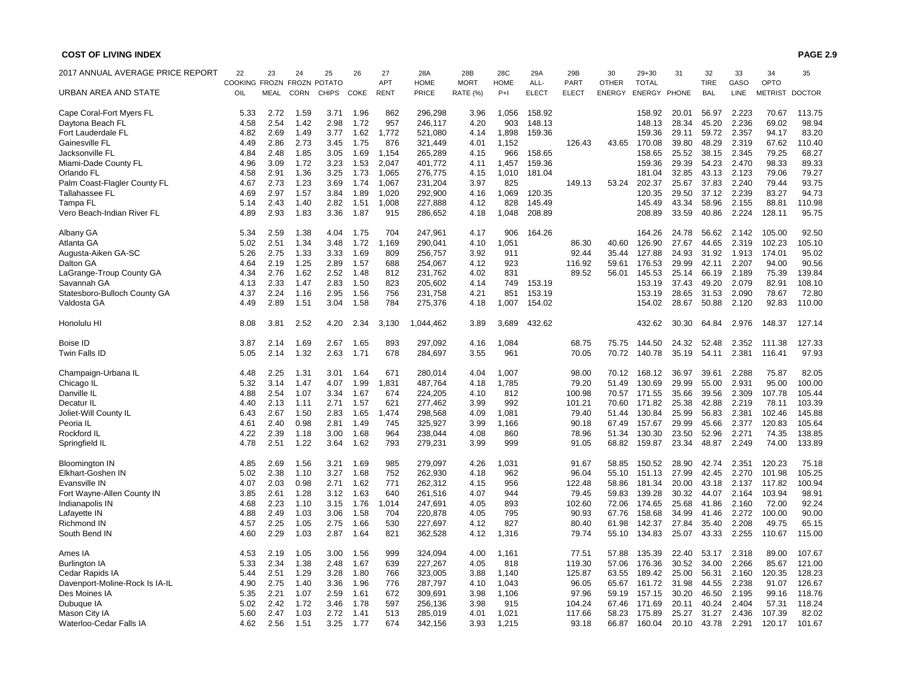| 2017 ANNUAL AVERAGE PRICE REPORT | 22                   | 23          | 24          | 25                  | 26   | 27          | 28A         | 28B             | 28C         | 29A          | 29B          | 30            | $29 + 30$    | 31    | 32          | 33          | 34             | 35            |
|----------------------------------|----------------------|-------------|-------------|---------------------|------|-------------|-------------|-----------------|-------------|--------------|--------------|---------------|--------------|-------|-------------|-------------|----------------|---------------|
|                                  | <b>COOKING FROZN</b> |             |             | <b>FROZN POTATO</b> |      | <b>APT</b>  | <b>HOME</b> | <b>MORT</b>     | <b>HOME</b> | ALL-         | <b>PART</b>  | <b>OTHER</b>  | <b>TOTAL</b> |       | <b>TIRE</b> | GASO        | OPTO           |               |
| URBAN AREA AND STATE             | OIL                  | <b>MEAL</b> | <b>CORN</b> | <b>CHIPS</b>        | COKE | <b>RENT</b> | PRICE       | <b>RATE (%)</b> | $P+1$       | <b>ELECT</b> | <b>ELECT</b> | <b>ENERGY</b> | ENERGY PHONE |       | <b>BAL</b>  | <b>LINE</b> | <b>METRIST</b> | <b>DOCTOR</b> |
| Cape Coral-Fort Myers FL         | 5.33                 | 2.72        | 1.59        | 3.71                | 1.96 | 862         | 296.298     | 3.96            | 1.056       | 158.92       |              |               | 158.92       | 20.01 | 56.97       | 2.223       | 70.67          | 113.75        |
| Daytona Beach FL                 | 4.58                 | 2.54        | 1.42        | 2.98                | 1.72 | 957         | 246,117     | 4.20            | 903         | 148.13       |              |               | 148.13       | 28.34 | 45.20       | 2.236       | 69.02          | 98.94         |
| Fort Lauderdale FL               | 4.82                 | 2.69        | 1.49        | 3.77                | 1.62 | 1.772       | 521.080     | 4.14            | 1.898       | 159.36       |              |               | 159.36       | 29.11 | 59.72       | 2.357       | 94.17          | 83.20         |
| Gainesville FL                   | 4.49                 | 2.86        | 2.73        | 3.45                | 1.75 | 876         | 321,449     | 4.01            | 1,152       |              | 126.43       | 43.65         | 170.08       | 39.80 | 48.29       | 2.319       | 67.62          | 110.40        |
| Jacksonville FL                  | 4.84                 | 2.48        | 1.85        | 3.05                | 1.69 | 1,154       | 265,289     | 4.15            | 966         | 158.65       |              |               | 158.65       | 25.52 | 38.15       | 2.345       | 79.25          | 68.27         |
| Miami-Dade County FL             | 4.96                 | 3.09        | 1.72        | 3.23                | 1.53 | 2,047       | 401,772     | 4.11            | 1,457       | 159.36       |              |               | 159.36       | 29.39 | 54.23       | 2.470       | 98.33          | 89.33         |
| Orlando FL                       | 4.58                 | 2.91        | 1.36        | 3.25                | 1.73 | 1,065       | 276,775     | 4.15            | 1,010       | 181.04       |              |               | 181.04       | 32.85 | 43.13       | 2.123       | 79.06          | 79.27         |
| Palm Coast-Flagler County FL     | 4.67                 | 2.73        | 1.23        | 3.69                | 1.74 | 1,067       | 231,204     | 3.97            | 825         |              | 149.13       | 53.24         | 202.37       | 25.67 | 37.83       | 2.240       | 79.44          | 93.75         |
| <b>Tallahassee FL</b>            | 4.69                 | 2.97        | 1.57        | 3.84                | 1.89 | 1,020       | 292,900     | 4.16            | 1.069       | 120.35       |              |               | 120.35       | 29.50 | 37.12       | 2.239       | 83.27          | 94.73         |
| Tampa FL                         | 5.14                 | 2.43        | 1.40        | 2.82                | 1.51 | 1,008       | 227,888     | 4.12            | 828         | 145.49       |              |               | 145.49       | 43.34 | 58.96       | 2.155       | 88.81          | 110.98        |
| Vero Beach-Indian River FL       | 4.89                 | 2.93        | 1.83        | 3.36                | 1.87 | 915         | 286,652     | 4.18            | 1,048       | 208.89       |              |               | 208.89       | 33.59 | 40.86       | 2.224       | 128.11         | 95.75         |
| Albany GA                        | 5.34                 | 2.59        | 1.38        | 4.04                | 1.75 | 704         | 247,961     | 4.17            | 906         | 164.26       |              |               | 164.26       | 24.78 | 56.62       | 2.142       | 105.00         | 92.50         |
| Atlanta GA                       | 5.02                 | 2.51        | 1.34        | 3.48                | 1.72 | ,169        | 290,041     | 4.10            | 1,051       |              | 86.30        | 40.60         | 126.90       | 27.67 | 44.65       | 2.319       | 102.23         | 105.10        |
| Augusta-Aiken GA-SC              | 5.26                 | 2.75        | 1.33        | 3.33                | 1.69 | 809         | 256,757     | 3.92            | 911         |              | 92.44        | 35.44         | 127.88       | 24.93 | 31.92       | 1.913       | 174.01         | 95.02         |
| Dalton GA                        | 4.64                 | 2.19        | 1.25        | 2.89                | 1.57 | 688         | 254,067     | 4.12            | 923         |              | 116.92       | 59.61         | 176.53       | 29.99 | 42.11       | 2.207       | 94.00          | 90.56         |
| LaGrange-Troup County GA         | 4.34                 | 2.76        | 1.62        | 2.52                | 1.48 | 812         | 231.762     | 4.02            | 831         |              | 89.52        | 56.01         | 145.53       | 25.14 | 66.19       | 2.189       | 75.39          | 139.84        |
| Savannah GA                      | 4.13                 | 2.33        | 1.47        | 2.83                | 1.50 | 823         | 205,602     | 4.14            | 749         | 153.19       |              |               | 153.19       | 37.43 | 49.20       | 2.079       | 82.91          | 108.10        |
|                                  |                      |             |             |                     |      |             |             |                 |             |              |              |               |              |       |             |             |                |               |
| Statesboro-Bulloch County GA     | 4.37                 | 2.24        | 1.16        | 2.95                | 1.56 | 756         | 231,758     | 4.21            | 851         | 153.19       |              |               | 153.19       | 28.65 | 31.53       | 2.090       | 78.67          | 72.80         |
| Valdosta GA                      | 4.49                 | 2.89        | 1.51        | 3.04                | 1.58 | 784         | 275,376     | 4.18            | 1,007       | 154.02       |              |               | 154.02       | 28.67 | 50.88       | 2.120       | 92.83          | 110.00        |
| Honolulu HI                      | 8.08                 | 3.81        | 2.52        | 4.20                | 2.34 | 3.130       | 1,044,462   | 3.89            | 3.689       | 432.62       |              |               | 432.62       | 30.30 | 64.84       | 2.976       | 148.37         | 127.14        |
| <b>Boise ID</b>                  | 3.87                 | 2.14        | 1.69        | 2.67                | 1.65 | 893         | 297,092     | 4.16            | 1,084       |              | 68.75        | 75.75         | 144.50       | 24.32 | 52.48       | 2.352       | 111.38         | 127.33        |
| Twin Falls ID                    | 5.05                 | 2.14        | 1.32        | 2.63                | 1.71 | 678         | 284,697     | 3.55            | 961         |              | 70.05        | 70.72         | 140.78       | 35.19 | 54.11       | 2.381       | 116.41         | 97.93         |
| Champaign-Urbana IL              | 4.48                 | 2.25        | 1.31        | 3.01                | 1.64 | 671         | 280,014     | 4.04            | 1,007       |              | 98.00        | 70.12         | 168.12       | 36.97 | 39.61       | 2.288       | 75.87          | 82.05         |
| Chicago IL                       | 5.32                 | 3.14        | 1.47        | 4.07                | 1.99 | 1,831       | 487,764     | 4.18            | 1.785       |              | 79.20        | 51.49         | 130.69       | 29.99 | 55.00       | 2.931       | 95.00          | 100.00        |
| Danville IL                      | 4.88                 | 2.54        | 1.07        | 3.34                | 1.67 | 674         | 224,205     | 4.10            | 812         |              | 100.98       | 70.57         | 171.55       | 35.66 | 39.56       | 2.309       | 107.78         | 105.44        |
| Decatur IL                       | 4.40                 | 2.13        | 1.11        | 2.71                | 1.57 | 621         | 277,462     | 3.99            | 992         |              | 101.21       | 70.60         | 171.82       | 25.38 | 42.88       | 2.219       | 78.11          | 103.39        |
| Joliet-Will County IL            | 6.43                 | 2.67        | 1.50        | 2.83                | 1.65 | 1,474       | 298,568     | 4.09            | 1,081       |              | 79.40        | 51.44         | 130.84       | 25.99 | 56.83       | 2.381       | 102.46         | 145.88        |
| Peoria IL                        | 4.61                 | 2.40        | 0.98        | 2.81                | 1.49 | 745         | 325,927     | 3.99            | 1.166       |              | 90.18        | 67.49         | 157.67       | 29.99 | 45.66       | 2.377       | 120.83         | 105.64        |
| Rockford IL                      | 4.22                 | 2.39        | 1.18        | 3.00                | 1.68 | 964         | 238,044     | 4.08            | 860         |              | 78.96        | 51.34         | 130.30       | 23.50 | 52.96       | 2.271       | 74.35          | 138.85        |
| Springfield IL                   | 4.78                 | 2.51        | 1.22        | 3.64                | 1.62 | 793         | 279,231     | 3.99            | 999         |              | 91.05        | 68.82         | 159.87       | 23.34 | 48.87       | 2.249       | 74.00          | 133.89        |
| <b>Bloomington IN</b>            | 4.85                 | 2.69        | 1.56        | 3.21                | 1.69 | 985         | 279.097     | 4.26            | 1.031       |              | 91.67        | 58.85         | 150.52       | 28.90 | 42.74       | 2.351       | 120.23         | 75.18         |
| <b>Elkhart-Goshen IN</b>         | 5.02                 | 2.38        | 1.10        | 3.27                | 1.68 | 752         | 262.930     | 4.18            | 962         |              | 96.04        | 55.10         | 151.13       | 27.99 | 42.45       | 2.270       | 101.98         | 105.25        |
| Evansville IN                    | 4.07                 | 2.03        | 0.98        | 2.71                | 1.62 | 771         | 262.312     | 4.15            | 956         |              | 122.48       | 58.86         | 181.34       | 20.00 | 43.18       | 2.137       | 117.82         | 100.94        |
| Fort Wayne-Allen County IN       | 3.85                 | 2.61        | 1.28        | 3.12                | 1.63 | 640         | 261.516     | 4.07            | 944         |              | 79.45        | 59.83         | 139.28       | 30.32 | 44.07       | 2.164       | 103.94         | 98.91         |
| Indianapolis IN                  | 4.68                 | 2.23        | 1.10        | 3.15                | 1.76 | 1,014       | 247,691     | 4.05            | 893         |              | 102.60       | 72.06         | 174.65       | 25.68 | 41.86       | 2.160       | 72.00          | 92.24         |
| Lafayette IN                     | 4.88                 | 2.49        | 1.03        | 3.06                | 1.58 | 704         | 220,878     | 4.05            | 795         |              | 90.93        | 67.76         | 158.68       | 34.99 | 41.46       | 2.272       | 100.00         | 90.00         |
| <b>Richmond IN</b>               | 4.57                 | 2.25        | 1.05        | 2.75                | 1.66 | 530         | 227,697     | 4.12            | 827         |              | 80.40        | 61.98         | 142.37       | 27.84 | 35.40       | 2.208       | 49.75          | 65.15         |
| South Bend IN                    | 4.60                 | 2.29        | 1.03        | 2.87                | 1.64 | 821         | 362,528     | 4.12            | 1,316       |              | 79.74        | 55.10         | 134.83       | 25.07 | 43.33       | 2.255       | 110.67         | 115.00        |
| Ames IA                          | 4.53                 | 2.19        | 1.05        | 3.00                | 1.56 | 999         | 324,094     | 4.00            | 1,161       |              | 77.51        | 57.88         | 135.39       | 22.40 | 53.17       | 2.318       | 89.00          | 107.67        |
| Burlington IA                    | 5.33                 | 2.34        | 1.38        | 2.48                | 1.67 | 639         | 227,267     | 4.05            | 818         |              | 119.30       | 57.06         | 176.36       | 30.52 | 34.00       | 2.266       | 85.67          | 121.00        |
| Cedar Rapids IA                  | 5.44                 | 2.51        | 1.29        | 3.28                | 1.80 | 766         | 323,005     | 3.88            | 1,140       |              | 125.87       | 63.55         | 189.42       | 25.00 | 56.31       | 2.160       | 120.35         | 128.23        |
| Davenport-Moline-Rock Is IA-IL   | 4.90                 | 2.75        | 1.40        | 3.36                | 1.96 | 776         | 287,797     | 4.10            | 1,043       |              | 96.05        | 65.67         | 161.72       | 31.98 | 44.55       | 2.238       | 91.07          | 126.67        |
| Des Moines IA                    | 5.35                 | 2.21        | 1.07        | 2.59                | 1.61 | 672         | 309,691     | 3.98            | 1,106       |              | 97.96        | 59.19         | 157.15       | 30.20 | 46.50       | 2.195       | 99.16          | 118.76        |
|                                  |                      | 2.42        | 1.72        | 3.46                | 1.78 | 597         |             |                 | 915         |              | 104.24       |               | 171.69       | 20.11 | 40.24       | 2.404       | 57.31          | 118.24        |
| Dubuque IA                       | 5.02                 |             |             |                     |      |             | 256,136     | 3.98            |             |              |              | 67.46         |              |       |             |             |                |               |
| Mason City IA                    | 5.60                 | 2.47        | 1.03        | 2.72                | 1.41 | 513         | 285,019     | 4.01            | 1,021       |              | 117.66       | 58.23         | 175.89       | 25.27 | 31.27       | 2.436       | 107.39         | 82.02         |
| Waterloo-Cedar Falls IA          | 4.62                 | 2.56        | 1.51        | 3.25                | 1.77 | 674         | 342,156     | 3.93            | 1.215       |              | 93.18        | 66.87         | 160.04       | 20.10 | 43.78       | 2.291       | 120.17         | 101.67        |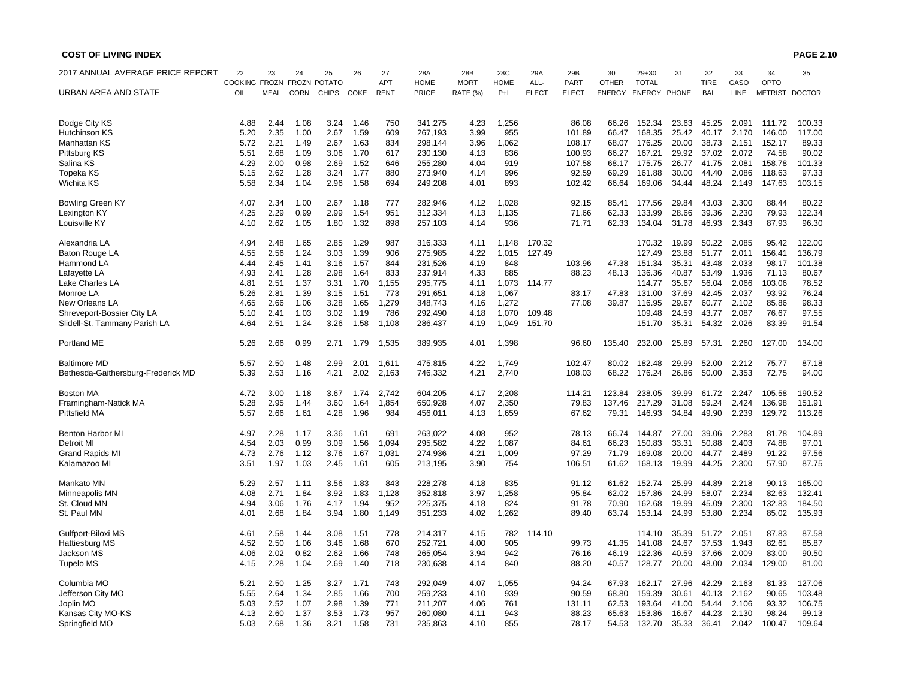| 2017 ANNUAL AVERAGE PRICE REPORT   | 22<br>COOKING FROZN FROZN POTATO | 23          | 24          | 25           | 26   | 27<br>APT   | 28A<br><b>HOME</b> | 28B<br><b>MORT</b> | 28C<br><b>HOME</b> | 29A<br>ALL-  | 29B<br><b>PART</b> | 30<br><b>OTHER</b> | $29 + 30$<br><b>TOTAL</b> | 31    | 32<br><b>TIRE</b> | 33<br>GASO | 34<br>OPTO     | 35     |
|------------------------------------|----------------------------------|-------------|-------------|--------------|------|-------------|--------------------|--------------------|--------------------|--------------|--------------------|--------------------|---------------------------|-------|-------------------|------------|----------------|--------|
| URBAN AREA AND STATE               | OIL                              | <b>MEAL</b> | <b>CORN</b> | <b>CHIPS</b> | COKE | <b>RENT</b> | PRICE              | <b>RATE (%)</b>    | $P+1$              | <b>ELECT</b> | <b>ELECT</b>       | <b>ENERGY</b>      | ENERGY PHONE              |       | <b>BAL</b>        | LINE       | METRIST DOCTOR |        |
| Dodge City KS                      | 4.88                             | 2.44        | 1.08        | 3.24         | 1.46 | 750         | 341,275            | 4.23               | 1,256              |              | 86.08              | 66.26              | 152.34                    | 23.63 | 45.25             | 2.091      | 111.72         | 100.33 |
| Hutchinson KS                      | 5.20                             | 2.35        | 1.00        | 2.67         | 1.59 | 609         | 267,193            | 3.99               | 955                |              | 101.89             | 66.47              | 168.35                    | 25.42 | 40.17             | 2.170      | 146.00         | 117.00 |
| <b>Manhattan KS</b>                | 5.72                             | 2.21        | 1.49        | 2.67         | 1.63 | 834         | 298,144            | 3.96               | 1,062              |              | 108.17             | 68.07              | 176.25                    | 20.00 | 38.73             | 2.151      | 152.17         | 89.33  |
| Pittsburg KS                       | 5.51                             | 2.68        | 1.09        | 3.06         | 1.70 | 617         | 230.130            | 4.13               | 836                |              | 100.93             | 66.27              | 167.21                    | 29.92 | 37.02             | 2.072      | 74.58          | 90.02  |
| Salina KS                          | 4.29                             | 2.00        | 0.98        | 2.69         | 1.52 | 646         | 255,280            | 4.04               | 919                |              | 107.58             | 68.17              | 175.75                    | 26.77 | 41.75             | 2.081      | 158.78         | 101.33 |
| Topeka KS                          | 5.15                             | 2.62        | 1.28        | 3.24         | 1.77 | 880         | 273,940            | 4.14               | 996                |              | 92.59              | 69.29              | 161.88                    | 30.00 | 44.40             | 2.086      | 118.63         | 97.33  |
| Wichita KS                         | 5.58                             | 2.34        | 1.04        | 2.96         | 1.58 | 694         | 249,208            | 4.01               | 893                |              | 102.42             | 66.64              | 169.06                    | 34.44 | 48.24             | 2.149      | 147.63         | 103.15 |
| <b>Bowling Green KY</b>            | 4.07                             | 2.34        | 1.00        | 2.67         | 1.18 | 777         | 282,946            | 4.12               | 1,028              |              | 92.15              | 85.41              | 177.56                    | 29.84 | 43.03             | 2.300      | 88.44          | 80.22  |
| Lexington KY                       | 4.25                             | 2.29        | 0.99        | 2.99         | 1.54 | 951         | 312,334            | 4.13               | 1,135              |              | 71.66              | 62.33              | 133.99                    | 28.66 | 39.36             | 2.230      | 79.93          | 122.34 |
| Louisville KY                      | 4.10                             | 2.62        | 1.05        | 1.80         | 1.32 | 898         | 257,103            | 4.14               | 936                |              | 71.71              | 62.33              | 134.04                    | 31.78 | 46.93             | 2.343      | 87.93          | 96.30  |
| Alexandria LA                      | 4.94                             | 2.48        | 1.65        | 2.85         | 1.29 | 987         | 316,333            | 4.11               | 1,148              | 170.32       |                    |                    | 170.32                    | 19.99 | 50.22             | 2.085      | 95.42          | 122.00 |
| Baton Rouge LA                     | 4.55                             | 2.56        | 1.24        | 3.03         | 1.39 | 906         | 275,985            | 4.22               | 1,015              | 127.49       |                    |                    | 127.49                    | 23.88 | 51.77             | 2.011      | 156.41         | 136.79 |
| Hammond LA                         | 4.44                             | 2.45        | 1.41        | 3.16         | 1.57 | 844         | 231,526            | 4.19               | 848                |              | 103.96             | 47.38              | 151.34                    | 35.31 | 43.48             | 2.033      | 98.17          | 101.38 |
| Lafayette LA                       | 4.93                             | 2.41        | 1.28        | 2.98         | 1.64 | 833         | 237,914            | 4.33               | 885                |              | 88.23              | 48.13              | 136.36                    | 40.87 | 53.49             | 1.936      | 71.13          | 80.67  |
| Lake Charles LA                    | 4.81                             | 2.51        | 1.37        | 3.31         | 1.70 | 1,155       | 295,775            | 4.11               | 1,073              | 114.77       |                    |                    | 114.77                    | 35.67 | 56.04             | 2.066      | 103.06         | 78.52  |
| Monroe LA                          | 5.26                             | 2.81        | 1.39        | 3.15         | 1.51 | 773         | 291,651            | 4.18               | 1,067              |              | 83.17              | 47.83              | 131.00                    | 37.69 | 42.45             | 2.037      | 93.92          | 76.24  |
| New Orleans LA                     | 4.65                             | 2.66        | 1.06        | 3.28         | 1.65 | 1,279       | 348,743            | 4.16               | 1,272              |              | 77.08              | 39.87              | 116.95                    | 29.67 | 60.77             | 2.102      | 85.86          | 98.33  |
| Shreveport-Bossier City LA         | 5.10                             | 2.41        | 1.03        | 3.02         | 1.19 | 786         | 292,490            | 4.18               | 1,070              | 109.48       |                    |                    | 109.48                    | 24.59 | 43.77             | 2.087      | 76.67          | 97.55  |
| Slidell-St. Tammany Parish LA      | 4.64                             | 2.51        | 1.24        | 3.26         | 1.58 | 1,108       | 286,437            | 4.19               | 1,049              | 151.70       |                    |                    | 151.70                    | 35.31 | 54.32             | 2.026      | 83.39          | 91.54  |
| Portland ME                        | 5.26                             | 2.66        | 0.99        | 2.71         | 1.79 | 1,535       | 389,935            | 4.01               | 1,398              |              | 96.60              | 135.40             | 232.00                    | 25.89 | 57.31             | 2.260      | 127.00         | 134.00 |
| <b>Baltimore MD</b>                | 5.57                             | 2.50        | 1.48        | 2.99         | 2.01 | 1,611       | 475,815            | 4.22               | 1,749              |              | 102.47             | 80.02              | 182.48                    | 29.99 | 52.00             | 2.212      | 75.77          | 87.18  |
| Bethesda-Gaithersburg-Frederick MD | 5.39                             | 2.53        | 1.16        | 4.21         | 2.02 | 2,163       | 746,332            | 4.21               | 2,740              |              | 108.03             | 68.22              | 176.24                    | 26.86 | 50.00             | 2.353      | 72.75          | 94.00  |
| Boston MA                          | 4.72                             | 3.00        | 1.18        | 3.67         | 1.74 | 2,742       | 604,205            | 4.17               | 2,208              |              | 114.21             | 123.84             | 238.05                    | 39.99 | 61.72             | 2.247      | 105.58         | 190.52 |
| Framingham-Natick MA               | 5.28                             | 2.95        | 1.44        | 3.60         | 1.64 | 1,854       | 650,928            | 4.07               | 2,350              |              | 79.83              | 137.46             | 217.29                    | 31.08 | 59.24             | 2.424      | 136.98         | 151.91 |
| Pittsfield MA                      | 5.57                             | 2.66        | 1.61        | 4.28         | 1.96 | 984         | 456,011            | 4.13               | 1,659              |              | 67.62              | 79.31              | 146.93                    | 34.84 | 49.90             | 2.239      | 129.72         | 113.26 |
| Benton Harbor MI                   | 4.97                             | 2.28        | 1.17        | 3.36         | 1.61 | 691         | 263,022            | 4.08               | 952                |              | 78.13              | 66.74              | 144.87                    | 27.00 | 39.06             | 2.283      | 81.78          | 104.89 |
| Detroit MI                         | 4.54                             | 2.03        | 0.99        | 3.09         | 1.56 | 1,094       | 295,582            | 4.22               | 1,087              |              | 84.61              | 66.23              | 150.83                    | 33.31 | 50.88             | 2.403      | 74.88          | 97.01  |
| <b>Grand Rapids MI</b>             | 4.73                             | 2.76        | 1.12        | 3.76         | 1.67 | 1,031       | 274,936            | 4.21               | 1,009              |              | 97.29              | 71.79              | 169.08                    | 20.00 | 44.77             | 2.489      | 91.22          | 97.56  |
| Kalamazoo MI                       | 3.51                             | 1.97        | 1.03        | 2.45         | 1.61 | 605         | 213,195            | 3.90               | 754                |              | 106.51             | 61.62              | 168.13                    | 19.99 | 44.25             | 2.300      | 57.90          | 87.75  |
| Mankato MN                         | 5.29                             | 2.57        | 1.11        | 3.56         | 1.83 | 843         | 228,278            | 4.18               | 835                |              | 91.12              | 61.62              | 152.74                    | 25.99 | 44.89             | 2.218      | 90.13          | 165.00 |
| Minneapolis MN                     | 4.08                             | 2.71        | 1.84        | 3.92         | 1.83 | 1,128       | 352,818            | 3.97               | 1,258              |              | 95.84              | 62.02              | 157.86                    | 24.99 | 58.07             | 2.234      | 82.63          | 132.41 |
| St. Cloud MN                       | 4.94                             | 3.06        | 1.76        | 4.17         | 1.94 | 952         | 225,375            | 4.18               | 824                |              | 91.78              | 70.90              | 162.68                    | 19.99 | 45.09             | 2.300      | 132.83         | 184.50 |
| St. Paul MN                        | 4.01                             | 2.68        | 1.84        | 3.94         | 1.80 | 1,149       | 351,233            | 4.02               | 1,262              |              | 89.40              | 63.74              | 153.14                    | 24.99 | 53.80             | 2.234      | 85.02          | 135.93 |
| Gulfport-Biloxi MS                 | 4.61                             | 2.58        | 1.44        | 3.08         | 1.51 | 778         | 214,317            | 4.15               | 782                | 114.10       |                    |                    | 114.10                    | 35.39 | 51.72             | 2.051      | 87.83          | 87.58  |
| Hattiesburg MS                     | 4.52                             | 2.50        | 1.06        | 3.46         | 1.68 | 670         | 252,721            | 4.00               | 905                |              | 99.73              | 41.35              | 141.08                    | 24.67 | 37.53             | 1.943      | 82.61          | 85.87  |
| Jackson MS                         | 4.06                             | 2.02        | 0.82        | 2.62         | 1.66 | 748         | 265,054            | 3.94               | 942                |              | 76.16              | 46.19              | 122.36                    | 40.59 | 37.66             | 2.009      | 83.00          | 90.50  |
| <b>Tupelo MS</b>                   | 4.15                             | 2.28        | 1.04        | 2.69         | 1.40 | 718         | 230,638            | 4.14               | 840                |              | 88.20              | 40.57              | 128.77                    | 20.00 | 48.00             | 2.034      | 129.00         | 81.00  |
| Columbia MO                        | 5.21                             | 2.50        | 1.25        | 3.27         | 1.71 | 743         | 292,049            | 4.07               | 1,055              |              | 94.24              | 67.93              | 162.17                    | 27.96 | 42.29             | 2.163      | 81.33          | 127.06 |
| Jefferson City MO                  | 5.55                             | 2.64        | 1.34        | 2.85         | 1.66 | 700         | 259,233            | 4.10               | 939                |              | 90.59              | 68.80              | 159.39                    | 30.61 | 40.13             | 2.162      | 90.65          | 103.48 |
| Joplin MO                          | 5.03                             | 2.52        | 1.07        | 2.98         | 1.39 | 771         | 211,207            | 4.06               | 761                |              | 131.11             | 62.53              | 193.64                    | 41.00 | 54.44             | 2.106      | 93.32          | 106.75 |
| Kansas City MO-KS                  | 4.13                             | 2.60        | 1.37        | 3.53         | 1.73 | 957         | 260,080            | 4.11               | 943                |              | 88.23              | 65.63              | 153.86                    | 16.67 | 44.23             | 2.130      | 98.24          | 99.13  |
| Springfield MO                     | 5.03                             | 2.68        | 1.36        | 3.21         | 1.58 | 731         | 235,863            | 4.10               | 855                |              | 78.17              | 54.53              | 132.70                    | 35.33 | 36.41             | 2.042      | 100.47         | 109.64 |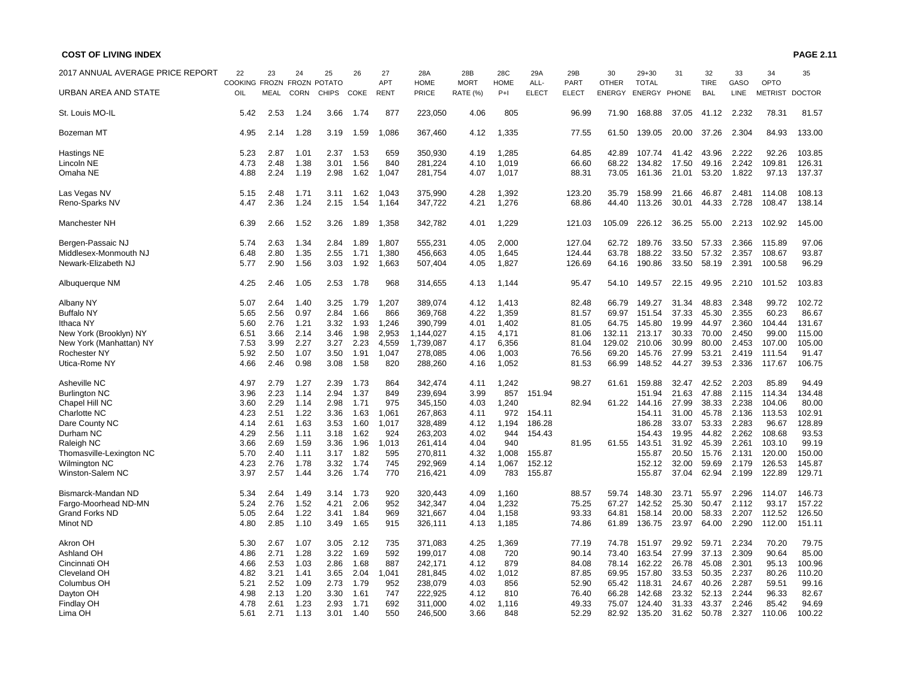| 2017 ANNUAL AVERAGE PRICE REPORT | 22            | 23          | 24          | 25           | 26   | 27          | 28A         | 28B             | 28C         | 29A          | 29B          | 30            | $29 + 30$    | 31    | 32          | 33          | 34             | 35            |
|----------------------------------|---------------|-------------|-------------|--------------|------|-------------|-------------|-----------------|-------------|--------------|--------------|---------------|--------------|-------|-------------|-------------|----------------|---------------|
|                                  | COOKING FROZN |             |             | FROZN POTATO |      | APT         | <b>HOME</b> | <b>MORT</b>     | <b>HOME</b> | ALL-         | <b>PART</b>  | <b>OTHER</b>  | <b>TOTAL</b> |       | <b>TIRE</b> | GASO        | OPTO           |               |
| <b>URBAN AREA AND STATE</b>      | OIL           | <b>MEAL</b> | <b>CORN</b> | <b>CHIPS</b> | COKE | <b>RENT</b> | PRICE       | <b>RATE (%)</b> | $P+1$       | <b>ELECT</b> | <b>ELECT</b> | <b>ENERGY</b> | ENERGY PHONE |       | <b>BAL</b>  | <b>LINE</b> | <b>METRIST</b> | <b>DOCTOR</b> |
| St. Louis MO-IL                  | 5.42          | 2.53        | 1.24        | 3.66         | 1.74 | 877         | 223,050     | 4.06            | 805         |              | 96.99        | 71.90         | 168.88       | 37.05 | 41.12       | 2.232       | 78.31          | 81.57         |
| Bozeman MT                       | 4.95          | 2.14        | 1.28        | 3.19         | 1.59 | 1,086       | 367,460     | 4.12            | 1,335       |              | 77.55        | 61.50         | 139.05       | 20.00 | 37.26       | 2.304       | 84.93          | 133.00        |
| Hastings NE                      | 5.23          | 2.87        | 1.01        | 2.37         | 1.53 | 659         | 350,930     | 4.19            | 1,285       |              | 64.85        | 42.89         | 107.74       | 41.42 | 43.96       | 2.222       | 92.26          | 103.85        |
| Lincoln NE                       | 4.73          | 2.48        | 1.38        | 3.01         | 1.56 | 840         | 281,224     | 4.10            | 1,019       |              | 66.60        | 68.22         | 134.82       | 17.50 | 49.16       | 2.242       | 109.81         | 126.31        |
| Omaha NE                         | 4.88          | 2.24        | 1.19        | 2.98         | 1.62 | 1,047       | 281,754     | 4.07            | 1,017       |              | 88.31        | 73.05         | 161.36       | 21.01 | 53.20       | 1.822       | 97.13          | 137.37        |
| Las Vegas NV                     | 5.15          | 2.48        | 1.71        | 3.11         | 1.62 | 1,043       | 375,990     | 4.28            | 1,392       |              | 123.20       | 35.79         | 158.99       | 21.66 | 46.87       | 2.481       | 114.08         | 108.13        |
| Reno-Sparks NV                   | 4.47          | 2.36        | 1.24        | 2.15         | 1.54 | 1,164       | 347,722     | 4.21            | 1,276       |              | 68.86        | 44.40         | 113.26       | 30.01 | 44.33       | 2.728       | 108.47         | 138.14        |
| Manchester NH                    | 6.39          | 2.66        | 1.52        | 3.26         | 1.89 | 1,358       | 342,782     | 4.01            | 1,229       |              | 121.03       | 105.09        | 226.12       | 36.25 | 55.00       | 2.213       | 102.92         | 145.00        |
| Bergen-Passaic NJ                | 5.74          | 2.63        | 1.34        | 2.84         | 1.89 | 1,807       | 555,231     | 4.05            | 2,000       |              | 127.04       | 62.72         | 189.76       | 33.50 | 57.33       | 2.366       | 115.89         | 97.06         |
| Middlesex-Monmouth NJ            | 6.48          | 2.80        | 1.35        | 2.55         | 1.71 | 1,380       | 456,663     | 4.05            | 1,645       |              | 124.44       | 63.78         | 188.22       | 33.50 | 57.32       | 2.357       | 108.67         | 93.87         |
| Newark-Elizabeth NJ              | 5.77          | 2.90        | 1.56        | 3.03         | 1.92 | 1,663       | 507,404     | 4.05            | 1,827       |              | 126.69       | 64.16         | 190.86       | 33.50 | 58.19       | 2.391       | 100.58         | 96.29         |
| Albuquerque NM                   | 4.25          | 2.46        | 1.05        | 2.53         | 1.78 | 968         | 314,655     | 4.13            | 1,144       |              | 95.47        | 54.10         | 149.57       | 22.15 | 49.95       | 2.210       | 101.52         | 103.83        |
| Albany NY                        | 5.07          | 2.64        | 1.40        | 3.25         | 1.79 | 1,207       | 389.074     | 4.12            | 1.413       |              | 82.48        | 66.79         | 149.27       | 31.34 | 48.83       | 2.348       | 99.72          | 102.72        |
| <b>Buffalo NY</b>                | 5.65          | 2.56        | 0.97        | 2.84         | 1.66 | 866         | 369,768     | 4.22            | 1,359       |              | 81.57        | 69.97         | 151.54       | 37.33 | 45.30       | 2.355       | 60.23          | 86.67         |
| Ithaca NY                        | 5.60          | 2.76        | 1.21        | 3.32         | 1.93 | 1,246       | 390,799     | 4.01            | 1,402       |              | 81.05        | 64.75         | 145.80       | 19.99 | 44.97       | 2.360       | 104.44         | 131.67        |
| New York (Brooklyn) NY           | 6.51          | 3.66        | 2.14        | 3.46         | 1.98 | 2,953       | 1,144,027   | 4.15            | 4,171       |              | 81.06        | 132.11        | 213.17       | 30.33 | 70.00       | 2.450       | 99.00          | 115.00        |
| New York (Manhattan) NY          | 7.53          | 3.99        | 2.27        | 3.27         | 2.23 | 4,559       | 1,739,087   | 4.17            | 6,356       |              | 81.04        | 129.02        | 210.06       | 30.99 | 80.00       | 2.453       | 107.00         | 105.00        |
| Rochester NY                     | 5.92          | 2.50        | 1.07        | 3.50         | 1.91 | 1,047       | 278,085     | 4.06            | 1,003       |              | 76.56        | 69.20         | 145.76       | 27.99 | 53.21       | 2.419       | 111.54         | 91.47         |
| Utica-Rome NY                    | 4.66          | 2.46        | 0.98        | 3.08         | 1.58 | 820         | 288,260     | 4.16            | 1,052       |              | 81.53        | 66.99         | 148.52       | 44.27 | 39.53       | 2.336       | 117.67         | 106.75        |
| Asheville NC                     | 4.97          | 2.79        | 1.27        | 2.39         | 1.73 | 864         | 342,474     | 4.11            | 1,242       |              | 98.27        | 61.61         | 159.88       | 32.47 | 42.52       | 2.203       | 85.89          | 94.49         |
| <b>Burlington NC</b>             | 3.96          | 2.23        | 1.14        | 2.94         | 1.37 | 849         | 239.694     | 3.99            | 857         | 151.94       |              |               | 151.94       | 21.63 | 47.88       | 2.115       | 114.34         | 134.48        |
| Chapel Hill NC                   | 3.60          | 2.29        | 1.14        | 2.98         | 1.71 | 975         | 345,150     | 4.03            | 1,240       |              | 82.94        | 61.22         | 144.16       | 27.99 | 38.33       | 2.238       | 104.06         | 80.00         |
| <b>Charlotte NC</b>              | 4.23          | 2.51        | 1.22        | 3.36         | 1.63 | 1,061       | 267,863     | 4.11            | 972         | 154.11       |              |               | 154.11       | 31.00 | 45.78       | 2.136       | 113.53         | 102.91        |
| Dare County NC                   | 4.14          | 2.61        | 1.63        | 3.53         | 1.60 | 1,017       | 328,489     | 4.12            | 1,194       | 186.28       |              |               | 186.28       | 33.07 | 53.33       | 2.283       | 96.67          | 128.89        |
| Durham NC                        | 4.29          | 2.56        | 1.11        | 3.18         | 1.62 | 924         | 263,203     | 4.02            | 944         | 154.43       |              |               | 154.43       | 19.95 | 44.82       | 2.262       | 108.68         | 93.53         |
| Raleigh NC                       | 3.66          | 2.69        | 1.59        | 3.36         | 1.96 | 1,013       | 261,414     | 4.04            | 940         |              | 81.95        | 61.55         | 143.51       | 31.92 | 45.39       | 2.261       | 103.10         | 99.19         |
| Thomasville-Lexington NC         | 5.70          | 2.40        | 1.11        | 3.17         | 1.82 | 595         | 270,811     | 4.32            | 1,008       | 155.87       |              |               | 155.87       | 20.50 | 15.76       | 2.131       | 120.00         | 150.00        |
| <b>Wilmington NC</b>             | 4.23          | 2.76        | 1.78        | 3.32         | 1.74 | 745         | 292,969     | 4.14            | 1,067       | 152.12       |              |               | 152.12       | 32.00 | 59.69       | 2.179       | 126.53         | 145.87        |
| Winston-Salem NC                 | 3.97          | 2.57        | 1.44        | 3.26         | 1.74 | 770         | 216,421     | 4.09            | 783         | 155.87       |              |               | 155.87       | 37.04 | 62.94       | 2.199       | 122.89         | 129.71        |
| Bismarck-Mandan ND               | 5.34          | 2.64        | 1.49        | 3.14         | 1.73 | 920         | 320,443     | 4.09            | 1,160       |              | 88.57        | 59.74         | 148.30       | 23.71 | 55.97       | 2.296       | 114.07         | 146.73        |
| Fargo-Moorhead ND-MN             | 5.24          | 2.76        | 1.52        | 4.21         | 2.06 | 952         | 342,347     | 4.04            | 1,232       |              | 75.25        | 67.27         | 142.52       | 25.30 | 50.47       | 2.112       | 93.17          | 157.22        |
| <b>Grand Forks ND</b>            | 5.05          | 2.64        | 1.22        | 3.41         | 1.84 | 969         | 321,667     | 4.04            | 1,158       |              | 93.33        | 64.81         | 158.14       | 20.00 | 58.33       | 2.207       | 112.52         | 126.50        |
| Minot ND                         | 4.80          | 2.85        | 1.10        | 3.49         | 1.65 | 915         | 326,111     | 4.13            | 1,185       |              | 74.86        | 61.89         | 136.75       | 23.97 | 64.00       | 2.290       | 112.00         | 151.11        |
| Akron OH                         | 5.30          | 2.67        | 1.07        | 3.05         | 2.12 | 735         | 371.083     | 4.25            | 1,369       |              | 77.19        | 74.78         | 151.97       | 29.92 | 59.71       | 2.234       | 70.20          | 79.75         |
| <b>Ashland OH</b>                | 4.86          | 2.71        | 1.28        | 3.22         | 1.69 | 592         | 199,017     | 4.08            | 720         |              | 90.14        | 73.40         | 163.54       | 27.99 | 37.13       | 2.309       | 90.64          | 85.00         |
|                                  |               |             |             |              |      |             |             |                 | 879         |              |              |               |              |       |             |             |                |               |
| Cincinnati OH                    | 4.66          | 2.53        | 1.03        | 2.86         | 1.68 | 887         | 242,171     | 4.12            |             |              | 84.08        | 78.14         | 162.22       | 26.78 | 45.08       | 2.301       | 95.13          | 100.96        |
| Cleveland OH                     | 4.82          | 3.21        | 1.41        | 3.65         | 2.04 | 1,041       | 281,845     | 4.02            | 1,012       |              | 87.85        | 69.95         | 157.80       | 33.53 | 50.35       | 2.237       | 80.26          | 110.20        |
| Columbus OH                      | 5.21          | 2.52        | 1.09        | 2.73         | 1.79 | 952         | 238.079     | 4.03            | 856         |              | 52.90        | 65.42         | 118.31       | 24.67 | 40.26       | 2.287       | 59.51          | 99.16         |
| Dayton OH                        | 4.98          | 2.13        | 1.20        | 3.30         | 1.61 | 747         | 222,925     | 4.12            | 810         |              | 76.40        | 66.28         | 142.68       | 23.32 | 52.13       | 2.244       | 96.33          | 82.67         |
| <b>Findlay OH</b>                | 4.78          | 2.61        | 1.23        | 2.93         | 1.71 | 692         | 311,000     | 4.02            | 1,116       |              | 49.33        | 75.07         | 124.40       | 31.33 | 43.37       | 2.246       | 85.42          | 94.69         |
| Lima OH                          | 5.61          | 2.71        | 1.13        | 3.01         | 1.40 | 550         | 246.500     | 3.66            | 848         |              | 52.29        | 82.92         | 135.20       | 31.62 | 50.78       | 2.327       | 110.06         | 100.22        |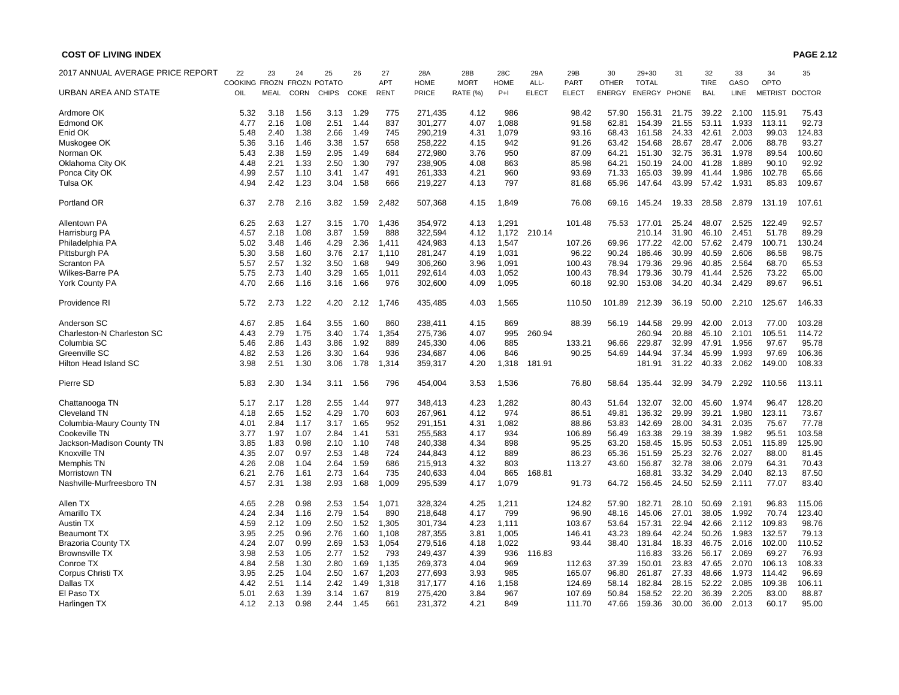| 2017 ANNUAL AVERAGE PRICE REPORT | 22            | 23          | 24          | 25           | 26   | 27          | 28A         | 28B         | 28C         | 29A          | 29B          | 30            | $29 + 30$    | 31    | 32          | 33    | 34             | 35            |
|----------------------------------|---------------|-------------|-------------|--------------|------|-------------|-------------|-------------|-------------|--------------|--------------|---------------|--------------|-------|-------------|-------|----------------|---------------|
|                                  | COOKING FROZN |             |             | FROZN POTATO |      | APT         | <b>HOME</b> | <b>MORT</b> | <b>HOME</b> | ALL-         | <b>PART</b>  | <b>OTHER</b>  | <b>TOTAL</b> |       | <b>TIRE</b> | GASO  | OPTO           |               |
| <b>URBAN AREA AND STATE</b>      | OIL           | <b>MEAL</b> | <b>CORN</b> | <b>CHIPS</b> | COKE | <b>RENT</b> | PRICE       | RATE (%)    | $P+1$       | <b>ELECT</b> | <b>ELECT</b> | <b>ENERGY</b> | ENERGY PHONE |       | <b>BAL</b>  | LINE  | <b>METRIST</b> | <b>DOCTOR</b> |
| Ardmore OK                       | 5.32          | 3.18        | 1.56        | 3.13         | 1.29 | 775         | 271,435     | 4.12        | 986         |              | 98.42        | 57.90         | 156.31       | 21.75 | 39.22       | 2.100 | 115.91         | 75.43         |
| <b>Edmond OK</b>                 | 4.77          | 2.16        | 1.08        | 2.51         | 1.44 | 837         | 301,277     | 4.07        | 1,088       |              | 91.58        | 62.81         | 154.39       | 21.55 | 53.11       | 1.933 | 113.11         | 92.73         |
| Enid OK                          | 5.48          | 2.40        | 1.38        | 2.66         | 1.49 | 745         | 290,219     | 4.31        | 1,079       |              | 93.16        | 68.43         | 161.58       | 24.33 | 42.61       | 2.003 | 99.03          | 124.83        |
| Muskogee OK                      | 5.36          | 3.16        | 1.46        | 3.38         | 1.57 | 658         | 258,222     | 4.15        | 942         |              | 91.26        | 63.42         | 154.68       | 28.67 | 28.47       | 2.006 | 88.78          | 93.27         |
| Norman OK                        | 5.43          | 2.38        | 1.59        | 2.95         | 1.49 | 684         | 272.980     | 3.76        | 950         |              | 87.09        | 64.21         | 151.30       | 32.75 | 36.31       | 1.978 | 89.54          | 100.60        |
| Oklahoma City OK                 | 4.48          | 2.21        | 1.33        | 2.50         | 1.30 | 797         | 238,905     | 4.08        | 863         |              | 85.98        | 64.21         | 150.19       | 24.00 | 41.28       | 1.889 | 90.10          | 92.92         |
| Ponca City OK                    | 4.99          | 2.57        | 1.10        | 3.41         | 1.47 | 491         | 261,333     | 4.21        | 960         |              | 93.69        | 71.33         | 165.03       | 39.99 | 41.44       | 1.986 | 102.78         | 65.66         |
| Tulsa OK                         | 4.94          | 2.42        | 1.23        | 3.04         | 1.58 | 666         | 219,227     | 4.13        | 797         |              | 81.68        | 65.96         | 147.64       | 43.99 | 57.42       | 1.931 | 85.83          | 109.67        |
| Portland OR                      | 6.37          | 2.78        | 2.16        | 3.82         | 1.59 | 2,482       | 507,368     | 4.15        | 1,849       |              | 76.08        | 69.16         | 145.24       | 19.33 | 28.58       | 2.879 | 131.19         | 107.61        |
| Allentown PA                     | 6.25          | 2.63        | 1.27        | 3.15         | 1.70 | 1,436       | 354,972     | 4.13        | 1,291       |              | 101.48       | 75.53         | 177.01       | 25.24 | 48.07       | 2.525 | 122.49         | 92.57         |
| Harrisburg PA                    | 4.57          | 2.18        | 1.08        | 3.87         | 1.59 | 888         | 322.594     | 4.12        | 1,172       | 210.14       |              |               | 210.14       | 31.90 | 46.10       | 2.451 | 51.78          | 89.29         |
| Philadelphia PA                  | 5.02          | 3.48        | 1.46        | 4.29         | 2.36 | 1,411       | 424,983     | 4.13        | 1,547       |              | 107.26       | 69.96         | 177.22       | 42.00 | 57.62       | 2.479 | 100.71         | 130.24        |
| Pittsburgh PA                    | 5.30          | 3.58        | 1.60        | 3.76         | 2.17 | 1.110       | 281,247     | 4.19        | 1,031       |              | 96.22        | 90.24         | 186.46       | 30.99 | 40.59       | 2.606 | 86.58          | 98.75         |
| <b>Scranton PA</b>               | 5.57          | 2.57        | 1.32        | 3.50         | 1.68 | 949         | 306,260     | 3.96        | 1,091       |              | 100.43       | 78.94         | 179.36       | 29.96 | 40.85       | 2.564 | 68.70          | 65.53         |
| Wilkes-Barre PA                  | 5.75          | 2.73        | 1.40        | 3.29         | 1.65 | 1,011       | 292,614     | 4.03        | 1,052       |              | 100.43       | 78.94         | 179.36       | 30.79 | 41.44       | 2.526 | 73.22          | 65.00         |
| <b>York County PA</b>            | 4.70          | 2.66        | 1.16        | 3.16         | 1.66 | 976         | 302,600     | 4.09        | 1,095       |              | 60.18        | 92.90         | 153.08       | 34.20 | 40.34       | 2.429 | 89.67          | 96.51         |
| Providence RI                    | 5.72          | 2.73        | 1.22        | 4.20         | 2.12 | 1,746       | 435,485     | 4.03        | 1,565       |              | 110.50       | 101.89        | 212.39       | 36.19 | 50.00       | 2.210 | 125.67         | 146.33        |
| Anderson SC                      | 4.67          | 2.85        | 1.64        | 3.55         | 1.60 | 860         | 238,411     | 4.15        | 869         |              | 88.39        | 56.19         | 144.58       | 29.99 | 42.00       | 2.013 | 77.00          | 103.28        |
| Charleston-N Charleston SC       | 4.43          | 2.79        | 1.75        | 3.40         | 1.74 | 1,354       | 275,736     | 4.07        | 995         | 260.94       |              |               | 260.94       | 20.88 | 45.10       | 2.101 | 105.51         | 114.72        |
| Columbia SC                      | 5.46          | 2.86        | 1.43        | 3.86         | 1.92 | 889         | 245,330     | 4.06        | 885         |              | 133.21       | 96.66         | 229.87       | 32.99 | 47.91       | 1.956 | 97.67          | 95.78         |
| Greenville SC                    | 4.82          | 2.53        | 1.26        | 3.30         | 1.64 | 936         | 234,687     | 4.06        | 846         |              | 90.25        | 54.69         | 144.94       | 37.34 | 45.99       | 1.993 | 97.69          | 106.36        |
| Hilton Head Island SC            | 3.98          | 2.51        | 1.30        | 3.06         | 1.78 | 1,314       | 359,317     | 4.20        | 1,318       | 181.91       |              |               | 181.91       | 31.22 | 40.33       | 2.062 | 149.00         | 108.33        |
| Pierre SD                        | 5.83          | 2.30        | 1.34        | 3.11         | 1.56 | 796         | 454,004     | 3.53        | 1,536       |              | 76.80        | 58.64         | 135.44       | 32.99 | 34.79       | 2.292 | 110.56         | 113.11        |
| Chattanooga TN                   | 5.17          | 2.17        | 1.28        | 2.55         | 1.44 | 977         | 348,413     | 4.23        | 1,282       |              | 80.43        | 51.64         | 132.07       | 32.00 | 45.60       | 1.974 | 96.47          | 128.20        |
| <b>Cleveland TN</b>              | 4.18          | 2.65        | 1.52        | 4.29         | 1.70 | 603         | 267,961     | 4.12        | 974         |              | 86.51        | 49.81         | 136.32       | 29.99 | 39.21       | 1.980 | 123.11         | 73.67         |
| Columbia-Maury County TN         | 4.01          | 2.84        | 1.17        | 3.17         | 1.65 | 952         | 291,151     | 4.31        | 1,082       |              | 88.86        | 53.83         | 142.69       | 28.00 | 34.31       | 2.035 | 75.67          | 77.78         |
| Cookeville TN                    | 3.77          | 1.97        | 1.07        | 2.84         | 1.41 | 531         | 255,583     | 4.17        | 934         |              | 106.89       | 56.49         | 163.38       | 29.19 | 38.39       | 1.982 | 95.51          | 103.58        |
| Jackson-Madison County TN        | 3.85          | 1.83        | 0.98        | 2.10         | 1.10 | 748         | 240,338     | 4.34        | 898         |              | 95.25        | 63.20         | 158.45       | 15.95 | 50.53       | 2.051 | 115.89         | 125.90        |
| Knoxville TN                     | 4.35          | 2.07        | 0.97        | 2.53         | 1.48 | 724         | 244.843     | 4.12        | 889         |              | 86.23        | 65.36         | 151.59       | 25.23 | 32.76       | 2.027 | 88.00          | 81.45         |
| Memphis TN                       | 4.26          | 2.08        | 1.04        | 2.64         | 1.59 | 686         | 215,913     | 4.32        | 803         |              | 113.27       | 43.60         | 156.87       | 32.78 | 38.06       | 2.079 | 64.31          | 70.43         |
| Morristown TN                    | 6.21          | 2.76        | 1.61        | 2.73         | 1.64 | 735         | 240,633     | 4.04        | 865         | 168.81       |              |               | 168.81       | 33.32 | 34.29       | 2.040 | 82.13          | 87.50         |
| Nashville-Murfreesboro TN        | 4.57          | 2.31        | 1.38        | 2.93         | 1.68 | 1,009       | 295,539     | 4.17        | 1,079       |              | 91.73        | 64.72         | 156.45       | 24.50 | 52.59       | 2.111 | 77.07          | 83.40         |
| Allen TX                         | 4.65          | 2.28        | 0.98        | 2.53         | 1.54 | 1,071       | 328,324     | 4.25        | 1,211       |              | 124.82       | 57.90         | 182.71       | 28.10 | 50.69       | 2.191 | 96.83          | 115.06        |
| Amarillo TX                      | 4.24          | 2.34        | 1.16        | 2.79         | 1.54 | 890         | 218,648     | 4.17        | 799         |              | 96.90        | 48.16         | 145.06       | 27.01 | 38.05       | 1.992 | 70.74          | 123.40        |
| Austin TX                        | 4.59          | 2.12        | 1.09        | 2.50         | 1.52 | 1,305       | 301,734     | 4.23        | 1,111       |              | 103.67       | 53.64         | 157.31       | 22.94 | 42.66       | 2.112 | 109.83         | 98.76         |
| Beaumont TX                      | 3.95          | 2.25        | 0.96        | 2.76         | 1.60 | 1,108       | 287,355     | 3.81        | 1,005       |              | 146.41       | 43.23         | 189.64       | 42.24 | 50.26       | 1.983 | 132.57         | 79.13         |
| <b>Brazoria County TX</b>        | 4.24          | 2.07        | 0.99        | 2.69         | 1.53 | 1,054       | 279,516     | 4.18        | 1,022       |              | 93.44        | 38.40         | 131.84       | 18.33 | 46.75       | 2.016 | 102.00         | 110.52        |
| <b>Brownsville TX</b>            | 3.98          | 2.53        | 1.05        | 2.77         | 1.52 | 793         | 249,437     | 4.39        | 936         | 116.83       |              |               | 116.83       | 33.26 | 56.17       | 2.069 | 69.27          | 76.93         |
| Conroe TX                        | 4.84          | 2.58        | 1.30        | 2.80         | 1.69 | 1.135       | 269,373     | 4.04        | 969         |              | 112.63       | 37.39         | 150.01       | 23.83 | 47.65       | 2.070 | 106.13         | 108.33        |
| Corpus Christi TX                | 3.95          | 2.25        | 1.04        | 2.50         | 1.67 | 1,203       | 277,693     | 3.93        | 985         |              | 165.07       | 96.80         | 261.87       | 27.33 | 48.66       | 1.973 | 114.42         | 96.69         |
| Dallas TX                        | 4.42          | 2.51        | 1.14        | 2.42         | 1.49 | 1,318       | 317,177     | 4.16        | 1,158       |              | 124.69       | 58.14         | 182.84       | 28.15 | 52.22       | 2.085 | 109.38         | 106.11        |
| El Paso TX                       | 5.01          | 2.63        | 1.39        | 3.14         | 1.67 | 819         | 275,420     | 3.84        | 967         |              | 107.69       | 50.84         | 158.52       | 22.20 | 36.39       | 2.205 | 83.00          | 88.87         |
| Harlingen TX                     | 4.12          | 2.13        | 0.98        | 2.44         | 1.45 | 661         | 231,372     | 4.21        | 849         |              | 111.70       | 47.66         | 159.36       | 30.00 | 36.00       | 2.013 | 60.17          | 95.00         |
|                                  |               |             |             |              |      |             |             |             |             |              |              |               |              |       |             |       |                |               |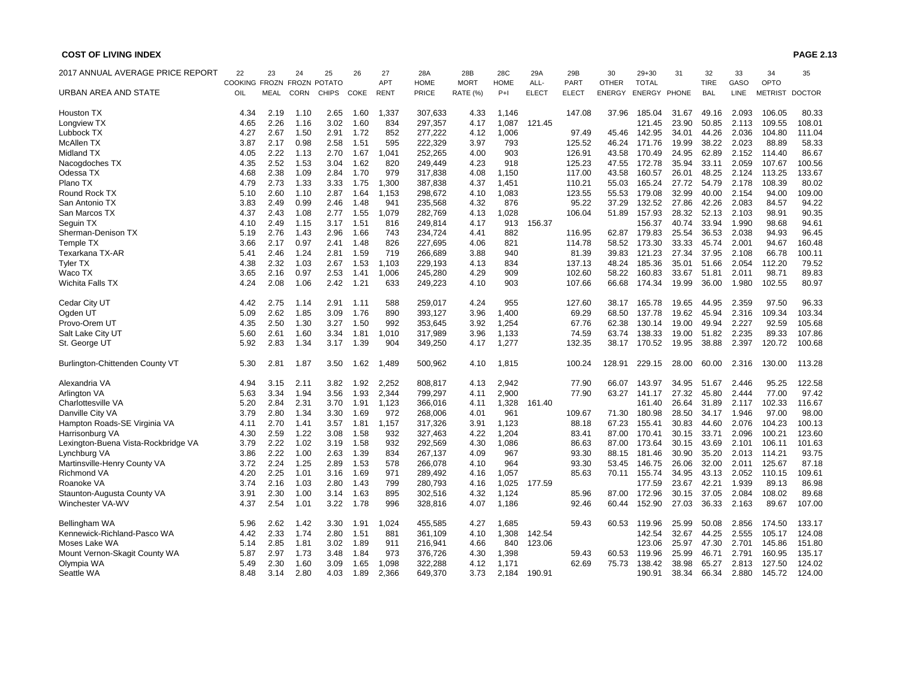| 2017 ANNUAL AVERAGE PRICE REPORT    | 22            | 23          | 24          | 25                  | 26   | 27          | 28A          | 28B         | 28C         | 29A          | 29B          | 30            | $29 + 30$    | 31    | 32          | 33    | 34             | 35     |
|-------------------------------------|---------------|-------------|-------------|---------------------|------|-------------|--------------|-------------|-------------|--------------|--------------|---------------|--------------|-------|-------------|-------|----------------|--------|
|                                     | COOKING FROZN |             |             | <b>FROZN POTATO</b> |      | APT         | <b>HOME</b>  | <b>MORT</b> | <b>HOME</b> | ALL-         | PART         | <b>OTHER</b>  | <b>TOTAL</b> |       | <b>TIRE</b> | GASO  | OPTO           |        |
| URBAN AREA AND STATE                | OIL           | <b>MEAL</b> | <b>CORN</b> | <b>CHIPS</b>        | COKE | <b>RENT</b> | <b>PRICE</b> | RATE (%)    | $P+1$       | <b>ELECT</b> | <b>ELECT</b> | <b>ENERGY</b> | ENERGY PHONE |       | <b>BAL</b>  | LINE  | METRIST DOCTOR |        |
| <b>Houston TX</b>                   | 4.34          | 2.19        | 1.10        | 2.65                | 1.60 | 1,337       | 307,633      | 4.33        | 1,146       |              | 147.08       | 37.96         | 185.04       | 31.67 | 49.16       | 2.093 | 106.05         | 80.33  |
| Longview TX                         | 4.65          | 2.26        | 1.16        | 3.02                | 1.60 | 834         | 297,357      | 4.17        | 1,087       | 121.45       |              |               | 121.45       | 23.90 | 50.85       | 2.113 | 109.55         | 108.01 |
| Lubbock TX                          | 4.27          | 2.67        | 1.50        | 2.91                | 1.72 | 852         | 277,222      | 4.12        | 1,006       |              | 97.49        | 45.46         | 142.95       | 34.01 | 44.26       | 2.036 | 104.80         | 111.04 |
| <b>McAllen TX</b>                   | 3.87          | 2.17        | 0.98        | 2.58                | 1.51 | 595         | 222,329      | 3.97        | 793         |              | 125.52       | 46.24         | 171.76       | 19.99 | 38.22       | 2.023 | 88.89          | 58.33  |
| <b>Midland TX</b>                   | 4.05          | 2.22        | 1.13        | 2.70                | 1.67 | 1,041       | 252,265      | 4.00        | 903         |              | 126.91       | 43.58         | 170.49       | 24.95 | 62.89       | 2.152 | 114.40         | 86.67  |
| Nacogdoches TX                      | 4.35          | 2.52        | 1.53        | 3.04                | 1.62 | 820         | 249.449      | 4.23        | 918         |              | 125.23       | 47.55         | 172.78       | 35.94 | 33.11       | 2.059 | 107.67         | 100.56 |
| Odessa TX                           | 4.68          | 2.38        | 1.09        | 2.84                | 1.70 | 979         | 317,838      | 4.08        | 1,150       |              | 117.00       | 43.58         | 160.57       | 26.01 | 48.25       | 2.124 | 113.25         | 133.67 |
| Plano TX                            | 4.79          | 2.73        | 1.33        | 3.33                | 1.75 | 1,300       | 387,838      | 4.37        | 1,451       |              | 110.21       | 55.03         | 165.24       | 27.72 | 54.79       | 2.178 | 108.39         | 80.02  |
| Round Rock TX                       | 5.10          | 2.60        | 1.10        | 2.87                | 1.64 | 1.153       | 298,672      | 4.10        | 1,083       |              | 123.55       | 55.53         | 179.08       | 32.99 | 40.00       | 2.154 | 94.00          | 109.00 |
| San Antonio TX                      | 3.83          | 2.49        | 0.99        | 2.46                | 1.48 | 941         | 235,568      | 4.32        | 876         |              | 95.22        | 37.29         | 132.52       | 27.86 | 42.26       | 2.083 | 84.57          | 94.22  |
| San Marcos TX                       | 4.37          | 2.43        | 1.08        | 2.77                | 1.55 | 1,079       | 282,769      | 4.13        | 1,028       |              | 106.04       | 51.89         | 157.93       | 28.32 | 52.13       | 2.103 | 98.91          | 90.35  |
| Seguin TX                           | 4.10          | 2.49        | 1.15        | 3.17                | 1.51 | 816         | 249,814      | 4.17        | 913         | 156.37       |              |               | 156.37       | 40.74 | 33.94       | 1.990 | 98.68          | 94.61  |
| Sherman-Denison TX                  | 5.19          | 2.76        | 1.43        | 2.96                | 1.66 | 743         | 234,724      | 4.41        | 882         |              | 116.95       | 62.87         | 179.83       | 25.54 | 36.53       | 2.038 | 94.93          | 96.45  |
| Temple TX                           | 3.66          | 2.17        | 0.97        | 2.41                | 1.48 | 826         | 227,695      | 4.06        | 821         |              | 114.78       | 58.52         | 173.30       | 33.33 | 45.74       | 2.001 | 94.67          | 160.48 |
| Texarkana TX-AR                     | 5.41          | 2.46        | 1.24        | 2.81                | 1.59 | 719         | 266,689      | 3.88        | 940         |              | 81.39        | 39.83         | 121.23       | 27.34 | 37.95       | 2.108 | 66.78          | 100.11 |
| <b>Tyler TX</b>                     | 4.38          | 2.32        | 1.03        | 2.67                | 1.53 | 1,103       | 229,193      | 4.13        | 834         |              | 137.13       | 48.24         | 185.36       | 35.01 | 51.66       | 2.054 | 112.20         | 79.52  |
| Waco TX                             | 3.65          | 2.16        | 0.97        | 2.53                | 1.41 | 1,006       | 245,280      | 4.29        | 909         |              | 102.60       | 58.22         | 160.83       | 33.67 | 51.81       | 2.011 | 98.71          | 89.83  |
| Wichita Falls TX                    | 4.24          | 2.08        | 1.06        | 2.42                | 1.21 | 633         | 249,223      | 4.10        | 903         |              | 107.66       | 66.68         | 174.34       | 19.99 | 36.00       | 1.980 | 102.55         | 80.97  |
| Cedar City UT                       | 4.42          | 2.75        | 1.14        | 2.91                | 1.11 | 588         | 259,017      | 4.24        | 955         |              | 127.60       | 38.17         | 165.78       | 19.65 | 44.95       | 2.359 | 97.50          | 96.33  |
| Ogden UT                            | 5.09          | 2.62        | 1.85        | 3.09                | 1.76 | 890         | 393,127      | 3.96        | 1,400       |              | 69.29        | 68.50         | 137.78       | 19.62 | 45.94       | 2.316 | 109.34         | 103.34 |
| Provo-Orem UT                       | 4.35          | 2.50        | 1.30        | 3.27                | 1.50 | 992         | 353,645      | 3.92        | 1,254       |              | 67.76        | 62.38         | 130.14       | 19.00 | 49.94       | 2.227 | 92.59          | 105.68 |
| Salt Lake City UT                   | 5.60          | 2.61        | 1.60        | 3.34                | 1.81 | 1,010       | 317,989      | 3.96        | 1,133       |              | 74.59        | 63.74         | 138.33       | 19.00 | 51.82       | 2.235 | 89.33          | 107.86 |
| St. George UT                       | 5.92          | 2.83        | 1.34        | 3.17                | 1.39 | 904         | 349,250      | 4.17        | 1,277       |              | 132.35       | 38.17         | 170.52       | 19.95 | 38.88       | 2.397 | 120.72         | 100.68 |
| Burlington-Chittenden County VT     | 5.30          | 2.81        | 1.87        | 3.50                | 1.62 | 1,489       | 500,962      | 4.10        | 1,815       |              | 100.24       | 128.91        | 229.15       | 28.00 | 60.00       | 2.316 | 130.00         | 113.28 |
| Alexandria VA                       | 4.94          | 3.15        | 2.11        | 3.82                | 1.92 | 2,252       | 808,817      | 4.13        | 2,942       |              | 77.90        | 66.07         | 143.97       | 34.95 | 51.67       | 2.446 | 95.25          | 122.58 |
| Arlington VA                        | 5.63          | 3.34        | 1.94        | 3.56                | 1.93 | 2,344       | 799,297      | 4.11        | 2,900       |              | 77.90        | 63.27         | 141.17       | 27.32 | 45.80       | 2.444 | 77.00          | 97.42  |
| Charlottesville VA                  | 5.20          | 2.84        | 2.31        | 3.70                | 1.91 | 1,123       | 366,016      | 4.11        | 1,328       | 161.40       |              |               | 161.40       | 26.64 | 31.89       | 2.117 | 102.33         | 116.67 |
| Danville City VA                    | 3.79          | 2.80        | 1.34        | 3.30                | 1.69 | 972         | 268,006      | 4.01        | 961         |              | 109.67       | 71.30         | 180.98       | 28.50 | 34.17       | 1.946 | 97.00          | 98.00  |
| Hampton Roads-SE Virginia VA        | 4.11          | 2.70        | 1.41        | 3.57                | 1.81 | 1,157       | 317,326      | 3.91        | 1,123       |              | 88.18        | 67.23         | 155.41       | 30.83 | 44.60       | 2.076 | 104.23         | 100.13 |
| Harrisonburg VA                     | 4.30          | 2.59        | 1.22        | 3.08                | 1.58 | 932         | 327,463      | 4.22        | 1,204       |              | 83.41        | 87.00         | 170.41       | 30.15 | 33.71       | 2.096 | 100.21         | 123.60 |
| Lexington-Buena Vista-Rockbridge VA | 3.79          | 2.22        | 1.02        | 3.19                | 1.58 | 932         | 292,569      | 4.30        | 1,086       |              | 86.63        | 87.00         | 173.64       | 30.15 | 43.69       | 2.101 | 106.11         | 101.63 |
| Lynchburg VA                        | 3.86          | 2.22        | 1.00        | 2.63                | 1.39 | 834         | 267,137      | 4.09        | 967         |              | 93.30        | 88.15         | 181.46       | 30.90 | 35.20       | 2.013 | 114.21         | 93.75  |
| Martinsville-Henry County VA        | 3.72          | 2.24        | 1.25        | 2.89                | 1.53 | 578         | 266,078      | 4.10        | 964         |              | 93.30        | 53.45         | 146.75       | 26.06 | 32.00       | 2.011 | 125.67         | 87.18  |
| <b>Richmond VA</b>                  | 4.20          | 2.25        | 1.01        | 3.16                | 1.69 | 971         | 289,492      | 4.16        | 1,057       |              | 85.63        | 70.11         | 155.74       | 34.95 | 43.13       | 2.052 | 110.15         | 109.61 |
| Roanoke VA                          | 3.74          | 2.16        | 1.03        | 2.80                | 1.43 | 799         | 280,793      | 4.16        | 1,025       | 177.59       |              |               | 177.59       | 23.67 | 42.21       | 1.939 | 89.13          | 86.98  |
| Staunton-Augusta County VA          | 3.91          | 2.30        | 1.00        | 3.14                | 1.63 | 895         | 302,516      | 4.32        | 1,124       |              | 85.96        | 87.00         | 172.96       | 30.15 | 37.05       | 2.084 | 108.02         | 89.68  |
| Winchester VA-WV                    | 4.37          | 2.54        | 1.01        | 3.22                | 1.78 | 996         | 328,816      | 4.07        | 1,186       |              | 92.46        | 60.44         | 152.90       | 27.03 | 36.33       | 2.163 | 89.67          | 107.00 |
| Bellingham WA                       | 5.96          | 2.62        | 1.42        | 3.30                | 1.91 | 1,024       | 455,585      | 4.27        | 1,685       |              | 59.43        | 60.53         | 119.96       | 25.99 | 50.08       | 2.856 | 174.50         | 133.17 |
| Kennewick-Richland-Pasco WA         | 4.42          | 2.33        | 1.74        | 2.80                | 1.51 | 881         | 361,109      | 4.10        | 1,308       | 142.54       |              |               | 142.54       | 32.67 | 44.25       | 2.555 | 105.17         | 124.08 |
| Moses Lake WA                       | 5.14          | 2.85        | 1.81        | 3.02                | 1.89 | 911         | 216,941      | 4.66        | 840         | 123.06       |              |               | 123.06       | 25.97 | 47.30       | 2.701 | 145.86         | 151.80 |
| Mount Vernon-Skagit County WA       | 5.87          | 2.97        | 1.73        | 3.48                | 1.84 | 973         | 376,726      | 4.30        | 1,398       |              | 59.43        | 60.53         | 119.96       | 25.99 | 46.71       | 2.791 | 160.95         | 135.17 |
| Olympia WA                          | 5.49          | 2.30        | 1.60        | 3.09                | 1.65 | 1,098       | 322,288      | 4.12        | 1,171       |              | 62.69        | 75.73         | 138.42       | 38.98 | 65.27       | 2.813 | 127.50         | 124.02 |
| Seattle WA                          | 8.48          | 3.14        | 2.80        | 4.03                | 1.89 | 2,366       | 649,370      | 3.73        | 2,184       | 190.91       |              |               | 190.91       | 38.34 | 66.34       | 2.880 | 145.72         | 124.00 |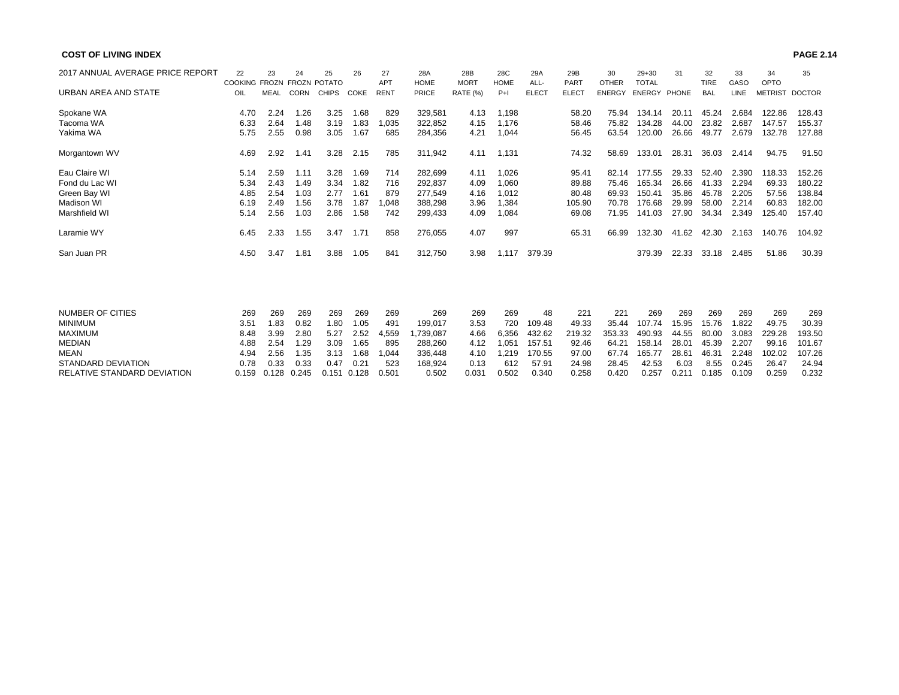| 2017 ANNUAL AVERAGE PRICE REPORT | 22                         | 23          | 24    | 25    | 26    | 27          | 28A         | 28B             | 28C         | 29A          | 29B          | 30            | $29 + 30$    | 31    | 32          | 33          | 34             | 35     |
|----------------------------------|----------------------------|-------------|-------|-------|-------|-------------|-------------|-----------------|-------------|--------------|--------------|---------------|--------------|-------|-------------|-------------|----------------|--------|
|                                  | COOKING FROZN FROZN POTATO |             |       |       |       | <b>APT</b>  | <b>HOME</b> | <b>MORT</b>     | <b>HOME</b> | ALL-         | <b>PART</b>  | <b>OTHER</b>  | <b>TOTAL</b> |       | <b>TIRE</b> | GASO        | OPTO           |        |
| URBAN AREA AND STATE             | OIL                        | <b>MEAL</b> | CORN  | CHIPS | COKE  | <b>RENT</b> | PRICE       | <b>RATE (%)</b> | $P+1$       | <b>ELECT</b> | <b>ELECT</b> | <b>ENERGY</b> | ENERGY PHONE |       | <b>BAL</b>  | <b>LINE</b> | METRIST DOCTOR |        |
| Spokane WA                       | 4.70                       | 2.24        | 1.26  | 3.25  | 1.68  | 829         | 329,581     | 4.13            | 1,198       |              | 58.20        | 75.94         | 134.14       | 20.11 | 45.24       | 2.684       | 122.86         | 128.43 |
| Tacoma WA                        | 6.33                       | 2.64        | 1.48  | 3.19  | 1.83  | 1,035       | 322,852     | 4.15            | 1.176       |              | 58.46        | 75.82         | 134.28       | 44.00 | 23.82       | 2.687       | 147.57         | 155.37 |
| Yakima WA                        | 5.75                       | 2.55        | 0.98  | 3.05  | 1.67  | 685         | 284,356     | 4.21            | 1,044       |              | 56.45        | 63.54         | 120.00       | 26.66 | 49.77       | 2.679       | 132.78         | 127.88 |
| Morgantown WV                    | 4.69                       | 2.92        | 1.41  | 3.28  | 2.15  | 785         | 311,942     | 4.11            | 1,131       |              | 74.32        | 58.69         | 133.01       | 28.31 | 36.03       | 2.414       | 94.75          | 91.50  |
| Eau Claire WI                    | 5.14                       | 2.59        | 1.11  | 3.28  | 1.69  | 714         | 282,699     | 4.11            | 1,026       |              | 95.41        | 82.14         | 177.55       | 29.33 | 52.40       | 2.390       | 118.33         | 152.26 |
| Fond du Lac WI                   | 5.34                       | 2.43        | 1.49  | 3.34  | 1.82  | 716         | 292,837     | 4.09            | 1,060       |              | 89.88        | 75.46         | 165.34       | 26.66 | 41.33       | 2.294       | 69.33          | 180.22 |
| Green Bay WI                     | 4.85                       | 2.54        | 1.03  | 2.77  | 1.61  | 879         | 277,549     | 4.16            | 1,012       |              | 80.48        | 69.93         | 150.41       | 35.86 | 45.78       | 2.205       | 57.56          | 138.84 |
| <b>Madison WI</b>                | 6.19                       | 2.49        | 1.56  | 3.78  | 1.87  | 1,048       | 388,298     | 3.96            | 1,384       |              | 105.90       | 70.78         | 176.68       | 29.99 | 58.00       | 2.214       | 60.83          | 182.00 |
| Marshfield WI                    | 5.14                       | 2.56        | 1.03  | 2.86  | 1.58  | 742         | 299,433     | 4.09            | 1,084       |              | 69.08        | 71.95         | 141.03       | 27.90 | 34.34       | 2.349       | 125.40         | 157.40 |
| Laramie WY                       | 6.45                       | 2.33        | 1.55  | 3.47  | 1.71  | 858         | 276,055     | 4.07            | 997         |              | 65.31        | 66.99         | 132.30       | 41.62 | 42.30       | 2.163       | 140.76         | 104.92 |
| San Juan PR                      | 4.50                       | 3.47        | 1.81  | 3.88  | 1.05  | 841         | 312,750     | 3.98            | 1.117       | 379.39       |              |               | 379.39       | 22.33 | 33.18       | 2.485       | 51.86          | 30.39  |
|                                  |                            |             |       |       |       |             |             |                 |             |              |              |               |              |       |             |             |                |        |
| <b>NUMBER OF CITIES</b>          | 269                        | 269         | 269   | 269   | 269   | 269         | 269         | 269             | 269         | 48           | 221          | 221           | 269          | 269   | 269         | 269         | 269            | 269    |
| <b>MINIMUM</b>                   | 3.51                       | 1.83        | 0.82  | 1.80  | 1.05  | 491         | 199,017     | 3.53            | 720         | 109.48       | 49.33        | 35.44         | 107.74       | 15.95 | 15.76       | 1.822       | 49.75          | 30.39  |
| <b>MAXIMUM</b>                   | 8.48                       | 3.99        | 2.80  | 5.27  | 2.52  | 4,559       | ,739,087    | 4.66            | 6,356       | 432.62       | 219.32       | 353.33        | 490.93       | 44.55 | 80.00       | 3.083       | 229.28         | 193.50 |
| <b>MEDIAN</b>                    | 4.88                       | 2.54        | 1.29  | 3.09  | 1.65  | 895         | 288,260     | 4.12            | 1,051       | 157.51       | 92.46        | 64.21         | 158.14       | 28.01 | 45.39       | 2.207       | 99.16          | 101.67 |
| <b>MEAN</b>                      | 4.94                       | 2.56        | 1.35  | 3.13  | 1.68  | 1,044       | 336,448     | 4.10            | 1.219       | 170.55       | 97.00        | 67.74         | 165.77       | 28.61 | 46.31       | 2.248       | 102.02         | 107.26 |
| <b>STANDARD DEVIATION</b>        | 0.78                       | 0.33        | 0.33  | 0.47  | 0.21  | 523         | 168,924     | 0.13            | 612         | 57.91        | 24.98        | 28.45         | 42.53        | 6.03  | 8.55        | 0.245       | 26.47          | 24.94  |
| RELATIVE STANDARD DEVIATION      | 0.159                      | 0.128       | 0.245 | 0.151 | 0.128 | 0.501       | 0.502       | 0.031           | 0.502       | 0.340        | 0.258        | 0.420         | 0.257        | 0.211 | 0.185       | 0.109       | 0.259          | 0.232  |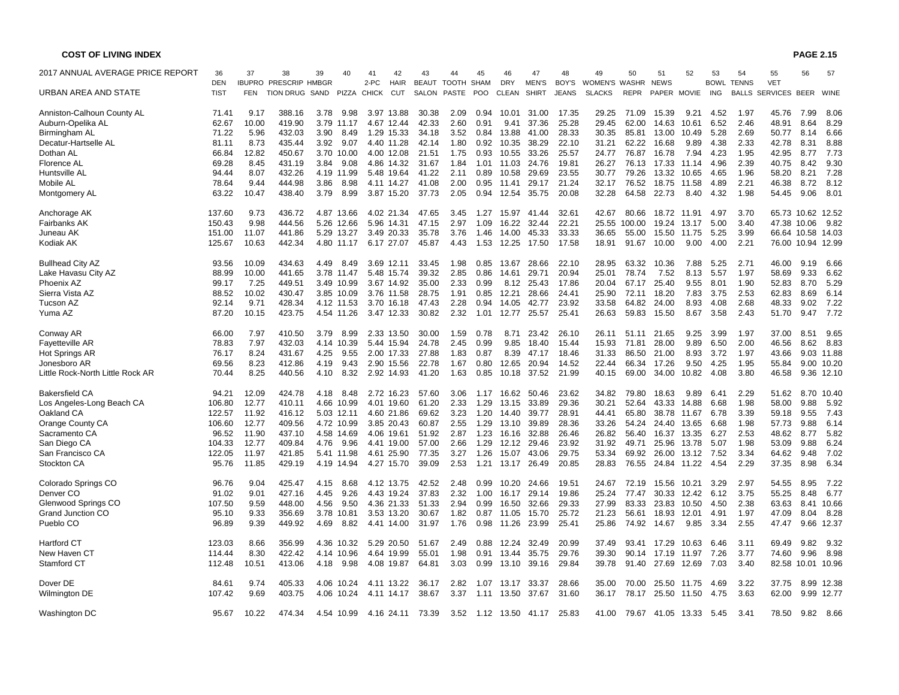| <b>COST OF LIVING INDEX</b>      |             |            |                              |      |            |              |             |              |            |      |              |              |              |               |             |             |              |             |              |                    | <b>PAGE 2.15</b>  |            |
|----------------------------------|-------------|------------|------------------------------|------|------------|--------------|-------------|--------------|------------|------|--------------|--------------|--------------|---------------|-------------|-------------|--------------|-------------|--------------|--------------------|-------------------|------------|
| 2017 ANNUAL AVERAGE PRICE REPORT | 36          | 37         | 38                           | 39   | 40         | 41           | 42          | 43           | 44         | 45   | 46           | 47           | 48           | 49            | 50          | 51          | 52           | 53          | 54           | 55                 | 56                | 57         |
|                                  | <b>DEN</b>  |            | <b>IBUPRO PRESCRIP HMBGR</b> |      |            | 2-PC         | <b>HAIR</b> | <b>BEAUT</b> | TOOTH SHAM |      | <b>DRY</b>   | <b>MEN'S</b> | BOY'S        | WOMEN'S WASHR |             | <b>NEWS</b> |              | <b>BOWL</b> | <b>TENNS</b> | <b>VET</b>         |                   |            |
| URBAN AREA AND STATE             | <b>TIST</b> | <b>FEN</b> | <b>TION DRUG</b>             | SAND | PIZZA      | <b>CHICK</b> | <b>CUT</b>  | SALON        | PASTE      | POO  | <b>CLEAN</b> | <b>SHIRT</b> | <b>JEANS</b> | <b>SLACKS</b> | <b>REPR</b> | PAPER       | <b>MOVIE</b> | <b>ING</b>  | <b>BALLS</b> | SERVICES BEER WINE |                   |            |
| Anniston-Calhoun County AL       | 71.41       | 9.17       | 388.16                       | 3.78 | 9.98       |              | 3.97 13.88  | 30.38        | 2.09       | 0.94 | 10.01        | 31.00        | 17.35        | 29.25         | 71.09       | 15.39       | 9.21         | 4.52        | 1.97         | 45.76              | 7.99              | 8.06       |
| Auburn-Opelika AL                | 62.67       | 10.00      | 419.90                       | 3.79 | 11.17      |              | 4.67 12.44  | 42.33        | 2.60       | 0.91 | 9.41         | 37.36        | 25.28        | 29.45         | 62.00       | 14.63       | 10.61        | 6.52        | 2.46         | 48.91              | 8.64              | 8.29       |
| Birmingham AL                    | 71.22       | 5.96       | 432.03                       | 3.90 | 8.49       | 1.29         | 15.33       | 34.18        | 3.52       | 0.84 | 13.88        | 41.00        | 28.33        | 30.35         | 85.81       | 13.00       | 10.49        | 5.28        | 2.69         | 50.77              | 8.14              | 6.66       |
| Decatur-Hartselle AL             | 81.11       | 8.73       | 435.44                       | 3.92 | 9.07       |              | 4.40 11.28  | 42.14        | 1.80       | 0.92 | 10.35        | 38.29        | 22.10        | 31.21         | 62.22       | 16.68       | 9.89         | 4.38        | 2.33         | 42.78              | 8.31              | 8.88       |
| Dothan AL                        | 66.84       | 12.82      | 450.67                       |      | 3.70 10.00 |              | 4.00 12.08  | 21.51        | 1.75       | 0.93 | 10.55        | 33.26        | 25.57        | 24.77         | 76.87       | 16.78       | 7.94         | 4.23        | 1.95         | 42.95              | 8.77              | 7.73       |
| Florence AL                      | 69.28       | 8.45       | 431.19                       | 3.84 | 9.08       |              | 4.86 14.32  | 31.67        | 1.84       | 1.01 | 11.03        | 24.76        | 19.81        | 26.27         | 76.13       | 17.33       | 11.14        | 4.96        | 2.39         | 40.75              | 8.42              | 9.30       |
| Huntsville AL                    | 94.44       | 8.07       | 432.26                       |      | 4.19 11.99 |              | 5.48 19.64  | 41.22        | 2.11       | 0.89 | 10.58        | 29.69        | 23.55        | 30.77         | 79.26       | 13.32       | 10.65        | 4.65        | 1.96         | 58.20              | 8.21              | 7.28       |
| Mobile AL                        | 78.64       | 9.44       | 444.98                       | 3.86 | 8.98       |              | 4.11 14.27  | 41.08        | 2.00       | 0.95 | 11.41        | 29.17        | 21.24        | 32.17         | 76.52       | 18.75       | 11.58        | 4.89        | 2.21         | 46.38              | 8.72              | 8.12       |
| Montgomery AL                    | 63.22       | 10.47      | 438.40                       | 3.79 | 8.99       |              | 3.87 15.20  | 37.73        | 2.05       | 0.94 | 12.54        | 35.75        | 20.08        | 32.28         | 64.58       | 22.73       | 8.40         | 4.32        | 1.98         | 54.45              | 9.06              | 8.01       |
| Anchorage AK                     | 137.60      | 9.73       | 436.72                       |      | 4.87 13.66 |              | 4.02 21.34  | 47.65        | 3.45       | 1.27 | 15.97        | 41.44        | 32.61        | 42.67         | 80.66       | 18.72       | 11.91        | 4.97        | 3.70         | 65.73              | 10.62 12.52       |            |
| Fairbanks AK                     | 150.43      | 9.98       | 444.56                       | 5.26 | 12.66      | 5.96         | 14.31       | 47.15        | 2.97       | 1.09 | 16.22        | 32.44        | 22.21        | 25.55         | 100.00      | 19.24       | 13.17        | 5.00        | 3.40         | 47.38              | 10.06             | 9.82       |
| Juneau AK                        | 151.00      | 11.07      | 441.86                       |      | 5.29 13.27 |              | 3.49 20.33  | 35.78        | 3.76       | 1.46 | 14.00        | 45.33        | 33.33        | 36.65         | 55.00       | 15.50       | 11.75        | 5.25        | 3.99         |                    | 66.64 10.58 14.03 |            |
| Kodiak AK                        | 125.67      | 10.63      | 442.34                       |      | 4.80 11.17 |              | 6.17 27.07  | 45.87        | 4.43       | 1.53 | 12.25        | 17.50        | 17.58        | 18.91         | 91.67       | 10.00       | 9.00         | 4.00        | 2.21         |                    | 76.00 10.94 12.99 |            |
| <b>Bullhead City AZ</b>          | 93.56       | 10.09      | 434.63                       | 4.49 | 8.49       |              | 3.69 12.11  | 33.45        | 1.98       | 0.85 | 13.67        | 28.66        | 22.10        | 28.95         | 63.32       | 10.36       | 7.88         | 5.25        | 2.71         | 46.00              | 9.19              | 6.66       |
| Lake Havasu City AZ              | 88.99       | 10.00      | 441.65                       |      | 3.78 11.47 |              | 5.48 15.74  | 39.32        | 2.85       | 0.86 | 14.61        | 29.71        | 20.94        | 25.01         | 78.74       | 7.52        | 8.13         | 5.57        | 1.97         | 58.69              | 9.33              | 6.62       |
| Phoenix AZ                       | 99.17       | 7.25       | 449.51                       |      | 3.49 10.99 |              | 3.67 14.92  | 35.00        | 2.33       | 0.99 | 8.12         | 25.43        | 17.86        | 20.04         | 67.17       | 25.40       | 9.55         | 8.01        | 1.90         | 52.83              | 8.70              | 5.29       |
| Sierra Vista AZ                  | 88.52       | 10.02      | 430.47                       |      | 3.85 10.09 |              | 3.76 11.58  | 28.75        | 1.91       | 0.85 | 12.21        | 28.66        | 24.41        | 25.90         | 72.11       | 18.20       | 7.83         | 3.75        | 2.53         | 62.83              | 8.69              | 6.14       |
| Tucson AZ                        | 92.14       | 9.71       | 428.34                       |      | 4.12 11.53 |              | 3.70 16.18  | 47.43        | 2.28       | 0.94 | 14.05        | 42.77        | 23.92        | 33.58         | 64.82       | 24.00       | 8.93         | 4.08        | 2.68         | 48.33              | 9.02              | 7.22       |
| Yuma AZ                          | 87.20       | 10.15      | 423.75                       |      | 4.54 11.26 |              | 3.47 12.33  | 30.82        | 2.32       | 1.01 | 12.77        | 25.57        | 25.41        | 26.63         | 59.83       | 15.50       | 8.67         | 3.58        | 2.43         | 51.70              | 9.47              | 7.72       |
| Conway AR                        | 66.00       | 7.97       | 410.50                       | 3.79 | 8.99       |              | 2.33 13.50  | 30.00        | 1.59       | 0.78 | 8.71         | 23.42        | 26.10        | 26.11         | 51.11       | 21.65       | 9.25         | 3.99        | 1.97         | 37.00              | 8.51              | 9.65       |
| <b>Fayetteville AR</b>           | 78.83       | 7.97       | 432.03                       |      | 4.14 10.39 |              | 5.44 15.94  | 24.78        | 2.45       | 0.99 | 9.85         | 18.40        | 15.44        | 15.93         | 71.81       | 28.00       | 9.89         | 6.50        | 2.00         | 46.56              | 8.62              | 8.83       |
| Hot Springs AR                   | 76.17       | 8.24       | 431.67                       | 4.25 | 9.55       |              | 2.00 17.33  | 27.88        | 1.83       | 0.87 | 8.39         | 47.17        | 18.46        | 31.33         | 86.50       | 21.00       | 8.93         | 3.72        | 1.97         | 43.66              |                   | 9.03 11.88 |
| Jonesboro AR                     | 69.56       | 8.23       | 412.86                       | 4.19 | 9.43       |              | 2.90 15.56  | 22.78        | 1.67       | 0.80 | 12.65        | 20.94        | 14.52        | 22.44         | 66.34       | 17.26       | 9.50         | 4.25        | 1.95         | 55.84              |                   | 9.00 10.20 |
| Little Rock-North Little Rock AR | 70.44       | 8.25       | 440.56                       | 4.10 | 8.32       |              | 2.92 14.93  | 41.20        | 1.63       | 0.85 | 10.18        | 37.52        | 21.99        | 40.15         | 69.00       | 34.00       | 10.82        | 4.08        | 3.80         | 46.58              |                   | 9.36 12.10 |
| <b>Bakersfield CA</b>            | 94.21       | 12.09      | 424.78                       | 4.18 | 8.48       |              | 2.72 16.23  | 57.60        | 3.06       | 1.17 | 16.62        | 50.46        | 23.62        | 34.82         | 79.80       | 18.63       | 9.89         | 6.41        | 2.29         | 51.62              | 8.70              | 10.40      |
| Los Angeles-Long Beach CA        | 106.80      | 12.77      | 410.11                       |      | 4.66 10.99 |              | 4.01 19.60  | 61.20        | 2.33       | 1.29 | 13.15        | 33.89        | 29.36        | 30.21         | 52.64       | 43.33       | 14.88        | 6.68        | 1.98         | 58.00              | 9.88              | 5.92       |
| Oakland CA                       | 122.57      | 11.92      | 416.12                       |      | 5.03 12.11 |              | 4.60 21.86  | 69.62        | 3.23       | 1.20 | 14.40        | 39.77        | 28.91        | 44.41         | 65.80       | 38.78       | 11.67        | 6.78        | 3.39         | 59.18              | 9.55              | 7.43       |
| Orange County CA                 | 106.60      | 12.77      | 409.56                       |      | 4.72 10.99 |              | 3.85 20.43  | 60.87        | 2.55       | 1.29 | 13.10        | 39.89        | 28.36        | 33.26         | 54.24       | 24.40       | 13.65        | 6.68        | 1.98         | 57.73              | 9.88              | 6.14       |
| Sacramento CA                    | 96.52       | 11.90      | 437.10                       |      | 4.58 14.69 |              | 4.06 19.61  | 51.92        | 2.87       | 1.23 | 16.16        | 32.88        | 26.46        | 26.82         | 56.40       | 16.37       | 13.35        | 6.27        | 2.53         | 48.62              | 8.77              | 5.82       |
| San Diego CA                     | 104.33      | 12.77      | 409.84                       | 4.76 | 9.96       |              | 4.41 19.00  | 57.00        | 2.66       | 1.29 | 12.12        | 29.46        | 23.92        | 31.92         | 49.71       | 25.96       | 13.78        | 5.07        | 1.98         | 53.09              | 9.88              | 6.24       |
| San Francisco CA                 | 122.05      | 11.97      | 421.85                       |      | 5.41 11.98 |              | 4.61 25.90  | 77.35        | 3.27       | 1.26 | 15.07        | 43.06        | 29.75        | 53.34         | 69.92       | 26.00       | 13.12        | 7.52        | 3.34         | 64.62              | 9.48              | 7.02       |
| Stockton CA                      | 95.76       | 11.85      | 429.19                       |      | 4.19 14.94 |              | 4.27 15.70  | 39.09        | 2.53       | 1.21 | 13.17        | 26.49        | 20.85        | 28.83         | 76.55       | 24.84       | 11.22        | 4.54        | 2.29         | 37.35              | 8.98              | 6.34       |
| Colorado Springs CO              | 96.76       | 9.04       | 425.47                       | 4.15 | 8.68       |              | 4.12 13.75  | 42.52        | 2.48       | 0.99 | 10.20        | 24.66        | 19.51        | 24.67         | 72.19       | 15.56       | 10.21        | 3.29        | 2.97         | 54.55              | 8.95              | 7.22       |
| Denver CO                        | 91.02       | 9.01       | 427.16                       | 4.45 | 9.26       |              | 4.43 19.24  | 37.83        | 2.32       | 1.00 | 16.17        | 29.14        | 19.86        | 25.24         | 77.47       | 30.33       | 12.42        | 6.12        | 3.75         | 55.25              | 8.48              | 6.77       |
| Glenwood Springs CO              | 107.50      | 9.59       | 448.00                       | 4.56 | 9.50       |              | 4.36 21.33  | 51.33        | 2.94       | 0.99 | 16.50        | 32.66        | 29.33        | 27.99         | 83.33       | 23.83       | 10.50        | 4.50        | 2.38         | 63.63              |                   | 8.41 10.66 |
| <b>Grand Junction CO</b>         | 95.10       | 9.33       | 356.69                       | 3.78 | 10.81      |              | 3.53 13.20  | 30.67        | 1.82       | 0.87 | 11.05        | 15.70        | 25.72        | 21.23         | 56.61       | 18.93       | 12.01        | 4.91        | 1.97         | 47.09              | 8.04              | 8.28       |
| Pueblo CO                        | 96.89       | 9.39       | 449.92                       | 4.69 | 8.82       |              | 4.41 14.00  | 31.97        | 1.76       | 0.98 | 11.26        | 23.99        | 25.41        | 25.86         | 74.92       | 14.67       | 9.85         | 3.34        | 2.55         | 47.47              |                   | 9.66 12.37 |
| Hartford CT                      | 123.03      | 8.66       | 356.99                       |      | 4.36 10.32 |              | 5.29 20.50  | 51.67        | 2.49       | 0.88 | 12.24        | 32.49        | 20.99        | 37.49         | 93.41       | 17.29       | 10.63        | 6.46        | 3.11         | 69.49              | 9.82              | 9.32       |
| New Haven CT                     | 114.44      | 8.30       | 422.42                       | 4.14 | 10.96      |              | 4.64 19.99  | 55.01        | 1.98       | 0.91 | 13.44        | 35.75        | 29.76        | 39.30         | 90.14       | 17.19       | 11.97        | 7.26        | 3.77         | 74.60              | 9.96              | 8.98       |
| Stamford CT                      | 112.48      | 10.51      | 413.06                       |      | 4.18 9.98  |              | 4.08 19.87  | 64.81        | 3.03       | 0.99 | 13.10        | 39.16        | 29.84        | 39.78         | 91.40       | 27.69       | 12.69        | 7.03        | 3.40         |                    | 82.58 10.01 10.96 |            |
| Dover DE                         | 84.61       | 9.74       | 405.33                       |      | 4.06 10.24 |              | 4.11 13.22  | 36.17        | 2.82       | 1.07 | 13.17        | 33.37        | 28.66        | 35.00         | 70.00       | 25.50       | 11.75        | 4.69        | 3.22         | 37.75              |                   | 8.99 12.38 |
| <b>Wilmington DE</b>             | 107.42      | 9.69       | 403.75                       |      | 4.06 10.24 |              | 4.11 14.17  | 38.67        | 3.37       | 1.11 | 13.50        | 37.67        | 31.60        | 36.17         | 78.17       | 25.50       | 11.50        | 4.75        | 3.63         | 62.00              |                   | 9.99 12.77 |
| Washington DC                    | 95.67       | 10.22      | 474.34                       |      | 4.54 10.99 |              | 4.16 24.11  | 73.39        | 3.52       |      | 1.12 13.50   | 41.17        | 25.83        | 41.00         | 79.67       | 41.05       | 13.33        | 5.45        | 3.41         | 78.50              | 9.82              | 8.66       |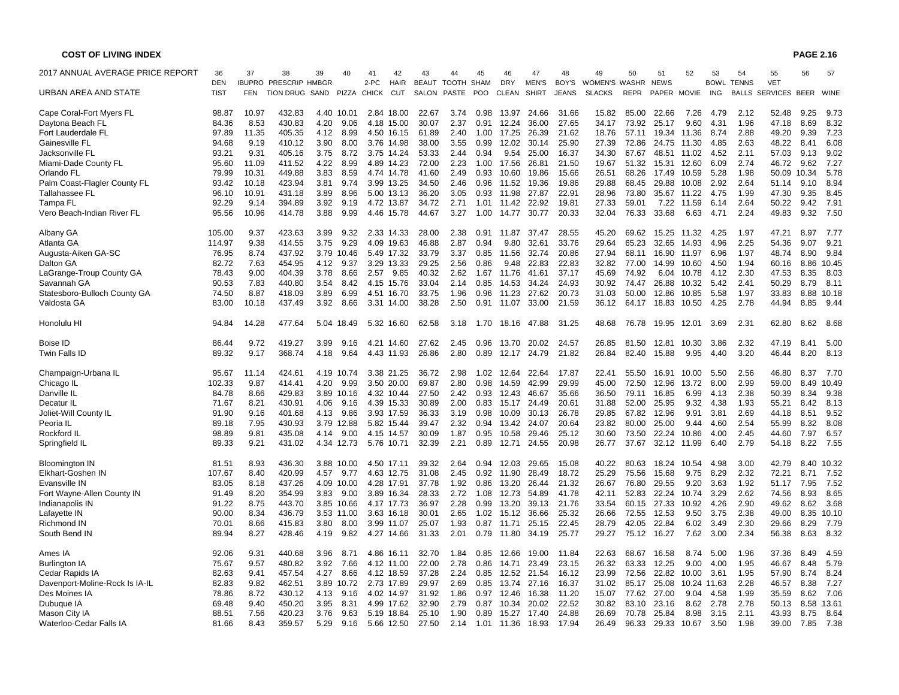| 2017 ANNUAL AVERAGE PRICE REPORT | 36                        | 37         | 38                                               | 39           | 40          | 41   | 42                        | 43                        | 44           | 45         | 46                  | 47                    | 48                    | 49                             | 50    | 51                         | 52    | 53          | 54                                | 55                               | 56        | 57            |
|----------------------------------|---------------------------|------------|--------------------------------------------------|--------------|-------------|------|---------------------------|---------------------------|--------------|------------|---------------------|-----------------------|-----------------------|--------------------------------|-------|----------------------------|-------|-------------|-----------------------------------|----------------------------------|-----------|---------------|
| URBAN AREA AND STATE             | <b>DEN</b><br><b>TIST</b> | <b>FEN</b> | <b>IBUPRO PRESCRIP HMBGR</b><br><b>TION DRUG</b> | SAND         | PIZZA CHICK | 2-PC | <b>HAIR</b><br><b>CUT</b> | BEAUT TOOTH SHAM<br>SALON | PASTE        | <b>POO</b> | <b>DRY</b><br>CLEAN | <b>MEN'S</b><br>SHIRT | BOY'S<br><b>JEANS</b> | WOMEN'S WASHR<br><b>SLACKS</b> | REPR  | <b>NEWS</b><br>PAPER MOVIE |       | ING         | <b>BOWL TENNS</b><br><b>BALLS</b> | <b>VET</b><br>SERVICES BEER WINE |           |               |
| Cape Coral-Fort Myers FL         | 98.87                     | 10.97      | 432.83                                           | 4.40         | 10.01       | 2.84 | 18.00                     | 22.67                     | 3.74         | 0.98       | 13.97               | 24.66                 | 31.66                 | 15.82                          | 85.00 | 22.66                      | 7.26  | 4.79        | 2.12                              | 52.48                            | 9.25      | 9.73          |
| Daytona Beach FL                 | 84.36                     | 8.53       | 430.83                                           | 4.20         | 9.06        | 4.18 | 15.00                     | 30.07                     | 2.37         | 0.91       | 12.24               | 36.00                 | 27.65                 | 34.17                          | 73.92 | 25.17                      | 9.60  | 4.31        | 1.96                              | 47.18                            | 8.69      | 8.32          |
| Fort Lauderdale FL               | 97.89                     | 11.35      | 405.35                                           | 4.12         | 8.99        |      | 4.50 16.15                | 61.89                     | 2.40         | 1.00       | 17.25               | 26.39                 | 21.62                 | 18.76                          | 57.11 | 19.34                      | 11.36 | 8.74        | 2.88                              | 49.20                            | 9.39      | 7.23          |
| Gainesville FL                   | 94.68                     | 9.19       | 410.12                                           | 3.90         | 8.00        |      | 3.76 14.98                | 38.00                     | 3.55         | 0.99       | 12.02               | 30.14                 | 25.90                 | 27.39                          | 72.86 | 24.75                      | 11.30 | 4.85        | 2.63                              | 48.22                            | 8.41      | 6.08          |
| Jacksonville FL                  | 93.21                     | 9.31       | 405.16                                           | 3.75         | 8.72        | 3.75 | 14.24                     | 53.33                     | 2.44         | 0.94       | 9.54                | 25.00                 | 16.37                 | 34.30                          | 67.67 | 48.51                      | 11.02 | 4.52        | 2.11                              | 57.03                            | 9.13      | 9.02          |
| Miami-Dade County FL             | 95.60                     | 11.09      | 411.52                                           | 4.22         | 8.99        |      | 4.89 14.23                | 72.00                     | 2.23         | 1.00       | 17.56               | 26.81                 | 21.50                 | 19.67                          | 51.32 | 15.31                      | 12.60 | 6.09        | 2.74                              | 46.72                            | 9.62      | 7.27          |
| Orlando FL                       | 79.99                     | 10.31      | 449.88                                           | 3.83         | 8.59        |      | 4.74 14.78                | 41.60                     | 2.49         | 0.93       | 10.60               | 19.86                 | 15.66                 | 26.51                          | 68.26 | 17.49                      | 10.59 | 5.28        | 1.98                              | 50.09                            | 10.34     | 5.78          |
| Palm Coast-Flagler County FL     | 93.42                     | 10.18      | 423.94                                           | 3.81         | 9.74        |      | 3.99 13.25                | 34.50                     | 2.46         | 0.96       | 11.52               | 19.36                 | 19.86                 | 29.88                          | 68.45 | 29.88                      | 10.08 | 2.92        | 2.64                              | 51.14                            | 9.10      | 8.94          |
| Tallahassee FL                   | 96.10                     | 10.91      | 431.18                                           | 3.89         | 8.96        |      | 5.00 13.13                | 36.20                     | 3.05         | 0.93       | 11.98               | 27.87                 | 22.91                 | 28.96                          | 73.80 | 35.67                      | 11.22 | 4.75        | 1.99                              | 47.30                            | 9.35      | 8.45          |
| Tampa FL                         | 92.29                     | 9.14       | 394.89                                           | 3.92         | 9.19        |      | 4.72 13.87                | 34.72                     | 2.71         | 1.01       | 11.42               | 22.92                 | 19.81                 | 27.33                          | 59.01 | 7.22                       | 11.59 | 6.14        | 2.64                              | 50.22                            | 9.42      | 7.91          |
| Vero Beach-Indian River FL       | 95.56                     | 10.96      | 414.78                                           | 3.88         | 9.99        |      | 4.46 15.78                | 44.67                     | 3.27         | 1.00       | 14.77               | 30.77                 | 20.33                 | 32.04                          | 76.33 | 33.68                      | 6.63  | 4.71        | 2.24                              | 49.83                            | 9.32      | 7.50          |
| Albany GA                        | 105.00                    | 9.37       | 423.63                                           | 3.99         | 9.32        |      | 2.33 14.33                | 28.00                     | 2.38         | 0.91       | 11.87               | 37.47                 | 28.55                 | 45.20                          | 69.62 | 15.25                      | 11.32 | 4.25        | 1.97                              | 47.21                            | 8.97      | 7.77          |
| Atlanta GA                       | 114.97                    | 9.38       | 414.55                                           | 3.75         | 9.29        | 4.09 | 19.63                     | 46.88                     | 2.87         | 0.94       | 9.80                | 32.61                 | 33.76                 | 29.64                          | 65.23 | 32.65                      | 14.93 | 4.96        | 2.25                              | 54.36                            | 9.07      | 9.21          |
| Augusta-Aiken GA-SC              | 76.95                     | 8.74       | 437.92                                           | 3.79         | 10.46       |      | 5.49 17.32                | 33.79                     | 3.37         | 0.85       | 11.56               | 32.74                 | 20.86                 | 27.94                          | 68.11 | 16.90                      | 11.97 | 6.96        | 1.97                              | 48.74                            | 8.90      | 9.84          |
| Dalton GA                        | 82.72                     | 7.63       | 454.95                                           | 4.12         | 9.37        |      | 3.29 13.33                | 29.25                     | 2.56         | 0.86       | 9.48                | 22.83                 | 22.83                 | 32.82                          | 77.00 | 14.99                      | 10.60 | 4.50        | 1.94                              | 60.16                            | 8.86      | 10.45         |
| LaGrange-Troup County GA         | 78.43                     | 9.00       | 404.39                                           | 3.78         | 8.66        | 2.57 | 9.85                      | 40.32                     | 2.62         | 1.67       | 11.76               | 41.61                 | 37.17                 | 45.69                          | 74.92 | 6.04                       | 10.78 | 4.12        | 2.30                              | 47.53                            | 8.35      | 8.03          |
| Savannah GA                      | 90.53                     | 7.83       | 440.80                                           | 3.54         | 8.42        | 4.15 | 15.76                     | 33.04                     | 2.14         | 0.85       | 14.53               | 34.24                 | 24.93                 | 30.92                          | 74.47 | 26.88                      | 10.32 | 5.42        | 2.41                              | 50.29                            | 8.79      | 8.11          |
| Statesboro-Bulloch County GA     | 74.50                     | 8.87       | 418.09                                           | 3.89         | 6.99        |      | 4.51 16.70                | 33.75                     | 1.96         | 0.96       | 11.23               | 27.62                 | 20.73                 | 31.03                          | 50.00 | 12.86                      | 10.85 | 5.58        | 1.97                              | 33.83                            | 8.88      | 10.18         |
| Valdosta GA                      | 83.00                     | 10.18      | 437.49                                           | 3.92         | 8.66        |      | 3.31 14.00                | 38.28                     | 2.50         | 0.91       | 11.07               | 33.00                 | 21.59                 | 36.12                          | 64.17 | 18.83                      | 10.50 | 4.25        | 2.78                              | 44.94                            | 8.85      | 9.44          |
| Honolulu HI                      | 94.84                     | 14.28      | 477.64                                           |              | 5.04 18.49  |      | 5.32 16.60                | 62.58                     | 3.18         | 1.70       | 18.16               | 47.88                 | 31.25                 | 48.68                          | 76.78 | 19.95                      | 12.01 | 3.69        | 2.31                              | 62.80                            | 8.62      | 8.68          |
| Boise ID                         | 86.44                     | 9.72       | 419.27                                           | 3.99         | 9.16        |      | 4.21 14.60                | 27.62                     | 2.45         | 0.96       | 13.70               | 20.02                 | 24.57                 | 26.85                          | 81.50 | 12.81                      | 10.30 | 3.86        | 2.32                              | 47.19                            | 8.<br>.41 | 5.00          |
| Twin Falls ID                    | 89.32                     | 9.17       | 368.74                                           | 4.18         | 9.64        |      | 4.43 11.93                | 26.86                     | 2.80         | 0.89       | 12.17               | 24.79                 | 21.82                 | 26.84                          | 82.40 | 15.88                      | 9.95  | 4.40        | 3.20                              | 46.44                            | 8.20      | 8.13          |
| Champaign-Urbana IL              | 95.67                     | 11.14      | 424.61                                           |              | 4.19 10.74  |      | 3.38 21.25                | 36.72                     | 2.98         | 1.02       | 12.64               | 22.64                 | 17.87                 | 22.41                          | 55.50 | 16.91                      | 10.00 | 5.50        | 2.56                              | 46.80                            | 8.37      | 7.70          |
| Chicago IL                       | 102.33                    | 9.87       | 414.41                                           | 4.20         | 9.99        |      | 3.50 20.00                | 69.87                     | 2.80         | 0.98       | 14.59               | 42.99                 | 29.99                 | 45.00                          | 72.50 | 12.96                      | 13.72 | 8.00        | 2.99                              | 59.00                            | 8.49      | 10.49         |
| Danville IL                      | 84.78                     | 8.66       | 429.83                                           |              | 3.89 10.16  |      | 4.32 10.44                | 27.50                     | 2.42         | 0.93       | 12.43               | 46.67                 | 35.66                 | 36.50                          | 79.11 | 16.85                      | 6.99  | 4.13        | 2.38                              | 50.39                            | 8.34      | 9.38          |
| Decatur IL                       | 71.67                     | 8.21       | 430.91                                           | 4.06         | 9.16        |      | 4.39 15.33                | 30.89                     | 2.00         | 0.83       | 15.17               | 24.49                 | 20.61                 | 31.88                          | 52.00 | 25.95                      | 9.32  | 4.38        | 1.93                              | 55.21                            | 8.42      | 8.13          |
| Joliet-Will County IL            | 91.90                     | 9.16       | 401.68                                           | 4.13         | 9.86        |      | 3.93 17.59                | 36.33                     | 3.19         | 0.98       | 10.09               | 30.13                 | 26.78                 | 29.85                          | 67.82 | 12.96                      | 9.91  | 3.81        | 2.69                              | 44.18                            | 8.51      | 9.52          |
| Peoria IL                        | 89.18                     | 7.95       | 430.93                                           |              | 3.79 12.88  |      | 5.82 15.44                | 39.47                     | 2.32         | 0.94       | 13.42               | 24.07                 | 20.64                 | 23.82                          | 80.00 | 25.00                      | 9.44  | 4.60        | 2.54                              | 55.99                            | 8.32      | 8.08          |
| Rockford IL                      | 98.89                     | 9.81       | 435.08                                           | 4.14         | 9.00        |      | 4.15 14.57                | 30.09                     | 1.87         | 0.95       | 10.58               | 29.46                 | 25.12                 | 30.60                          | 73.50 | 22.24                      | 10.86 | 4.00        | 2.45                              | 44.60                            | 7.97      | 6.57          |
| Springfield IL                   | 89.33                     | 9.21       | 431.02                                           |              | 4.34 12.73  |      | 5.76 10.71                | 32.39                     | 2.21         | 0.89       | 12.71               | 24.55                 | 20.98                 | 26.77                          | 37.67 | 32.12                      | 11.99 | 6.40        | 2.79                              | 54.18                            | 8.22      | 7.55          |
| <b>Bloomington IN</b>            | 81.51                     | 8.93       | 436.30                                           |              | 3.88 10.00  |      | 4.50 17.11                | 39.32                     | 2.64         | 0.94       | 12.03               | 29.65                 | 15.08                 | 40.22                          | 80.63 | 18.24                      | 10.54 | 4.98        | 3.00                              | 42.79                            | 8.40      | 10.32         |
| Elkhart-Goshen IN                | 107.67                    | 8.40       | 420.99                                           | 4.57         | 9.77        |      | 4.63 12.75                | 31.08                     | 2.45         | 0.92       | 11.90               | 28.49                 | 18.72                 | 25.29                          | 75.56 | 15.68                      | 9.75  | 8.29        | 2.32                              | 72.21                            | 8.71      | 7.52          |
| Evansville IN                    | 83.05                     | 8.18       | 437.26                                           | 4.09         | 10.00       |      | 4.28 17.91                | 37.78                     | 1.92         | 0.86       | 13.20               | 26.44                 | 21.32                 | 26.67                          | 76.80 | 29.55                      | 9.20  | 3.63        | 1.92                              | 51.17                            | 7.95      | 7.52          |
| Fort Wayne-Allen County IN       | 91.49                     | 8.20       | 354.99                                           | 3.83         | 9.00        | 3.89 | 16.34                     | 28.33                     | 2.72         | 1.08       | 12.73               | 54.89                 | 41.78                 | 42.11                          | 52.83 | 22.24                      | 10.74 | 3.29        | 2.62                              | 74.56                            | 8.93      | 8.65          |
| Indianapolis IN                  | 91.22                     | 8.75       | 443.70                                           |              | 3.85 10.66  |      | 4.17 17.73                | 36.97                     | 2.28         | 0.99       | 13.20               | 39.13                 | 21.76                 | 33.54                          | 60.15 | 27.33                      | 10.92 | 4.26        | 2.90                              | 49.62                            | 8.62      | 3.68          |
| Lafayette IN                     | 90.00                     | 8.34       | 436.79                                           |              | 3.53 11.00  |      | 3.63 16.18                | 30.01                     | 2.65         | 1.02       | 15.12               | 36.66                 | 25.32                 | 26.66                          | 72.55 | 12.53                      | 9.50  | 3.75        | 2.38                              | 49.00                            | 8.35      | 10.10         |
| <b>Richmond IN</b>               | 70.01                     | 8.66       | 415.83                                           | 3.80         | 8.00        | 3.99 | 11.07                     | 25.07                     | 1.93         | 0.87       | 11.71               | 25.15                 | 22.45                 | 28.79                          | 42.05 | 22.84                      | 6.02  | 3.49        | 2.30                              | 29.66                            | 8.29      | 7.79          |
| South Bend IN                    | 89.94                     | 8.27       | 428.46                                           | 4.19         | 9.82        |      | 4.27 14.66                | 31.33                     | 2.01         | 0.79       | 11.80               | 34.19                 | 25.77                 | 29.27                          | 75.12 | 16.27                      | 7.62  | 3.00        | 2.34                              | 56.38                            | 8.63      | 8.32          |
| Ames IA                          | 92.06                     | 9.31       | 440.68                                           | 3.96         | 8.71        |      | 4.86 16.11                | 32.70                     | 1.84         | 0.85       | 12.66               | 19.00                 | 11.84                 | 22.63                          | 68.67 | 16.58                      | 8.74  | 5.00        | 1.96                              | 37.36                            | 8.49      | 4.59          |
| <b>Burlington IA</b>             | 75.67                     | 9.57       | 480.82                                           | 3.92         | 7.66        |      | 4.12 11.00                | 22.00                     | 2.78         | 0.86       | 14.71               | 23.49                 | 23.15                 | 26.32                          | 63.33 | 12.25                      | 9.00  | 4.00        | 1.95                              | 46.67                            | 8.48      | 5.79          |
| Cedar Rapids IA                  | 82.63                     | 9.41       | 457.54                                           | 4.27         | 8.66        |      | 4.12 18.59                | 37.28                     | 2.24         | 0.85       | 12.52               | 21.54                 | 16.12                 | 23.99                          | 72.56 | 22.82                      | 10.00 | 3.61        | 1.95                              | 57.90                            | 8.74      | 8.24          |
| Davenport-Moline-Rock Is IA-IL   | 82.83                     | 9.82       | 462.51                                           | 3.89         | 10.72       |      | 2.73 17.89                | 29.97                     | 2.69         | 0.85       | 13.74               | 27.16                 | 16.37                 | 31.02                          | 85.17 | 25.08                      |       | 10.24 11.63 | 2.28                              | 46.57                            | 8.38      | 7.27          |
| Des Moines IA                    | 78.86                     | 8.72       | 430.12                                           | 4.13         | 9.16        |      | 4.02 14.97                | 31.92                     | 1.86         | 0.97       | 12.46               | 16.38                 | 11.20                 | 15.07                          | 77.62 | 27.00                      | 9.04  | 4.58        | 1.99                              | 35.59                            | 8.62      | 7.06          |
|                                  | 69.48                     | 9.40       | 450.20                                           |              | 8.31        |      | 4.99 17.62                | 32.90                     |              | 0.87       | 10.34               | 20.02                 | 22.52                 | 30.82                          | 83.10 |                            | 8.62  |             | 2.78                              | 50.13                            | 8.58      |               |
| Dubuque IA                       | 88.51                     | 7.56       | 420.23                                           | 3.95<br>3.76 |             |      |                           | 25.10                     | 2.79<br>1.90 |            |                     |                       | 24.88                 |                                |       | 23.16<br>25.84             | 8.98  | 2.78        | 2.11                              | 43.93                            | 8.75      | 13.61<br>8.64 |
| Mason City IA                    |                           |            |                                                  |              | 9.63        |      | 5.19 18.84                |                           |              | 0.89       | 15.27               | 17.40                 |                       | 26.69                          | 70.78 |                            |       | 3.15        |                                   |                                  |           |               |
| Waterloo-Cedar Falls IA          | 81.66                     | 8.43       | 359.57                                           | 5.29         | 9.16        |      | 5.66 12.50                | 27.50                     | 2.14         |            | 1.01 11.36          | 18.93                 | 17.94                 | 26.49                          | 96.33 | 29.33                      | 10.67 | 3.50        | 1.98                              | 39.00                            | 7.85      | 7.38          |

**PAGE 2.16**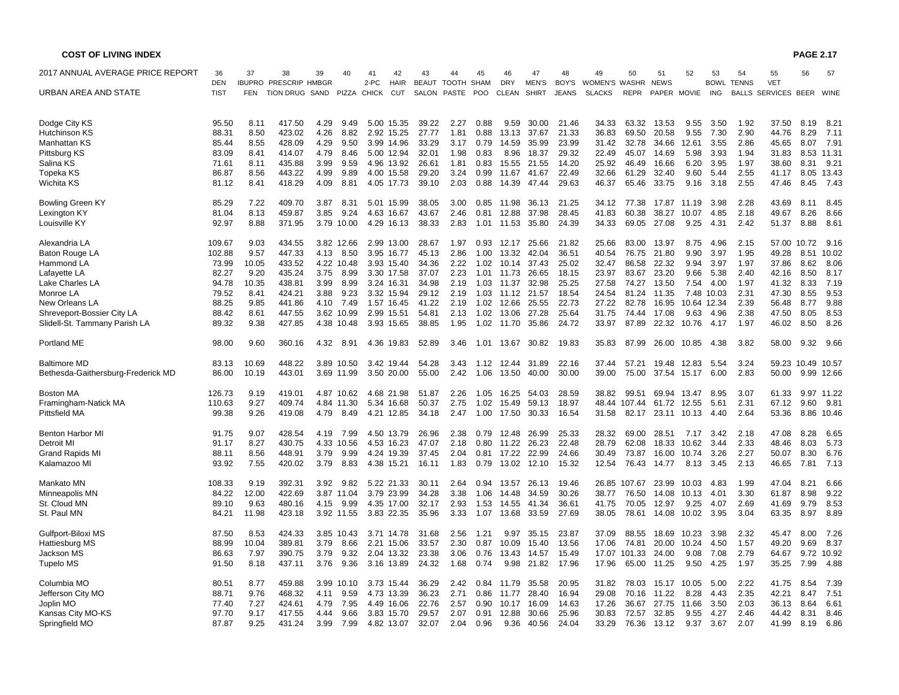| <b>COST OF LIVING INDEX</b>        |             |       |                              |      |            |             |                           |              |            |            |            |              |              |               |        |             |             |             |              |                                        | <b>PAGE 2.17</b>  |            |
|------------------------------------|-------------|-------|------------------------------|------|------------|-------------|---------------------------|--------------|------------|------------|------------|--------------|--------------|---------------|--------|-------------|-------------|-------------|--------------|----------------------------------------|-------------------|------------|
| 2017 ANNUAL AVERAGE PRICE REPORT   | 36          | 37    | 38                           | 39   | 40         | 41          | 42                        | 43           | 44         | 45         | 46         | 47           | 48           | 49            | 50     | 51          | 52          | 53          | 54           | 55                                     | 56                | 57         |
| URBAN AREA AND STATE               | <b>DEN</b>  |       | <b>IBUPRO PRESCRIP HMBGR</b> |      |            | 2-PC        | <b>HAIR</b><br><b>CUT</b> | <b>BEAUT</b> | TOOTH SHAM |            | <b>DRY</b> | <b>MEN'S</b> | BOY'S        | WOMEN'S WASHR |        | <b>NEWS</b> |             | <b>BOWL</b> | <b>TENNS</b> | <b>VET</b><br>BALLS SERVICES BEER WINE |                   |            |
|                                    | <b>TIST</b> | FEN   | TION DRUG SAND               |      |            | PIZZA CHICK |                           | SALON        | PASTE      | <b>POO</b> | CLEAN      | <b>SHIRT</b> | <b>JEANS</b> | <b>SLACKS</b> | REPR   | PAPER MOVIE |             | ING         |              |                                        |                   |            |
| Dodge City KS                      | 95.50       | 8.11  | 417.50                       | 4.29 | 9.49       |             | 5.00 15.35                | 39.22        | 2.27       | 0.88       | 9.59       | 30.00        | 21.46        | 34.33         | 63.32  | 13.53       | 9.55        | 3.50        | 1.92         | 37.50                                  | 8.19              | 8.21       |
| Hutchinson KS                      | 88.31       | 8.50  | 423.02                       | 4.26 | 8.82       |             | 2.92 15.25                | 27.77        | 1.81       | 0.88       | 13.13      | 37.67        | 21.33        | 36.83         | 69.50  | 20.58       | 9.55        | 7.30        | 2.90         | 44.76                                  | 8.29              | 7.11       |
| Manhattan KS                       | 85.44       | 8.55  | 428.09                       | 4.29 | 9.50       |             | 3.99 14.96                | 33.29        | 3.17       | 0.79       | 14.59      | 35.99        | 23.99        | 31.42         | 32.78  | 34.66       | 12.61       | 3.55        | 2.86         | 45.65                                  | 8.07              | 7.91       |
| Pittsburg KS                       | 83.09       | 8.41  | 414.07                       | 4.79 | 8.46       |             | 5.00 12.94                | 32.01        | 1.98       | 0.83       | 8.96       | 18.37        | 29.32        | 22.49         | 45.07  | 14.69       | 5.98        | 3.93        | 1.94         | 31.83                                  |                   | 8.53 11.31 |
| Salina KS                          | 71.61       | 8.11  | 435.88                       | 3.99 | 9.59       |             | 4.96 13.92                | 26.61        | 1.81       | 0.83       | 15.55      | 21.55        | 14.20        | 25.92         | 46.49  | 16.66       | 6.20        | 3.95        | 1.97         | 38.60                                  | 8.31              | 9.21       |
| Topeka KS                          | 86.87       | 8.56  | 443.22                       | 4.99 | 9.89       |             | 4.00 15.58                | 29.20        | 3.24       | 0.99       | 11.67      | 41.67        | 22.49        | 32.66         | 61.29  | 32.40       | 9.60        | 5.44        | 2.55         | 41.17                                  |                   | 8.05 13.43 |
| Wichita KS                         | 81.12       | 8.41  | 418.29                       | 4.09 | 8.81       |             | 4.05 17.73                | 39.10        | 2.03       | 0.88       | 14.39      | 47.44        | 29.63        | 46.37         | 65.46  | 33.75       | 9.16        | 3.18        | 2.55         | 47.46                                  | 8.45              | 7.43       |
| <b>Bowling Green KY</b>            | 85.29       | 7.22  | 409.70                       | 3.87 | 8.31       |             | 5.01 15.99                | 38.05        | 3.00       | 0.85       | 11.98      | 36.13        | 21.25        | 34.12         | 77.38  | 17.87       | 11.19       | 3.98        | 2.28         | 43.69                                  | 8.11              | 8.45       |
| Lexington KY                       | 81.04       | 8.13  | 459.87                       | 3.85 | 9.24       |             | 4.63 16.67                | 43.67        | 2.46       | 0.81       | 12.88      | 37.98        | 28.45        | 41.83         | 60.38  | 38.27       | 10.07       | 4.85        | 2.18         | 49.67                                  | 8.26              | 8.66       |
| Louisville KY                      | 92.97       | 8.88  | 371.95                       |      | 3.79 10.00 |             | 4.29 16.13                | 38.33        | 2.83       | 1.01       | 11.53      | 35.80        | 24.39        | 34.33         | 69.05  | 27.08       | 9.25        | 4.31        | 2.42         | 51.37                                  | 8.88              | 8.61       |
| Alexandria LA                      | 109.67      | 9.03  | 434.55                       |      | 3.82 12.66 |             | 2.99 13.00                | 28.67        | 1.97       | 0.93       | 12.17      | 25.66        | 21.82        | 25.66         | 83.00  | 13.97       | 8.75        | 4.96        | 2.15         |                                        | 57.00 10.72       | 9.16       |
| <b>Baton Rouge LA</b>              | 102.88      | 9.57  | 447.33                       | 4.13 | 8.50       |             | 3.95 16.77                | 45.13        | 2.86       | 1.00       | 13.32      | 42.04        | 36.51        | 40.54         | 76.75  | 21.80       | 9.90        | 3.97        | 1.95         | 49.28                                  | 8.51              | 10.02      |
| Hammond LA                         | 73.99       | 10.05 | 433.52                       |      | 4.22 10.48 |             | 3.93 15.40                | 34.36        | 2.22       | 1.02       | 10.14      | 37.43        | 25.02        | 32.47         | 86.58  | 22.32       | 9.94        | 3.97        | 1.97         | 37.86                                  | 8.62              | 8.06       |
| Lafayette LA                       | 82.27       | 9.20  | 435.24                       | 3.75 | 8.99       |             | 3.30 17.58                | 37.07        | 2.23       | 1.01       | 11.73      | 26.65        | 18.15        | 23.97         | 83.67  | 23.20       | 9.66        | 5.38        | 2.40         | 42.16                                  | 8.50              | 8.17       |
| Lake Charles LA                    | 94.78       | 10.35 | 438.81                       | 3.99 | 8.99       |             | 3.24 16.31                | 34.98        | 2.19       | 1.03       | 11.37      | 32.98        | 25.25        | 27.58         | 74.27  | 13.50       | 7.54        | 4.00        | 1.97         | 41.32                                  | 8.33              | 7.19       |
| Monroe LA                          | 79.52       | 8.41  | 424.21                       | 3.88 | 9.23       |             | 3.32 15.94                | 29.12        | 2.19       | 1.03       | 11.12      | 21.57        | 18.54        | 24.54         | 81.24  | 11.35       |             | 7.48 10.03  | 2.31         | 47.30                                  | 8.55              | 9.53       |
| New Orleans LA                     | 88.25       | 9.85  | 441.86                       | 4.10 | 7.49       |             | 1.57 16.45                | 41.22        | 2.19       | 1.02       | 12.66      | 25.55        | 22.73        | 27.22         | 82.78  | 16.95       |             | 10.64 12.34 | 2.39         | 56.48                                  | 8.77              | 9.88       |
| Shreveport-Bossier City LA         | 88.42       | 8.61  | 447.55                       |      | 3.62 10.99 |             | 2.99 15.51                | 54.81        | 2.13       | 1.02       | 13.06      | 27.28        | 25.64        | 31.75         | 74.44  | 17.08       | 9.63        | 4.96        | 2.38         | 47.50                                  | 8.05              | 8.53       |
| Slidell-St. Tammany Parish LA      | 89.32       | 9.38  | 427.85                       |      | 4.38 10.48 |             | 3.93 15.65                | 38.85        | 1.95       | 1.02       | 11.70      | 35.86        | 24.72        | 33.97         | 87.89  | 22.32       | 10.76       | 4.17        | 1.97         | 46.02                                  | 8.50              | 8.26       |
| <b>Portland ME</b>                 | 98.00       | 9.60  | 360.16                       | 4.32 | 8.91       |             | 4.36 19.83                | 52.89        | 3.46       | 1.01       | 13.67      | 30.82        | 19.83        | 35.83         | 87.99  | 26.00       | 10.85       | 4.38        | 3.82         | 58.00                                  | 9.32              | 9.66       |
| <b>Baltimore MD</b>                | 83.13       | 10.69 | 448.22                       |      | 3.89 10.50 |             | 3.42 19.44                | 54.28        | 3.43       | 1.12       | 12.44      | 31.89        | 22.16        | 37.44         | 57.21  | 19.48       | 12.83       | 5.54        | 3.24         |                                        | 59.23 10.49 10.57 |            |
| Bethesda-Gaithersburg-Frederick MD | 86.00       | 10.19 | 443.01                       |      | 3.69 11.99 |             | 3.50 20.00                | 55.00        | 2.42       | 1.06       | 13.50      | 40.00        | 30.00        | 39.00         | 75.00  |             | 37.54 15.17 | 6.00        | 2.83         | 50.00                                  |                   | 9.99 12.66 |
| Boston MA                          | 126.73      | 9.19  | 419.01                       |      | 4.87 10.62 |             | 4.68 21.98                | 51.87        | 2.26       | 1.05       | 16.25      | 54.03        | 28.59        | 38.82         | 99.51  |             | 69.94 13.47 | 8.95        | 3.07         | 61.33                                  |                   | 9.97 11.22 |
| Framingham-Natick MA               | 110.63      | 9.27  | 409.74                       |      | 4.84 11.30 |             | 5.34 16.68                | 50.37        | 2.75       | 1.02       | 15.49      | 59.13        | 18.97        | 48.44         | 107.44 |             | 61.72 12.55 | 5.61        | 2.31         | 67.12                                  | 9.60              | 9.81       |
| Pittsfield MA                      | 99.38       | 9.26  | 419.08                       | 4.79 | 8.49       |             | 4.21 12.85                | 34.18        | 2.47       | 1.00       | 17.50      | 30.33        | 16.54        | 31.58         | 82.17  |             | 23.11 10.13 | 4.40        | 2.64         | 53.36                                  |                   | 8.86 10.46 |
| <b>Benton Harbor MI</b>            | 91.75       | 9.07  | 428.54                       | 4.19 | 7.99       |             | 4.50 13.79                | 26.96        | 2.38       | 0.79       | 12.48      | 26.99        | 25.33        | 28.32         | 69.00  | 28.51       | 7.17        | 3.42        | 2.18         | 47.08                                  | 8.28              | 6.65       |
| Detroit MI                         | 91.17       | 8.27  | 430.75                       |      | 4.33 10.56 |             | 4.53 16.23                | 47.07        | 2.18       | 0.80       | 11.22      | 26.23        | 22.48        | 28.79         | 62.08  | 18.33       | 10.62       | 3.44        | 2.33         | 48.46                                  | 8.03              | 5.73       |
| <b>Grand Rapids MI</b>             | 88.11       | 8.56  | 448.91                       | 3.79 | 9.99       |             | 4.24 19.39                | 37.45        | 2.04       | 0.81       | 17.22      | 22.99        | 24.66        | 30.49         | 73.87  | 16.00       | 10.74       | 3.26        | 2.27         | 50.07                                  | 8.30              | 6.76       |
| Kalamazoo MI                       | 93.92       | 7.55  | 420.02                       | 3.79 | 8.83       |             | 4.38 15.21                | 16.11        | 1.83       | 0.79       |            | 13.02 12.10  | 15.32        | 12.54         | 76.43  | 14.77       | 8.13        | 3.45        | 2.13         | 46.65                                  | 7.81              | 7.13       |
| Mankato MN                         | 108.33      | 9.19  | 392.31                       | 3.92 | 9.82       |             | 5.22 21.33                | 30.11        | 2.64       | 0.94       | 13.57      | 26.13        | 19.46        | 26.85         | 107.67 | 23.99       | 10.03       | 4.83        | 1.99         | 47.04                                  | 8.21              | 6.66       |
| Minneapolis MN                     | 84.22       | 12.00 | 422.69                       |      | 3.87 11.04 |             | 3.79 23.99                | 34.28        | 3.38       | 1.06       | 14.48      | 34.59        | 30.26        | 38.77         | 76.50  | 14.08       | 10.13       | 4.01        | 3.30         | 61.87                                  | 8.98              | 9.22       |
| St. Cloud MN                       | 89.10       | 9.63  | 480.16                       | 4.15 | 9.99       |             | 4.35 17.00                | 32.17        | 2.93       | 1.53       | 14.55      | 41.34        | 36.61        | 41.75         | 70.05  | 12.97       | 9.25        | 4.07        | 2.69         | 41.69                                  | 9.79              | 8.53       |
| St. Paul MN                        | 84.21       | 11.98 | 423.18                       |      | 3.92 11.55 |             | 3.83 22.35                | 35.96        | 3.33       | 1.07       | 13.68      | 33.59        | 27.69        | 38.05         | 78.61  | 14.08       | 10.02       | 3.95        | 3.04         | 63.35                                  | 8.97              | 8.89       |
| Gulfport-Biloxi MS                 | 87.50       | 8.53  | 424.33                       |      | 3.85 10.43 |             | 3.71 14.78                | 31.68        | 2.56       | 1.21       | 9.97       | 35.15        | 23.87        | 37.09         | 88.55  | 18.69       | 10.23       | 3.98        | 2.32         | 45.47                                  | 8.00              | 7.26       |
| Hattiesburg MS                     | 88.99       | 10.04 | 389.81                       | 3.79 | 8.66       |             | 2.21 15.06                | 33.57        | 2.30       | 0.87       | 10.09      | 15.40        | 13.56        | 17.06         | 74.81  | 20.00       | 10.24       | 4.50        | 1.57         | 49.20                                  | 9.69              | 8.37       |
| <b>Jackson MS</b>                  | 86.63       | 7.97  | 390.75                       | 3.79 | 9.32       |             | 2.04 13.32                | 23.38        | 3.06       | 0.76       | 13.43      | 14.57        | 15.49        | 17.07         | 101.33 | 24.00       | 9.08        | 7.08        | 2.79         | 64.67                                  |                   | 9.72 10.92 |
| <b>Tupelo MS</b>                   | 91.50       | 8.18  | 437.11                       | 3.76 | 9.36       |             | 3.16 13.89                | 24.32        | 1.68       | 0.74       | 9.98       | 21.82        | 17.96        | 17.96         | 65.00  | 11.25       | 9.50        | 4.25        | 1.97         | 35.25                                  | 7.99              | 4.88       |
| Columbia MO                        | 80.51       | 8.77  | 459.88                       |      | 3.99 10.10 |             | 3.73 15.44                | 36.29        | 2.42       | 0.84       | 11.79      | 35.58        | 20.95        | 31.82         | 78.03  | 15.17       | 10.05       | 5.00        | 2.22         | 41.75                                  | 8.54              | 7.39       |
| Jefferson City MO                  | 88.71       | 9.76  | 468.32                       | 4.11 | 9.59       |             | 4.73 13.39                | 36.23        | 2.71       | 0.86       | 11.77      | 28.40        | 16.94        | 29.08         | 70.16  | 11.22       | 8.28        | 4.43        | 2.35         | 42.21                                  | 8.47              | 7.51       |
| Joplin MO                          | 77.40       | 7.27  | 424.61                       | 4.79 | 7.95       |             | 4.49 16.06                | 22.76        | 2.57       | 0.90       | 10.17      | 16.09        | 14.63        | 17.26         | 36.67  | 27.75       | 11.66       | 3.50        | 2.03         | 36.13                                  | 8.64              | 6.61       |
| Kansas City MO-KS                  | 97.70       | 9.17  | 417.55                       | 4.44 | 9.66       |             | 3.83 15.70                | 29.57        | 2.07       | 0.91       | 12.88      | 30.66        | 25.96        | 30.83         | 72.57  | 32.85       | 9.55        | 4.27        | 2.46         | 44.42                                  | 8.31              | 8.46       |
| Springfield MO                     | 87.87       | 9.25  | 431.24                       | 3.99 | 7.99       |             | 4.82 13.07                | 32.07        | 2.04       | 0.96       | 9.36       | 40.56        | 24.04        | 33.29         | 76.36  | 13.12       | 9.37        | 3.67        | 2.07         | 41.99                                  | 8.19              | 6.86       |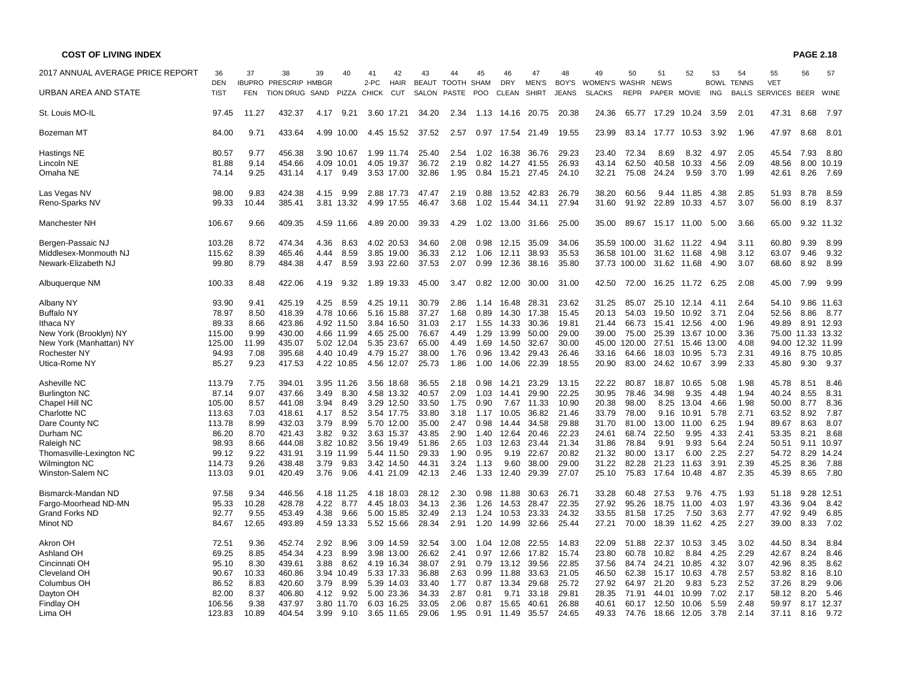| 2017 ANNUAL AVERAGE PRICE REPORT | 36                        | 37         | 38                                               | 39   | 40         | 41                   | 42                        | 43                           | 44                  | 45         | 46                         | 47                           | 48                    | 49                             | 50           | 51                         | 52               | 53         | 54                | 55                                       | 56   | 57          |
|----------------------------------|---------------------------|------------|--------------------------------------------------|------|------------|----------------------|---------------------------|------------------------------|---------------------|------------|----------------------------|------------------------------|-----------------------|--------------------------------|--------------|----------------------------|------------------|------------|-------------------|------------------------------------------|------|-------------|
| URBAN AREA AND STATE             | <b>DEN</b><br><b>TIST</b> | <b>FEN</b> | <b>IBUPRO PRESCRIP HMBGR</b><br><b>TION DRUG</b> | SAND | PIZZA      | 2-PC<br><b>CHICK</b> | <b>HAIR</b><br><b>CUT</b> | <b>BEAUT</b><br><b>SALON</b> | TOOTH SHAM<br>PASTE | <b>POO</b> | <b>DRY</b><br><b>CLEAN</b> | <b>MEN'S</b><br><b>SHIRT</b> | BOY'S<br><b>JEANS</b> | WOMEN'S WASHR<br><b>SLACKS</b> | <b>REPR</b>  | <b>NEWS</b><br>PAPER MOVIE |                  | <b>ING</b> | <b>BOWL TENNS</b> | <b>VET</b><br><b>BALLS SERVICES BEER</b> |      | WINE        |
| St. Louis MO-IL                  | 97.45                     | 11.27      | 432.37                                           | 4.17 | 9.21       |                      | 3.60 17.21                | 34.20                        | 2.34                | 1.13       |                            | 14.16 20.75                  | 20.38                 | 24.36                          | 65.77        | 17.29                      | 10.24            | 3.59       | 2.01              | 47.31                                    | 8.68 | 7.97        |
| Bozeman MT                       | 84.00                     | 9.71       | 433.64                                           |      | 4.99 10.00 |                      | 4.45 15.52                | 37.52                        | 2.57                |            | 0.97 17.54                 | 21.49                        | 19.55                 | 23.99                          | 83.14        | 17.77                      | 10.53            | 3.92       | 1.96              | 47.97                                    | 8.68 | 8.01        |
| Hastings NE                      | 80.57                     | 9.77       | 456.38                                           |      | 3.90 10.67 |                      | 1.99 11.74                | 25.40                        | 2.54                | 1.02       | 16.38                      | 36.76                        | 29.23                 | 23.40                          | 72.34        | 8.69                       | 8.32             | 4.97       | 2.05              | 45.54                                    | 7.93 | 8.80        |
| Lincoln NE                       | 81.88                     | 9.14       | 454.66                                           |      | 4.09 10.01 |                      | 4.05 19.37                | 36.72                        | 2.19                | 0.82       | 14.27                      | 41.55                        | 26.93                 | 43.14                          | 62.50        | 40.58                      | 10.33            | 4.56       | 2.09              | 48.56                                    |      | 8.00 10.19  |
| Omaha NE                         | 74.14                     | 9.25       | 431.14                                           | 4.17 | 9.49       |                      | 3.53 17.00                | 32.86                        | 1.95                | 0.84       | 15.21                      | 27.45                        | 24.10                 | 32.21                          | 75.08        | 24.24                      | 9.59             | 3.70       | 1.99              | 42.61                                    | 8.26 | 7.69        |
| Las Vegas NV                     | 98.00                     | 9.83       | 424.38                                           |      | 4.15 9.99  |                      | 2.88 17.73                | 47.47                        | 2.19                | 0.88       | 13.52                      | 42.83                        | 26.79                 | 38.20                          | 60.56        |                            | 9.44 11.85       | 4.38       | 2.85              | 51.93                                    | 8.78 | 8.59        |
| Reno-Sparks NV                   | 99.33                     | 10.44      | 385.41                                           |      | 3.81 13.32 |                      | 4.99 17.55                | 46.47                        | 3.68                | 1.02       | 15.44                      | 34.11                        | 27.94                 | 31.60                          | 91.92        | 22.89                      | 10.33            | 4.57       | 3.07              | 56.00                                    | 8.19 | 8.37        |
| Manchester NH                    | 106.67                    | 9.66       | 409.35                                           |      | 4.59 11.66 |                      | 4.89 20.00                | 39.33                        | 4.29                | 1.02       |                            | 13.00 31.66                  | 25.00                 | 35.00                          | 89.67        |                            | 15.17 11.00      | 5.00       | 3.66              | 65.00                                    |      | 9.32 11.32  |
| Bergen-Passaic NJ                | 103.28                    | 8.72       | 474.34                                           | 4.36 | 8.63       |                      | 4.02 20.53                | 34.60                        | 2.08                | 0.98       | 12.15                      | 35.09                        | 34.06                 |                                | 35.59 100.00 |                            | 31.62 11.22      | 4.94       | 3.11              | 60.80                                    | 9.39 | 8.99        |
| Middlesex-Monmouth NJ            | 115.62                    | 8.39       | 465.46                                           | 4.44 | 8.59       |                      | 3.85 19.00                | 36.33                        | 2.12                | 1.06       | 12.11                      | 38.93                        | 35.53                 |                                | 36.58 101.00 |                            | 31.62 11.68      | 4.98       | 3.12              | 63.07                                    | 9.46 | 9.32        |
| Newark-Elizabeth NJ              | 99.80                     | 8.79       | 484.38                                           | 4.47 | 8.59       |                      | 3.93 22.60                | 37.53                        | 2.07                | 0.99       | 12.36                      | 38.16                        | 35.80                 |                                | 37.73 100.00 |                            | 31.62 11.68      | 4.90       | 3.07              | 68.60                                    | 8.92 | 8.99        |
| Albuquerque NM                   | 100.33                    | 8.48       | 422.06                                           | 4.19 | 9.32       |                      | 1.89 19.33                | 45.00                        | 3.47                | 0.82       | 12.00                      | 30.00                        | 31.00                 | 42.50                          | 72.00        | 16.25                      | 11.72            | 6.25       | 2.08              | 45.00                                    | 7.99 | 9.99        |
| Albany NY                        | 93.90                     | 9.41       | 425.19                                           | 4.25 | 8.59       |                      | 4.25 19.11                | 30.79                        | 2.86                | 1.14       | 16.48                      | 28.31                        | 23.62                 | 31.25                          | 85.07        | 25.10                      | 12.14            | 4.11       | 2.64              | 54.10                                    |      | 9.86 11.63  |
| <b>Buffalo NY</b>                | 78.97                     | 8.50       | 418.39                                           |      | 4.78 10.66 |                      | 5.16 15.88                | 37.27                        | 1.68                | 0.89       | 14.30                      | 17.38                        | 15.45                 | 20.13                          | 54.03        | 19.50                      | 10.92            | 3.71       | 2.04              | 52.56                                    |      | 8.86 8.77   |
| Ithaca NY                        | 89.33                     | 8.66       | 423.86                                           |      | 4.92 11.50 |                      | 3.84 16.50                | 31.03                        | 2.17                | 1.55       | 14.33                      | 30.36                        | 19.81                 | 21.44                          | 66.73        | 15.41                      | 12.56            | 4.00       | 1.96              | 49.89                                    |      | 8.91 12.93  |
| New York (Brooklyn) NY           | 115.00                    | 9.99       | 430.00                                           |      | 4.66 11.99 |                      | 4.65 25.00                | 76.67                        | 4.49                | 1.29       | 13.99                      | 50.00                        | 29.00                 | 39.00                          | 75.00        | 25.39                      | 13.67 10.00      |            | 3.36              | 75.00                                    |      | 11.33 13.32 |
| New York (Manhattan) NY          | 125.00                    | 11.99      | 435.07                                           |      | 5.02 12.04 |                      | 5.35 23.67                | 65.00                        | 4.49                | 1.69       | 14.50                      | 32.67                        | 30.00                 | 45.00                          | 120.00       | 27.51                      | 15.46 13.00      |            | 4.08              | 94.00                                    |      | 12.32 11.99 |
| Rochester NY                     | 94.93                     | 7.08       | 395.68                                           |      | 4.40 10.49 |                      | 4.79 15.27                | 38.00                        | 1.76                | 0.96       | 13.42                      | 29.43                        | 26.46                 | 33.16                          | 64.66        | 18.03                      | 10.95            | 5.73       | 2.31              | 49.16                                    |      | 8.75 10.85  |
| Utica-Rome NY                    | 85.27                     | 9.23       | 417.53                                           |      | 4.22 10.85 |                      | 4.56 12.07                | 25.73                        | 1.86                | 1.00       | 14.06                      | 22.39                        | 18.55                 | 20.90                          | 83.00        | 24.62                      | 10.67            | 3.99       | 2.33              | 45.80                                    |      | 9.30 9.37   |
| Asheville NC                     | 113.79                    | 7.75       | 394.01                                           |      | 3.95 11.26 |                      | 3.56 18.68                | 36.55                        | 2.18                | 0.98       | 14.21                      | 23.29                        | 13.15                 | 22.22                          | 80.87        | 18.87                      | 10.65            | 5.08       | 1.98              | 45.78                                    | 8.51 | 8.46        |
| <b>Burlington NC</b>             | 87.14                     | 9.07       | 437.66                                           | 3.49 | 8.30       |                      | 4.58 13.32                | 40.57                        | 2.09                | 1.03       | 14.41                      | 29.90                        | 22.25                 | 30.95                          | 78.46        | 34.98                      | 9.35             | 4.48       | 1.94              | 40.24                                    | 8.55 | 8.31        |
| Chapel Hill NC                   | 105.00                    | 8.57       | 441.08                                           | 3.94 | 8.49       |                      | 3.29 12.50                | 33.50                        | 1.75                | 0.90       | 7.67                       | 11.33                        | 10.90                 | 20.38                          | 98.00        | 8.25                       | 13.04            | 4.66       | 1.98              | 50.00                                    | 8.77 | 8.36        |
| Charlotte NC                     | 113.63                    | 7.03       | 418.61                                           | 4.17 | 8.52       |                      | 3.54 17.75                | 33.80                        | 3.18                | 1.17       | 10.05                      | 36.82                        | 21.46                 | 33.79                          | 78.00        | 9.16                       | 10.91            | 5.78       | 2.71              | 63.52                                    | 8.92 | 7.87        |
| Dare County NC                   | 113.78                    | 8.99       | 432.03                                           | 3.79 | 8.99       |                      | 5.70 12.00                | 35.00                        | 2.47                | 0.98       | 14.44                      | 34.58                        | 29.88                 | 31.70                          | 81.00        | 13.00                      | 11.00            | 6.25       | 1.94              | 89.67                                    | 8.63 | 8.07        |
| Durham NC                        | 86.20                     | 8.70       | 421.43                                           | 3.82 | 9.32       |                      | 3.63 15.37                | 43.85                        | 2.90                | 1.40       | 12.64                      | 20.46                        | 22.23                 | 24.61                          | 68.74        | 22.50                      | 9.95             | 4.33       | 2.41              | 53.35                                    | 8.21 | 8.68        |
| Raleigh NC                       | 98.93                     | 8.66       | 444.08                                           |      | 3.82 10.82 |                      | 3.56 19.49                | 51.86                        | 2.65                | 1.03       | 12.63                      | 23.44                        | 21.34                 | 31.86                          | 78.84        | 9.91                       | 9.93             | 5.64       | 2.24              | 50.51                                    |      | 9.11 10.97  |
| Thomasville-Lexington NC         | 99.12                     | 9.22       | 431.91                                           |      | 3.19 11.99 |                      | 5.44 11.50                | 29.33                        | 1.90                | 0.95       | 9.19                       | 22.67                        | 20.82                 | 21.32                          | 80.00        | 13.17                      | 6.00             | 2.25       | 2.27              | 54.72                                    |      | 8.29 14.24  |
| <b>Wilmington NC</b>             | 114.73                    | 9.26       | 438.48                                           | 3.79 | 9.83       |                      | 3.42 14.50                | 44.31                        | 3.24                | 1.13       | 9.60                       | 38.00                        | 29.00                 | 31.22                          | 82.28        | 21.23                      | 11.63            | 3.91       | 2.39              | 45.25                                    | 8.36 | 7.88        |
| Winston-Salem NC                 | 113.03                    | 9.01       | 420.49                                           | 3.76 | 9.06       |                      | 4.41 21.09                | 42.13                        | 2.46                | 1.33       | 12.40                      | 29.39                        | 27.07                 | 25.10                          | 75.83        | 17.64                      | 10.48            | 4.87       | 2.35              | 45.39                                    | 8.65 | 7.80        |
| Bismarck-Mandan ND               | 97.58                     | 9.34       | 446.56                                           |      | 4.18 11.25 |                      | 4.18 18.03                | 28.12                        | 2.30                | 0.98       | 11.88                      | 30.63                        | 26.71                 | 33.28                          | 60.48        | 27.53                      | 9.76             | 4.75       | 1.93              | 51.18                                    |      | 9.28 12.51  |
| Fargo-Moorhead ND-MN             | 95.33                     | 10.28      | 428.78                                           | 4.22 | 8.77       |                      | 4.45 18.03                | 34.13                        | 2.36                | 1.26       | 14.53                      | 28.47                        | 22.35                 | 27.92                          | 95.26        | 18.75                      | 11.00            | 4.03       | 1.97              | 43.36                                    | 9.04 | 8.42        |
| <b>Grand Forks ND</b>            | 92.77                     | 9.55       | 453.49                                           | 4.38 | 9.66       |                      | 5.00 15.85                | 32.49                        | 2.13                | 1.24       | 10.53                      | 23.33                        | 24.32                 | 33.55                          | 81.58        | 17.25                      | 7.50             | 3.63       | 2.77              | 47.92                                    | 9.49 | 6.85        |
| Minot ND                         | 84.67                     | 12.65      | 493.89                                           |      | 4.59 13.33 |                      | 5.52 15.66                | 28.34                        | 2.91                | 1.20       | 14.99                      | 32.66                        | 25.44                 | 27.21                          | 70.00        | 18.39                      | 11.62            | 4.25       | 2.27              | 39.00                                    | 8.33 | 7.02        |
| Akron OH                         | 72.51                     | 9.36       | 452.74                                           | 2.92 | 8.96       |                      | 3.09 14.59                | 32.54                        | 3.00                | 1.04       | 12.08                      | 22.55                        | 14.83                 | 22.09                          | 51.88        | 22.37                      | 10.53            | 3.45       | 3.02              | 44.50                                    | 8.34 | 8.84        |
| Ashland OH                       | 69.25                     | 8.85       | 454.34                                           | 4.23 | 8.99       |                      | 3.98 13.00                | 26.62                        | 2.41                | 0.97       | 12.66                      | 17.82                        | 15.74                 | 23.80                          | 60.78        | 10.82                      | 8.84             | 4.25       | 2.29              | 42.67                                    | 8.24 | 8.46        |
| Cincinnati OH                    | 95.10                     | 8.30       | 439.61                                           | 3.88 | 8.62       |                      | 4.19 16.34                | 38.07                        | 2.91                | 0.79       | 13.12                      | 39.56                        | 22.85                 | 37.56                          | 84.74        | 24.21                      | 10.85            | 4.32       | 3.07              | 42.96                                    | 8.35 | 8.62        |
| Cleveland OH                     | 90.67                     | 10.33      | 460.86                                           |      | 3.94 10.49 |                      | 5.33 17.33                | 36.88                        | 2.63                | 0.99       | 11.88                      | 33.63                        | 21.05                 | 46.50                          | 62.38        | 15.17                      | 10.63            | 4.78       | 2.57              | 53.82                                    | 8.16 | 8.10        |
| Columbus OH                      | 86.52                     | 8.83       | 420.60                                           | 3.79 | 8.99       |                      | 5.39 14.03                | 33.40                        | 1.77                | 0.87       | 13.34                      | 29.68                        | 25.72                 | 27.92                          | 64.97        | 21.20                      | 9.83             | 5.23       | 2.52              | 37.26                                    | 8.29 | 9.06        |
| Dayton OH                        | 82.00                     | 8.37       | 406.80                                           | 4.12 | 9.92       |                      | 5.00 23.36                | 34.33                        | 2.87                | 0.81       | 9.71                       | 33.18                        | 29.81                 | 28.35                          | 71.91        | 44.01                      | 10.99            | 7.02       | 2.17              | 58.12                                    | 8.20 | 5.46        |
| <b>Findlay OH</b>                | 106.56                    | 9.38       | 437.97                                           |      | 3.80 11.70 |                      | 6.03 16.25                | 33.05                        | 2.06                | 0.87       | 15.65                      | 40.61                        | 26.88                 | 40.61                          | 60.17        | 12.50                      | 10.06            | 5.59       | 2.48              | 59.97                                    |      | 8.17 12.37  |
| Lima OH                          | 123.83                    | 10.89      | 404.54                                           | 3.99 | 9.10       |                      | 3.65 11.65                | 29.06                        | 1.95                |            | 0.91 11.49                 | 35.57                        | 24.65                 | 49.33                          | 74.76        |                            | 18.66 12.05 3.78 |            | 2.14              | 37.11                                    | 8.16 | 9.72        |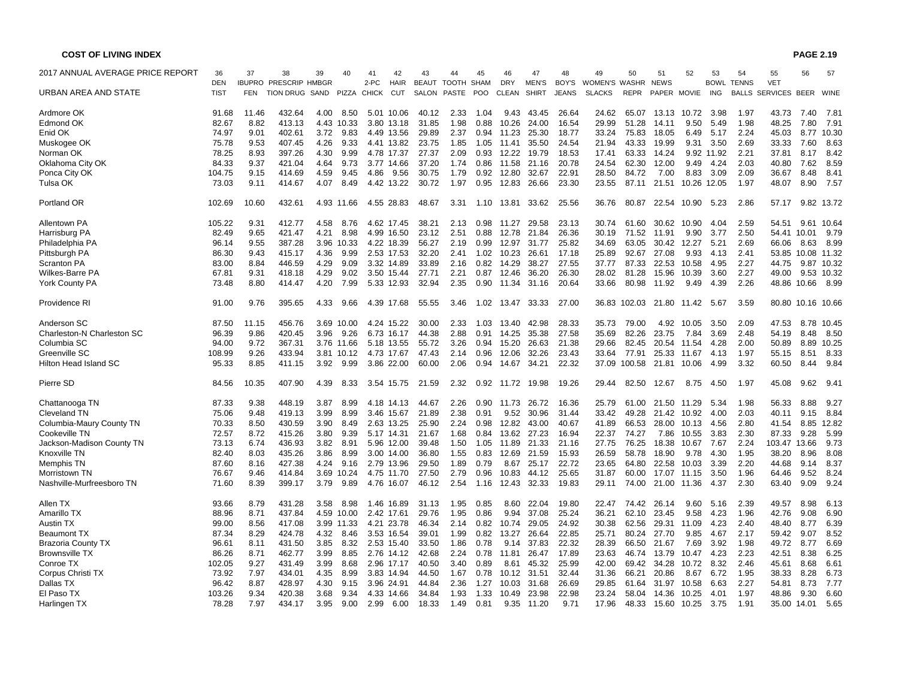| <b>COST OF LIVING INDEX</b>                |                |              |                              |      |                    |             |                          |                  |              |              |                |                |                |                |                |             |                      |              |                   |                    | <b>PAGE 2.19</b>  |               |
|--------------------------------------------|----------------|--------------|------------------------------|------|--------------------|-------------|--------------------------|------------------|--------------|--------------|----------------|----------------|----------------|----------------|----------------|-------------|----------------------|--------------|-------------------|--------------------|-------------------|---------------|
| 2017 ANNUAL AVERAGE PRICE REPORT           | 36             | 37           | 38                           | 39   | 40                 | 41          | 42                       | 43               | 44           | 45           | 46             | 47             | 48             | 49             | 50             | 51          | 52                   | 53           | 54                | 55                 | 56                | 57            |
|                                            | <b>DEN</b>     |              | <b>IBUPRO PRESCRIP HMBGR</b> |      |                    | 2-PC        | HAIR                     | BEAUT TOOTH SHAM |              |              | <b>DRY</b>     | <b>MEN'S</b>   | BOY'S          | WOMEN'S WASHR  |                | <b>NEWS</b> |                      |              | <b>BOWL TENNS</b> | <b>VET</b>         |                   |               |
| URBAN AREA AND STATE                       | <b>TIST</b>    | <b>FEN</b>   | TION DRUG SAND               |      |                    | PIZZA CHICK | CUT                      | SALON            | PASTE        | <b>POO</b>   | <b>CLEAN</b>   | <b>SHIRT</b>   | <b>JEANS</b>   | <b>SLACKS</b>  | <b>REPR</b>    | PAPER MOVIE |                      | ING          | <b>BALLS</b>      | SERVICES BEER WINE |                   |               |
| Ardmore OK                                 | 91.68          | 11.46        | 432.64                       | 4.00 | 8.50               |             | 5.01 10.06               | 40.12            | 2.33         | 1.04         | 9.43           | 43.45          | 26.64          | 24.62          | 65.07          | 13.13       | 10.72                | 3.98         | 1.97              | 43.73              | 7.40              | 7.81          |
| <b>Edmond OK</b>                           | 82.67          | 8.82         | 413.13                       |      | 4.43 10.33         |             | 3.80 13.18               | 31.85            | 1.98         | 0.88         | 10.26          | 24.00          | 16.54          | 29.99          | 51.28          | 14.11       | 9.50                 | 5.49         | 1.98              | 48.25              | 7.80              | $7.9^{\circ}$ |
| Enid OK                                    | 74.97          | 9.01         | 402.61                       | 3.72 | 9.83               |             | 4.49 13.56               | 29.89            | 2.37         | 0.94         | 11.23          | 25.30          | 18.77          | 33.24          | 75.83          | 18.05       | 6.49                 | 5.17         | 2.24              | 45.03              |                   | 8.77 10.30    |
| Muskogee OK                                | 75.78          | 9.53         | 407.45                       | 4.26 | 9.33               |             | 4.41 13.82               | 23.75            | 1.85         | 1.05         | 11.41          | 35.50          | 24.54          | 21.94          | 43.33          | 19.99       | 9.31                 | 3.50         | 2.69              | 33.33              | 7.60              | 8.63          |
| Norman OK                                  | 78.25          | 8.93         | 397.26                       | 4.30 | 9.99               |             | 4.78 17.37               | 27.37            | 2.09         | 0.93         | 12.22          | 19.79          | 18.53          | 17.41          | 63.33          | 14.24       |                      | 9.92 11.92   | 2.21              | 37.81              | 8.17              | 8.42          |
| Oklahoma City OK                           | 84.33          | 9.37         | 421.04                       | 4.64 | 9.73               |             | 3.77 14.66               | 37.20            | 1.74         | 0.86         | 11.58          | 21.16          | 20.78          | 24.54          | 62.30          | 12.00       | 9.49                 | 4.24         | 2.03              | 40.80              | 7.62              | 8.59          |
| Ponca City OK                              | 104.75         | 9.15         | 414.69                       | 4.59 | 9.45               | 4.86        | 9.56                     | 30.75            | 1.79         | 0.92         | 12.80          | 32.67          | 22.91          | 28.50          | 84.72          | 7.00        | 8.83                 | 3.09         | 2.09              | 36.67              | 8.48              | 8.41          |
| Tulsa OK                                   | 73.03          | 9.11         | 414.67                       | 4.07 | 8.49               |             | 4.42 13.22               | 30.72            | 1.97         | 0.95         | 12.83          | 26.66          | 23.30          | 23.55          | 87.11          | 21.51       | 10.26 12.05          |              | 1.97              | 48.07              | 8.90              | 7.57          |
| Portland OR                                | 102.69         | 10.60        | 432.61                       |      | 4.93 11.66         |             | 4.55 28.83               | 48.67            | 3.31         | 1.10         | 13.81          | 33.62          | 25.56          | 36.76          | 80.87          |             | 22.54 10.90          | 5.23         | 2.86              | 57.17              |                   | 9.82 13.72    |
| Allentown PA                               | 105.22         | 9.31         | 412.77                       | 4.58 | 8.76               |             | 4.62 17.45               | 38.21            | 2.13         | 0.98         | 11.27          | 29.58          | 23.13          | 30.74          | 61.60          | 30.62       | 10.90                | 4.04         | 2.59              | 54.51              |                   | 9.61 10.64    |
| Harrisburg PA                              | 82.49          | 9.65         | 421.47                       | 4.21 | 8.98               |             | 4.99 16.50               | 23.12            | 2.51         | 0.88         | 12.78          | 21.84          | 26.36          | 30.19          | 71.52          | 11.91       | 9.90                 | 3.77         | 2.50              |                    | 54.41 10.01       | 9.79          |
| Philadelphia PA                            | 96.14          | 9.55         | 387.28                       |      | 3.96 10.33         |             | 4.22 18.39               | 56.27            | 2.19         | 0.99         | 12.97          | 31.77          | 25.82          | 34.69          | 63.05          | 30.42       | 12.27                | 5.21         | 2.69              | 66.06              | 8.63              | 8.99          |
| Pittsburgh PA                              | 86.30          | 9.43         | 415.17                       | 4.36 | 9.99               |             | 2.53 17.53               | 32.20            | 2.41         | 1.02         | 10.23          | 26.61          | 17.18          | 25.89          | 92.67          | 27.08       | 9.93                 | 4.13         | 2.41              |                    | 53.85 10.08 11.32 |               |
| Scranton PA                                | 83.00          | 8.84         | 446.59                       | 4.29 | 9.09               |             | 3.32 14.89               | 33.89            | 2.16         | 0.82         | 14.29          | 38.27          | 27.55          | 37.77          | 87.33          | 22.53       | 10.58                | 4.95         | 2.27              | 44.75              |                   | 9.87 10.32    |
| Wilkes-Barre PA                            | 67.81          | 9.31         | 418.18                       | 4.29 | 9.02               |             | 3.50 15.44               | 27.71            | 2.21         | 0.87         | 12.46          | 36.20          | 26.30          | 28.02          | 81.28          | 15.96       | 10.39                | 3.60         | 2.27              | 49.00              |                   | 9.53 10.32    |
| <b>York County PA</b>                      | 73.48          | 8.80         | 414.47                       | 4.20 | 7.99               |             | 5.33 12.93               | 32.94            | 2.35         | 0.90         | 11.34          | 31.16          | 20.64          | 33.66          | 80.98          | 11.92       | 9.49                 | 4.39         | 2.26              |                    | 48.86 10.66       | 8.99          |
| Providence RI                              | 91.00          | 9.76         | 395.65                       | 4.33 | 9.66               |             | 4.39 17.68               | 55.55            | 3.46         | 1.02         | 13.47          | 33.33          | 27.00          | 36.83          | 102.03         | 21.80       | 11.42                | 5.67         | 3.59              |                    | 80.80 10.16 10.66 |               |
| Anderson SC                                | 87.50          | 11.15        | 456.76                       |      | 3.69 10.00         |             | 4.24 15.22               | 30.00            | 2.33         | 1.03         | 13.40          | 42.98          | 28.33          | 35.73          | 79.00          |             | 4.92 10.05           | 3.50         | 2.09              | 47.53              |                   | 8.78 10.45    |
| Charleston-N Charleston SC                 | 96.39          | 9.86         | 420.45                       | 3.96 | 9.26               |             | 6.73 16.17               | 44.38            | 2.88         | 0.91         | 14.25          | 35.38          | 27.58          | 35.69          | 82.26          | 23.75       | 7.84                 | 3.69         | 2.48              | 54.19              | 8.48              | 8.50          |
| Columbia SC                                | 94.00          | 9.72         | 367.31                       |      | 3.76 11.66         |             | 5.18 13.55               | 55.72            | 3.26         | 0.94         | 15.20          | 26.63          | 21.38          | 29.66          | 82.45          | 20.54       | 11.54                | 4.28         | 2.00              | 50.89              | 8.89              | 10.25         |
| Greenville SC                              | 108.99         | 9.26         | 433.94                       |      | 3.81 10.12         |             | 4.73 17.67               | 47.43            | 2.14         | 0.96         | 12.06          | 32.26          | 23.43          | 33.64          | 77.91          |             | 25.33 11.67          | 4.13         | 1.97              | 55.15              | 8.51              | 8.33          |
| Hilton Head Island SC                      | 95.33          | 8.85         | 411.15                       | 3.92 | 9.99               |             | 3.86 22.00               | 60.00            | 2.06         | 0.94         | 14.67          | 34.21          | 22.32          | 37.09          | 100.58         | 21.81       | 10.06                | 4.99         | 3.32              | 60.50              | 8.44              | 9.84          |
| Pierre SD                                  | 84.56          | 10.35        | 407.90                       | 4.39 | 8.33               |             | 3.54 15.75               | 21.59            | 2.32         | 0.92         | 11.72          | 19.98          | 19.26          | 29.44          | 82.50          | 12.67       | 8.75                 | 4.50         | 1.97              | 45.08              | 9.62              | 9.41          |
| Chattanooga TN                             | 87.33          | 9.38         | 448.19                       | 3.87 | 8.99               |             | 4.18 14.13               | 44.67            | 2.26         | 0.90         |                | 11.73 26.72    | 16.36          | 25.79          | 61.00          |             | 21.50 11.29          | 5.34         | 1.98              | 56.33              | 8.88              | 9.27          |
| <b>Cleveland TN</b>                        | 75.06          | 9.48         | 419.13                       | 3.99 | 8.99               |             | 3.46 15.67               | 21.89            | 2.38         | 0.91         | 9.52           | 30.96          | 31.44          | 33.42          | 49.28          | 21.42       | 10.92                | 4.00         | 2.03              | 40.11              | 9.15              | 8.84          |
| Columbia-Maury County TN                   | 70.33          | 8.50         | 430.59                       | 3.90 | 8.49               |             | 2.63 13.25               | 25.90            | 2.24         | 0.98         | 12.82          | 43.00          | 40.67          | 41.89          | 66.53          | 28.00       | 10.13                | 4.56         | 2.80              | 41.54              | 8.85              | 12.82         |
| Cookeville TN                              | 72.57          | 8.72         | 415.26                       | 3.80 | 9.39               |             | 5.17 14.31               | 21.67            | 1.68         | 0.84         | 13.62          | 27.23          | 16.94          | 22.37          | 74.27          | 7.86        | 10.55                | 3.83         | 2.30              | 87.33              | 9.28              | 5.99          |
| Jackson-Madison County TN                  | 73.13          | 6.74         | 436.93                       | 3.82 | 8.91               |             | 5.96 12.00               | 39.48            | 1.50         | 1.05         | 11.89          | 21.33          | 21.16          | 27.75          | 76.25          | 18.38       | 10.67                | 7.67         | 2.24              | 103.47 13.66       |                   | 9.73          |
| Knoxville TN                               | 82.40          | 8.03         | 435.26                       | 3.86 | 8.99               |             | 3.00 14.00               | 36.80            | 1.55         | 0.83         | 12.69          | 21.59          | 15.93          | 26.59          | 58.78          | 18.90       | 9.78                 | 4.30         | 1.95              | 38.20              | 8.96              | 8.08          |
| Memphis TN                                 | 87.60          | 8.16         | 427.38                       | 4.24 | 9.16               |             | 2.79 13.96               | 29.50            | 1.89         | 0.79         | 8.67           | 25.17          | 22.72          | 23.65          | 64.80          | 22.58       | 10.03                | 3.39         | 2.20              | 44.68              | 9.14              | 8.37          |
| Morristown TN<br>Nashville-Murfreesboro TN | 76.67<br>71.60 | 9.46<br>8.39 | 414.84<br>399.17             | 3.79 | 3.69 10.24<br>9.89 |             | 4.75 11.70<br>4.76 16.07 | 27.50<br>46.12   | 2.79<br>2.54 | 0.96<br>1.16 | 10.83<br>12.43 | 44.12<br>32.33 | 25.65<br>19.83 | 31.87<br>29.11 | 60.00<br>74.00 | 21.00       | 17.07 11.15<br>11.36 | 3.50<br>4.37 | 1.96<br>2.30      | 64.46<br>63.40     | 9.52<br>9.09      | 8.24<br>9.24  |
| Allen TX                                   | 93.66          | 8.79         | 431.28                       | 3.58 | 8.98               |             | 1.46 16.89               | 31.13            | 1.95         | 0.85         | 8.60           | 22.04          | 19.80          | 22.47          | 74.42          | 26.14       | 9.60                 | 5.16         | 2.39              | 49.57              | 8.98              | 6.13          |
| Amarillo TX                                | 88.96          | 8.71         | 437.84                       |      | 4.59 10.00         |             | 2.42 17.61               | 29.76            | 1.95         | 0.86         | 9.94           | 37.08          | 25.24          | 36.21          | 62.10          | 23.45       | 9.58                 | 4.23         | 1.96              | 42.76              | 9.08              | 6.90          |
| Austin TX                                  | 99.00          | 8.56         | 417.08                       |      | 3.99 11.33         |             | 4.21 23.78               | 46.34            | 2.14         | 0.82         | 10.74          | 29.05          | 24.92          | 30.38          | 62.56          | 29.31       | 11.09                | 4.23         | 2.40              | 48.40              | 8.77              | 6.39          |
| <b>Beaumont TX</b>                         | 87.34          | 8.29         | 424.78                       | 4.32 | 8.46               |             | 3.53 16.54               | 39.01            | 1.99         | 0.82         | 13.27          | 26.64          | 22.85          | 25.71          | 80.24          | 27.70       | 9.85                 | 4.67         | 2.17              | 59.42              | 9.07              | 8.52          |
| <b>Brazoria County TX</b>                  | 96.61          | 8.11         | 431.50                       | 3.85 | 8.32               |             | 2.53 15.40               | 33.50            | 1.86         | 0.78         | 9.14           | 37.83          | 22.32          | 28.39          | 66.50          | 21.67       | 7.69                 | 3.92         | 1.98              | 49.72              | 8.77              | 6.69          |
| <b>Brownsville TX</b>                      | 86.26          | 8.71         | 462.77                       | 3.99 | 8.85               |             | 2.76 14.12               | 42.68            | 2.24         | 0.78         | 11.81          | 26.47          | 17.89          | 23.63          | 46.74          | 13.79       | 10.47                | 4.23         | 2.23              | 42.51              | 8.38              | 6.25          |
| Conroe TX                                  | 102.05         | 9.27         | 431.49                       | 3.99 | 8.68               |             | 2.96 17.17               | 40.50            | 3.40         | 0.89         | 8.61           | 45.32          | 25.99          | 42.00          | 69.42          | 34.28       | 10.72                | 8.32         | 2.46              | 45.61              | 8.68              | 6.61          |
| Corpus Christi TX                          | 73.92          | 7.97         | 434.01                       | 4.35 | 8.99               |             | 3.83 14.94               | 44.50            | 1.67         | 0.78         | 10.12          | 31.51          | 32.44          | 31.36          | 66.21          | 20.86       | 8.67                 | 6.72         | 1.95              | 38.33              | 8.28              | 6.73          |
| Dallas TX                                  | 96.42          | 8.87         | 428.97                       | 4.30 | 9.15               |             | 3.96 24.91               | 44.84            | 2.36         | 1.27         | 10.03          | 31.68          | 26.69          | 29.85          | 61.64          | 31.97       | 10.58                | 6.63         | 2.27              | 54.81              | 8.73              | 7.77          |
| El Paso TX                                 | 103.26         | 9.34         | 420.38                       | 3.68 | 9.34               |             | 4.33 14.66               | 34.84            | 1.93         | 1.33         | 10.49          | 23.98          | 22.98          | 23.24          | 58.04          | 14.36       | 10.25                | 4.01         | 1.97              | 48.86              | 9.30              | 6.60          |
| Harlingen TX                               | 78.28          | 7.97         | 434.17                       | 3.95 | 9.00               | 2.99        | 6.00                     | 18.33            | 1.49         | 0.81         | 9.35           | 11.20          | 9.71           | 17.96          | 48.33          | 15.60       | 10.25                | 3.75         | 1.91              |                    | 35.00 14.01       | 5.65          |
|                                            |                |              |                              |      |                    |             |                          |                  |              |              |                |                |                |                |                |             |                      |              |                   |                    |                   |               |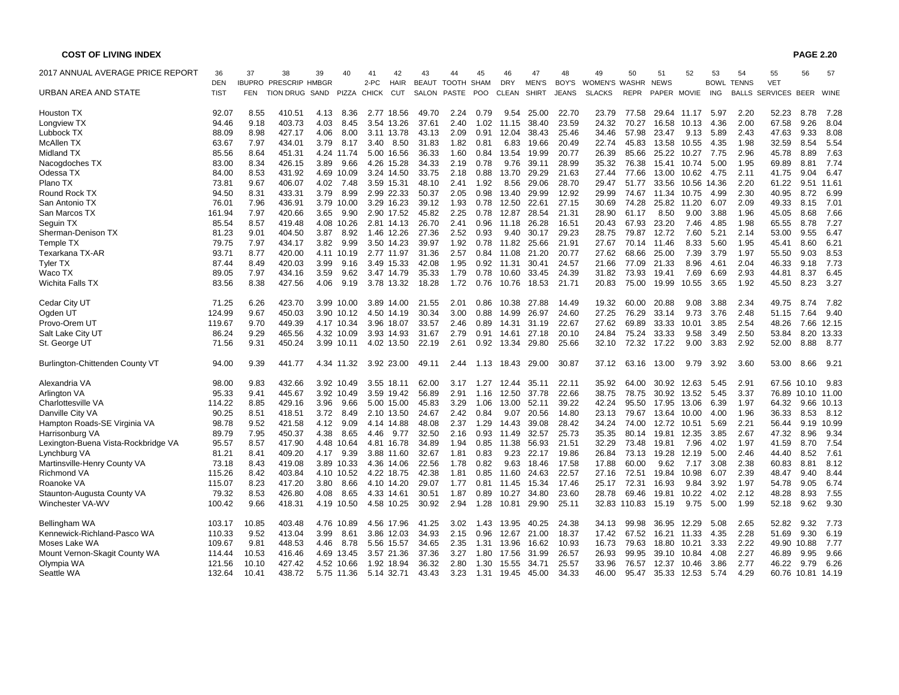| <b>COST OF LIVING INDEX</b>         |             |       |                              |      |            |        |             |              |              |            |            |              |              |               |             |             |             |             |              |                          | <b>PAGE 2.20</b>  |            |
|-------------------------------------|-------------|-------|------------------------------|------|------------|--------|-------------|--------------|--------------|------------|------------|--------------|--------------|---------------|-------------|-------------|-------------|-------------|--------------|--------------------------|-------------------|------------|
| 2017 ANNUAL AVERAGE PRICE REPORT    | 36          | 37    | 38                           | 39   | 40         | 41     | 42          | 43           | 44           | 45         | 46         | 47           | 48           | 49            | 50          | 51          | 52          | 53          | 54           | 55                       | 56                | 57         |
|                                     | <b>DEN</b>  |       | <b>IBUPRO PRESCRIP HMBGR</b> |      |            | $2-PC$ | <b>HAIR</b> | <b>BEAUT</b> | <b>TOOTH</b> | SHAM       | <b>DRY</b> | <b>MEN'S</b> | BOY'S        | WOMEN'S       | WASHR       | <b>NEWS</b> |             | <b>BOWL</b> | <b>TENNS</b> | <b>VET</b>               |                   |            |
| URBAN AREA AND STATE                | <b>TIST</b> | FEN   | TION DRUG SAND               |      | PIZZA      | CHICK  | <b>CUT</b>  | SALON        | <b>PASTE</b> | <b>POO</b> | CLEAN      | <b>SHIRT</b> | <b>JEANS</b> | <b>SLACKS</b> | <b>REPR</b> | PAPER MOVIE |             | ING         |              | BALLS SERVICES BEER WINE |                   |            |
| Houston TX                          | 92.07       | 8.55  | 410.51                       | 4.13 | 8.36       |        | 2.77 18.56  | 49.70        | 2.24         | 0.79       | 9.54       | 25.00        | 22.70        | 23.79         | 77.58       |             | 29.64 11.17 | 5.97        | 2.20         | 52.23                    | 8.78              | 7.28       |
| Longview TX                         | 94.46       | 9.18  | 403.73                       | 4.03 | 8.45       | 3.54   | 13.26       | 37.61        | 2.40         | 1.02       | 11.15      | 38.40        | 23.59        | 24.32         | 70.27       | 16.58       | 10.13       | 4.36        | 2.00         | 67.58                    | 9.26              | 8.04       |
| Lubbock TX                          | 88.09       | 8.98  | 427.17                       | 4.06 | 8.00       |        | 3.11 13.78  | 43.13        | 2.09         | 0.91       | 12.04      | 38.43        | 25.46        | 34.46         | 57.98       | 23.47       | 9.13        | 5.89        | 2.43         | 47.63                    | 9.33              | 8.08       |
| McAllen TX                          | 63.67       | 7.97  | 434.01                       | 3.79 | 8.17       | 3.40   | 8.50        | 31.83        | 1.82         | 0.81       | 6.83       | 19.66        | 20.49        | 22.74         | 45.83       | 13.58       | 10.55       | 4.35        | 1.98         | 32.59                    | 8.54              | 5.54       |
| Midland TX                          | 85.56       | 8.64  | 451.31                       |      | 4.24 11.74 |        | 5.00 16.56  | 36.33        | 1.60         | 0.84       | 13.54      | 19.99        | 20.77        | 26.39         | 85.66       | 25.22       | 10.27       | 7.75        | 2.96         | 45.78                    | 8.89              | 7.63       |
| Nacogdoches TX                      | 83.00       | 8.34  | 426.15                       | 3.89 | 9.66       |        | 4.26 15.28  | 34.33        | 2.19         | 0.78       | 9.76       | 39.11        | 28.99        | 35.32         | 76.38       | 15.41       | 10.74       | 5.00        | 1.95         | 69.89                    | 8.81              | 7.74       |
| Odessa TX                           | 84.00       | 8.53  | 431.92                       |      | 4.69 10.09 |        | 3.24 14.50  | 33.75        | 2.18         | 0.88       | 13.70      | 29.29        | 21.63        | 27.44         | 77.66       | 13.00       | 10.62       | 4.75        | 2.11         | 41.75                    | 9.04              | 6.47       |
| Plano TX                            | 73.81       | 9.67  | 406.07                       | 4.02 | 7.48       |        | 3.59 15.31  | 48.10        | 2.41         | 1.92       | 8.56       | 29.06        | 28.70        | 29.47         | 51.77       | 33.56       | 10.56       | 14.36       | 2.20         | 61.22                    |                   | 9.51 11.61 |
| Round Rock TX                       | 94.50       | 8.31  | 433.31                       | 3.79 | 8.99       |        | 2.99 22.33  | 50.37        | 2.05         | 0.98       | 13.40      | 29.99        | 12.92        | 29.99         | 74.67       | 11.34       | 10.75       | 4.99        | 2.30         | 40.95                    | 8.72              | 6.99       |
| San Antonio TX                      | 76.01       | 7.96  | 436.91                       |      | 3.79 10.00 |        | 3.29 16.23  | 39.12        | 1.93         | 0.78       | 12.50      | 22.61        | 27.15        | 30.69         | 74.28       | 25.82       | 11.20       | 6.07        | 2.09         | 49.33                    | 8.15              | 7.01       |
| San Marcos TX                       | 161.94      | 7.97  | 420.66                       | 3.65 | 9.90       |        | 2.90 17.52  | 45.82        | 2.25         | 0.78       | 12.87      | 28.54        | 21.31        | 28.90         | 61.17       | 8.50        | 9.00        | 3.88        | 1.96         | 45.05                    | 8.68              | 7.66       |
| Seguin TX                           | 85.54       | 8.57  | 419.48                       |      | 4.08 10.26 | 2.81   | 14.13       | 26.70        | 2.41         | 0.96       | 11.18      | 26.28        | 16.51        | 20.43         | 67.93       | 23.20       | 7.46        | 4.85        | 1.98         | 65.55                    | 8.78              | 7.27       |
| Sherman-Denison TX                  | 81.23       | 9.01  | 404.50                       | 3.87 | 8.92       |        | 1.46 12.26  | 27.36        | 2.52         | 0.93       | 9.40       | 30.17        | 29.23        | 28.75         | 79.87       | 12.72       | 7.60        | 5.21        | 2.14         | 53.00                    | 9.55              | 6.47       |
| Temple TX                           | 79.75       | 7.97  | 434.17                       | 3.82 | 9.99       |        | 3.50 14.23  | 39.97        | 1.92         | 0.78       | 11.82      | 25.66        | 21.91        | 27.67         | 70.14       | 11.46       | 8.33        | 5.60        | 1.95         | 45.41                    | 8.60              | 6.21       |
| Texarkana TX-AR                     | 93.71       | 8.77  | 420.00                       |      | 4.11 10.19 |        | 2.77 11.97  | 31.36        | 2.57         | 0.84       | 11.08      | 21.20        | 20.77        | 27.62         | 68.66       | 25.00       | 7.39        | 3.79        | 1.97         | 55.50                    | 9.03              | 8.53       |
| <b>Tyler TX</b>                     | 87.44       | 8.49  | 420.03                       | 3.99 | 9.16       |        | 3.49 15.33  | 42.08        | 1.95         | 0.92       | 11.31      | 30.41        | 24.57        | 21.66         | 77.09       | 21.33       | 8.96        | 4.61        | 2.04         | 46.33                    | 9.18              | 7.73       |
| Waco TX                             | 89.05       | 7.97  | 434.16                       | 3.59 | 9.62       |        | 3.47 14.79  | 35.33        | 1.79         | 0.78       | 10.60      | 33.45        | 24.39        | 31.82         | 73.93       | 19.41       | 7.69        | 6.69        | 2.93         | 44.81                    | 8.37              | 6.45       |
| Wichita Falls TX                    | 83.56       | 8.38  | 427.56                       | 4.06 | 9.19       |        | 3.78 13.32  | 18.28        | 1.72         | 0.76       | 10.76      | 18.53        | 21.71        | 20.83         | 75.00       | 19.99       | 10.55       | 3.65        | 1.92         | 45.50                    | 8.23              | 3.27       |
| Cedar City UT                       | 71.25       | 6.26  | 423.70                       |      | 3.99 10.00 |        | 3.89 14.00  | 21.55        | 2.01         | 0.86       | 10.38      | 27.88        | 14.49        | 19.32         | 60.00       | 20.88       | 9.08        | 3.88        | 2.34         | 49.75                    | 8.74              | 7.82       |
| Ogden UT                            | 124.99      | 9.67  | 450.03                       |      | 3.90 10.12 |        | 4.50 14.19  | 30.34        | 3.00         | 0.88       | 14.99      | 26.97        | 24.60        | 27.25         | 76.29       | 33.14       | 9.73        | 3.76        | 2.48         | 51.15                    | 7.64              | 9.40       |
| Provo-Orem UT                       | 119.67      | 9.70  | 449.39                       |      | 4.17 10.34 |        | 3.96 18.07  | 33.57        | 2.46         | 0.89       | 14.31      | 31.19        | 22.67        | 27.62         | 69.89       | 33.33       | 10.01       | 3.85        | 2.54         | 48.26                    | 7.66              | 12.15      |
| Salt Lake City UT                   | 86.24       | 9.29  | 465.56                       |      | 4.32 10.09 |        | 3.93 14.93  | 31.67        | 2.79         | 0.91       | 14.61      | 27.18        | 20.10        | 24.84         | 75.24       | 33.33       | 9.58        | 3.49        | 2.50         | 53.84                    |                   | 8.20 13.33 |
| St. George UT                       | 71.56       | 9.31  | 450.24                       |      | 3.99 10.11 |        | 4.02 13.50  | 22.19        | 2.61         | 0.92       | 13.34      | 29.80        | 25.66        | 32.10         | 72.32       | 17.22       | 9.00        | 3.83        | 2.92         | 52.00                    | 8.88              | 8.77       |
| Burlington-Chittenden County VT     | 94.00       | 9.39  | 441.77                       |      | 4.34 11.32 |        | 3.92 23.00  | 49.11        | 2.44         | 1.13       | 18.43      | 29.00        | 30.87        | 37.12         | 63.16       | 13.00       | 9.79        | 3.92        | 3.60         | 53.00                    | 8.66              | 9.21       |
| Alexandria VA                       | 98.00       | 9.83  | 432.66                       |      | 3.92 10.49 |        | 3.55 18.11  | 62.00        | 3.17         | 1.27       | 12.44      | 35.11        | 22.11        | 35.92         | 64.00       | 30.92       | 12.63       | 5.45        | 2.91         |                          | 67.56 10.10       | 9.83       |
| Arlington VA                        | 95.33       | 9.41  | 445.67                       |      | 3.92 10.49 | 3.59   | 19.42       | 56.89        | 2.91         | 1.16       | 12.50      | 37.78        | 22.66        | 38.75         | 78.75       | 30.92       | 13.52       | 5.45        | 3.37         | 76.89                    | 10.10             | 11.00      |
| Charlottesville VA                  | 114.22      | 8.85  | 429.16                       | 3.96 | 9.66       |        | 5.00 15.00  | 45.83        | 3.29         | 1.06       | 13.00      | 52.11        | 39.22        | 42.24         | 95.50       | 17.95       | 13.06       | 6.39        | 1.97         | 64.32                    | 9.66              | 10.13      |
| Danville City VA                    | 90.25       | 8.51  | 418.51                       | 3.72 | 8.49       |        | 2.10 13.50  | 24.67        | 2.42         | 0.84       | 9.07       | 20.56        | 14.80        | 23.13         | 79.67       | 13.64       | 10.00       | 4.00        | 1.96         | 36.33                    | 8.53              | 8.12       |
| Hampton Roads-SE Virginia VA        | 98.78       | 9.52  | 421.58                       | 4.12 | 9.09       |        | 4.14 14.88  | 48.08        | 2.37         | 1.29       | 14.43      | 39.08        | 28.42        | 34.24         | 74.00       | 12.72       | 10.51       | 5.69        | 2.21         | 56.44                    | 9.19              | 10.99      |
| Harrisonburg VA                     | 89.79       | 7.95  | 450.37                       | 4.38 | 8.65       | 4.46   | 9.77        | 32.50        | 2.16         | 0.93       | 11.49      | 32.57        | 25.73        | 35.35         | 80.14       | 19.81       | 12.35       | 3.85        | 2.67         | 47.32                    | 8.96              | 9.34       |
| Lexington-Buena Vista-Rockbridge VA | 95.57       | 8.57  | 417.90                       | 4.48 | 10.64      | 4.81   | 16.78       | 34.89        | 1.94         | 0.85       | 11.38      | 56.93        | 21.51        | 32.29         | 73.48       | 19.81       | 7.96        | 4.02        | 1.97         | 41.59                    | 8.70              | 7.54       |
| Lynchburg VA                        | 81.21       | 8.41  | 409.20                       | 4.17 | 9.39       |        | 3.88 11.60  | 32.67        | 1.81         | 0.83       | 9.23       | 22.17        | 19.86        | 26.84         | 73.13       | 19.28       | 12.19       | 5.00        | 2.46         | 44.40                    | 8.52              | 7.61       |
| Martinsville-Henry County VA        | 73.18       | 8.43  | 419.08                       |      | 3.89 10.33 |        | 4.36 14.06  | 22.56        | 1.78         | 0.82       | 9.63       | 18.46        | 17.58        | 17.88         | 60.00       | 9.62        | 7.17        | 3.08        | 2.38         | 60.83                    | 8.81              | 8.12       |
| Richmond VA                         | 115.26      | 8.42  | 403.84                       |      | 4.10 10.52 |        | 4.22 18.75  | 42.38        | 1.81         | 0.85       | 11.60      | 24.63        | 22.57        | 27.16         | 72.51       | 19.84       | 10.98       | 6.07        | 2.39         | 48.47                    | 9.40              | 8.44       |
| Roanoke VA                          | 115.07      | 8.23  | 417.20                       | 3.80 | 8.66       |        | 4.10 14.20  | 29.07        | 1.77         | 0.81       | 11.45      | 15.34        | 17.46        | 25.17         | 72.31       | 16.93       | 9.84        | 3.92        | 1.97         | 54.78                    | 9.05              | 6.74       |
| Staunton-Augusta County VA          | 79.32       | 8.53  | 426.80                       | 4.08 | 8.65       |        | 4.33 14.61  | 30.51        | 1.87         | 0.89       | 10.27      | 34.80        | 23.60        | 28.78         | 69.46       | 19.81       | 10.22       | 4.02        | 2.12         | 48.28                    | 8.93              | 7.55       |
| Winchester VA-WV                    | 100.42      | 9.66  | 418.31                       |      | 4.19 10.50 |        | 4.58 10.25  | 30.92        | 2.94         | 1.28       | 10.81      | 29.90        | 25.11        | 32.83         | 110.83      | 15.19       | 9.75        | 5.00        | 1.99         | 52.18                    | 9.62              | 9.30       |
| Bellingham WA                       | 103.17      | 10.85 | 403.48                       |      | 4.76 10.89 |        | 4.56 17.96  | 41.25        | 3.02         | 1.43       | 13.95      | 40.25        | 24.38        | 34.13         | 99.98       | 36.95       | 12.29       | 5.08        | 2.65         | 52.82                    | 9.32              | 7.73       |
| Kennewick-Richland-Pasco WA         | 110.33      | 9.52  | 413.04                       | 3.99 | 8.61       |        | 3.86 12.03  | 34.93        | 2.15         | 0.96       | 12.67      | 21.00        | 18.37        | 17.42         | 67.52       | 16.21       | 11.33       | 4.35        | 2.28         | 51.69                    | 9.30              | 6.19       |
| Moses Lake WA                       | 109.67      | 9.81  | 448.53                       | 4.46 | 8.78       |        | 5.56 15.57  | 34.65        | 2.35         | 1.31       | 13.96      | 16.62        | 10.93        | 16.73         | 79.63       | 18.80       | 10.21       | 3.33        | 2.22         |                          | 49.90 10.88       | 7.77       |
| Mount Vernon-Skagit County WA       | 114.44      | 10.53 | 416.46                       |      | 4.69 13.45 |        | 3.57 21.36  | 37.36        | 3.27         | 1.80       | 17.56      | 31.99        | 26.57        | 26.93         | 99.95       | 39.10       | 10.84       | 4.08        | 2.27         | 46.89                    | 9.95              | 9.66       |
| Olympia WA                          | 121.56      | 10.10 | 427.42                       |      | 4.52 10.66 |        | 1.92 18.94  | 36.32        | 2.80         | 1.30       | 15.55      | 34.71        | 25.57        | 33.96         | 76.57       |             | 12.37 10.46 | 3.86        | 2.77         | 46.22                    | 9.79              | 6.26       |
| Seattle WA                          | 132.64      | 10.41 | 438.72                       |      | 5.75 11.36 |        | 5.14 32.71  | 43.43        | 3.23         | 1.31       |            | 19.45 45.00  | 34.33        | 46.00         | 95.47       |             | 35.33 12.53 | 5.74        | 4.29         |                          | 60.76 10.81 14.19 |            |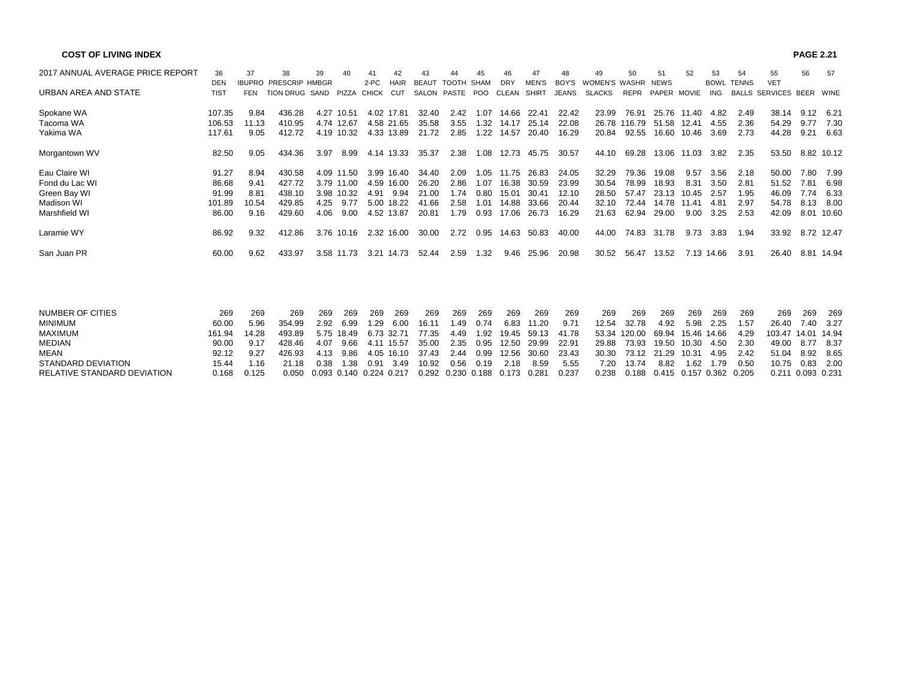| <b>COST OF LIVING INDEX</b>      |             |               |                       |        |            |        |             |              |                   |            |                |              |              |                      |              |             |                             |            |                   |                          | <b>PAGE 2.21</b> |               |
|----------------------------------|-------------|---------------|-----------------------|--------|------------|--------|-------------|--------------|-------------------|------------|----------------|--------------|--------------|----------------------|--------------|-------------|-----------------------------|------------|-------------------|--------------------------|------------------|---------------|
| 2017 ANNUAL AVERAGE PRICE REPORT | 36          | 37            | 38                    | 39     | 40         |        |             |              |                   |            |                | 47           |              | 49                   | 50           |             | 52                          | 53         | 54                | 55                       | 56               | -57           |
|                                  | <b>DEN</b>  | <b>IBUPRO</b> | <b>PRESCRIP HMBGR</b> |        |            | $2-PC$ | <b>HAIR</b> | <b>BEAUT</b> | <b>TOOTH SHAM</b> |            | <b>DRY</b>     | <b>MEN'S</b> | BOY'S        | <b>WOMEN'S WASHR</b> |              | <b>NEWS</b> |                             |            | <b>BOWL TENNS</b> | <b>VET</b>               |                  |               |
| URBAN AREA AND STATE             | <b>TIST</b> | FEN           | TION DRUG SAND        |        | PIZZA      | CHICK  | CUT         |              | SALON PASTE       | <b>POO</b> | CLEAN          | SHIRT        | <b>JEANS</b> | <b>SLACKS</b>        | <b>REPR</b>  | PAPER MOVIE |                             | <b>ING</b> |                   | BALLS SERVICES BEER WINE |                  |               |
| Spokane WA                       | 107.35      | 9.84          | 436.28                | 4.27   | 10.51      |        | 4.02 17.81  | 32.40        | 2.42              | 1.07       | 14.66          | 22.41        | 22.42        | 23.99                | 76.91        | 25.76       | 11.40                       | 4.82       | 2.49              | 38.14                    | 9.12 6.21        |               |
| Tacoma WA                        | 106.53      | 11.13         | 410.95                |        | 4.74 12.67 |        | 4.58 21.65  | 35.58        | 3.55              | 1.32       | 14.17          | 25.14        | 22.08        |                      | 26.78 116.79 | 51.58       | 12.41                       | 4.55       | 2.36              | 54.29                    | 9.77             | 7.30          |
| Yakima WA                        | 117.61      | 9.05          | 412.72                |        | 4.19 10.32 |        | 4.33 13.89  | 21.72        | 2.85              | 1.22       | 14.57          | 20.40        | 16.29        | 20.84                | 92.55        | 16.60       | 10.46                       | 3.69       | 2.73              | 44.28                    | 9.21             | 6.63          |
| Morgantown WV                    | 82.50       | 9.05          | 434.36                | 3.97   | 8.99       |        | 4.14 13.33  | 35.37        | 2.38              | 1.08       | 12.73          | 45.75        | 30.57        | 44.10                | 69.28        |             | 13.06 11.03                 | 3.82       | 2.35              | 53.50                    |                  | 8.82 10.12    |
| Eau Claire WI                    | 91.27       | 8.94          | 430.58                |        | 4.09 11.50 |        | 3.99 16.40  | 34.40        | 2.09              | 1.05       | 11.75          | 26.83        | 24.05        | 32.29                | 79.36        | 19.08       | 9.57                        | 3.56       | 2.18              | 50.00                    | 7.80             | 7.99          |
| Fond du Lac WI                   | 86.68       | 9.41          | 427.72                |        | 3.79 11.00 | 4.59   | 16.00       | 26.20        | 2.86              | 1.07       | 16.38          | 30.59        | 23.99        | 30.54                | 78.99        | 18.93       | 8.31                        | 3.50       | 2.81              | 51.52                    | 7.81             | 6.98          |
| Green Bay WI                     | 91.99       | 8.81          | 438.10                |        | 3.98 10.32 | 4.91   | 9.94        | 21.00        | 1.74              | 0.80       | 15.01          | 30.41        | 12.10        | 28.50                | 57.47        | 23.13       | 10.45                       | 2.57       | 1.95              | 46.09                    | 7.74             | 6.33          |
| <b>Madison WI</b>                | 101.89      | 10.54         | 429.85                | 4.25   | 9.77       |        | 5.00 18.22  | 41.66        | 2.58              | 1.01       | 14.88          | 33.66        | 20.44        | 32.10                | 72.44        | 14.78       | 11.41                       | 4.81       | 2.97              | 54.78                    | 8.13             | 8.00          |
| Marshfield WI                    | 86.00       | 9.16          | 429.60                | 4.06   | 9.00       |        | 4.52 13.87  | 20.81        | 1.79              | 0.93       | 17.06          | 26.73        | 16.29        | 21.63                | 62.94        | 29.00       | 9.00                        | 3.25       | 2.53              | 42.09                    |                  | 8.01 10.60    |
| Laramie WY                       | 86.92       | 9.32          | 412.86                |        | 3.76 10.16 |        | 2.32 16.00  | 30.00        | 2.72              | 0.95       | 14.63          | 50.83        | 40.00        | 44.00                | 74.83        | 31.78       | 9.73                        | 3.83       | 1.94              | 33.92                    |                  | 8.72 12.47    |
| San Juan PR                      | 60.00       | 9.62          | 433.97                |        | 3.58 11.73 |        | 3.21 14.73  | 52.44        | 2.59              | 1.32       | 9.46           | 25.96        | 20.98        | 30.52                | 56.47        | 13.52       |                             | 7.13 14.66 | 3.91              | 26.40                    |                  | 8.81 14.94    |
|                                  |             |               |                       |        |            |        |             |              |                   |            |                |              |              |                      |              |             |                             |            |                   |                          |                  |               |
| <b>NUMBER OF CITIES</b>          | 269         | 269           | 269                   | 269    | 269        | 269    | 269         | 269          | 269               | 269        | 269            | 269          | 269          | 269                  | 269          | 269         | 269                         | 269        | 269               | 269                      | 269              | 269           |
| <b>MINIMUM</b>                   | 60.00       | 5.96          | 354.99                | 2.92   | 6.99       | .29    | 6.00        | 16.11        | 1.49              | 0.74       | 6.83           | 11.20        | 9.71         | 12.54                | 32.78        | 4.92        | 5.98                        | 2.25       | 1.57              | 26.40                    | 7.40             | 3.27          |
| <b>MAXIMUM</b>                   | 161.94      | 14.28         | 493.89                |        | 5.75 18.49 |        | 6.73 32.71  | 77.35        | 4.49              | l.92       | 19.45          | 59.13        | 41.78        | 53.34                | 120.00       | 69.94       | 15.46 14.66                 |            | 4.29              | 103.47                   | 14.01 14.94      |               |
| <b>MEDIANI</b>                   | 0000        | 0.47          | 100.10                | $\sim$ | 0.00       |        |             | 25.00        | o or              |            | $\overline{A}$ | 0000         | 00.04        | oo oo                | 70.02        | 40.52       | $\lambda$ $\Omega$ $\Omega$ |            | 0.22              | 10.00                    |                  | $0.77$ $0.27$ |

| MEDIAN                      |             |            |  | 428.46  4.07  9.66  4.11  15.57  35.00  2.35  0.95  12.50  29.99  22.91  29.88  73.93  19.50  10.30  4.50  2.30  49.00  8.77  8.37 |  |  |  |  |  |  |                   |  |
|-----------------------------|-------------|------------|--|------------------------------------------------------------------------------------------------------------------------------------|--|--|--|--|--|--|-------------------|--|
| MEAN                        |             | 92.12 9.27 |  | 426.93 4.13 9.86 4.05 16.10 37.43 2.44 0.99 12.56 30.60 23.43 30.30 73.12 21.29 10.31 4.95 2.42 51.04 8.92 8.65                    |  |  |  |  |  |  |                   |  |
| STANDARD DEVIATION          |             |            |  | 15.44 1.16 21.18 0.38 1.38 0.91 3.49 10.92 0.56 0.19 2.18 8.59 5.55 7.20 13.74 8.82 1.62 1.79 0.50                                 |  |  |  |  |  |  | 10.75  0.83  2.00 |  |
| RELATIVE STANDARD DEVIATION | 0.168 0.125 |            |  | 0.050 0.093 0.140 0.224 0.217  0.292 0.230 0.188  0.173 0.281  0.237   0.238  0.188  0.415 0.157 0.362 0.205                       |  |  |  |  |  |  | 0.211 0.093 0.231 |  |